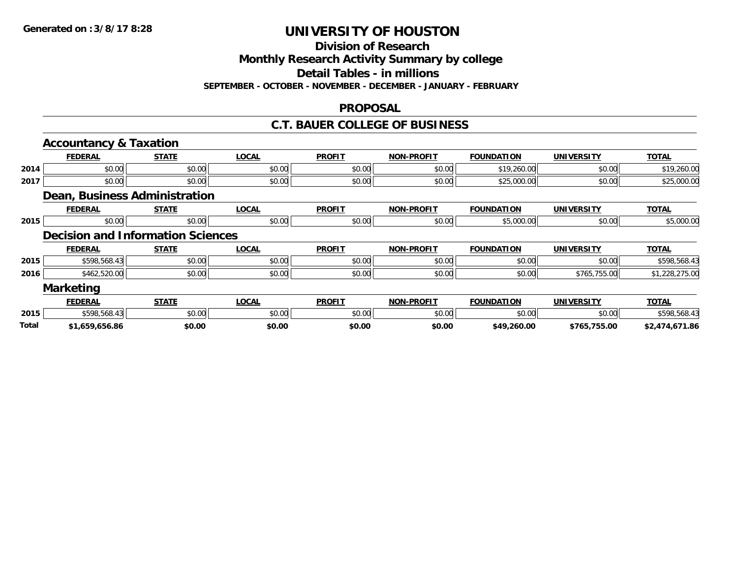#### **Division of Research**

**Monthly Research Activity Summary by college**

**Detail Tables - in millions**

**SEPTEMBER - OCTOBER - NOVEMBER - DECEMBER - JANUARY - FEBRUARY**

#### **PROPOSAL**

#### **C.T. BAUER COLLEGE OF BUSINESS**

|       | <b>Accountancy &amp; Taxation</b> |                                          |              |               |                   |                   |                   |                |
|-------|-----------------------------------|------------------------------------------|--------------|---------------|-------------------|-------------------|-------------------|----------------|
|       | <b>FEDERAL</b>                    | <b>STATE</b>                             | <b>LOCAL</b> | <b>PROFIT</b> | <b>NON-PROFIT</b> | <b>FOUNDATION</b> | <b>UNIVERSITY</b> | <b>TOTAL</b>   |
| 2014  | \$0.00                            | \$0.00                                   | \$0.00       | \$0.00        | \$0.00            | \$19,260.00       | \$0.00            | \$19,260.00    |
| 2017  | \$0.00                            | \$0.00                                   | \$0.00       | \$0.00        | \$0.00            | \$25,000.00       | \$0.00            | \$25,000.00    |
|       |                                   | Dean, Business Administration            |              |               |                   |                   |                   |                |
|       | <b>FEDERAL</b>                    | <b>STATE</b>                             | <b>LOCAL</b> | <b>PROFIT</b> | <b>NON-PROFIT</b> | <b>FOUNDATION</b> | <b>UNIVERSITY</b> | <b>TOTAL</b>   |
| 2015  | \$0.00                            | \$0.00                                   | \$0.00       | \$0.00        | \$0.00            | \$5,000.00        | \$0.00            | \$5,000.00     |
|       |                                   | <b>Decision and Information Sciences</b> |              |               |                   |                   |                   |                |
|       | <b>FEDERAL</b>                    | <b>STATE</b>                             | <b>LOCAL</b> | <b>PROFIT</b> | <b>NON-PROFIT</b> | <b>FOUNDATION</b> | <b>UNIVERSITY</b> | <b>TOTAL</b>   |
| 2015  | \$598,568.43                      | \$0.00                                   | \$0.00       | \$0.00        | \$0.00            | \$0.00            | \$0.00            | \$598,568.43   |
| 2016  | \$462,520.00                      | \$0.00                                   | \$0.00       | \$0.00        | \$0.00            | \$0.00            | \$765,755.00      | \$1,228,275.00 |
|       | <b>Marketing</b>                  |                                          |              |               |                   |                   |                   |                |
|       | <b>FEDERAL</b>                    | <b>STATE</b>                             | <b>LOCAL</b> | <b>PROFIT</b> | <b>NON-PROFIT</b> | <b>FOUNDATION</b> | <b>UNIVERSITY</b> | <b>TOTAL</b>   |
| 2015  | \$598,568.43                      | \$0.00                                   | \$0.00       | \$0.00        | \$0.00            | \$0.00            | \$0.00            | \$598,568.43   |
| Total | \$1,659,656.86                    | \$0.00                                   | \$0.00       | \$0.00        | \$0.00            | \$49,260.00       | \$765,755.00      | \$2,474,671.86 |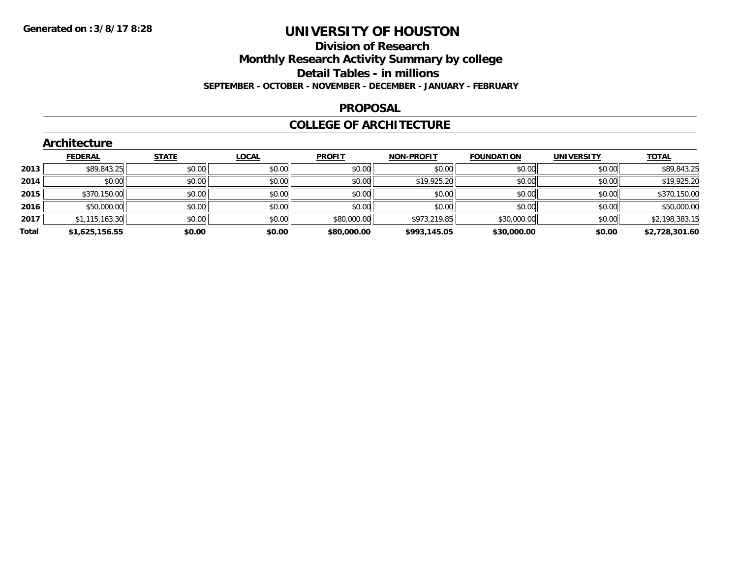# **Division of Research Monthly Research Activity Summary by college Detail Tables - in millions**

#### **SEPTEMBER - OCTOBER - NOVEMBER - DECEMBER - JANUARY - FEBRUARY**

#### **PROPOSAL**

#### **COLLEGE OF ARCHITECTURE**

| <b>STATE</b><br><b>FEDERAL</b><br><b>LOCAL</b><br><b>PROFIT</b><br><b>NON-PROFIT</b><br><b>FOUNDATION</b><br><b>UNIVERSITY</b><br>\$0.00<br>\$0.00<br>\$0.00<br>\$89,843.25<br>\$0.00<br>2013<br>\$0.00<br>\$0.00<br>\$0.00<br>\$0.00<br>\$19,925.20<br>\$0.00<br>\$0.00<br>\$0.00<br>\$0.00<br>2014<br>\$0.00<br>\$0.00<br>\$0.00<br>\$370,150.00<br>\$0.00<br>\$0.00<br>\$0.00<br>2015<br>\$0.00<br>\$50,000.00<br>\$0.00<br>\$0.00<br>\$0.00<br>\$0.00<br>\$0.00<br>2016<br>\$973,219.85<br>\$0.00<br>\$0.00<br>\$0.00<br>\$1,115,163.30<br>\$80,000.00<br>\$30,000.00<br>2017<br>Total<br>\$0.00<br>\$0.00<br>\$80,000.00<br>\$30,000.00<br>\$0.00<br>\$1,625,156.55<br>\$993,145.05 | <b>Architecture</b> |  |  |  |                |
|------------------------------------------------------------------------------------------------------------------------------------------------------------------------------------------------------------------------------------------------------------------------------------------------------------------------------------------------------------------------------------------------------------------------------------------------------------------------------------------------------------------------------------------------------------------------------------------------------------------------------------------------------------------------------------------|---------------------|--|--|--|----------------|
|                                                                                                                                                                                                                                                                                                                                                                                                                                                                                                                                                                                                                                                                                          |                     |  |  |  | <b>TOTAL</b>   |
|                                                                                                                                                                                                                                                                                                                                                                                                                                                                                                                                                                                                                                                                                          |                     |  |  |  | \$89,843.25    |
|                                                                                                                                                                                                                                                                                                                                                                                                                                                                                                                                                                                                                                                                                          |                     |  |  |  | \$19,925.20    |
|                                                                                                                                                                                                                                                                                                                                                                                                                                                                                                                                                                                                                                                                                          |                     |  |  |  | \$370,150.00   |
|                                                                                                                                                                                                                                                                                                                                                                                                                                                                                                                                                                                                                                                                                          |                     |  |  |  | \$50,000.00    |
|                                                                                                                                                                                                                                                                                                                                                                                                                                                                                                                                                                                                                                                                                          |                     |  |  |  | \$2,198,383.15 |
|                                                                                                                                                                                                                                                                                                                                                                                                                                                                                                                                                                                                                                                                                          |                     |  |  |  | \$2,728,301.60 |

# **Architecture**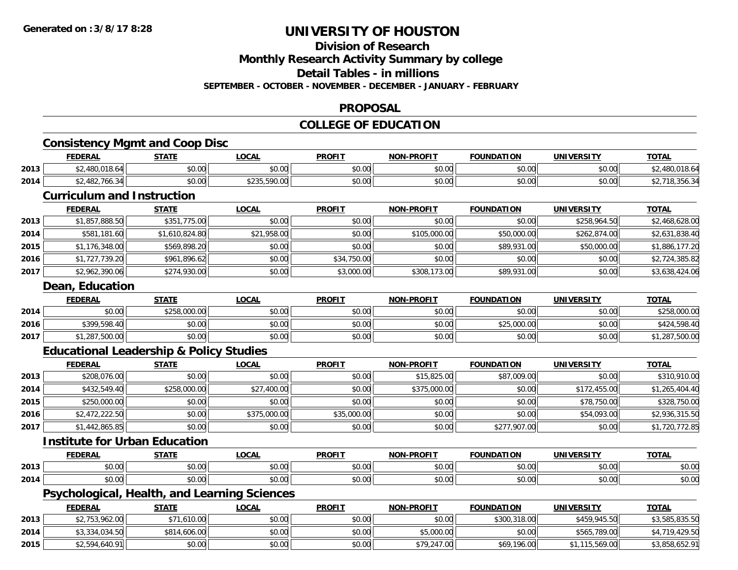## **Division of Research**

**Monthly Research Activity Summary by college**

**Detail Tables - in millions**

**SEPTEMBER - OCTOBER - NOVEMBER - DECEMBER - JANUARY - FEBRUARY**

### **PROPOSAL**

### **COLLEGE OF EDUCATION**

## **Consistency Mgmt and Coop Disc**

|      | <b>FEDERAL</b> | <b>STATE</b>       | <b>_OCAI</b>                               | <b>PROFIT</b> | <b>NON-PROFIT</b> | <b>FOUNDATION</b>      | UNIVERSITY | $T$ $T$ $R$<br>ו טי |
|------|----------------|--------------------|--------------------------------------------|---------------|-------------------|------------------------|------------|---------------------|
| 2013 | م ہ            | 0000<br>PU.UU      | $\sim$ 00<br>vv.vv                         | 0.00<br>JU.UU | 0000<br>PO.OO     | $n \cap \neg$<br>3U.UU | \$0.00     |                     |
| 2014 | ٬۵۰            | $\sim$ 00<br>JU.UU | ሐሳሳ!<br><b>EOO</b><br>$\sim$<br>70.UU<br>. | 0000<br>JU.UU | 0000<br>\$U.UU    | \$0.00                 | \$0.00     | .                   |

### **Curriculum and Instruction**

|      | <b>FEDERAL</b> | <b>STATE</b>   | <b>LOCAL</b> | <b>PROFIT</b> | <b>NON-PROFIT</b> | <b>FOUNDATION</b> | <b>UNIVERSITY</b> | <b>TOTAL</b>   |
|------|----------------|----------------|--------------|---------------|-------------------|-------------------|-------------------|----------------|
| 2013 | \$1,857,888.50 | \$351,775.00   | \$0.00       | \$0.00        | \$0.00            | \$0.00            | \$258,964.50      | \$2,468,628.00 |
| 2014 | \$581,181.60   | \$1,610,824.80 | \$21,958.00  | \$0.00        | \$105,000.00      | \$50,000.00       | \$262,874.00      | \$2,631,838.40 |
| 2015 | \$1,176,348.00 | \$569,898.20   | \$0.00       | \$0.00        | \$0.00            | \$89,931.00       | \$50,000.00       | \$1,886,177.20 |
| 2016 | \$1,727,739.20 | \$961,896.62   | \$0.00       | \$34,750.00   | \$0.00            | \$0.00            | \$0.00            | \$2,724,385.82 |
| 2017 | \$2,962,390.06 | \$274,930.00   | \$0.00       | \$3,000.00    | \$308,173.00      | \$89,931.00       | \$0.00            | \$3,638,424.06 |

#### **Dean, Education**

|      | <b>FEDERAL</b> | <u>STATE</u> | <u>LOCAL</u> | <b>PROFIT</b> | <b>NON-PROFIT</b> | <b>FOUNDATION</b> | <b>UNIVERSITY</b> | <b>TOTAL</b>    |
|------|----------------|--------------|--------------|---------------|-------------------|-------------------|-------------------|-----------------|
| 2014 | \$0.00         | \$258,000.00 | \$0.00       | \$0.00        | \$0.00            | \$0.00            | \$0.00            | \$258,000.00    |
| 2016 | \$399,598.40   | \$0.00       | \$0.00       | \$0.00        | \$0.00            | \$25,000.00       | \$0.00            | \$424,598.40    |
| 2017 | 1,287,500.00   | \$0.00       | \$0.00       | \$0.00        | \$0.00            | \$0.00            | \$0.00            | ,500.00<br>.287 |

### **Educational Leadership & Policy Studies**

|      | <b>FEDERAL</b> | <b>STATE</b> | <u>LOCAL</u> | <b>PROFIT</b> | <b>NON-PROFIT</b> | <b>FOUNDATION</b> | <b>UNIVERSITY</b> | <b>TOTAL</b>   |
|------|----------------|--------------|--------------|---------------|-------------------|-------------------|-------------------|----------------|
| 2013 | \$208,076.00   | \$0.00       | \$0.00       | \$0.00        | \$15,825.00       | \$87,009.00       | \$0.00            | \$310,910.00   |
| 2014 | \$432,549.40   | \$258,000.00 | \$27,400.00  | \$0.00        | \$375,000.00      | \$0.00            | \$172,455.00      | \$1,265,404.40 |
| 2015 | \$250,000.00   | \$0.00       | \$0.00       | \$0.00        | \$0.00            | \$0.00            | \$78,750.00       | \$328,750.00   |
| 2016 | \$2,472,222.50 | \$0.00       | \$375,000.00 | \$35,000.00   | \$0.00            | \$0.00            | \$54,093.00       | \$2,936,315.50 |
| 2017 | \$1,442,865.85 | \$0.00       | \$0.00       | \$0.00        | \$0.00            | \$277,907.00      | \$0.00            | \$1,720,772.85 |

#### **Institute for Urban Education**

|      | <b>FEDERAL</b>      | <b>STATE</b>           | $\sim$<br>UUA. | <b>PROFIT</b>           | -PROFIT<br>ש∩           | <b>FOUNDATION</b>      | IINIIVEDCITV              | <b>TOTA</b><br>$\mathbf{u}$ |
|------|---------------------|------------------------|----------------|-------------------------|-------------------------|------------------------|---------------------------|-----------------------------|
| 2013 | 0.00<br>DU.UUI      | $\sim$<br>ት ヘ<br>JU.UV | 0.00<br>vu.vu  | 0000<br>יש.ט            | 0 <sup>0</sup><br>pu.uu | $\sim$ $\sim$<br>טט.טע | $\sim$ $\sim$<br>vu.vu    | \$0.00                      |
| 2014 | <b>ሐሴ</b><br>\$0.00 | $\sim$ 00<br>JU.UU     | 0.00<br>DU.UU  | 0 <sub>0</sub><br>JU.UU | ስ ለሰ<br>pu.uu           | $\sim$ 00<br>טט.טע     | $\sim$ 00<br><b>DU.UU</b> | \$0.00                      |

### **Psychological, Health, and Learning Sciences**

|      | <b>FEDERAL</b> | <u>STATE</u> | <u>LOCAL</u> | <b>PROFIT</b> | <b>NON-PROFIT</b> | <b>FOUNDATION</b> | <b>UNIVERSITY</b> | <b>TOTAL</b>   |
|------|----------------|--------------|--------------|---------------|-------------------|-------------------|-------------------|----------------|
| 2013 | \$2,753,962.00 | \$71,610.00  | \$0.00       | \$0.00        | \$0.00            | \$300,318.00      | \$459,945.50      | \$3,585,835.50 |
| 2014 | \$3,334,034.50 | \$814,606.00 | \$0.00       | \$0.00        | \$5,000.00        | \$0.00            | \$565,789.00      | \$4,719,429.50 |
| 2015 | \$2,594,640.91 | \$0.00       | \$0.00       | \$0.00        | \$79,247.00       | \$69,196.00       | .115.569.00       | \$3,858,652.91 |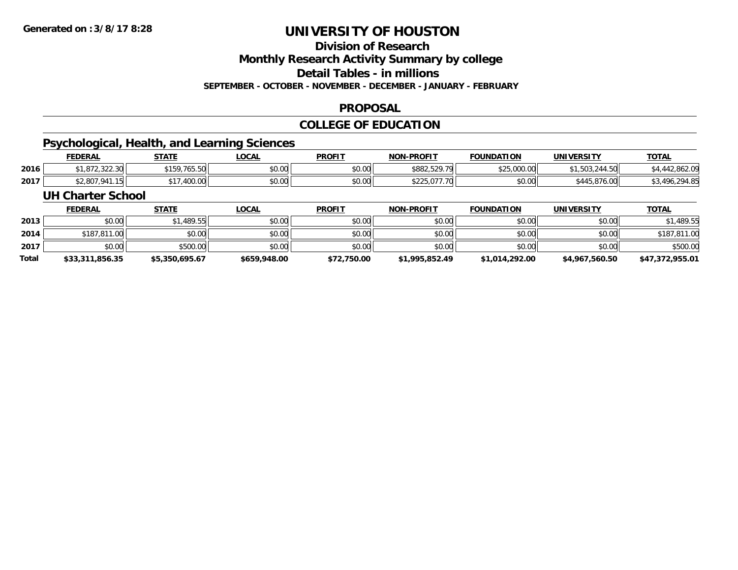## **Division of Research**

**Monthly Research Activity Summary by college**

**Detail Tables - in millions**

**SEPTEMBER - OCTOBER - NOVEMBER - DECEMBER - JANUARY - FEBRUARY**

#### **PROPOSAL**

### **COLLEGE OF EDUCATION**

### **Psychological, Health, and Learning Sciences**

|      | <b>FEDERAI</b> | <b>STATE</b>                                                  | <b>LOCAL</b> | <b>PROFIT</b>  | <b>LPROFIT</b><br><b>NON</b> | <b>FOUNDATION</b>           | <b>UNIVERSITY</b> | <b>TOTAL</b>          |
|------|----------------|---------------------------------------------------------------|--------------|----------------|------------------------------|-----------------------------|-------------------|-----------------------|
| 2016 | 2.322.30       | $+ - - - - - - - -$<br>,,,,,,,,,,<br>$\overline{\phantom{a}}$ | \$0.00       | \$0.00         | DOOZ.3Z9.1                   | $0.25$ 000.00<br>729.UUU.UU | 61,503,244.50     | .802.UY<br><u>дд</u>  |
| 2017 | 007            | .400.00                                                       | \$0.00       | ≮∩ ∩∩<br>DU.UG | 7 U<br>JZZJ.U.               | \$0.00                      | .876.00           | 1 O D<br>$\Lambda$ QA |

#### **UH Charter School**

|       | <b>FEDERAL</b>  | <u>STATE</u>   | <u>LOCAL</u> | <b>PROFIT</b> | <b>NON-PROFIT</b> | <b>FOUNDATION</b> | <b>UNIVERSITY</b> | <b>TOTAL</b>    |
|-------|-----------------|----------------|--------------|---------------|-------------------|-------------------|-------------------|-----------------|
| 2013  | \$0.00          | \$1,489.55     | \$0.00       | \$0.00        | \$0.00            | \$0.00            | \$0.00            | \$1,489.55      |
| 2014  | \$187,811,00    | \$0.00         | \$0.00       | \$0.00        | \$0.00            | \$0.00            | \$0.00            | \$187.811.00    |
| 2017  | \$0.00          | \$500.00       | \$0.00       | \$0.00        | \$0.00            | \$0.00            | \$0.00            | \$500.00        |
| Total | \$33,311,856.35 | \$5,350,695.67 | \$659,948.00 | \$72,750.00   | \$1,995,852.49    | \$1,014,292.00    | \$4,967,560.50    | \$47,372,955.01 |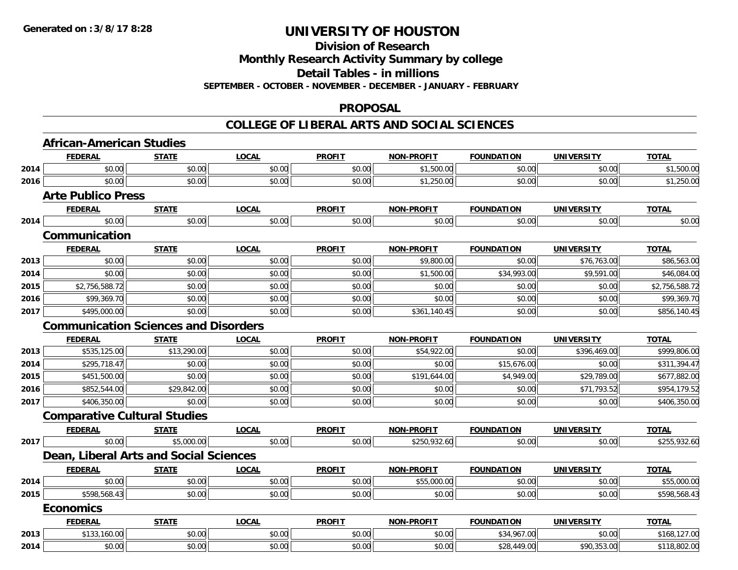**Division of Research**

**Monthly Research Activity Summary by college**

**Detail Tables - in millions**

**SEPTEMBER - OCTOBER - NOVEMBER - DECEMBER - JANUARY - FEBRUARY**

#### **PROPOSAL**

| <b>African-American Studies</b>        |              |                           |                                             |                   |                   |                   |                |
|----------------------------------------|--------------|---------------------------|---------------------------------------------|-------------------|-------------------|-------------------|----------------|
| <b>FEDERAL</b>                         | <b>STATE</b> | <b>LOCAL</b>              | <b>PROFIT</b>                               | <b>NON-PROFIT</b> | <b>FOUNDATION</b> | <b>UNIVERSITY</b> | <b>TOTAL</b>   |
| \$0.00                                 | \$0.00       | \$0.00                    | \$0.00                                      | \$1,500.00        | \$0.00            | \$0.00            | \$1,500.00     |
| \$0.00                                 | \$0.00       | \$0.00                    | \$0.00                                      | \$1,250.00        | \$0.00            | \$0.00            | \$1,250.00     |
|                                        |              |                           |                                             |                   |                   |                   |                |
| <b>FEDERAL</b>                         | <b>STATE</b> | <b>LOCAL</b>              | <b>PROFIT</b>                               | <b>NON-PROFIT</b> | <b>FOUNDATION</b> | <b>UNIVERSITY</b> | <b>TOTAL</b>   |
| \$0.00                                 | \$0.00       | \$0.00                    | \$0.00                                      | \$0.00            | \$0.00            | \$0.00            | \$0.00         |
| Communication                          |              |                           |                                             |                   |                   |                   |                |
| <b>FEDERAL</b>                         | <b>STATE</b> | <b>LOCAL</b>              | <b>PROFIT</b>                               | <b>NON-PROFIT</b> | <b>FOUNDATION</b> | <b>UNIVERSITY</b> | <b>TOTAL</b>   |
| \$0.00                                 | \$0.00       | \$0.00                    | \$0.00                                      | \$9,800.00        | \$0.00            | \$76,763.00       | \$86,563.00    |
| \$0.00                                 | \$0.00       | \$0.00                    | \$0.00                                      | \$1,500.00        | \$34,993.00       | \$9,591.00        | \$46,084.00    |
| \$2,756,588.72                         | \$0.00       | \$0.00                    | \$0.00                                      | \$0.00            | \$0.00            | \$0.00            | \$2,756,588.72 |
| \$99,369.70                            | \$0.00       | \$0.00                    | \$0.00                                      | \$0.00            | \$0.00            | \$0.00            | \$99,369.70    |
| \$495,000.00                           | \$0.00       | \$0.00                    | \$0.00                                      | \$361,140.45      | \$0.00            | \$0.00            | \$856,140.45   |
|                                        |              |                           |                                             |                   |                   |                   |                |
| <b>FEDERAL</b>                         | <b>STATE</b> | <b>LOCAL</b>              | <b>PROFIT</b>                               | <b>NON-PROFIT</b> | <b>FOUNDATION</b> | <b>UNIVERSITY</b> | <b>TOTAL</b>   |
| \$535,125.00                           | \$13,290.00  | \$0.00                    | \$0.00                                      | \$54,922.00       | \$0.00            | \$396,469.00      | \$999,806.00   |
| \$295,718.47                           | \$0.00       | \$0.00                    | \$0.00                                      | \$0.00            | \$15,676.00       | \$0.00            | \$311,394.47   |
| \$451,500.00                           | \$0.00       | \$0.00                    | \$0.00                                      | \$191,644.00      | \$4,949.00        | \$29,789.00       | \$677,882.00   |
| \$852,544.00                           |              |                           |                                             | \$0.00            | \$0.00            | \$71,793.52       | \$954,179.52   |
|                                        |              |                           |                                             |                   |                   |                   |                |
| \$406,350.00                           | \$0.00       | \$0.00                    | \$0.00                                      | \$0.00            | \$0.00            | \$0.00            | \$406,350.00   |
| <b>Comparative Cultural Studies</b>    |              |                           |                                             |                   |                   |                   |                |
| <b>FEDERAL</b>                         | <b>STATE</b> | <b>LOCAL</b>              | <b>PROFIT</b>                               | <b>NON-PROFIT</b> | <b>FOUNDATION</b> | <b>UNIVERSITY</b> | <b>TOTAL</b>   |
| \$0.00                                 | \$5,000.00   | \$0.00                    | \$0.00                                      | \$250,932.60      | \$0.00            | \$0.00            | \$255,932.60   |
| Dean, Liberal Arts and Social Sciences |              |                           |                                             |                   |                   |                   |                |
| <b>FEDERAL</b>                         | <u>STATE</u> | <b>LOCAL</b>              | <b>PROFIT</b>                               | <b>NON-PROFIT</b> | <b>FOUNDATION</b> | <b>UNIVERSITY</b> | <b>TOTAL</b>   |
| \$0.00                                 | \$0.00       | \$0.00                    | \$0.00                                      | \$55,000.00       | \$0.00            | \$0.00            | \$55,000.00    |
| \$598,568.43                           | \$0.00       | \$0.00                    | \$0.00                                      | \$0.00            | \$0.00            | \$0.00            | \$598,568.43   |
| <b>Economics</b>                       |              |                           |                                             |                   |                   |                   |                |
| <b>FEDERAL</b>                         | <b>STATE</b> | <b>LOCAL</b>              | <b>PROFIT</b>                               | <b>NON-PROFIT</b> | <b>FOUNDATION</b> | <b>UNIVERSITY</b> | <b>TOTAL</b>   |
| \$133,160.00                           | \$0.00       | \$0.00                    | \$0.00                                      | \$0.00            | \$34,967.00       | \$0.00            | \$168,127.00   |
|                                        |              | <b>Arte Publico Press</b> | <b>Communication Sciences and Disorders</b> | \$0.00<br>\$0.00  | \$29,842.00       |                   |                |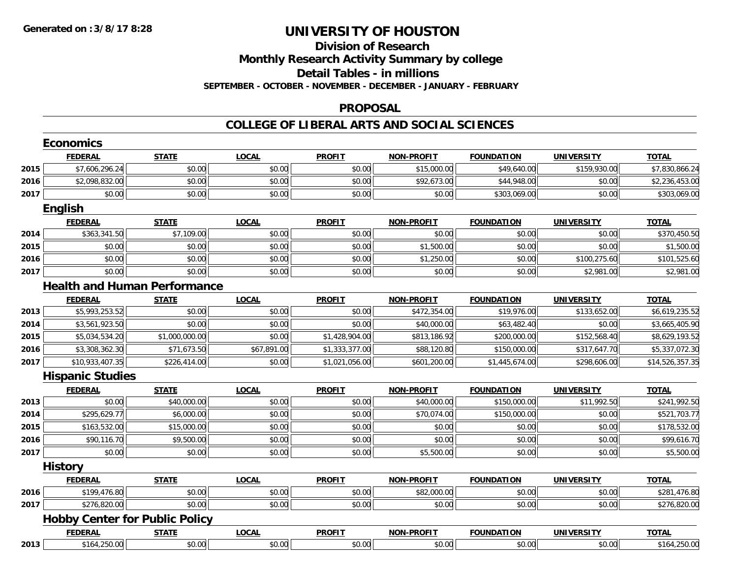#### **Division of Research Monthly Research Activity Summary by college Detail Tables - in millions SEPTEMBER - OCTOBER - NOVEMBER - DECEMBER - JANUARY - FEBRUARY**

#### **PROPOSAL**

|      | <b>Economics</b>                      |                |              |                |                   |                   |                   |                 |
|------|---------------------------------------|----------------|--------------|----------------|-------------------|-------------------|-------------------|-----------------|
|      | <b>FEDERAL</b>                        | <b>STATE</b>   | <b>LOCAL</b> | <b>PROFIT</b>  | <b>NON-PROFIT</b> | <b>FOUNDATION</b> | <b>UNIVERSITY</b> | <b>TOTAL</b>    |
| 2015 | \$7,606,296.24                        | \$0.00         | \$0.00       | \$0.00         | \$15,000.00       | \$49,640.00       | \$159,930.00      | \$7,830,866.24  |
| 2016 | \$2,098,832.00                        | \$0.00         | \$0.00       | \$0.00         | \$92,673.00       | \$44,948.00       | \$0.00            | \$2,236,453.00  |
| 2017 | \$0.00                                | \$0.00         | \$0.00       | \$0.00         | \$0.00            | \$303,069.00      | \$0.00            | \$303,069.00    |
|      | <b>English</b>                        |                |              |                |                   |                   |                   |                 |
|      | <b>FEDERAL</b>                        | <b>STATE</b>   | <b>LOCAL</b> | <b>PROFIT</b>  | <b>NON-PROFIT</b> | <b>FOUNDATION</b> | <b>UNIVERSITY</b> | <b>TOTAL</b>    |
| 2014 | \$363,341.50                          | \$7,109.00     | \$0.00       | \$0.00         | \$0.00            | \$0.00            | \$0.00            | \$370,450.50    |
| 2015 | \$0.00                                | \$0.00         | \$0.00       | \$0.00         | \$1,500.00        | \$0.00            | \$0.00            | \$1,500.00      |
| 2016 | \$0.00                                | \$0.00         | \$0.00       | \$0.00         | \$1,250.00        | \$0.00            | \$100,275.60      | \$101,525.60    |
| 2017 | \$0.00                                | \$0.00         | \$0.00       | \$0.00         | \$0.00            | \$0.00            | \$2,981.00        | \$2,981.00      |
|      | <b>Health and Human Performance</b>   |                |              |                |                   |                   |                   |                 |
|      | <b>FEDERAL</b>                        | <b>STATE</b>   | <b>LOCAL</b> | <b>PROFIT</b>  | <b>NON-PROFIT</b> | <b>FOUNDATION</b> | <b>UNIVERSITY</b> | <b>TOTAL</b>    |
| 2013 | \$5,993,253.52                        | \$0.00         | \$0.00       | \$0.00         | \$472,354.00      | \$19,976.00       | \$133,652.00      | \$6,619,235.52  |
| 2014 | \$3,561,923.50                        | \$0.00         | \$0.00       | \$0.00         | \$40,000.00       | \$63,482.40       | \$0.00            | \$3,665,405.90  |
| 2015 | \$5,034,534.20                        | \$1,000,000.00 | \$0.00       | \$1,428,904.00 | \$813,186.92      | \$200,000.00      | \$152,568.40      | \$8,629,193.52  |
| 2016 | \$3,308,362.30                        | \$71,673.50    | \$67,891.00  | \$1,333,377.00 | \$88,120.80       | \$150,000.00      | \$317,647.70      | \$5,337,072.30  |
| 2017 | \$10,933,407.35                       | \$226,414.00   | \$0.00       | \$1,021,056.00 | \$601,200.00      | \$1,445,674.00    | \$298,606.00      | \$14,526,357.35 |
|      | <b>Hispanic Studies</b>               |                |              |                |                   |                   |                   |                 |
|      | <b>FEDERAL</b>                        | <b>STATE</b>   | <b>LOCAL</b> | <b>PROFIT</b>  | <b>NON-PROFIT</b> | <b>FOUNDATION</b> | <b>UNIVERSITY</b> | <b>TOTAL</b>    |
| 2013 | \$0.00                                | \$40,000.00    | \$0.00       | \$0.00         | \$40,000.00       | \$150,000.00      | \$11,992.50       | \$241,992.50    |
| 2014 | \$295,629.77                          | \$6,000.00     | \$0.00       | \$0.00         | \$70,074.00       | \$150,000.00      | \$0.00            | \$521,703.77    |
| 2015 | \$163,532.00                          | \$15,000.00    | \$0.00       | \$0.00         | \$0.00            | \$0.00            | \$0.00            | \$178,532.00    |
| 2016 | \$90,116.70                           | \$9,500.00     | \$0.00       | \$0.00         | \$0.00            | \$0.00            | \$0.00            | \$99,616.70     |
| 2017 | \$0.00                                | \$0.00         | \$0.00       | \$0.00         | \$5,500.00        | \$0.00            | \$0.00            | \$5,500.00      |
|      | <b>History</b>                        |                |              |                |                   |                   |                   |                 |
|      | <b>FEDERAL</b>                        | <b>STATE</b>   | <b>LOCAL</b> | <b>PROFIT</b>  | <b>NON-PROFIT</b> | <b>FOUNDATION</b> | <b>UNIVERSITY</b> | <b>TOTAL</b>    |
| 2016 | \$199,476.80                          | \$0.00         | \$0.00       | \$0.00         | \$82,000.00       | \$0.00            | \$0.00            | \$281,476.80    |
| 2017 | \$276,820.00                          | \$0.00         | \$0.00       | \$0.00         | \$0.00            | \$0.00            | \$0.00            | \$276,820.00    |
|      | <b>Hobby Center for Public Policy</b> |                |              |                |                   |                   |                   |                 |
|      | <b>FEDERAL</b>                        | <b>STATE</b>   | <b>LOCAL</b> | <b>PROFIT</b>  | <b>NON-PROFIT</b> | <b>FOUNDATION</b> | <b>UNIVERSITY</b> | <b>TOTAL</b>    |
| 2013 | \$164,250.00                          | \$0.00         | \$0.00       | \$0.00         | \$0.00            | \$0.00            | \$0.00            | \$164,250.00    |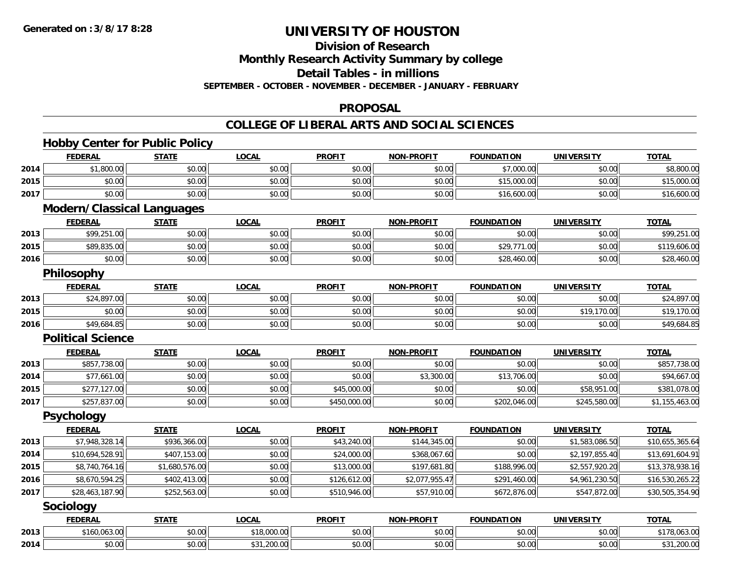# **Division of Research**

**Monthly Research Activity Summary by college**

**Detail Tables - in millions**

**SEPTEMBER - OCTOBER - NOVEMBER - DECEMBER - JANUARY - FEBRUARY**

#### **PROPOSAL**

|      | <b>Hobby Center for Public Policy</b> |                |              |               |                   |                   |                   |                 |
|------|---------------------------------------|----------------|--------------|---------------|-------------------|-------------------|-------------------|-----------------|
|      | <b>FEDERAL</b>                        | <b>STATE</b>   | <b>LOCAL</b> | <b>PROFIT</b> | <b>NON-PROFIT</b> | <b>FOUNDATION</b> | <b>UNIVERSITY</b> | <b>TOTAL</b>    |
| 2014 | \$1,800.00                            | \$0.00         | \$0.00       | \$0.00        | \$0.00            | \$7,000.00        | \$0.00            | \$8,800.00      |
| 2015 | \$0.00                                | \$0.00         | \$0.00       | \$0.00        | \$0.00            | \$15,000.00       | \$0.00            | \$15,000.00     |
| 2017 | \$0.00                                | \$0.00         | \$0.00       | \$0.00        | \$0.00            | \$16,600.00       | \$0.00            | \$16,600.00     |
|      | <b>Modern/Classical Languages</b>     |                |              |               |                   |                   |                   |                 |
|      | <b>FEDERAL</b>                        | <b>STATE</b>   | <b>LOCAL</b> | <b>PROFIT</b> | <b>NON-PROFIT</b> | <b>FOUNDATION</b> | <b>UNIVERSITY</b> | <b>TOTAL</b>    |
| 2013 | \$99,251.00                           | \$0.00         | \$0.00       | \$0.00        | \$0.00            | \$0.00            | \$0.00            | \$99,251.00     |
| 2015 | \$89,835.00                           | \$0.00         | \$0.00       | \$0.00        | \$0.00            | \$29,771.00       | \$0.00            | \$119,606.00    |
| 2016 | \$0.00                                | \$0.00         | \$0.00       | \$0.00        | \$0.00            | \$28,460.00       | \$0.00            | \$28,460.00     |
|      | Philosophy                            |                |              |               |                   |                   |                   |                 |
|      | <b>FEDERAL</b>                        | <b>STATE</b>   | <b>LOCAL</b> | <b>PROFIT</b> | <b>NON-PROFIT</b> | <b>FOUNDATION</b> | <b>UNIVERSITY</b> | <b>TOTAL</b>    |
| 2013 | \$24,897.00                           | \$0.00         | \$0.00       | \$0.00        | \$0.00            | \$0.00            | \$0.00            | \$24,897.00     |
| 2015 | \$0.00                                | \$0.00         | \$0.00       | \$0.00        | \$0.00            | \$0.00            | \$19,170.00       | \$19,170.00     |
| 2016 | \$49,684.85                           | \$0.00         | \$0.00       | \$0.00        | \$0.00            | \$0.00            | \$0.00            | \$49,684.85     |
|      | <b>Political Science</b>              |                |              |               |                   |                   |                   |                 |
|      | <b>FEDERAL</b>                        | <b>STATE</b>   | <b>LOCAL</b> | <b>PROFIT</b> | <b>NON-PROFIT</b> | <b>FOUNDATION</b> | <b>UNIVERSITY</b> | <b>TOTAL</b>    |
| 2013 | \$857,738.00                          | \$0.00         | \$0.00       | \$0.00        | \$0.00            | \$0.00            | \$0.00            | \$857,738.00    |
| 2014 | \$77,661.00                           | \$0.00         | \$0.00       | \$0.00        | \$3,300.00        | \$13,706.00       | \$0.00            | \$94,667.00     |
| 2015 | \$277,127.00                          | \$0.00         | \$0.00       | \$45,000.00   | \$0.00            | \$0.00            | \$58,951.00       | \$381,078.00    |
| 2017 | \$257,837.00                          | \$0.00         | \$0.00       | \$450,000.00  | \$0.00            | \$202,046.00      | \$245,580.00      | \$1,155,463.00  |
|      | Psychology                            |                |              |               |                   |                   |                   |                 |
|      | <b>FEDERAL</b>                        | <b>STATE</b>   | <b>LOCAL</b> | <b>PROFIT</b> | <b>NON-PROFIT</b> | <b>FOUNDATION</b> | <b>UNIVERSITY</b> | <b>TOTAL</b>    |
| 2013 | \$7,948,328.14                        | \$936,366.00   | \$0.00       | \$43,240.00   | \$144,345.00      | \$0.00            | \$1,583,086.50    | \$10,655,365.64 |
| 2014 | \$10,694,528.91                       | \$407,153.00   | \$0.00       | \$24,000.00   | \$368,067.60      | \$0.00            | \$2,197,855.40    | \$13,691,604.91 |
| 2015 | \$8,740,764.16                        | \$1,680,576.00 | \$0.00       | \$13,000.00   | \$197,681.80      | \$188,996.00      | \$2,557,920.20    | \$13,378,938.16 |
| 2016 | \$8,670,594.25                        | \$402,413.00   | \$0.00       | \$126,612.00  | \$2,077,955.47    | \$291,460.00      | \$4,961,230.50    | \$16,530,265.22 |
| 2017 | \$28,463,187.90                       | \$252,563.00   | \$0.00       | \$510,946.00  | \$57,910.00       | \$672,876.00      | \$547,872.00      | \$30,505,354.90 |
|      | Sociology                             |                |              |               |                   |                   |                   |                 |
|      | <b>FEDERAL</b>                        | <b>STATE</b>   | <b>LOCAL</b> | <b>PROFIT</b> | <b>NON-PROFIT</b> | <b>FOUNDATION</b> | <b>UNIVERSITY</b> | <b>TOTAL</b>    |
| 2013 | \$160,063.00                          | \$0.00         | \$18,000.00  | \$0.00        | \$0.00            | \$0.00            | \$0.00            | \$178,063.00    |
| 2014 | \$0.00                                | \$0.00         | \$31,200.00  | \$0.00        | \$0.00            | \$0.00            | \$0.00            | \$31,200.00     |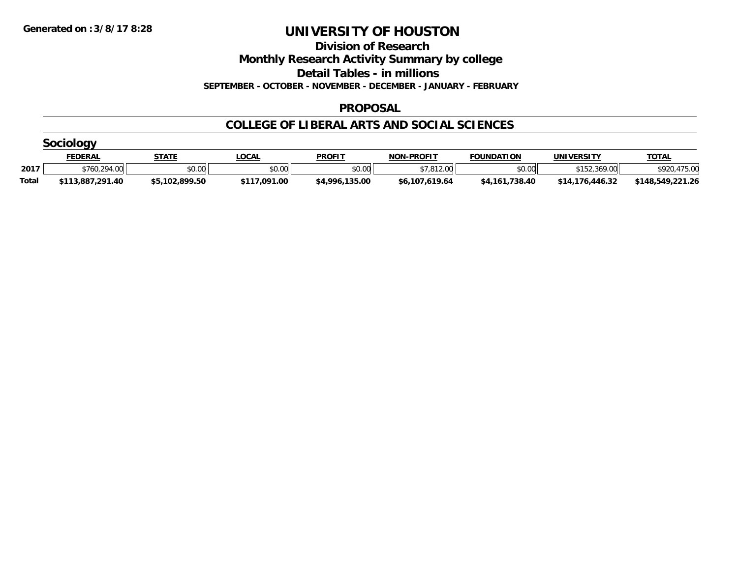**Division of Research**

**Monthly Research Activity Summary by college**

**Detail Tables - in millions**

**SEPTEMBER - OCTOBER - NOVEMBER - DECEMBER - JANUARY - FEBRUARY**

#### **PROPOSAL**

| Socioloav    |                  |                |              |                |                   |                   |                   |                  |  |  |
|--------------|------------------|----------------|--------------|----------------|-------------------|-------------------|-------------------|------------------|--|--|
|              | <b>FEDERAL</b>   | <b>STATE</b>   | _OCAL        | <b>PROFIT</b>  | <b>NON-PROFIT</b> | <b>FOUNDATION</b> | <b>UNIVERSITY</b> | <b>TOTAL</b>     |  |  |
| 2017         | \$760,294,00     | \$0.00         | \$0.00       | \$0.00         | .812.00           | \$0.00            | \$152,369.00      | 475.00/<br>\$920 |  |  |
| <b>Total</b> | \$113,887,291.40 | \$5,102,899.50 | \$117,091.00 | \$4,996,135.00 | \$6,107,619.64    | \$4,161,738.40    | \$14,176,446.32   | \$148,549,221.26 |  |  |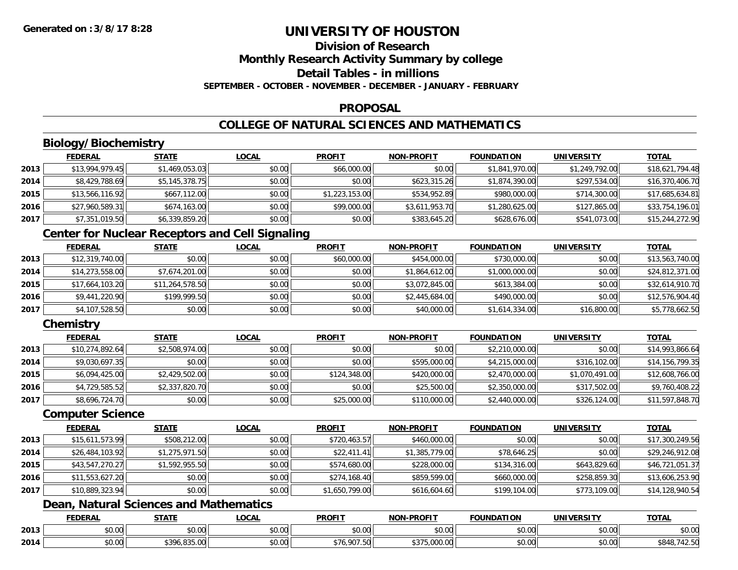## **Division of Research**

**Monthly Research Activity Summary by college**

**Detail Tables - in millions**

**SEPTEMBER - OCTOBER - NOVEMBER - DECEMBER - JANUARY - FEBRUARY**

#### **PROPOSAL**

### **COLLEGE OF NATURAL SCIENCES AND MATHEMATICS**

## **Biology/Biochemistry**

|      | <b>FEDERAL</b>  | <b>STATE</b>   | <u>LOCAL</u> | <b>PROFIT</b>  | <b>NON-PROFIT</b> | <b>FOUNDATION</b> | <b>UNIVERSITY</b> | <b>TOTAL</b>    |
|------|-----------------|----------------|--------------|----------------|-------------------|-------------------|-------------------|-----------------|
| 2013 | \$13,994,979.45 | \$1,469,053.03 | \$0.00       | \$66,000.00    | \$0.00            | \$1,841,970.00    | \$1,249,792.00    | \$18,621,794.48 |
| 2014 | \$8,429,788.69  | \$5,145,378.75 | \$0.00       | \$0.00         | \$623,315.26      | \$1,874,390.00    | \$297,534.00      | \$16,370,406.70 |
| 2015 | \$13,566,116.92 | \$667,112.00   | \$0.00       | \$1,223,153.00 | \$534,952.89      | \$980,000.00      | \$714,300.00      | \$17,685,634.81 |
| 2016 | \$27,960,589.31 | \$674,163.00   | \$0.00       | \$99,000.00    | \$3,611,953.70    | \$1,280,625.00    | \$127,865,00      | \$33,754,196.01 |
| 2017 | \$7,351,019.50  | \$6,339,859.20 | \$0.00       | \$0.00         | \$383,645.20      | \$628,676.00      | \$541,073.00      | \$15,244,272.90 |

### **Center for Nuclear Receptors and Cell Signaling**

|      | <b>FEDERAL</b>  | <b>STATE</b>    | <b>LOCAL</b> | <b>PROFIT</b> | <b>NON-PROFIT</b> | <b>FOUNDATION</b> | <b>UNIVERSITY</b> | <b>TOTAL</b>    |
|------|-----------------|-----------------|--------------|---------------|-------------------|-------------------|-------------------|-----------------|
| 2013 | \$12,319,740.00 | \$0.00          | \$0.00       | \$60,000.00   | \$454,000.00      | \$730,000.00      | \$0.00            | \$13,563,740.00 |
| 2014 | \$14,273,558.00 | \$7,674,201.00  | \$0.00       | \$0.00        | \$1,864,612.00    | \$1,000,000.00    | \$0.00            | \$24,812,371.00 |
| 2015 | \$17,664,103.20 | \$11,264,578.50 | \$0.00       | \$0.00        | \$3,072,845.00    | \$613,384.00      | \$0.00            | \$32,614,910.70 |
| 2016 | \$9,441,220.90  | \$199,999.50    | \$0.00       | \$0.00        | \$2,445,684.00    | \$490,000.00      | \$0.00            | \$12,576,904.40 |
| 2017 | \$4,107,528.50  | \$0.00          | \$0.00       | \$0.00        | \$40,000.00       | \$1,614,334.00    | \$16,800.00       | \$5,778,662.50  |

### **Chemistry**

|      | <b>FEDERAL</b>  | <b>STATE</b>   | <b>LOCAL</b> | <b>PROFIT</b> | <b>NON-PROFIT</b> | <b>FOUNDATION</b> | <b>UNIVERSITY</b> | <b>TOTAL</b>    |
|------|-----------------|----------------|--------------|---------------|-------------------|-------------------|-------------------|-----------------|
| 2013 | \$10,274,892.64 | \$2,508,974.00 | \$0.00       | \$0.00        | \$0.00            | \$2,210,000.00    | \$0.00            | \$14,993,866.64 |
| 2014 | \$9,030,697.35  | \$0.00         | \$0.00       | \$0.00        | \$595,000.00      | \$4,215,000.00    | \$316,102.00      | \$14,156,799.35 |
| 2015 | \$6,094,425.00  | \$2,429,502.00 | \$0.00       | \$124,348.00  | \$420,000.00      | \$2,470,000.00    | \$1,070,491.00    | \$12,608,766.00 |
| 2016 | \$4,729,585.52  | \$2,337,820.70 | \$0.00       | \$0.00        | \$25,500.00       | \$2,350,000.00    | \$317,502.00      | \$9,760,408.22  |
| 2017 | \$8,696,724.70  | \$0.00         | \$0.00       | \$25,000.00   | \$110,000.00      | \$2,440,000.00    | \$326,124.00      | \$11,597,848.70 |

#### **Computer Science**

|      | <b>FEDERAL</b>  | <b>STATE</b>   | <b>LOCAL</b> | <b>PROFIT</b>  | <b>NON-PROFIT</b> | <b>FOUNDATION</b> | <b>UNIVERSITY</b> | <b>TOTAL</b>    |
|------|-----------------|----------------|--------------|----------------|-------------------|-------------------|-------------------|-----------------|
| 2013 | \$15,611,573.99 | \$508,212.00   | \$0.00       | \$720,463.57   | \$460,000.00      | \$0.00            | \$0.00            | \$17,300,249.56 |
| 2014 | \$26,484,103.92 | \$1,275,971.50 | \$0.00       | \$22.411.41    | \$1,385,779.00    | \$78,646.25       | \$0.00            | \$29,246,912.08 |
| 2015 | \$43,547,270.27 | \$1,592,955.50 | \$0.00       | \$574,680.00   | \$228,000.00      | \$134,316.00      | \$643,829.60      | \$46,721,051.37 |
| 2016 | \$11,553,627.20 | \$0.00         | \$0.00       | \$274,168.40   | \$859,599.00      | \$660,000.00      | \$258,859.30      | \$13,606,253.90 |
| 2017 | \$10,889,323.94 | \$0.00         | \$0.00       | \$1,650,799.00 | \$616,604.60      | \$199,104.00      | \$773,109.00      | \$14,128,940.54 |

### **Dean, Natural Sciences and Mathematics**

|      | <b>FEDERAL</b> | -----             | $\sim$ $\sim$ $\sim$<br>.UCAI | <b>PROFIT</b>          | <b>LDDOFIT</b><br><b>NON</b> | TION<br>INDA.                 | JN.                                                   | <b>TOTAL</b>                                          |
|------|----------------|-------------------|-------------------------------|------------------------|------------------------------|-------------------------------|-------------------------------------------------------|-------------------------------------------------------|
| 2013 | $\sim$<br>ט.ט  | $\sim$ 00<br>ט.טע | $\sim$ $\sim$<br>vv.vv        | $\sim$ $\sim$<br>DU.UU | 0.00<br>JU.UU                | $\sim$ $\sim$ $\sim$<br>JU.UU | $\mathfrak{c} \cap \mathfrak{c} \cap$<br><b>DU.UG</b> | $\mathsf{A} \cap \mathsf{A} \cap \mathsf{A}$<br>JU.UU |
| 2014 | pu.uu          | $*20K$<br>. .     | 0000<br>PO.OO                 | $F^{n}$                | $\sim$<br>$\cap$<br>a.uuu.uu | JU.UU                         | \$0.00                                                | י ט.⊾⊤                                                |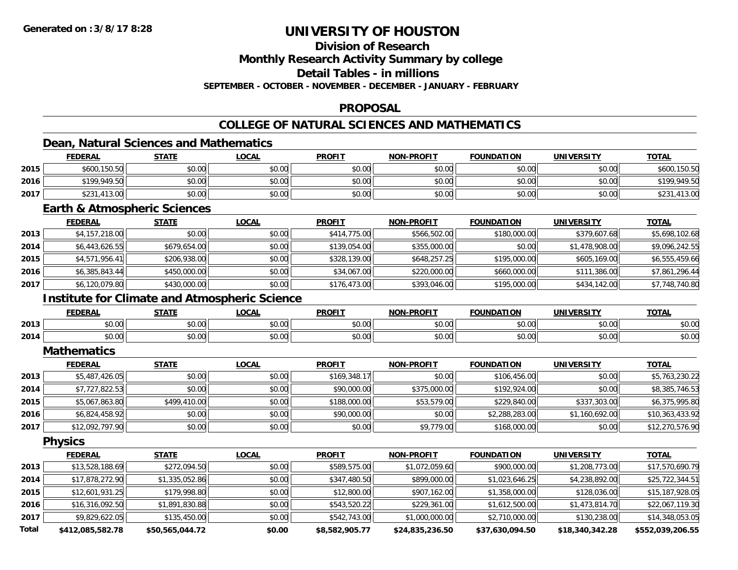## **Division of Research**

**Monthly Research Activity Summary by college**

**Detail Tables - in millions**

**SEPTEMBER - OCTOBER - NOVEMBER - DECEMBER - JANUARY - FEBRUARY**

#### **PROPOSAL**

### **COLLEGE OF NATURAL SCIENCES AND MATHEMATICS**

### **Dean, Natural Sciences and Mathematics**

|      | <b>FEDERAL</b> | <b>STATE</b>   | <b>LOCAL</b> | <b>PROFIT</b> | <b>NON-PROFIT</b> | <b>FOUNDATION</b> | <b>UNIVERSITY</b> | <b>TOTAL</b>     |
|------|----------------|----------------|--------------|---------------|-------------------|-------------------|-------------------|------------------|
| 2015 | \$600,150.50   | t∩ ∩∩<br>JU.UU | \$0.00       | \$0.00        | \$0.00            | \$0.00            | \$0.00            | 150.50<br>\$600, |
| 2016 | \$199,949.50   | \$0.00         | \$0.00       | \$0.00        | \$0.00            | \$0.00            | \$0.00            | \$199,949.50     |
| 2017 | \$231,413.00   | \$0.00         | \$0.00       | \$0.00        | \$0.00            | \$0.00            | \$0.00            | \$231.4<br>13.00 |

#### **Earth & Atmospheric Sciences**

|      | <u>FEDERAL</u> | <b>STATE</b> | <b>LOCAL</b> | <b>PROFIT</b> | <b>NON-PROFIT</b> | <b>FOUNDATION</b> | UNIVERSITY     | <b>TOTAL</b>   |
|------|----------------|--------------|--------------|---------------|-------------------|-------------------|----------------|----------------|
| 2013 | \$4,157,218.00 | \$0.00       | \$0.00       | \$414,775.00  | \$566,502.00      | \$180,000.00      | \$379,607.68   | \$5,698,102.68 |
| 2014 | \$6,443,626.55 | \$679,654.00 | \$0.00       | \$139,054.00  | \$355,000.00      | \$0.00            | \$1,478,908.00 | \$9,096,242.55 |
| 2015 | \$4,571,956.41 | \$206,938.00 | \$0.00       | \$328,139.00  | \$648,257.25      | \$195,000.00      | \$605,169.00   | \$6,555,459.66 |
| 2016 | \$6,385,843.44 | \$450,000.00 | \$0.00       | \$34,067.00   | \$220,000.00      | \$660,000.00      | \$111,386.00   | \$7,861,296.44 |
| 2017 | \$6,120,079.80 | \$430,000.00 | \$0.00       | \$176,473.00  | \$393,046.00      | \$195,000.00      | \$434,142.00   | \$7,748,740.80 |

### **Institute for Climate and Atmospheric Science**

|      | <b>FEDERA</b> | CT A TE | .OCAI     | <b>PROFIT</b> | <b>BBAFIT</b><br><b>AIOR</b>     | <b>FOUNDATION</b> | .<br>INIVI | <b>TOT</b> |
|------|---------------|---------|-----------|---------------|----------------------------------|-------------------|------------|------------|
| 2013 | 0000          | 0000    | ሶስ ሰሰ     | 0.00          | 0 <sup>n</sup>                   | 0000              | $\sim$ 00  | ልስ ሰሰ      |
|      | DU.UU         | PU.UU   | JU.UU     | PO.OO         | ΨU.                              | JU.UU             | vv.vv      | pu.uu      |
| 2014 | 0000          | 0000    | $\sim$ 00 | 0000          | $\uparrow$ $\uparrow$ $\uparrow$ | 0000              | $\sim$ 00  | 0000       |
|      | pv.uu         | vv.vv   | ₽U.UU     | — JU.U∪       | vv.v                             | vv.vv             | vv.vv      | DU.UU      |

#### **Mathematics**

|      | <b>FEDERAL</b>  | <u>STATE</u> | <u>LOCAL</u> | <b>PROFIT</b> | <b>NON-PROFIT</b> | <b>FOUNDATION</b> | <b>UNIVERSITY</b> | <b>TOTAL</b>    |
|------|-----------------|--------------|--------------|---------------|-------------------|-------------------|-------------------|-----------------|
| 2013 | \$5,487,426.05  | \$0.00       | \$0.00       | \$169,348.17  | \$0.00            | \$106,456,00      | \$0.00            | \$5,763,230.22  |
| 2014 | \$7,727,822.53  | \$0.00       | \$0.00       | \$90,000.00   | \$375,000.00      | \$192,924.00      | \$0.00            | \$8,385,746.53  |
| 2015 | \$5,067,863.80  | \$499,410.00 | \$0.00       | \$188,000.00  | \$53,579.00       | \$229,840.00      | \$337,303,00      | \$6,375,995.80  |
| 2016 | \$6,824,458.92  | \$0.00       | \$0.00       | \$90,000.00   | \$0.00            | \$2,288,283.00    | \$1,160,692.00    | \$10,363,433.92 |
| 2017 | \$12,092,797.90 | \$0.00       | \$0.00       | \$0.00        | \$9,779.00        | \$168,000.00      | \$0.00            | \$12,270,576.90 |

**Physics**

|              | <b>FEDERAL</b>   | <b>STATE</b>    | <u>LOCAL</u> | <b>PROFIT</b>  | <b>NON-PROFIT</b> | <b>FOUNDATION</b> | <b>UNIVERSITY</b> | <u>TOTAL</u>     |
|--------------|------------------|-----------------|--------------|----------------|-------------------|-------------------|-------------------|------------------|
| 2013         | \$13,528,188.69  | \$272,094.50    | \$0.00       | \$589,575.00   | \$1,072,059.60    | \$900,000.00      | \$1,208,773.00    | \$17,570,690.79  |
| 2014         | \$17,878,272.90  | \$1,335,052.86  | \$0.00       | \$347,480.50   | \$899,000.00      | \$1,023,646.25    | \$4,238,892.00    | \$25,722,344.51  |
| 2015         | \$12,601,931.25  | \$179,998.80    | \$0.00       | \$12,800.00    | \$907,162.00      | \$1,358,000.00    | \$128,036.00      | \$15,187,928.05  |
| 2016         | \$16,316,092.50  | \$1,891,830.88  | \$0.00       | \$543,520.22   | \$229,361.00      | \$1,612,500.00    | \$1,473,814.70    | \$22,067,119.30  |
| 2017         | \$9,829,622.05   | \$135,450.00    | \$0.00       | \$542,743.00   | \$1,000,000.00    | \$2,710,000.00    | \$130,238.00      | \$14,348,053.05  |
| <b>Total</b> | \$412,085,582.78 | \$50,565,044.72 | \$0.00       | \$8.582.905.77 | \$24,835,236.50   | \$37.630.094.50   | \$18,340,342.28   | \$552.039.206.55 |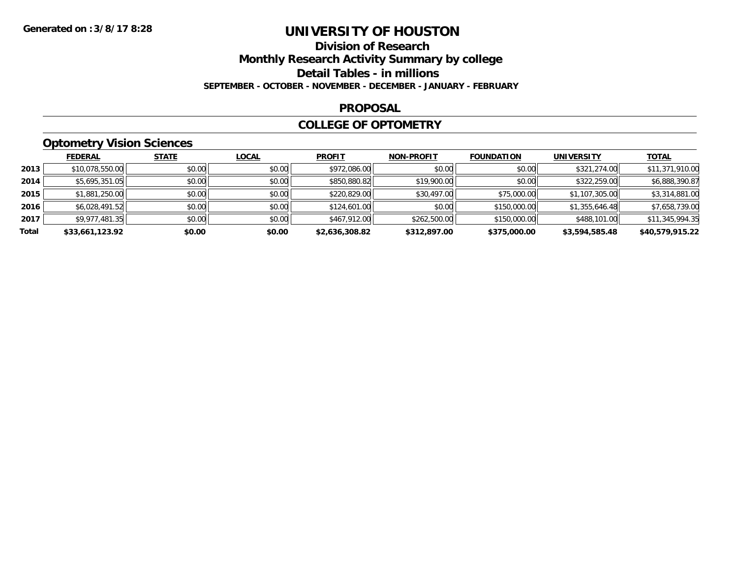### **Division of ResearchMonthly Research Activity Summary by college Detail Tables - in millions SEPTEMBER - OCTOBER - NOVEMBER - DECEMBER - JANUARY - FEBRUARY**

#### **PROPOSAL**

#### **COLLEGE OF OPTOMETRY**

## **Optometry Vision Sciences**

|       | __              |              |              |                |                   |                   |                   |                 |
|-------|-----------------|--------------|--------------|----------------|-------------------|-------------------|-------------------|-----------------|
|       | <b>FEDERAL</b>  | <b>STATE</b> | <b>LOCAL</b> | <b>PROFIT</b>  | <b>NON-PROFIT</b> | <b>FOUNDATION</b> | <b>UNIVERSITY</b> | <b>TOTAL</b>    |
| 2013  | \$10,078,550.00 | \$0.00       | \$0.00       | \$972,086.00   | \$0.00            | \$0.00            | \$321,274.00      | \$11,371,910.00 |
| 2014  | \$5,695,351.05  | \$0.00       | \$0.00       | \$850,880.82   | \$19,900.00       | \$0.00            | \$322,259.00      | \$6,888,390.87  |
| 2015  | \$1,881,250.00  | \$0.00       | \$0.00       | \$220,829.00   | \$30,497.00       | \$75,000.00       | \$1,107,305.00    | \$3,314,881.00  |
| 2016  | \$6,028,491.52  | \$0.00       | \$0.00       | \$124,601.00   | \$0.00            | \$150,000.00      | \$1,355,646.48    | \$7,658,739.00  |
| 2017  | \$9,977,481.35  | \$0.00       | \$0.00       | \$467,912.00   | \$262,500.00      | \$150,000.00      | \$488,101.00      | \$11,345,994.35 |
| Total | \$33,661,123.92 | \$0.00       | \$0.00       | \$2,636,308.82 | \$312,897.00      | \$375,000.00      | \$3,594,585.48    | \$40,579,915.22 |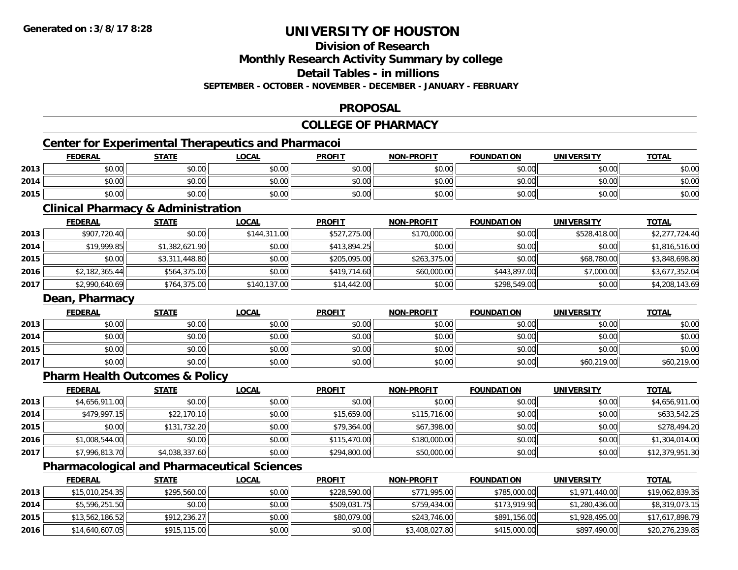### **Division of Research**

**Monthly Research Activity Summary by college**

**Detail Tables - in millions**

**SEPTEMBER - OCTOBER - NOVEMBER - DECEMBER - JANUARY - FEBRUARY**

### **PROPOSAL**

#### **COLLEGE OF PHARMACY**

## **Center for Experimental Therapeutics and Pharmacoi**

|      | <b>FEDERAL</b> | <b>STATE</b> | <b>LOCAL</b> | <b>PROFIT</b> | <b>NON-PROFIT</b> | <b>FOUNDATION</b> | UNIVERSITY | <b>TOTAL</b> |
|------|----------------|--------------|--------------|---------------|-------------------|-------------------|------------|--------------|
| 2013 | ልስ ሀሀ<br>pu.uu | \$0.00       | \$0.00       | \$0.00        | \$0.00            | \$0.00            | \$0.00     | \$0.00       |
| 2014 | \$0.00         | \$0.00       | \$0.00       | \$0.00        | \$0.00            | \$0.00            | \$0.00     | \$0.00       |
| 2015 | \$0.00         | \$0.00       | \$0.00       | \$0.00        | \$0.00            | \$0.00            | \$0.00     | \$0.00       |

<u> 1980 - Johann Barbara, martxa amerikan bashkar (</u>

#### **Clinical Pharmacy & Administration**

|      | <b>FEDERAL</b> | <b>STATE</b>   | <u>LOCAL</u> | <b>PROFIT</b> | <b>NON-PROFIT</b> | <b>FOUNDATION</b> | <b>UNIVERSITY</b> | <b>TOTAL</b>   |
|------|----------------|----------------|--------------|---------------|-------------------|-------------------|-------------------|----------------|
| 2013 | \$907,720.40   | \$0.00         | \$144,311.00 | \$527,275.00  | \$170,000.00      | \$0.00            | \$528,418.00      | \$2,277,724.40 |
| 2014 | \$19,999.85    | \$1,382,621.90 | \$0.00       | \$413,894.25  | \$0.00            | \$0.00            | \$0.00            | \$1,816,516.00 |
| 2015 | \$0.00         | \$3,311,448.80 | \$0.00       | \$205,095,00  | \$263,375.00      | \$0.00            | \$68,780.00       | \$3,848,698.80 |
| 2016 | \$2,182,365.44 | \$564,375,00   | \$0.00       | \$419,714.60  | \$60,000.00       | \$443.897.00      | \$7,000.00        | \$3,677,352.04 |
| 2017 | \$2,990,640.69 | \$764,375.00   | \$140,137.00 | \$14,442.00   | \$0.00            | \$298,549.00      | \$0.00            | \$4,208,143.69 |

### **Dean, Pharmacy**

|      | <b>FEDERAL</b> | <b>STATE</b> | <u>LOCAL</u> | <b>PROFIT</b> | <b>NON-PROFIT</b> | <b>FOUNDATION</b> | <b>UNIVERSITY</b> | <b>TOTAL</b> |
|------|----------------|--------------|--------------|---------------|-------------------|-------------------|-------------------|--------------|
| 2013 | \$0.00         | \$0.00       | \$0.00       | \$0.00        | \$0.00            | \$0.00            | \$0.00            | \$0.00       |
| 2014 | \$0.00         | \$0.00       | \$0.00       | \$0.00        | \$0.00            | \$0.00            | \$0.00            | \$0.00       |
| 2015 | \$0.00         | \$0.00       | \$0.00       | \$0.00        | \$0.00            | \$0.00            | \$0.00            | \$0.00       |
| 2017 | \$0.00         | \$0.00       | \$0.00       | \$0.00        | \$0.00            | \$0.00            | \$60,219.00       | \$60,219.00  |

### **Pharm Health Outcomes & Policy**

|      | <b>FEDERAL</b> | <b>STATE</b>   | <b>LOCAL</b> | <b>PROFIT</b> | <b>NON-PROFIT</b> | <b>FOUNDATION</b> | <b>UNIVERSITY</b> | <b>TOTAL</b>    |
|------|----------------|----------------|--------------|---------------|-------------------|-------------------|-------------------|-----------------|
| 2013 | \$4,656,911.00 | \$0.00         | \$0.00       | \$0.00        | \$0.00            | \$0.00            | \$0.00            | \$4,656,911.00  |
| 2014 | \$479,997.15   | \$22,170.10    | \$0.00       | \$15,659.00   | \$115,716.00      | \$0.00            | \$0.00            | \$633,542.25    |
| 2015 | \$0.00         | \$131,732.20   | \$0.00       | \$79,364.00   | \$67,398.00       | \$0.00            | \$0.00            | \$278,494.20    |
| 2016 | \$1,008,544.00 | \$0.00         | \$0.00       | \$115,470.00  | \$180,000.00      | \$0.00            | \$0.00            | \$1,304,014.00  |
| 2017 | \$7,996,813.70 | \$4,038,337.60 | \$0.00       | \$294,800.00  | \$50,000.00       | \$0.00            | \$0.00            | \$12,379,951.30 |

### **Pharmacological and Pharmaceutical Sciences**

|      | <b>FEDERAL</b>  | <u>STATE</u> | <u>LOCAL</u> | <b>PROFIT</b> | <b>NON-PROFIT</b> | <b>FOUNDATION</b> | <b>UNIVERSITY</b> | <b>TOTAL</b>    |
|------|-----------------|--------------|--------------|---------------|-------------------|-------------------|-------------------|-----------------|
| 2013 | \$15,010,254.35 | \$295,560.00 | \$0.00       | \$228,590.00  | \$771,995.00      | \$785,000.00      | \$1,971,440.00    | \$19,062,839.35 |
| 2014 | \$5,596,251.50  | \$0.00       | \$0.00       | \$509,031.75  | \$759,434.00      | \$173,919.90      | \$1,280,436,00    | \$8,319,073.15  |
| 2015 | \$13,562,186.52 | \$912,236.27 | \$0.00       | \$80,079.00   | \$243,746.00      | \$891,156,00      | \$1.928.495.00    | \$17,617,898.79 |
| 2016 | \$14,640,607.05 | \$915,115.00 | \$0.00       | \$0.00        | \$3,408,027.80    | \$415,000.00      | \$897,490.00      | \$20,276,239.85 |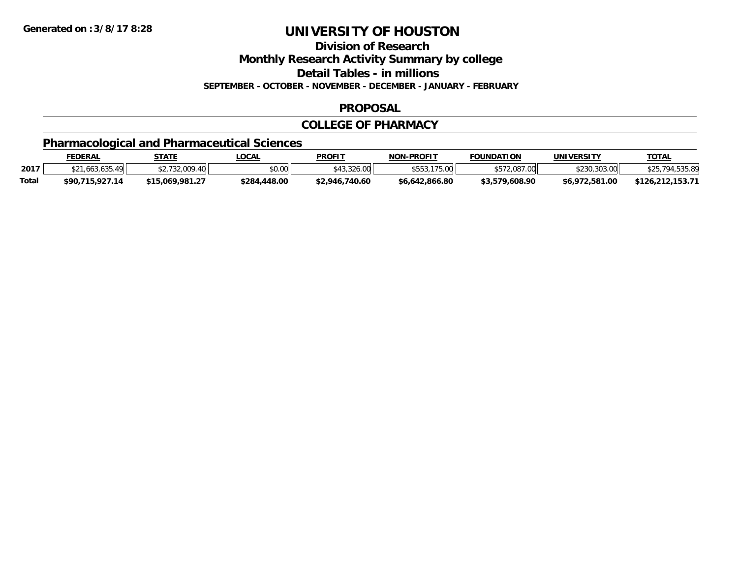**Division of Research**

**Monthly Research Activity Summary by college**

**Detail Tables - in millions**

**SEPTEMBER - OCTOBER - NOVEMBER - DECEMBER - JANUARY - FEBRUARY**

#### **PROPOSAL**

#### **COLLEGE OF PHARMACY**

## **Pharmacological and Pharmaceutical Sciences**

|       | <b>FEDERAL</b>  | STATE                       | _OCAL        | <b>PROFIT</b>  | <b>NON-PROFIT</b> | <b>FOUNDATION</b> | <b>UNIVERSITY</b> | <b>TOTAL</b>     |
|-------|-----------------|-----------------------------|--------------|----------------|-------------------|-------------------|-------------------|------------------|
| 2017  |                 | <b>733.000</b><br>$\Lambda$ | vv.vv        | \$43,326.00    | .175.00           | 0.087.00          | \$230.303.00      |                  |
| Total | \$90,715,927.14 | \$15,069,981.27             | \$284,448.00 | \$2,946,740.60 | \$6,642,866.80    | \$3,579,608.90    | \$6,972,581.00    | \$126,212,153.71 |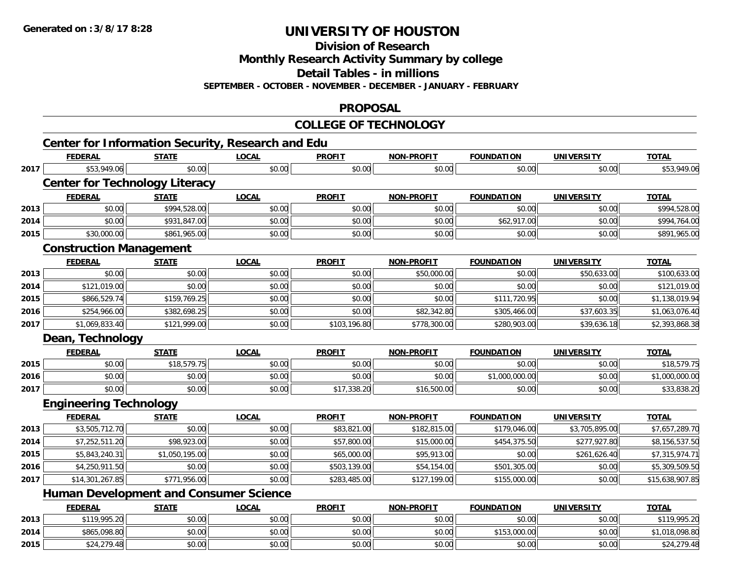**2015**

# **UNIVERSITY OF HOUSTON**

**Division of Research**

**Monthly Research Activity Summary by college**

**Detail Tables - in millions**

**SEPTEMBER - OCTOBER - NOVEMBER - DECEMBER - JANUARY - FEBRUARY**

#### **PROPOSAL**

|      |                                               |                |                                                          | <b>COLLEGE OF TECHNOLOGY</b> |                   |                   |                   |                 |
|------|-----------------------------------------------|----------------|----------------------------------------------------------|------------------------------|-------------------|-------------------|-------------------|-----------------|
|      |                                               |                | <b>Center for Information Security, Research and Edu</b> |                              |                   |                   |                   |                 |
|      | <b>FEDERAL</b>                                | <b>STATE</b>   | <b>LOCAL</b>                                             | <b>PROFIT</b>                | <b>NON-PROFIT</b> | <b>FOUNDATION</b> | <b>UNIVERSITY</b> | <b>TOTAL</b>    |
| 2017 | \$53,949.06                                   | \$0.00         | \$0.00                                                   | \$0.00                       | \$0.00            | \$0.00            | \$0.00            | \$53,949.06     |
|      | <b>Center for Technology Literacy</b>         |                |                                                          |                              |                   |                   |                   |                 |
|      | <b>FEDERAL</b>                                | <b>STATE</b>   | <b>LOCAL</b>                                             | <b>PROFIT</b>                | <b>NON-PROFIT</b> | <b>FOUNDATION</b> | <b>UNIVERSITY</b> | <b>TOTAL</b>    |
| 2013 | \$0.00                                        | \$994,528.00   | \$0.00                                                   | \$0.00                       | \$0.00            | \$0.00            | \$0.00            | \$994,528.00    |
| 2014 | \$0.00                                        | \$931,847.00   | \$0.00                                                   | \$0.00                       | \$0.00            | \$62,917.00       | \$0.00            | \$994,764.00    |
| 2015 | \$30,000.00                                   | \$861,965.00   | \$0.00                                                   | \$0.00                       | \$0.00            | \$0.00            | \$0.00            | \$891,965.00    |
|      | <b>Construction Management</b>                |                |                                                          |                              |                   |                   |                   |                 |
|      | <b>FEDERAL</b>                                | <b>STATE</b>   | <b>LOCAL</b>                                             | <b>PROFIT</b>                | <b>NON-PROFIT</b> | <b>FOUNDATION</b> | <b>UNIVERSITY</b> | <b>TOTAL</b>    |
| 2013 | \$0.00                                        | \$0.00         | \$0.00                                                   | \$0.00                       | \$50,000.00       | \$0.00            | \$50,633.00       | \$100,633.00    |
| 2014 | \$121,019.00                                  | \$0.00         | \$0.00                                                   | \$0.00                       | \$0.00            | \$0.00            | \$0.00            | \$121,019.00    |
| 2015 | \$866,529.74                                  | \$159,769.25   | \$0.00                                                   | \$0.00                       | \$0.00            | \$111,720.95      | \$0.00            | \$1,138,019.94  |
| 2016 | \$254,966.00                                  | \$382,698.25   | \$0.00                                                   | \$0.00                       | \$82,342.80       | \$305,466.00      | \$37,603.35       | \$1,063,076.40  |
| 2017 | \$1,069,833.40                                | \$121,999.00   | \$0.00                                                   | \$103,196.80                 | \$778,300.00      | \$280,903.00      | \$39,636.18       | \$2,393,868.38  |
|      | Dean, Technology                              |                |                                                          |                              |                   |                   |                   |                 |
|      | <b>FEDERAL</b>                                | <b>STATE</b>   | <b>LOCAL</b>                                             | <b>PROFIT</b>                | <b>NON-PROFIT</b> | <b>FOUNDATION</b> | <b>UNIVERSITY</b> | <b>TOTAL</b>    |
| 2015 | \$0.00                                        | \$18,579.75    | \$0.00                                                   | \$0.00                       | \$0.00            | \$0.00            | \$0.00            | \$18,579.75     |
| 2016 | \$0.00                                        | \$0.00         | \$0.00                                                   | \$0.00                       | \$0.00            | \$1,000,000.00    | \$0.00            | \$1,000,000.00  |
| 2017 | \$0.00                                        | \$0.00         | \$0.00                                                   | \$17,338.20                  | \$16,500.00       | \$0.00            | \$0.00            | \$33,838.20     |
|      | <b>Engineering Technology</b>                 |                |                                                          |                              |                   |                   |                   |                 |
|      | <b>FEDERAL</b>                                | <b>STATE</b>   | <b>LOCAL</b>                                             | <b>PROFIT</b>                | <b>NON-PROFIT</b> | <b>FOUNDATION</b> | <b>UNIVERSITY</b> | <b>TOTAL</b>    |
| 2013 | \$3,505,712.70                                | \$0.00         | \$0.00                                                   | \$83,821.00                  | \$182,815.00      | \$179,046.00      | \$3,705,895.00    | \$7,657,289.70  |
| 2014 | \$7,252,511.20                                | \$98,923.00    | \$0.00                                                   | \$57,800.00                  | \$15,000.00       | \$454,375.50      | \$277,927.80      | \$8,156,537.50  |
| 2015 | \$5,843,240.31                                | \$1,050,195.00 | \$0.00                                                   | \$65,000.00                  | \$95,913.00       | \$0.00            | \$261,626.40      | \$7,315,974.71  |
| 2016 | \$4,250,911.50                                | \$0.00         | \$0.00                                                   | \$503,139.00                 | \$54,154.00       | \$501,305.00      | \$0.00            | \$5,309,509.50  |
| 2017 | \$14,301,267.85                               | \$771,956.00   | \$0.00                                                   | \$283,485.00                 | \$127,199.00      | \$155,000.00      | \$0.00            | \$15,638,907.85 |
|      | <b>Human Development and Consumer Science</b> |                |                                                          |                              |                   |                   |                   |                 |
|      | <b>FEDERAL</b>                                | <b>STATE</b>   | <b>LOCAL</b>                                             | <b>PROFIT</b>                | <b>NON-PROFIT</b> | <b>FOUNDATION</b> | <b>UNIVERSITY</b> | <b>TOTAL</b>    |
| 2013 | \$119,995.20                                  | \$0.00         | \$0.00                                                   | \$0.00                       | \$0.00            | \$0.00            | \$0.00            | \$119,995.20    |
| 2014 | \$865,098.80                                  | \$0.00         | \$0.00                                                   | \$0.00                       | \$0.00            | \$153,000.00      | \$0.00            | \$1,018,098.80  |

\$24,279.48 \$0.00 \$0.00 \$0.00 \$0.00 \$0.00 \$0.00 \$24,279.48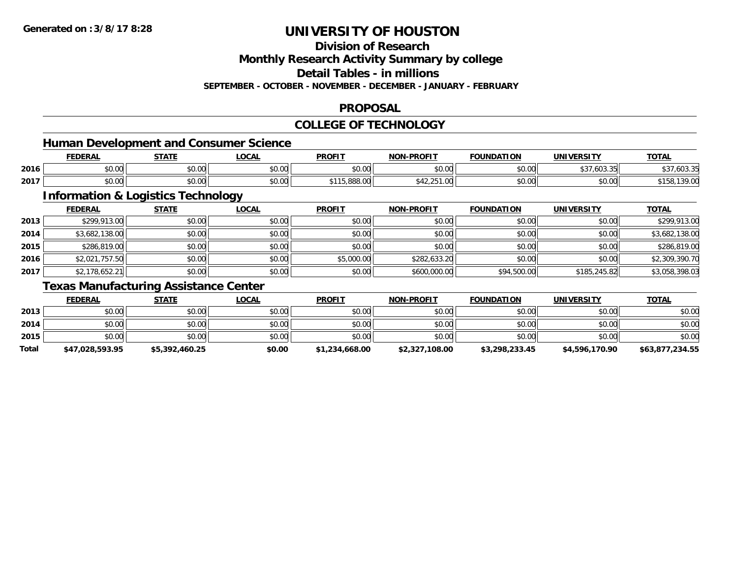### **Division of Research**

**Monthly Research Activity Summary by college**

**Detail Tables - in millions**

**SEPTEMBER - OCTOBER - NOVEMBER - DECEMBER - JANUARY - FEBRUARY**

#### **PROPOSAL**

#### **COLLEGE OF TECHNOLOGY**

### **Human Development and Consumer Science**

|      | <b>FEDERAL</b> | <b>STATE</b>                                                               | _OCAI              | <b>PROFIT</b>            | <b>M-PROFIT</b><br><b>MAN</b> | <b>FOUNDATION</b> | UNIVERSITY                                        | <u>тота.</u>            |
|------|----------------|----------------------------------------------------------------------------|--------------------|--------------------------|-------------------------------|-------------------|---------------------------------------------------|-------------------------|
| 2016 | 0000<br>DU.UUI | ÷0.<br>JU.UU                                                               | 0000<br>vv.vv      | \$0.00                   | \$0.00                        | \$0.00            | $\sim$ $\sim$ $\sim$<br>60335<br><b>JUUU.JU</b> U | 7.0U3.33<br>JJ Ι        |
| 2017 | ልስ ለሰ<br>DU.UU | $\uparrow$ $\uparrow$ $\uparrow$ $\uparrow$ $\uparrow$ $\uparrow$<br>JU.UU | $\sim$ 00<br>JU.UU | റററ<br>$\sim$<br>.888.UU | $\sim$ $-$<br>. UU<br>エム・ムマ   | 0000<br>JU.UU     | mn n¢<br>DU.UU                                    | 2000<br>137.UU<br>, טעו |

<u> 1980 - Johann Barbara, martxa amerikan bashkar (</u>

### **Information & Logistics Technology**

|      | <b>FEDERAL</b> | <u>STATE</u> | <u>LOCAL</u> | <b>PROFIT</b> | <b>NON-PROFIT</b> | <b>FOUNDATION</b> | UNIVERSITY   | <b>TOTAL</b>   |
|------|----------------|--------------|--------------|---------------|-------------------|-------------------|--------------|----------------|
| 2013 | \$299,913.00   | \$0.00       | \$0.00       | \$0.00        | \$0.00            | \$0.00            | \$0.00       | \$299,913.00   |
| 2014 | \$3,682,138.00 | \$0.00       | \$0.00       | \$0.00        | \$0.00            | \$0.00            | \$0.00       | \$3,682,138.00 |
| 2015 | \$286,819.00   | \$0.00       | \$0.00       | \$0.00        | \$0.00            | \$0.00            | \$0.00       | \$286,819.00   |
| 2016 | \$2,021,757.50 | \$0.00       | \$0.00       | \$5,000.00    | \$282,633.20      | \$0.00            | \$0.00       | \$2,309,390.70 |
| 2017 | \$2,178,652.21 | \$0.00       | \$0.00       | \$0.00        | \$600,000.00      | \$94,500.00       | \$185,245.82 | \$3,058,398.03 |

### **Texas Manufacturing Assistance Center**

|       | <b>FEDERAL</b>  | STATE          | <u>LOCAL</u> | <b>PROFIT</b>  | <b>NON-PROFIT</b> | <b>FOUNDATION</b> | <b>UNIVERSITY</b> | <b>TOTAL</b>    |
|-------|-----------------|----------------|--------------|----------------|-------------------|-------------------|-------------------|-----------------|
| 2013  | \$0.00          | \$0.00         | \$0.00       | \$0.00         | \$0.00            | \$0.00            | \$0.00            | \$0.00          |
| 2014  | \$0.00          | \$0.00         | \$0.00       | \$0.00         | \$0.00            | \$0.00            | \$0.00            | \$0.00          |
| 2015  | \$0.00          | \$0.00         | \$0.00       | \$0.00         | \$0.00            | \$0.00            | \$0.00            | \$0.00          |
| Total | \$47,028,593.95 | \$5,392,460.25 | \$0.00       | \$1,234,668.00 | \$2,327,108.00    | \$3,298,233.45    | \$4,596,170.90    | \$63,877,234.55 |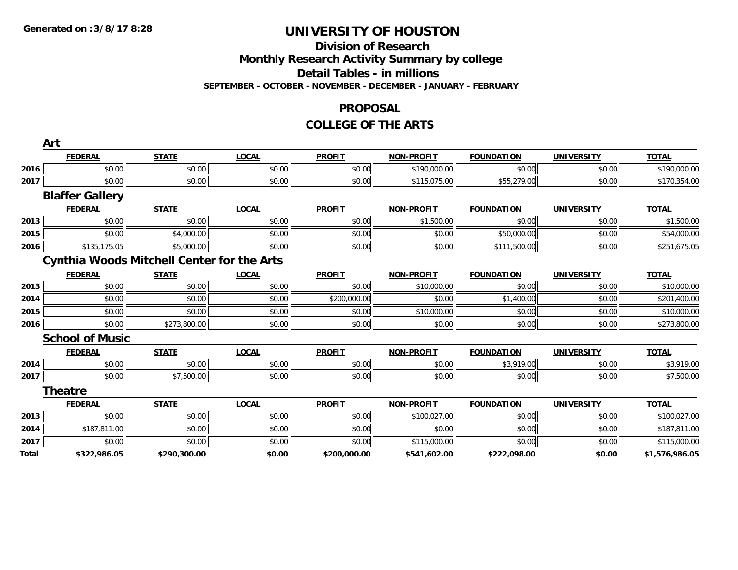#### **Division of Research**

**Monthly Research Activity Summary by college**

**Detail Tables - in millions**

**SEPTEMBER - OCTOBER - NOVEMBER - DECEMBER - JANUARY - FEBRUARY**

#### **PROPOSAL**

#### **COLLEGE OF THE ARTS**

|       | Art                                               |              |              |               |                   |                   |                   |                |
|-------|---------------------------------------------------|--------------|--------------|---------------|-------------------|-------------------|-------------------|----------------|
|       | <b>FEDERAL</b>                                    | <b>STATE</b> | <b>LOCAL</b> | <b>PROFIT</b> | <b>NON-PROFIT</b> | <b>FOUNDATION</b> | <b>UNIVERSITY</b> | <b>TOTAL</b>   |
| 2016  | \$0.00                                            | \$0.00       | \$0.00       | \$0.00        | \$190,000.00      | \$0.00            | \$0.00            | \$190,000.00   |
| 2017  | \$0.00                                            | \$0.00       | \$0.00       | \$0.00        | \$115,075.00      | \$55,279.00       | \$0.00            | \$170,354.00   |
|       | <b>Blaffer Gallery</b>                            |              |              |               |                   |                   |                   |                |
|       | <b>FEDERAL</b>                                    | <b>STATE</b> | <b>LOCAL</b> | <b>PROFIT</b> | <b>NON-PROFIT</b> | <b>FOUNDATION</b> | <b>UNIVERSITY</b> | <b>TOTAL</b>   |
| 2013  | \$0.00                                            | \$0.00       | \$0.00       | \$0.00        | \$1,500.00        | \$0.00            | \$0.00            | \$1,500.00     |
| 2015  | \$0.00                                            | \$4,000.00   | \$0.00       | \$0.00        | \$0.00            | \$50,000.00       | \$0.00            | \$54,000.00    |
| 2016  | \$135,175.05                                      | \$5,000.00   | \$0.00       | \$0.00        | \$0.00            | \$111,500.00      | \$0.00            | \$251,675.05   |
|       | <b>Cynthia Woods Mitchell Center for the Arts</b> |              |              |               |                   |                   |                   |                |
|       | <b>FEDERAL</b>                                    | <b>STATE</b> | <b>LOCAL</b> | <b>PROFIT</b> | <b>NON-PROFIT</b> | <b>FOUNDATION</b> | <b>UNIVERSITY</b> | <b>TOTAL</b>   |
| 2013  | \$0.00                                            | \$0.00       | \$0.00       | \$0.00        | \$10,000.00       | \$0.00            | \$0.00            | \$10,000.00    |
| 2014  | \$0.00                                            | \$0.00       | \$0.00       | \$200,000.00  | \$0.00            | \$1,400.00        | \$0.00            | \$201,400.00   |
| 2015  | \$0.00                                            | \$0.00       | \$0.00       | \$0.00        | \$10,000.00       | \$0.00            | \$0.00            | \$10,000.00    |
| 2016  | \$0.00                                            | \$273,800.00 | \$0.00       | \$0.00        | \$0.00            | \$0.00            | \$0.00            | \$273,800.00   |
|       | <b>School of Music</b>                            |              |              |               |                   |                   |                   |                |
|       | <b>FEDERAL</b>                                    | <b>STATE</b> | <b>LOCAL</b> | <b>PROFIT</b> | <b>NON-PROFIT</b> | <b>FOUNDATION</b> | <b>UNIVERSITY</b> | <b>TOTAL</b>   |
| 2014  | \$0.00                                            | \$0.00       | \$0.00       | \$0.00        | \$0.00            | \$3,919.00        | \$0.00            | \$3,919.00     |
| 2017  | \$0.00                                            | \$7,500.00   | \$0.00       | \$0.00        | \$0.00            | \$0.00            | \$0.00            | \$7,500.00     |
|       | <b>Theatre</b>                                    |              |              |               |                   |                   |                   |                |
|       | <b>FEDERAL</b>                                    | <b>STATE</b> | <b>LOCAL</b> | <b>PROFIT</b> | <b>NON-PROFIT</b> | <b>FOUNDATION</b> | <b>UNIVERSITY</b> | <b>TOTAL</b>   |
| 2013  | \$0.00                                            | \$0.00       | \$0.00       | \$0.00        | \$100,027.00      | \$0.00            | \$0.00            | \$100,027.00   |
| 2014  | \$187,811.00                                      | \$0.00       | \$0.00       | \$0.00        | \$0.00            | \$0.00            | \$0.00            | \$187,811.00   |
| 2017  | \$0.00                                            | \$0.00       | \$0.00       | \$0.00        | \$115,000.00      | \$0.00            | \$0.00            | \$115,000.00   |
| Total | \$322,986.05                                      | \$290,300.00 | \$0.00       | \$200,000.00  | \$541,602.00      | \$222,098.00      | \$0.00            | \$1,576,986.05 |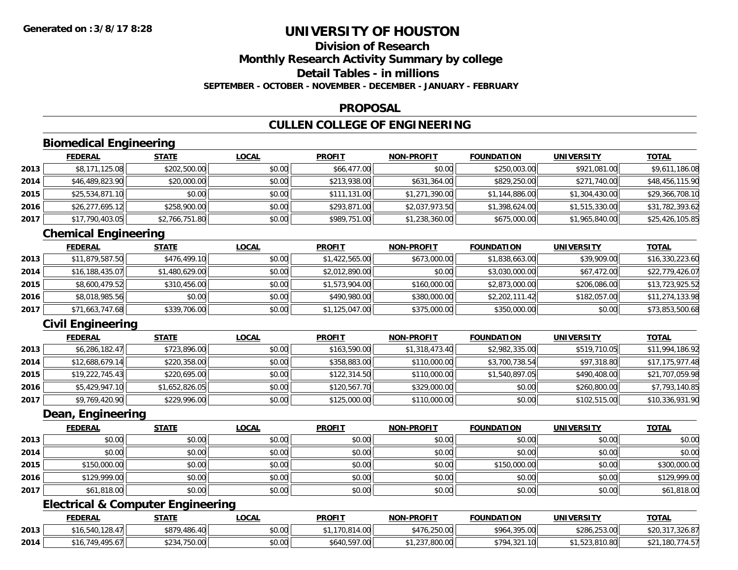# **Division of ResearchMonthly Research Activity Summary by college Detail Tables - in millions**

## **SEPTEMBER - OCTOBER - NOVEMBER - DECEMBER - JANUARY - FEBRUARY**

#### **PROPOSAL**

### **CULLEN COLLEGE OF ENGINEERING**

## **Biomedical Engineering**

|      | <b>FEDERAL</b>  | <u>STATE</u>   | <b>LOCAL</b> | <b>PROFIT</b> | <b>NON-PROFIT</b> | <b>FOUNDATION</b> | <b>UNIVERSITY</b> | <b>TOTAL</b>    |
|------|-----------------|----------------|--------------|---------------|-------------------|-------------------|-------------------|-----------------|
| 2013 | \$8,171,125.08  | \$202,500.00   | \$0.00       | \$66,477.00   | \$0.00            | \$250,003.00      | \$921,081.00      | \$9,611,186.08  |
| 2014 | \$46,489,823.90 | \$20,000.00    | \$0.00       | \$213,938.00  | \$631,364.00      | \$829,250.00      | \$271,740.00      | \$48,456,115.90 |
| 2015 | \$25,534,871.10 | \$0.00         | \$0.00       | \$111,131.00  | \$1,271,390.00    | \$1,144,886.00    | \$1,304,430.00    | \$29,366,708.10 |
| 2016 | \$26,277,695.12 | \$258,900.00   | \$0.00       | \$293,871.00  | \$2,037,973.50    | \$1,398,624.00    | \$1,515,330.00    | \$31,782,393.62 |
| 2017 | \$17,790,403.05 | \$2,766,751.80 | \$0.00       | \$989,751.00  | \$1,238,360.00    | \$675,000.00      | \$1,965,840.00    | \$25,426,105.85 |

## **Chemical Engineering**

|      | <u>FEDERAL</u>  | <b>STATE</b>   | <b>LOCAL</b> | <b>PROFIT</b>  | <b>NON-PROFIT</b> | <b>FOUNDATION</b> | <b>UNIVERSITY</b> | <b>TOTAL</b>    |
|------|-----------------|----------------|--------------|----------------|-------------------|-------------------|-------------------|-----------------|
| 2013 | \$11,879,587.50 | \$476,499.10   | \$0.00       | \$1,422,565.00 | \$673,000.00      | \$1,838,663.00    | \$39,909.00       | \$16,330,223.60 |
| 2014 | \$16,188,435.07 | \$1,480,629.00 | \$0.00       | \$2,012,890.00 | \$0.00            | \$3,030,000.00    | \$67,472.00       | \$22,779,426.07 |
| 2015 | \$8,600,479.52  | \$310,456.00   | \$0.00       | \$1,573,904.00 | \$160,000.00      | \$2,873,000.00    | \$206,086.00      | \$13,723,925.52 |
| 2016 | \$8,018,985.56  | \$0.00         | \$0.00       | \$490,980.00   | \$380,000.00      | \$2,202,111.42    | \$182,057.00      | \$11,274,133.98 |
| 2017 | \$71,663,747.68 | \$339,706.00   | \$0.00       | \$1,125,047.00 | \$375,000.00      | \$350,000.00      | \$0.00            | \$73,853,500.68 |

## **Civil Engineering**

|      | <b>FEDERAL</b>  | <b>STATE</b>   | <b>LOCAL</b> | <b>PROFIT</b> | <b>NON-PROFIT</b> | <b>FOUNDATION</b> | UNIVERSITY   | <u>TOTAL</u>    |
|------|-----------------|----------------|--------------|---------------|-------------------|-------------------|--------------|-----------------|
| 2013 | \$6,286,182.47  | \$723,896.00   | \$0.00       | \$163,590.00  | \$1,318,473.40    | \$2,982,335.00    | \$519,710.05 | \$11,994,186.92 |
| 2014 | \$12,688,679.14 | \$220,358.00   | \$0.00       | \$358,883.00  | \$110,000.00      | \$3,700,738.54    | \$97,318.80  | \$17,175,977.48 |
| 2015 | \$19,222,745.43 | \$220,695.00   | \$0.00       | \$122,314.50  | \$110,000.00      | \$1,540,897.05    | \$490,408.00 | \$21,707,059.98 |
| 2016 | \$5,429,947.10  | \$1,652,826.05 | \$0.00       | \$120,567.70  | \$329,000.00      | \$0.00            | \$260,800.00 | \$7,793,140.85  |
| 2017 | \$9,769,420.90  | \$229,996.00   | \$0.00       | \$125,000.00  | \$110,000.00      | \$0.00            | \$102,515.00 | \$10,336,931.90 |

#### **Dean, Engineering**

|      | <b>FEDERAL</b> | <b>STATE</b> | <u>LOCAL</u> | <b>PROFIT</b> | <b>NON-PROFIT</b> | <b>FOUNDATION</b> | <b>UNIVERSITY</b> | <b>TOTAL</b> |
|------|----------------|--------------|--------------|---------------|-------------------|-------------------|-------------------|--------------|
| 2013 | \$0.00         | \$0.00       | \$0.00       | \$0.00        | \$0.00            | \$0.00            | \$0.00            | \$0.00       |
| 2014 | \$0.00         | \$0.00       | \$0.00       | \$0.00        | \$0.00            | \$0.00            | \$0.00            | \$0.00       |
| 2015 | \$150,000.00   | \$0.00       | \$0.00       | \$0.00        | \$0.00            | \$150,000.00      | \$0.00            | \$300,000.00 |
| 2016 | \$129,999.00   | \$0.00       | \$0.00       | \$0.00        | \$0.00            | \$0.00            | \$0.00            | \$129,999.00 |
| 2017 | \$61,818.00    | \$0.00       | \$0.00       | \$0.00        | \$0.00            | \$0.00            | \$0.00            | \$61,818.00  |

## **Electrical & Computer Engineering**

|      | <b>FEDERAL</b>             | <b>STATE</b>      | _OCAL  | <b>PROFIT</b> | <b>NON-PROFIT</b> | <b>FOUNDATION</b> | UNIVERSITY                         | <b>TOTAL</b>         |
|------|----------------------------|-------------------|--------|---------------|-------------------|-------------------|------------------------------------|----------------------|
| 2013 | 128.47<br>F A<br>\$16.540. | 9,486.40<br>\$879 | \$0.00 | 170.814.00    | \$476.250.00      | \$964,395,00      | \$286,253,00                       | \$20,3<br>. / 326.87 |
| 2014 | \$16.749.495.67            | \$234,750.00      | \$0.00 | \$640.597.00  | .800.00           | \$794,321.10      | <b>EDD 010.00</b><br>1,523,810.801 |                      |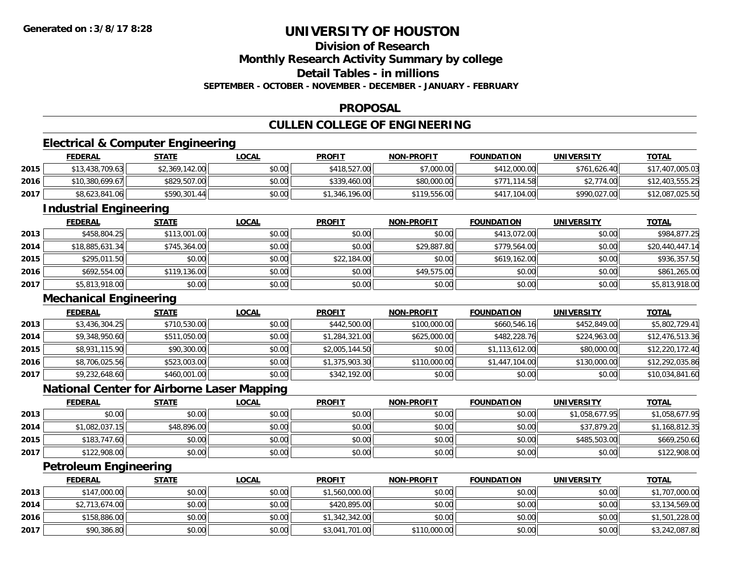## **Division of Research**

**Monthly Research Activity Summary by college**

**Detail Tables - in millions**

**SEPTEMBER - OCTOBER - NOVEMBER - DECEMBER - JANUARY - FEBRUARY**

#### **PROPOSAL**

### **CULLEN COLLEGE OF ENGINEERING**

### **Electrical & Computer Engineering**

|      | <u>FEDERAL</u>  | <u>STATE</u>   | <u>LOCAL</u> | <b>PROFIT</b>  | <b>NON-PROFIT</b> | <b>FOUNDATION</b> | <b>UNIVERSITY</b> | <b>TOTAL</b>    |
|------|-----------------|----------------|--------------|----------------|-------------------|-------------------|-------------------|-----------------|
| 2015 | \$13,438,709.63 | \$2,369,142.00 | \$0.00       | \$418,527,00   | \$7,000.00        | \$412,000.00      | \$761,626.40      | \$17,407,005.03 |
| 2016 | \$10,380,699.67 | \$829,507.00   | \$0.00       | \$339,460.00   | \$80,000.00       | \$771,114.58      | \$2,774.00        | \$12,403,555.25 |
| 2017 | \$8,623,841.06  | \$590,301.44   | \$0.00       | \$1,346,196.00 | \$119,556.00      | \$417,104.00      | \$990,027.00      | \$12,087,025.50 |

## **Industrial Engineering**

|      | <b>FEDERAL</b>  | <u>STATE</u> | <u>LOCAL</u> | <b>PROFIT</b> | <b>NON-PROFIT</b> | <b>FOUNDATION</b> | <b>UNIVERSITY</b> | <b>TOTAL</b>    |
|------|-----------------|--------------|--------------|---------------|-------------------|-------------------|-------------------|-----------------|
| 2013 | \$458,804.25    | \$113,001.00 | \$0.00       | \$0.00        | \$0.00            | \$413,072.00      | \$0.00            | \$984,877.25    |
| 2014 | \$18,885,631.34 | \$745,364.00 | \$0.00       | \$0.00        | \$29,887.80       | \$779,564.00      | \$0.00            | \$20,440,447.14 |
| 2015 | \$295,011.50    | \$0.00       | \$0.00       | \$22,184.00   | \$0.00            | \$619,162.00      | \$0.00            | \$936,357.50    |
| 2016 | \$692,554.00    | \$119,136.00 | \$0.00       | \$0.00        | \$49,575.00       | \$0.00            | \$0.00            | \$861,265.00    |
| 2017 | \$5,813,918.00  | \$0.00       | \$0.00       | \$0.00        | \$0.00            | \$0.00            | \$0.00            | \$5,813,918.00  |

### **Mechanical Engineering**

|      | <b>Mechanical Engineering</b> |              |              |                |                   |                   |                   |                 |  |  |  |
|------|-------------------------------|--------------|--------------|----------------|-------------------|-------------------|-------------------|-----------------|--|--|--|
|      | <b>FEDERAL</b>                | <b>STATE</b> | <u>LOCAL</u> | <b>PROFIT</b>  | <b>NON-PROFIT</b> | <b>FOUNDATION</b> | <b>UNIVERSITY</b> | <b>TOTAL</b>    |  |  |  |
| 2013 | \$3,436,304.25                | \$710,530.00 | \$0.00       | \$442,500.00   | \$100,000.00      | \$660,546.16      | \$452,849.00      | \$5,802,729.41  |  |  |  |
| 2014 | \$9,348,950.60                | \$511,050.00 | \$0.00       | \$1,284,321.00 | \$625,000.00      | \$482,228.76      | \$224,963.00      | \$12,476,513.36 |  |  |  |
| 2015 | \$8,931,115.90                | \$90,300.00  | \$0.00       | \$2,005,144.50 | \$0.00            | \$1,113,612.00    | \$80,000.00       | \$12,220,172.40 |  |  |  |
| 2016 | \$8,706,025.56                | \$523,003.00 | \$0.00       | \$1,375,903.30 | \$110,000.00      | \$1,447,104.00    | \$130,000.00      | \$12,292,035.86 |  |  |  |
| 2017 | \$9,232,648.60                | \$460,001.00 | \$0.00       | \$342,192.00   | \$0.00            | \$0.00            | \$0.00            | \$10,034,841.60 |  |  |  |

#### **National Center for Airborne Laser Mapping**

|      | <b>FEDERAL</b> | <b>STATE</b> | <u>LOCAL</u> | <b>PROFIT</b> | <b>NON-PROFIT</b> | <b>FOUNDATION</b> | <b>UNIVERSITY</b> | <b>TOTAL</b>   |
|------|----------------|--------------|--------------|---------------|-------------------|-------------------|-------------------|----------------|
| 2013 | \$0.00         | \$0.00       | \$0.00       | \$0.00        | \$0.00            | \$0.00            | \$1,058,677.95    | \$1,058,677.95 |
| 2014 | \$1,082,037.15 | \$48,896.00  | \$0.00       | \$0.00        | \$0.00            | \$0.00            | \$37,879.20       | \$1,168,812.35 |
| 2015 | \$183,747.60   | \$0.00       | \$0.00       | \$0.00        | \$0.00            | \$0.00            | \$485,503.00      | \$669,250.60   |
| 2017 | \$122,908.00   | \$0.00       | \$0.00       | \$0.00        | \$0.00            | \$0.00            | \$0.00            | \$122,908.00   |

<u> 1980 - Johann Barbara, martxa alemaniar amerikan basar da a</u>

#### **Petroleum Engineering**

|      | <b>FEDERAL</b> | <u>STATE</u> | <u>LOCAL</u> | <b>PROFIT</b>  | <b>NON-PROFIT</b> | <b>FOUNDATION</b> | <b>UNIVERSITY</b> | <b>TOTAL</b>   |
|------|----------------|--------------|--------------|----------------|-------------------|-------------------|-------------------|----------------|
| 2013 | \$147,000.00   | \$0.00       | \$0.00       | \$1,560,000.00 | \$0.00            | \$0.00            | \$0.00            | \$1,707,000.00 |
| 2014 | \$2,713,674.00 | \$0.00       | \$0.00       | \$420,895.00   | \$0.00            | \$0.00            | \$0.00            | \$3,134,569.00 |
| 2016 | \$158,886.00   | \$0.00       | \$0.00       | \$1,342,342.00 | \$0.00            | \$0.00            | \$0.00            | \$1,501,228.00 |
| 2017 | \$90,386.80    | \$0.00       | \$0.00       | \$3,041,701.00 | \$110,000.00      | \$0.00            | \$0.00            | \$3,242,087.80 |

<u> 1989 - Johann Stoff, deutscher Stoffen und der Stoffen und der Stoffen und der Stoffen und der Stoffen und de</u>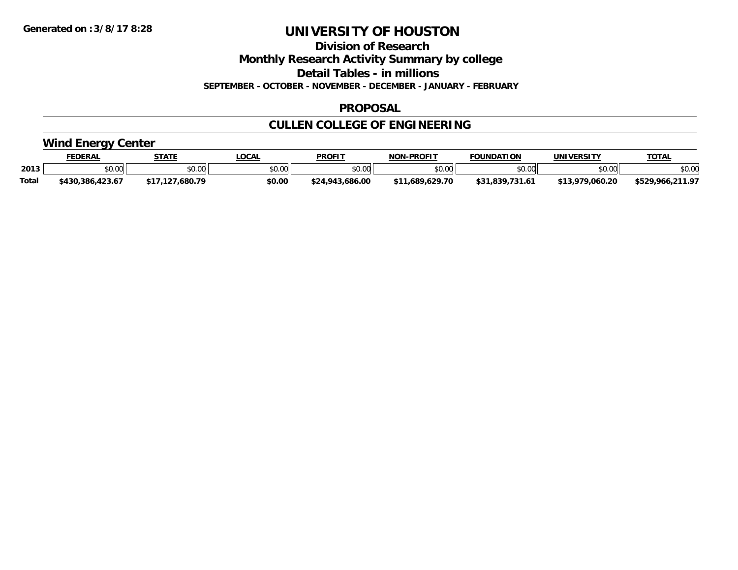**Division of Research**

**Monthly Research Activity Summary by college**

**Detail Tables - in millions**

**SEPTEMBER - OCTOBER - NOVEMBER - DECEMBER - JANUARY - FEBRUARY**

#### **PROPOSAL**

## **CULLEN COLLEGE OF ENGINEERING**

### **Wind Energy Center**

|       | <b>FEDERAI</b>   | <b>STATE</b>  | LOCAL  | <b>PROFIT</b>        | <b>DDAEIT</b><br>810 B.I | <b>FOUNDATION</b>              | UNIVERSITY       | <b>TOTAL</b>        |
|-------|------------------|---------------|--------|----------------------|--------------------------|--------------------------------|------------------|---------------------|
| 2013  | 0000<br>PU.UU    | 0000<br>vv.vv | \$0.00 | \$0.00               | 0.00<br>DU.UU            | ደበ በበ<br>JU.UU                 | ≮n nnlı<br>vu.vu | \$0.00              |
| Total | \$430,386,423.67 | .680.79       | \$0.00 | 686.00.د<br>\$24.943 | .629.70<br>.689f         | σÞ<br>$^{\prime}$ 31.61<br>ooo | 979.060.20       | 211.07<br>\$529,966 |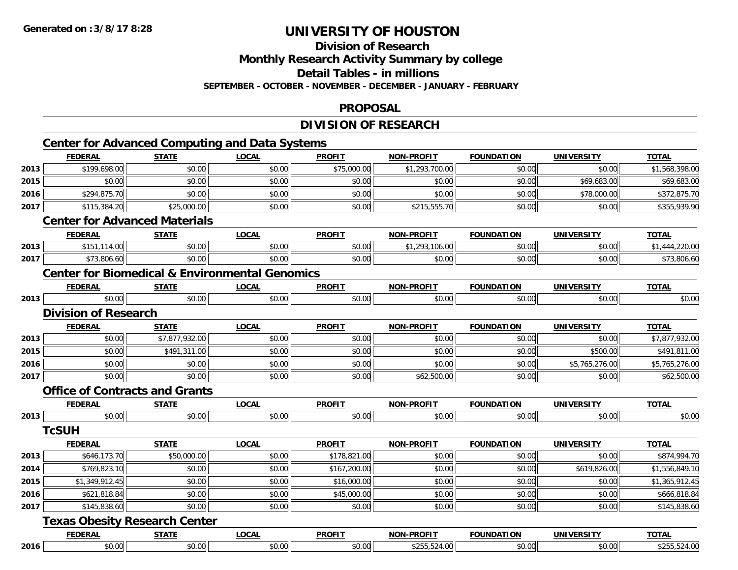## **Division of Research**

**Monthly Research Activity Summary by college**

**Detail Tables - in millions**

**SEPTEMBER - OCTOBER - NOVEMBER - DECEMBER - JANUARY - FEBRUARY**

#### **PROPOSAL**

## **DIVISION OF RESEARCH**

|      | <b>FEDERAL</b>                                            | <b>STATE</b>   | <b>LOCAL</b> | <b>PROFIT</b> | <b>NON-PROFIT</b> | <b>FOUNDATION</b> | <b>UNIVERSITY</b> | <b>TOTAL</b>   |
|------|-----------------------------------------------------------|----------------|--------------|---------------|-------------------|-------------------|-------------------|----------------|
| 2013 | \$199,698.00                                              | \$0.00         | \$0.00       | \$75,000.00   | \$1,293,700.00    | \$0.00            | \$0.00            | \$1,568,398.00 |
| 2015 | \$0.00                                                    | \$0.00         | \$0.00       | \$0.00        | \$0.00            | \$0.00            | \$69,683.00       | \$69,683.00    |
| 2016 | \$294,875.70                                              | \$0.00         | \$0.00       | \$0.00        | \$0.00            | \$0.00            | \$78,000.00       | \$372,875.70   |
| 2017 | \$115,384.20                                              | \$25,000.00    | \$0.00       | \$0.00        | \$215,555.70      | \$0.00            | \$0.00            | \$355,939.90   |
|      | <b>Center for Advanced Materials</b>                      |                |              |               |                   |                   |                   |                |
|      | <b>FEDERAL</b>                                            | <b>STATE</b>   | <b>LOCAL</b> | <b>PROFIT</b> | <b>NON-PROFIT</b> | <b>FOUNDATION</b> | <b>UNIVERSITY</b> | <b>TOTAL</b>   |
| 2013 | \$151,114.00                                              | \$0.00         | \$0.00       | \$0.00        | \$1,293,106.00    | \$0.00            | \$0.00            | \$1,444,220.00 |
| 2017 | \$73,806.60                                               | \$0.00         | \$0.00       | \$0.00        | \$0.00            | \$0.00            | \$0.00            | \$73,806.60    |
|      | <b>Center for Biomedical &amp; Environmental Genomics</b> |                |              |               |                   |                   |                   |                |
|      | <b>FEDERAL</b>                                            | <b>STATE</b>   | <b>LOCAL</b> | <b>PROFIT</b> | <b>NON-PROFIT</b> | <b>FOUNDATION</b> | <b>UNIVERSITY</b> | <b>TOTAL</b>   |
| 2013 | \$0.00                                                    | \$0.00         | \$0.00       | \$0.00        | \$0.00            | \$0.00            | \$0.00            | \$0.00         |
|      | <b>Division of Research</b>                               |                |              |               |                   |                   |                   |                |
|      | <b>FEDERAL</b>                                            | <b>STATE</b>   | <b>LOCAL</b> | <b>PROFIT</b> | <b>NON-PROFIT</b> | <b>FOUNDATION</b> | <b>UNIVERSITY</b> | <b>TOTAL</b>   |
| 2013 | \$0.00                                                    | \$7,877,932.00 | \$0.00       | \$0.00        | \$0.00            | \$0.00            | \$0.00            | \$7,877,932.00 |
| 2015 | \$0.00                                                    | \$491,311.00   | \$0.00       | \$0.00        | \$0.00            | \$0.00            | \$500.00          | \$491,811.00   |
| 2016 | \$0.00                                                    | \$0.00         | \$0.00       | \$0.00        | \$0.00            | \$0.00            | \$5,765,276.00    | \$5,765,276.00 |
| 2017 | \$0.00                                                    | \$0.00         | \$0.00       | \$0.00        | \$62,500.00       | \$0.00            | \$0.00            | \$62,500.00    |
|      | <b>Office of Contracts and Grants</b>                     |                |              |               |                   |                   |                   |                |
|      | <b>FEDERAL</b>                                            | <b>STATE</b>   | <b>LOCAL</b> | <b>PROFIT</b> | <b>NON-PROFIT</b> | <b>FOUNDATION</b> | <b>UNIVERSITY</b> | <b>TOTAL</b>   |
| 2013 | \$0.00                                                    | \$0.00         | \$0.00       | \$0.00        | \$0.00            | \$0.00            | \$0.00            | \$0.00         |
|      | <b>TcSUH</b>                                              |                |              |               |                   |                   |                   |                |
|      | <b>FEDERAL</b>                                            | <b>STATE</b>   | <b>LOCAL</b> | <b>PROFIT</b> | <b>NON-PROFIT</b> | <b>FOUNDATION</b> | <b>UNIVERSITY</b> | <b>TOTAL</b>   |
| 2013 | \$646,173.70                                              | \$50,000.00    | \$0.00       | \$178,821.00  | \$0.00            | \$0.00            | \$0.00            | \$874,994.70   |
| 2014 | \$769,823.10                                              | \$0.00         | \$0.00       | \$167,200.00  | \$0.00            | \$0.00            | \$619,826.00      | \$1,556,849.10 |
| 2015 | \$1,349,912.45                                            | \$0.00         | \$0.00       | \$16,000.00   | \$0.00            | \$0.00            | \$0.00            | \$1,365,912.45 |
| 2016 | \$621,818.84                                              | \$0.00         | \$0.00       | \$45,000.00   | \$0.00            | \$0.00            | \$0.00            | \$666,818.84   |
| 2017 | \$145,838.60                                              | \$0.00         | \$0.00       | \$0.00        | \$0.00            | \$0.00            | \$0.00            | \$145,838.60   |
|      | <b>Texas Obesity Research Center</b>                      |                |              |               |                   |                   |                   |                |
|      | <b>FEDERAL</b>                                            | <b>STATE</b>   | <b>LOCAL</b> | <b>PROFIT</b> | <b>NON-PROFIT</b> | <b>FOUNDATION</b> | <b>UNIVERSITY</b> | <b>TOTAL</b>   |
| 2016 | \$0.00                                                    | \$0.00         | \$0.00       | \$0.00        | \$255,524.00      | \$0.00            | \$0.00            | \$255,524.00   |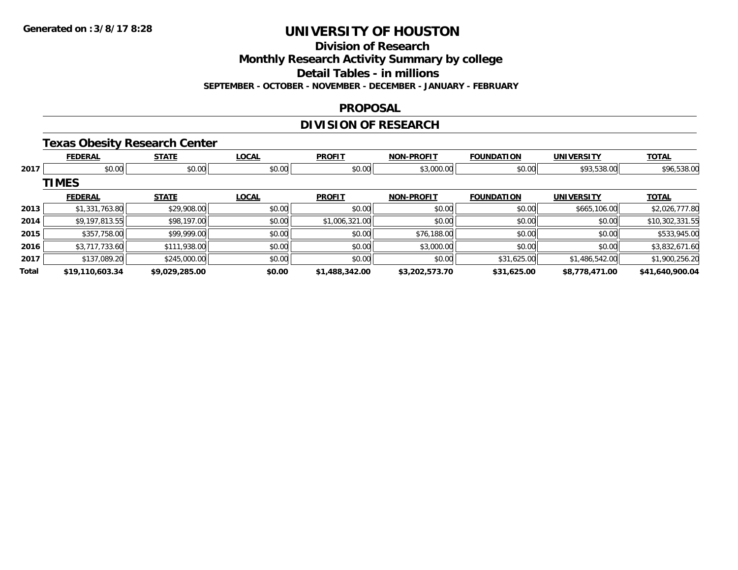**Division of Research**

**Monthly Research Activity Summary by college**

**Detail Tables - in millions**

**SEPTEMBER - OCTOBER - NOVEMBER - DECEMBER - JANUARY - FEBRUARY**

#### **PROPOSAL**

## **DIVISION OF RESEARCH**

#### **Texas Obesity Research Center**

|       | <b>FEDERAL</b>  | <b>STATE</b>   | <b>LOCAL</b> | <b>PROFIT</b>  | <b>NON-PROFIT</b> | <b>FOUNDATION</b> | <b>UNIVERSITY</b> | <b>TOTAL</b>    |
|-------|-----------------|----------------|--------------|----------------|-------------------|-------------------|-------------------|-----------------|
| 2017  | \$0.00          | \$0.00         | \$0.00       | \$0.00         | \$3,000.00        | \$0.00            | \$93,538.00       | \$96,538.00     |
|       | <b>TIMES</b>    |                |              |                |                   |                   |                   |                 |
|       | <b>FEDERAL</b>  | <b>STATE</b>   | <b>LOCAL</b> | <b>PROFIT</b>  | <b>NON-PROFIT</b> | <b>FOUNDATION</b> | <b>UNIVERSITY</b> | <b>TOTAL</b>    |
| 2013  | \$1,331,763.80  | \$29,908.00    | \$0.00       | \$0.00         | \$0.00            | \$0.00            | \$665,106.00      | \$2,026,777.80  |
| 2014  | \$9,197,813.55  | \$98,197.00    | \$0.00       | \$1,006,321.00 | \$0.00            | \$0.00            | \$0.00            | \$10,302,331.55 |
| 2015  | \$357,758.00    | \$99,999.00    | \$0.00       | \$0.00         | \$76,188.00       | \$0.00            | \$0.00            | \$533,945.00    |
| 2016  | \$3,717,733.60  | \$111,938.00   | \$0.00       | \$0.00         | \$3,000.00        | \$0.00            | \$0.00            | \$3,832,671.60  |
| 2017  | \$137,089.20    | \$245,000.00   | \$0.00       | \$0.00         | \$0.00            | \$31,625.00       | \$1,486,542.00    | \$1,900,256.20  |
| Total | \$19,110,603.34 | \$9,029,285.00 | \$0.00       | \$1,488,342.00 | \$3,202,573.70    | \$31,625.00       | \$8,778,471.00    | \$41,640,900.04 |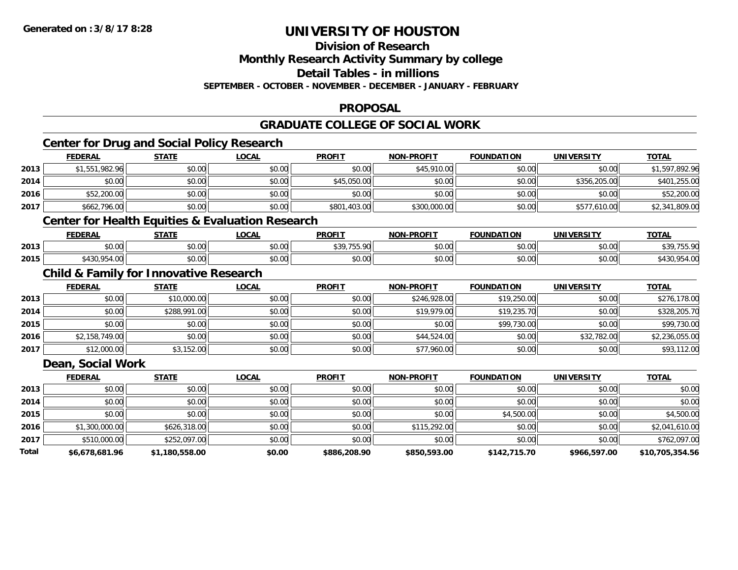### **Division of Research**

**Monthly Research Activity Summary by college**

**Detail Tables - in millions**

**SEPTEMBER - OCTOBER - NOVEMBER - DECEMBER - JANUARY - FEBRUARY**

#### **PROPOSAL**

### **GRADUATE COLLEGE OF SOCIAL WORK**

### **Center for Drug and Social Policy Research**

|      | <b>FEDERAL</b> | <u>STATE</u> | <u>LOCAL</u> | <b>PROFIT</b> | <b>NON-PROFIT</b> | <b>FOUNDATION</b> | <b>UNIVERSITY</b> | <b>TOTAL</b>   |
|------|----------------|--------------|--------------|---------------|-------------------|-------------------|-------------------|----------------|
| 2013 | \$1,551,982.96 | \$0.00       | \$0.00       | \$0.00        | \$45,910.00       | \$0.00            | \$0.00            | \$1,597,892.96 |
| 2014 | \$0.00         | \$0.00       | \$0.00       | \$45,050.00   | \$0.00            | \$0.00            | \$356,205.00      | \$401,255.00   |
| 2016 | \$52,200.00    | \$0.00       | \$0.00       | \$0.00        | \$0.00            | \$0.00            | \$0.00            | \$52,200.00    |
| 2017 | \$662,796.00   | \$0.00       | \$0.00       | \$801,403.00  | \$300,000.00      | \$0.00            | \$577,610.00      | \$2,341,809.00 |

### **Center for Health Equities & Evaluation Research**

|      | <b>FEDERAL</b>                            | <b>STATE</b> | LOCAL  | <b>PROFIT</b>                      | -PROFIT<br>NON- | <b>FOUNDATION</b> | <b>UNIVERSITY</b> | <b>TOTAL</b>               |
|------|-------------------------------------------|--------------|--------|------------------------------------|-----------------|-------------------|-------------------|----------------------------|
| 2013 | $\sim$ 00<br>JU.UU                        | \$0.00       | \$0.00 | 0.007<br>$\Omega$<br>, JJ.<br>JJ 7 | ልስ ለሰ<br>JU.UU  | \$0.00            | \$0.00            | . JJ. <i>. .</i> .<br>ັບ / |
| 2015 | 054.00<br><b>t</b> 1 2 0<br>704.UU<br>טט+ | \$0.00       | \$0.00 | \$0.00                             | ልስ ሀህ<br>JU.UU  | \$0.00            | \$0.00            |                            |

### **Child & Family for Innovative Research**

|      | <u>FEDERAL</u> | <b>STATE</b> | <b>LOCAL</b> | <b>PROFIT</b> | <b>NON-PROFIT</b> | <b>FOUNDATION</b> | <b>UNIVERSITY</b> | <b>TOTAL</b>   |
|------|----------------|--------------|--------------|---------------|-------------------|-------------------|-------------------|----------------|
| 2013 | \$0.00         | \$10,000.00  | \$0.00       | \$0.00        | \$246,928.00      | \$19,250.00       | \$0.00            | \$276,178.00   |
| 2014 | \$0.00         | \$288,991.00 | \$0.00       | \$0.00        | \$19,979.00       | \$19,235.70       | \$0.00            | \$328,205.70   |
| 2015 | \$0.00         | \$0.00       | \$0.00       | \$0.00        | \$0.00            | \$99,730.00       | \$0.00            | \$99,730.00    |
| 2016 | \$2,158,749.00 | \$0.00       | \$0.00       | \$0.00        | \$44,524.00       | \$0.00            | \$32,782.00       | \$2,236,055.00 |
| 2017 | \$12,000.00    | \$3,152.00   | \$0.00       | \$0.00        | \$77,960.00       | \$0.00            | \$0.00            | \$93,112.00    |

#### **Dean, Social Work**

|       | <b>FEDERAL</b> | <b>STATE</b>   | <b>LOCAL</b> | <b>PROFIT</b> | <b>NON-PROFIT</b> | <b>FOUNDATION</b> | <b>UNIVERSITY</b> | <b>TOTAL</b>    |
|-------|----------------|----------------|--------------|---------------|-------------------|-------------------|-------------------|-----------------|
| 2013  | \$0.00         | \$0.00         | \$0.00       | \$0.00        | \$0.00            | \$0.00            | \$0.00            | \$0.00          |
| 2014  | \$0.00         | \$0.00         | \$0.00       | \$0.00        | \$0.00            | \$0.00            | \$0.00            | \$0.00          |
| 2015  | \$0.00         | \$0.00         | \$0.00       | \$0.00        | \$0.00            | \$4,500.00        | \$0.00            | \$4,500.00      |
| 2016  | \$1,300,000.00 | \$626,318.00   | \$0.00       | \$0.00        | \$115,292.00      | \$0.00            | \$0.00            | \$2,041,610.00  |
| 2017  | \$510,000.00   | \$252,097.00   | \$0.00       | \$0.00        | \$0.00            | \$0.00            | \$0.00            | \$762,097.00    |
| Total | \$6,678,681.96 | \$1,180,558.00 | \$0.00       | \$886,208.90  | \$850,593.00      | \$142,715.70      | \$966,597.00      | \$10,705,354.56 |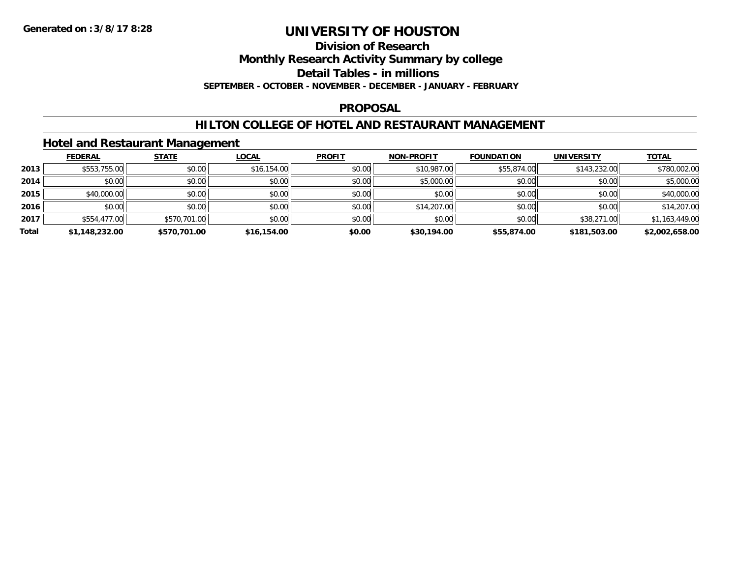#### **Division of Research**

**Monthly Research Activity Summary by college**

**Detail Tables - in millions**

**SEPTEMBER - OCTOBER - NOVEMBER - DECEMBER - JANUARY - FEBRUARY**

#### **PROPOSAL**

#### **HILTON COLLEGE OF HOTEL AND RESTAURANT MANAGEMENT**

#### **Hotel and Restaurant Management**

|       | <b>FEDERAL</b> | <b>STATE</b> | <u>LOCAL</u> | <b>PROFIT</b> | <b>NON-PROFIT</b> | <b>FOUNDATION</b> | <b>UNIVERSITY</b> | <b>TOTAL</b>   |
|-------|----------------|--------------|--------------|---------------|-------------------|-------------------|-------------------|----------------|
| 2013  | \$553,755.00   | \$0.00       | \$16,154.00  | \$0.00        | \$10,987.00       | \$55,874.00       | \$143,232.00      | \$780,002.00   |
| 2014  | \$0.00         | \$0.00       | \$0.00       | \$0.00        | \$5,000.00        | \$0.00            | \$0.00            | \$5,000.00     |
| 2015  | \$40,000.00    | \$0.00       | \$0.00       | \$0.00        | \$0.00            | \$0.00            | \$0.00            | \$40,000.00    |
| 2016  | \$0.00         | \$0.00       | \$0.00       | \$0.00        | \$14,207.00       | \$0.00            | \$0.00            | \$14,207.00    |
| 2017  | \$554,477.00   | \$570,701.00 | \$0.00       | \$0.00        | \$0.00            | \$0.00            | \$38,271.00       | \$1,163,449.00 |
| Total | \$1,148,232.00 | \$570,701.00 | \$16,154.00  | \$0.00        | \$30,194.00       | \$55,874.00       | \$181,503.00      | \$2,002,658.00 |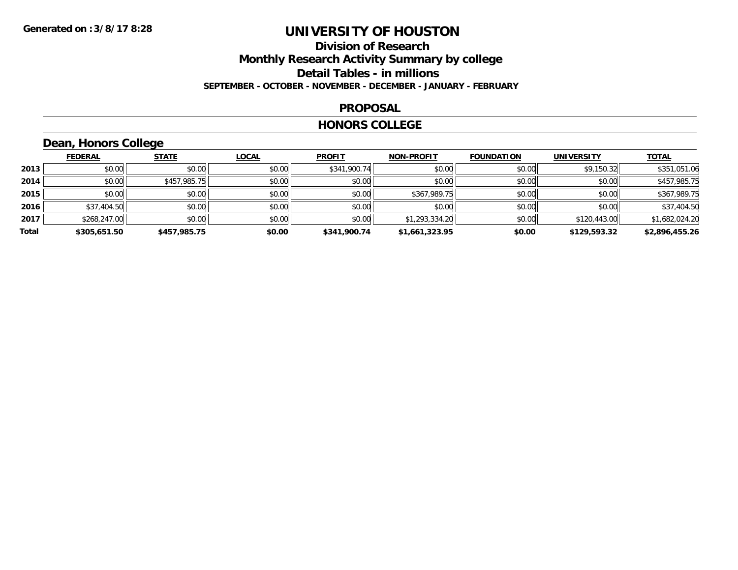### **Division of Research Monthly Research Activity Summary by college Detail Tables - in millions SEPTEMBER - OCTOBER - NOVEMBER - DECEMBER - JANUARY - FEBRUARY**

#### **PROPOSAL**

#### **HONORS COLLEGE**

## **Dean, Honors College**

|       | <b>FEDERAL</b> | <b>STATE</b> | <b>LOCAL</b> | <b>PROFIT</b> | <b>NON-PROFIT</b> | <b>FOUNDATION</b> | <b>UNIVERSITY</b> | <b>TOTAL</b>   |
|-------|----------------|--------------|--------------|---------------|-------------------|-------------------|-------------------|----------------|
| 2013  | \$0.00         | \$0.00       | \$0.00       | \$341,900.74  | \$0.00            | \$0.00            | \$9,150.32        | \$351,051.06   |
| 2014  | \$0.00         | \$457,985.75 | \$0.00       | \$0.00        | \$0.00            | \$0.00            | \$0.00            | \$457,985.75   |
| 2015  | \$0.00         | \$0.00       | \$0.00       | \$0.00        | \$367,989.75      | \$0.00            | \$0.00            | \$367,989.75   |
| 2016  | \$37,404.50    | \$0.00       | \$0.00       | \$0.00        | \$0.00            | \$0.00            | \$0.00            | \$37,404.50    |
| 2017  | \$268,247.00   | \$0.00       | \$0.00       | \$0.00        | \$1,293,334.20    | \$0.00            | \$120,443.00      | \$1,682,024.20 |
| Total | \$305,651.50   | \$457,985.75 | \$0.00       | \$341,900.74  | \$1,661,323.95    | \$0.00            | \$129,593.32      | \$2,896,455.26 |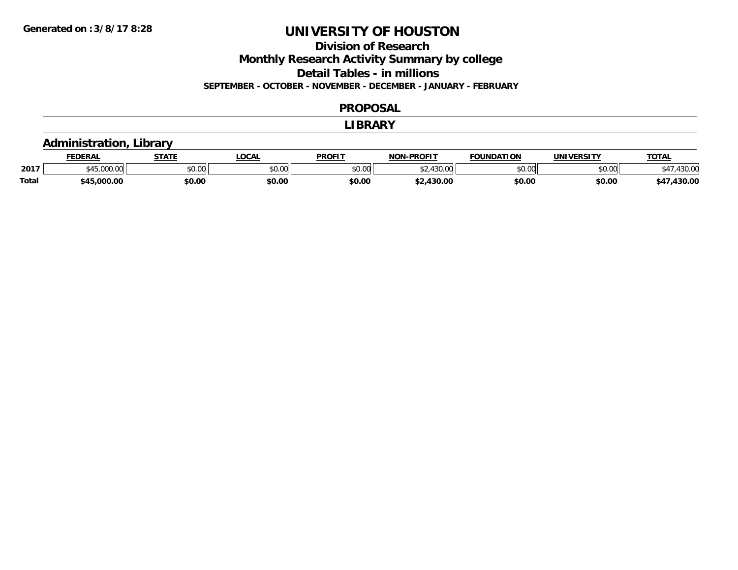**Division of Research**

**Monthly Research Activity Summary by college**

**Detail Tables - in millions**

**SEPTEMBER - OCTOBER - NOVEMBER - DECEMBER - JANUARY - FEBRUARY**

#### **PROPOSAL**

#### **LIBRARY**

### **Administration, Library**

|              | <b>FEDERAL</b> | <b>STATE</b> | <b>OCAL</b> | <b>PROFIT</b> | -PROFIT<br>NON                  | <b>FOUNDATION</b> | <b>UNIVERSITY</b> | <b>TOTAL</b> |
|--------------|----------------|--------------|-------------|---------------|---------------------------------|-------------------|-------------------|--------------|
| 2017         |                | \$0.00       | JU.UU       | \$0.00        | $\sim$<br>$\sim$<br>$\sim$ ບປີເ | \$0.00            | \$0.00            | 2000<br>ט.טנ |
| <b>Total</b> | \$45.000.00    | \$0.00       | \$0.00      | \$0.00        | 430.00                          | \$0.00            | \$0.00            | .430.00      |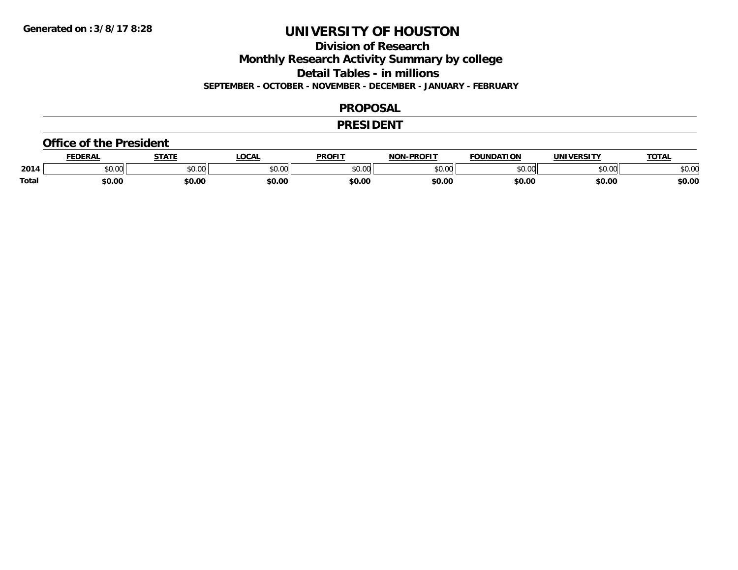**Division of Research**

**Monthly Research Activity Summary by college**

**Detail Tables - in millions**

**SEPTEMBER - OCTOBER - NOVEMBER - DECEMBER - JANUARY - FEBRUARY**

#### **PROPOSAL**

#### **PRESIDENT**

#### **Office of the President**

|              | <b>DERAI</b>    | <b>STATE</b> | LOCAI              | PROFIT          | <b>DDOEIT</b><br>NAN | <b>FOUNDATION</b> | UNIVERSITY | <b>TOTAL</b>   |
|--------------|-----------------|--------------|--------------------|-----------------|----------------------|-------------------|------------|----------------|
| 2014         | $\sim$<br>DU.UU | JU.UU        | $\sim$ 00<br>DU.UL | $\sim$<br>JU.UU | 30.01<br>JU.UU       |                   | \$0.00     | ቀስ ስር<br>⊋∪.∪∪ |
| <b>Total</b> | \$0.00          | \$0.00       | \$0.00             | \$0.00          | \$0.00               | \$0.00            | \$0.00     | \$0.00         |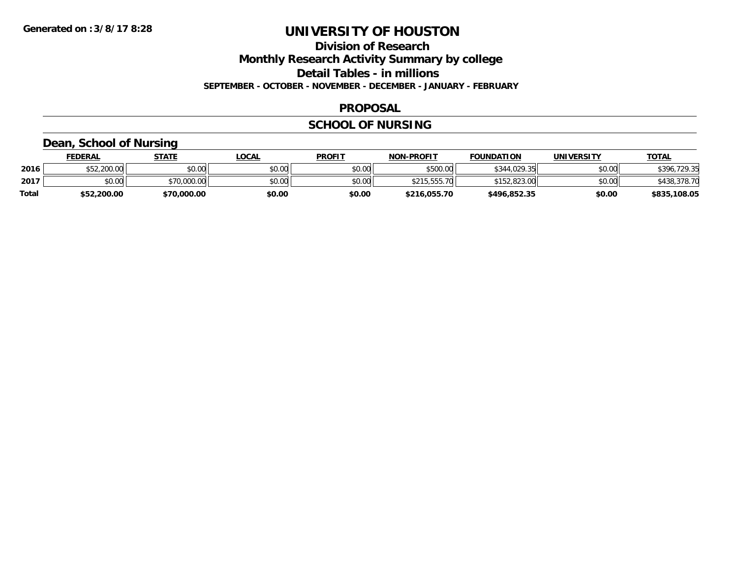**Division of Research**

**Monthly Research Activity Summary by college**

**Detail Tables - in millions**

**SEPTEMBER - OCTOBER - NOVEMBER - DECEMBER - JANUARY - FEBRUARY**

#### **PROPOSAL**

### **SCHOOL OF NURSING**

### **Dean, School of Nursing**

|       | <b>FEDERAL</b> | STATE       | LOCAL  | <b>PROFIT</b> | <b>NON-PROFIT</b> | <b>FOUNDATION</b> | UNIVERSITY | <u> ΤΟΤΑL</u> |
|-------|----------------|-------------|--------|---------------|-------------------|-------------------|------------|---------------|
| 2016  | \$52,200.00    | \$0.00      | \$0.00 | \$0.00        | \$500.00          | \$344,029.35      | \$0.00     | \$396,729.35  |
| 2017  | \$0.00         | \$70,000.00 | \$0.00 | \$0.00        | \$215,555.70      | \$152,823.00      | \$0.00     | \$438,378.70  |
| Total | \$52,200.00    | \$70,000.00 | \$0.00 | \$0.00        | \$216,055.70      | \$496.852.35      | \$0.00     | \$835,108.05  |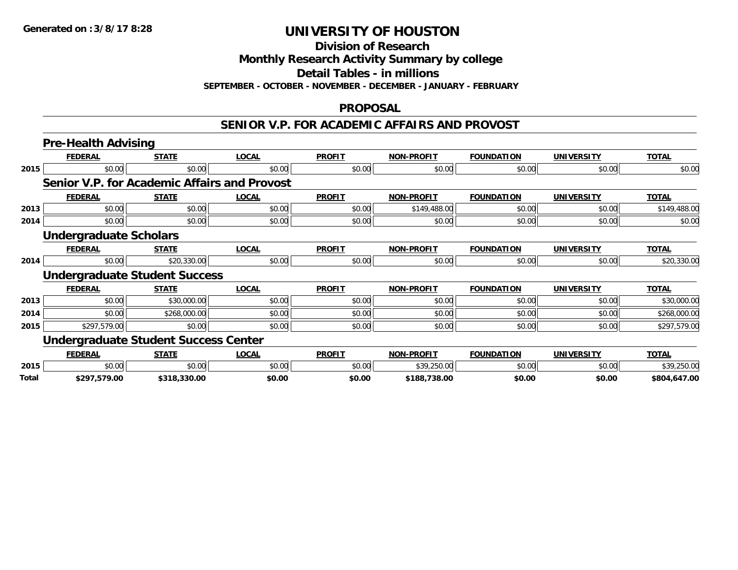**Division of Research**

**Monthly Research Activity Summary by college**

**Detail Tables - in millions**

**SEPTEMBER - OCTOBER - NOVEMBER - DECEMBER - JANUARY - FEBRUARY**

#### **PROPOSAL**

#### **SENIOR V.P. FOR ACADEMIC AFFAIRS AND PROVOST**

|       | <b>Pre-Health Advising</b>                   |              |              |               |                   |                   |                   |              |
|-------|----------------------------------------------|--------------|--------------|---------------|-------------------|-------------------|-------------------|--------------|
|       | <b>FEDERAL</b>                               | <b>STATE</b> | LOCAL        | <b>PROFIT</b> | <b>NON-PROFIT</b> | <b>FOUNDATION</b> | <b>UNIVERSITY</b> | <b>TOTAL</b> |
| 2015  | \$0.00                                       | \$0.00       | \$0.00       | \$0.00        | \$0.00            | \$0.00            | \$0.00            | \$0.00       |
|       | Senior V.P. for Academic Affairs and Provost |              |              |               |                   |                   |                   |              |
|       | <b>FEDERAL</b>                               | <b>STATE</b> | <b>LOCAL</b> | <b>PROFIT</b> | <b>NON-PROFIT</b> | <b>FOUNDATION</b> | <b>UNIVERSITY</b> | <b>TOTAL</b> |
| 2013  | \$0.00                                       | \$0.00       | \$0.00       | \$0.00        | \$149,488.00      | \$0.00            | \$0.00            | \$149,488.00 |
| 2014  | \$0.00                                       | \$0.00       | \$0.00       | \$0.00        | \$0.00            | \$0.00            | \$0.00            | \$0.00       |
|       | <b>Undergraduate Scholars</b>                |              |              |               |                   |                   |                   |              |
|       | <b>FEDERAL</b>                               | <b>STATE</b> | <b>LOCAL</b> | <b>PROFIT</b> | <b>NON-PROFIT</b> | <b>FOUNDATION</b> | <b>UNIVERSITY</b> | <b>TOTAL</b> |
| 2014  | \$0.00                                       | \$20,330.00  | \$0.00       | \$0.00        | \$0.00            | \$0.00            | \$0.00            | \$20,330.00  |
|       | <b>Undergraduate Student Success</b>         |              |              |               |                   |                   |                   |              |
|       | <b>FEDERAL</b>                               | <b>STATE</b> | <b>LOCAL</b> | <b>PROFIT</b> | <b>NON-PROFIT</b> | <b>FOUNDATION</b> | <b>UNIVERSITY</b> | <b>TOTAL</b> |
| 2013  | \$0.00                                       | \$30,000.00  | \$0.00       | \$0.00        | \$0.00            | \$0.00            | \$0.00            | \$30,000.00  |
| 2014  | \$0.00                                       | \$268,000.00 | \$0.00       | \$0.00        | \$0.00            | \$0.00            | \$0.00            | \$268,000.00 |
| 2015  | \$297,579.00                                 | \$0.00       | \$0.00       | \$0.00        | \$0.00            | \$0.00            | \$0.00            | \$297,579.00 |
|       | <b>Undergraduate Student Success Center</b>  |              |              |               |                   |                   |                   |              |
|       | <b>FEDERAL</b>                               | <b>STATE</b> | <b>LOCAL</b> | <b>PROFIT</b> | <b>NON-PROFIT</b> | <b>FOUNDATION</b> | <b>UNIVERSITY</b> | <b>TOTAL</b> |
| 2015  | \$0.00                                       | \$0.00       | \$0.00       | \$0.00        | \$39,250.00       | \$0.00            | \$0.00            | \$39,250.00  |
| Total | \$297,579.00                                 | \$318,330.00 | \$0.00       | \$0.00        | \$188,738.00      | \$0.00            | \$0.00            | \$804,647.00 |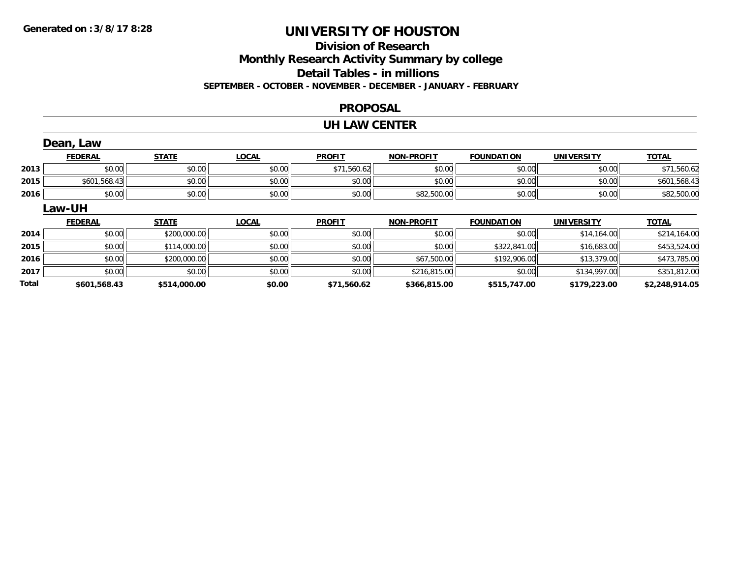### **Division of Research Monthly Research Activity Summary by college Detail Tables - in millions SEPTEMBER - OCTOBER - NOVEMBER - DECEMBER - JANUARY - FEBRUARY**

#### **PROPOSAL**

#### **UH LAW CENTER**

|       | Dean, Law      |              |              |               |                   |                   |                   |                |
|-------|----------------|--------------|--------------|---------------|-------------------|-------------------|-------------------|----------------|
|       | <b>FEDERAL</b> | <b>STATE</b> | <b>LOCAL</b> | <b>PROFIT</b> | <b>NON-PROFIT</b> | <b>FOUNDATION</b> | UNIVERSITY        | <b>TOTAL</b>   |
| 2013  | \$0.00         | \$0.00       | \$0.00       | \$71,560.62   | \$0.00            | \$0.00            | \$0.00            | \$71,560.62    |
| 2015  | \$601,568.43   | \$0.00       | \$0.00       | \$0.00        | \$0.00            | \$0.00            | \$0.00            | \$601,568.43   |
| 2016  | \$0.00         | \$0.00       | \$0.00       | \$0.00        | \$82,500.00       | \$0.00            | \$0.00            | \$82,500.00    |
|       | <b>Law-UH</b>  |              |              |               |                   |                   |                   |                |
|       | <b>FEDERAL</b> | <b>STATE</b> | <b>LOCAL</b> | <b>PROFIT</b> | <b>NON-PROFIT</b> | <b>FOUNDATION</b> | <b>UNIVERSITY</b> | <b>TOTAL</b>   |
| 2014  | \$0.00         | \$200,000.00 | \$0.00       | \$0.00        | \$0.00            | \$0.00            | \$14,164.00       | \$214,164.00   |
| 2015  | \$0.00         | \$114,000.00 | \$0.00       | \$0.00        | \$0.00            | \$322,841.00      | \$16,683.00       | \$453,524.00   |
| 2016  | \$0.00         | \$200,000.00 | \$0.00       | \$0.00        | \$67,500.00       | \$192,906.00      | \$13,379.00       | \$473,785.00   |
| 2017  | \$0.00         | \$0.00       | \$0.00       | \$0.00        | \$216,815.00      | \$0.00            | \$134,997.00      | \$351,812.00   |
| Total | \$601.568.43   | \$514,000.00 | \$0.00       | \$71,560.62   | \$366,815.00      | \$515,747.00      | \$179,223.00      | \$2,248,914.05 |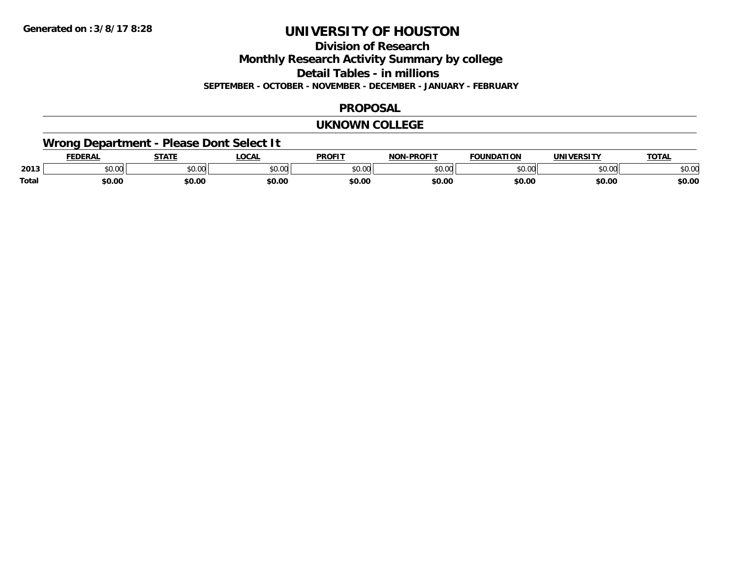**Division of Research**

**Monthly Research Activity Summary by college**

**Detail Tables - in millions**

**SEPTEMBER - OCTOBER - NOVEMBER - DECEMBER - JANUARY - FEBRUARY**

#### **PROPOSAL**

#### **UKNOWN COLLEGE**

## **Wrong Department - Please Dont Select It**

|       | <b>FDERA</b> | 27.77          | .OCA          | <b>PROFIT</b> | <b>DDAEIT</b><br>. | <b>EQUINDATION</b> | $\blacksquare$     | <b>TATA</b> |
|-------|--------------|----------------|---------------|---------------|--------------------|--------------------|--------------------|-------------|
| 2013  | \$0.00       | ტი იი<br>JU.UU | 0.00<br>וטטוע | 0000<br>ט.טע  | $\sim$ 00<br>שט.טע | JU.UU              | $\sim$ 00<br>JU.UU | งบ.บบ       |
| Total | \$0.00       | \$0.00         | \$0.00        | \$0.00        | \$0.00             | \$0.00             | \$0.00             | \$0.00      |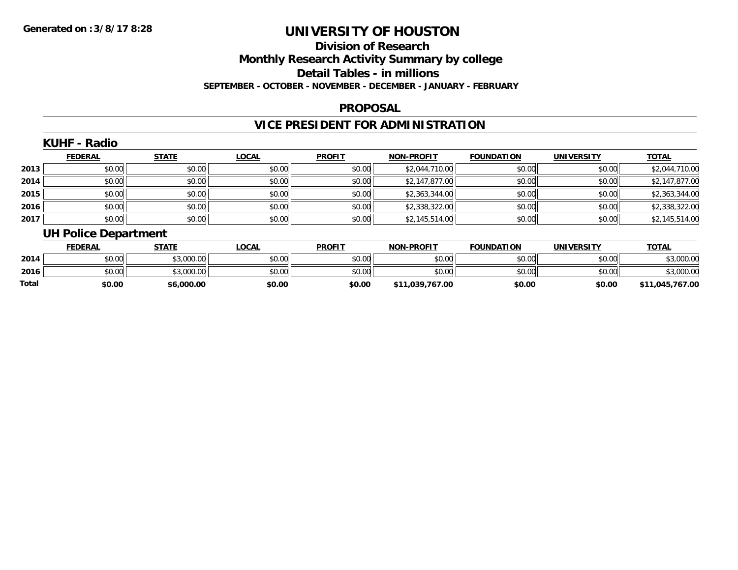### **Division of ResearchMonthly Research Activity Summary by college Detail Tables - in millions SEPTEMBER - OCTOBER - NOVEMBER - DECEMBER - JANUARY - FEBRUARY**

#### **PROPOSAL**

## **VICE PRESIDENT FOR ADMINISTRATION**

### **KUHF - Radio**

|      | <b>FEDERAL</b> | <b>STATE</b> | <b>LOCAL</b> | <b>PROFIT</b> | <b>NON-PROFIT</b> | <b>FOUNDATION</b> | <b>UNIVERSITY</b> | <b>TOTAL</b>   |
|------|----------------|--------------|--------------|---------------|-------------------|-------------------|-------------------|----------------|
| 2013 | \$0.00         | \$0.00       | \$0.00       | \$0.00        | \$2,044,710.00    | \$0.00            | \$0.00            | \$2,044,710.00 |
| 2014 | \$0.00         | \$0.00       | \$0.00       | \$0.00        | \$2,147,877.00    | \$0.00            | \$0.00            | \$2,147,877.00 |
| 2015 | \$0.00         | \$0.00       | \$0.00       | \$0.00        | \$2,363,344.00    | \$0.00            | \$0.00            | \$2,363,344.00 |
| 2016 | \$0.00         | \$0.00       | \$0.00       | \$0.00        | \$2,338,322.00    | \$0.00            | \$0.00            | \$2,338,322.00 |
| 2017 | \$0.00         | \$0.00       | \$0.00       | \$0.00        | \$2,145,514.00    | \$0.00            | \$0.00            | \$2,145,514.00 |

### **UH Police Department**

|       | <b>FEDERAL</b> | <u>STATE</u> | <u>LOCAL</u> | <b>PROFIT</b> | <b>NON-PROFIT</b> | <b>FOUNDATION</b> | UNIVERSITY | <b>TOTAL</b>    |
|-------|----------------|--------------|--------------|---------------|-------------------|-------------------|------------|-----------------|
| 2014  | \$0.00         | \$3,000.00   | \$0.00       | \$0.00        | \$0.00            | \$0.00            | \$0.00     | 3,000.00        |
| 2016  | \$0.00         | \$3,000.00   | \$0.00       | \$0.00        | \$0.00            | \$0.00            | \$0.00     | \$3,000.00      |
| Total | \$0.00         | \$6,000.00   | \$0.00       | \$0.00        | \$11,039,767.00   | \$0.00            | \$0.00     | \$11,045,767.00 |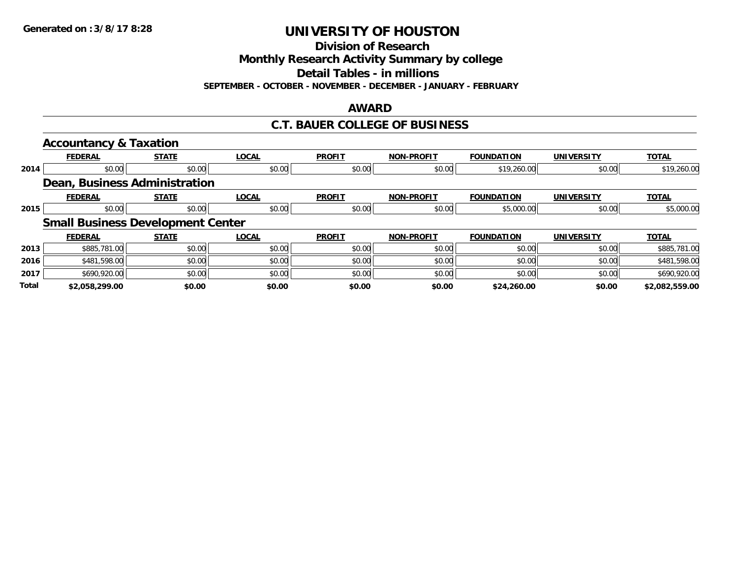**Division of Research**

**Monthly Research Activity Summary by college**

**Detail Tables - in millions**

**SEPTEMBER - OCTOBER - NOVEMBER - DECEMBER - JANUARY - FEBRUARY**

#### **AWARD**

### **C.T. BAUER COLLEGE OF BUSINESS**

|              | <b>Accountancy &amp; Taxation</b> |                                          |              |               |                   |                   |                   |                |
|--------------|-----------------------------------|------------------------------------------|--------------|---------------|-------------------|-------------------|-------------------|----------------|
|              | <b>FEDERAL</b>                    | <b>STATE</b>                             | <b>LOCAL</b> | <b>PROFIT</b> | <b>NON-PROFIT</b> | <b>FOUNDATION</b> | <b>UNIVERSITY</b> | <b>TOTAL</b>   |
| 2014         | \$0.00                            | \$0.00                                   | \$0.00       | \$0.00        | \$0.00            | \$19,260.00       | \$0.00            | \$19,260.00    |
|              |                                   | Dean, Business Administration            |              |               |                   |                   |                   |                |
|              | <b>FEDERAL</b>                    | <b>STATE</b>                             | <b>LOCAL</b> | <b>PROFIT</b> | <b>NON-PROFIT</b> | <b>FOUNDATION</b> | <b>UNIVERSITY</b> | <b>TOTAL</b>   |
| 2015         | \$0.00                            | \$0.00                                   | \$0.00       | \$0.00        | \$0.00            | \$5,000.00        | \$0.00            | \$5,000.00     |
|              |                                   | <b>Small Business Development Center</b> |              |               |                   |                   |                   |                |
|              | <b>FEDERAL</b>                    | <b>STATE</b>                             | <b>LOCAL</b> | <b>PROFIT</b> | <b>NON-PROFIT</b> | <b>FOUNDATION</b> | <b>UNIVERSITY</b> | <b>TOTAL</b>   |
| 2013         | \$885,781.00                      | \$0.00                                   | \$0.00       | \$0.00        | \$0.00            | \$0.00            | \$0.00            | \$885,781.00   |
| 2016         | \$481,598.00                      | \$0.00                                   | \$0.00       | \$0.00        | \$0.00            | \$0.00            | \$0.00            | \$481,598.00   |
| 2017         | \$690,920.00                      | \$0.00                                   | \$0.00       | \$0.00        | \$0.00            | \$0.00            | \$0.00            | \$690,920.00   |
| <b>Total</b> | \$2,058,299.00                    | \$0.00                                   | \$0.00       | \$0.00        | \$0.00            | \$24,260.00       | \$0.00            | \$2,082,559.00 |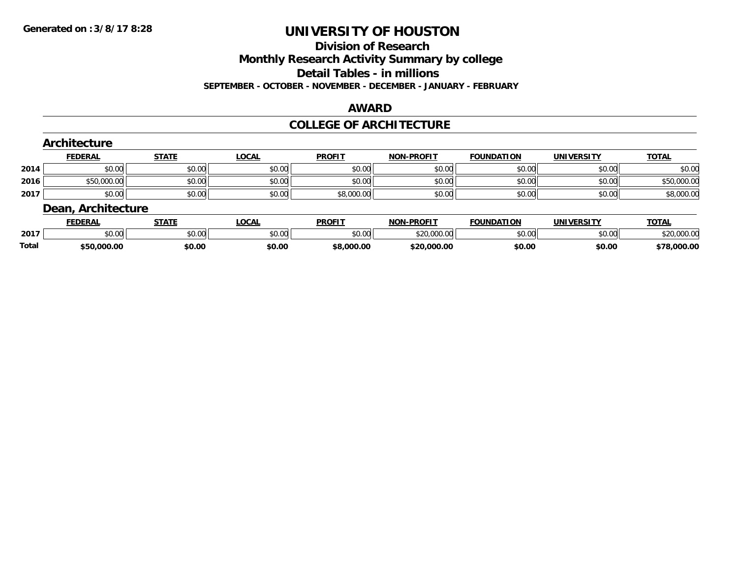#### **Division of Research**

**Monthly Research Activity Summary by college**

**Detail Tables - in millions**

**SEPTEMBER - OCTOBER - NOVEMBER - DECEMBER - JANUARY - FEBRUARY**

#### **AWARD**

#### **COLLEGE OF ARCHITECTURE**

|      | Architecture       |              |              |               |                   |                   |                   |              |
|------|--------------------|--------------|--------------|---------------|-------------------|-------------------|-------------------|--------------|
|      | <b>FEDERAL</b>     | <b>STATE</b> | <u>LOCAL</u> | <b>PROFIT</b> | <b>NON-PROFIT</b> | <b>FOUNDATION</b> | <b>UNIVERSITY</b> | <b>TOTAL</b> |
| 2014 | \$0.00             | \$0.00       | \$0.00       | \$0.00        | \$0.00            | \$0.00            | \$0.00            | \$0.00       |
| 2016 | \$50,000.00        | \$0.00       | \$0.00       | \$0.00        | \$0.00            | \$0.00            | \$0.00            | \$50,000.00  |
| 2017 | \$0.00             | \$0.00       | \$0.00       | \$8,000.00    | \$0.00            | \$0.00            | \$0.00            | \$8,000.00   |
|      | Dean, Architecture |              |              |               |                   |                   |                   |              |
|      | <b>FEDERAL</b>     | <b>STATE</b> | <u>LOCAL</u> | <b>PROFIT</b> | <b>NON-PROFIT</b> | <b>FOUNDATION</b> | <b>UNIVERSITY</b> | <b>TOTAL</b> |

|       | ________    | ------ | -----          |                                 | .           | ---------- | ---------- |             |
|-------|-------------|--------|----------------|---------------------------------|-------------|------------|------------|-------------|
| 2017  | \$0.00      | \$0.00 | nn nn<br>vu.vu | $\epsilon$ n nn<br><b>DU.UU</b> | \$20,000.00 | \$0.00     | \$0.00     | \$20,000.00 |
| Total | \$50,000.00 | \$0.00 | \$0.00         | \$8,000.00                      | \$20,000.00 | \$0.00     | \$0.00     | \$78,000.00 |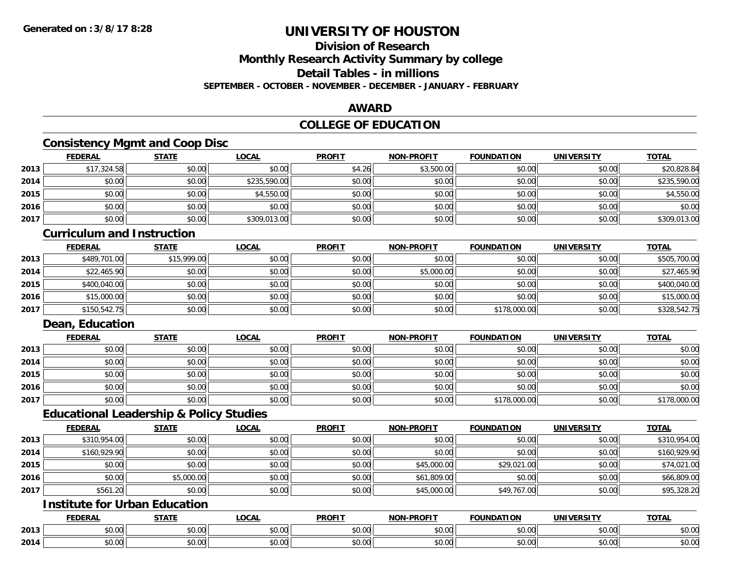## **Division of Research**

**Monthly Research Activity Summary by college**

### **Detail Tables - in millions**

**SEPTEMBER - OCTOBER - NOVEMBER - DECEMBER - JANUARY - FEBRUARY**

### **AWARD**

### **COLLEGE OF EDUCATION**

### **Consistency Mgmt and Coop Disc**

|      | <b>FEDERAL</b> | <b>STATE</b> | <b>LOCAL</b> | <b>PROFIT</b> | <b>NON-PROFIT</b> | <b>FOUNDATION</b> | <b>UNIVERSITY</b> | <b>TOTAL</b> |
|------|----------------|--------------|--------------|---------------|-------------------|-------------------|-------------------|--------------|
| 2013 | \$17,324.58    | \$0.00       | \$0.00       | \$4.26        | \$3,500.00        | \$0.00            | \$0.00            | \$20,828.84  |
| 2014 | \$0.00         | \$0.00       | \$235,590.00 | \$0.00        | \$0.00            | \$0.00            | \$0.00            | \$235,590.00 |
| 2015 | \$0.00         | \$0.00       | \$4,550.00   | \$0.00        | \$0.00            | \$0.00            | \$0.00            | \$4,550.00   |
| 2016 | \$0.00         | \$0.00       | \$0.00       | \$0.00        | \$0.00            | \$0.00            | \$0.00            | \$0.00       |
| 2017 | \$0.00         | \$0.00       | \$309,013.00 | \$0.00        | \$0.00            | \$0.00            | \$0.00            | \$309,013.00 |

#### **Curriculum and Instruction**

|      | <b>FEDERAL</b> | <u>STATE</u> | <u>LOCAL</u> | <b>PROFIT</b> | <b>NON-PROFIT</b> | <b>FOUNDATION</b> | <b>UNIVERSITY</b> | <b>TOTAL</b> |
|------|----------------|--------------|--------------|---------------|-------------------|-------------------|-------------------|--------------|
| 2013 | \$489,701.00   | \$15,999.00  | \$0.00       | \$0.00        | \$0.00            | \$0.00            | \$0.00            | \$505,700.00 |
| 2014 | \$22,465.90    | \$0.00       | \$0.00       | \$0.00        | \$5,000.00        | \$0.00            | \$0.00            | \$27,465.90  |
| 2015 | \$400,040.00   | \$0.00       | \$0.00       | \$0.00        | \$0.00            | \$0.00            | \$0.00            | \$400,040.00 |
| 2016 | \$15,000.00    | \$0.00       | \$0.00       | \$0.00        | \$0.00            | \$0.00            | \$0.00            | \$15,000.00  |
| 2017 | \$150,542.75   | \$0.00       | \$0.00       | \$0.00        | \$0.00            | \$178,000.00      | \$0.00            | \$328,542.75 |

### **Dean, Education**

|      | <b>FEDERAL</b> | <u>STATE</u> | <u>LOCAL</u> | <b>PROFIT</b> | <b>NON-PROFIT</b> | <b>FOUNDATION</b> | <b>UNIVERSITY</b> | <b>TOTAL</b> |
|------|----------------|--------------|--------------|---------------|-------------------|-------------------|-------------------|--------------|
| 2013 | \$0.00         | \$0.00       | \$0.00       | \$0.00        | \$0.00            | \$0.00            | \$0.00            | \$0.00       |
| 2014 | \$0.00         | \$0.00       | \$0.00       | \$0.00        | \$0.00            | \$0.00            | \$0.00            | \$0.00       |
| 2015 | \$0.00         | \$0.00       | \$0.00       | \$0.00        | \$0.00            | \$0.00            | \$0.00            | \$0.00       |
| 2016 | \$0.00         | \$0.00       | \$0.00       | \$0.00        | \$0.00            | \$0.00            | \$0.00            | \$0.00       |
| 2017 | \$0.00         | \$0.00       | \$0.00       | \$0.00        | \$0.00            | \$178,000.00      | \$0.00            | \$178,000.00 |

#### **Educational Leadership & Policy Studies**

|      | <b>FEDERAL</b> | <b>STATE</b> | <u>LOCAL</u> | <b>PROFIT</b> | <b>NON-PROFIT</b> | <b>FOUNDATION</b> | <b>UNIVERSITY</b> | <b>TOTAL</b> |
|------|----------------|--------------|--------------|---------------|-------------------|-------------------|-------------------|--------------|
| 2013 | \$310,954.00   | \$0.00       | \$0.00       | \$0.00        | \$0.00            | \$0.00            | \$0.00            | \$310,954.00 |
| 2014 | \$160,929.90   | \$0.00       | \$0.00       | \$0.00        | \$0.00            | \$0.00            | \$0.00            | \$160,929.90 |
| 2015 | \$0.00         | \$0.00       | \$0.00       | \$0.00        | \$45,000.00       | \$29,021.00       | \$0.00            | \$74,021.00  |
| 2016 | \$0.00         | \$5,000.00   | \$0.00       | \$0.00        | \$61,809.00       | \$0.00            | \$0.00            | \$66,809.00  |
| 2017 | \$561.20       | \$0.00       | \$0.00       | \$0.00        | \$45,000.00       | \$49,767.00       | \$0.00            | \$95,328.20  |

### **Institute for Urban Education**

|      | <b>CCDCD</b><br> | $C = A = 1$                    | <b>OCAI</b>        | <b>PROFIT</b>             | <b>DDAFI1</b><br><b>BIOB</b> | TON<br>.                                          | עונ                       | TOTA.                                                                    |
|------|------------------|--------------------------------|--------------------|---------------------------|------------------------------|---------------------------------------------------|---------------------------|--------------------------------------------------------------------------|
| 2013 | 0.00<br>ิ ∪ ∪ ∪  | $\uparrow$ $\uparrow$<br>JU.UU | $\sim$ 00<br>pu.uu | $\sim$ 00<br>ູ⊎ບ.ບບ∟      | $\sim$ $\sim$<br>40.00       | $\mathsf{A}\cap\mathsf{A}\cap\mathsf{A}$<br>vv.vv | 0.00<br><b>JU.UU</b>      | $\cdots$<br>JU.UU                                                        |
| 2014 | ሶስ ስስ<br>טט.טע   | $\sim$<br>$\sim$<br>JU.U       | $\sim$ 00<br>DU.UU | $\sim$ $\sim$<br>— ∾ບ.ບ∪⊪ | 0000<br>vv.vv                | $\mathsf{A}\cap\mathsf{A}\cap\mathsf{A}$<br>wu.uu | $\sim$ 00<br><b>JU.UU</b> | $\begin{array}{c} \uparrow \\ \uparrow \\ \uparrow \end{array}$<br>JU.UU |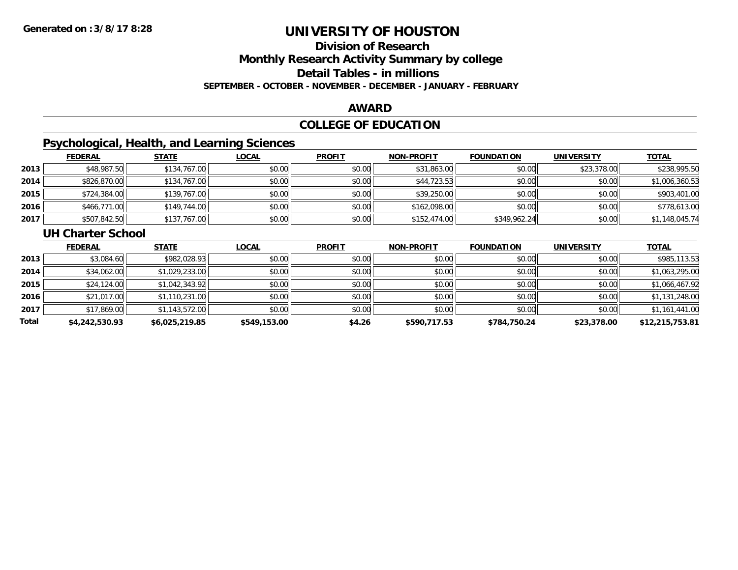# **Division of Research**

**Monthly Research Activity Summary by college**

**Detail Tables - in millions**

**SEPTEMBER - OCTOBER - NOVEMBER - DECEMBER - JANUARY - FEBRUARY**

#### **AWARD**

### **COLLEGE OF EDUCATION**

### **Psychological, Health, and Learning Sciences**

|      | <b>FEDERAL</b> | <b>STATE</b> | <b>LOCAL</b> | <b>PROFIT</b> | <b>NON-PROFIT</b> | <b>FOUNDATION</b> | <b>UNIVERSITY</b> | <b>TOTAL</b>   |
|------|----------------|--------------|--------------|---------------|-------------------|-------------------|-------------------|----------------|
| 2013 | \$48,987.50    | \$134,767.00 | \$0.00       | \$0.00        | \$31,863.00       | \$0.00            | \$23,378.00       | \$238,995.50   |
| 2014 | \$826,870.00   | \$134,767.00 | \$0.00       | \$0.00        | \$44,723.53       | \$0.00            | \$0.00            | \$1,006,360.53 |
| 2015 | \$724,384.00   | \$139,767.00 | \$0.00       | \$0.00        | \$39,250.00       | \$0.00            | \$0.00            | \$903,401.00   |
| 2016 | \$466,771.00   | \$149,744.00 | \$0.00       | \$0.00        | \$162,098.00      | \$0.00            | \$0.00            | \$778,613.00   |
| 2017 | \$507,842.50   | \$137,767.00 | \$0.00       | \$0.00        | \$152,474.00      | \$349,962.24      | \$0.00            | \$1,148,045.74 |

#### **UH Charter School**

|       | <u>FEDERAL</u> | <b>STATE</b>   | <b>LOCAL</b> | <b>PROFIT</b> | <b>NON-PROFIT</b> | <b>FOUNDATION</b> | <b>UNIVERSITY</b> | <b>TOTAL</b>    |
|-------|----------------|----------------|--------------|---------------|-------------------|-------------------|-------------------|-----------------|
| 2013  | \$3,084.60     | \$982,028.93   | \$0.00       | \$0.00        | \$0.00            | \$0.00            | \$0.00            | \$985,113.53    |
| 2014  | \$34,062.00    | \$1,029,233.00 | \$0.00       | \$0.00        | \$0.00            | \$0.00            | \$0.00            | \$1,063,295.00  |
| 2015  | \$24,124.00    | \$1,042,343.92 | \$0.00       | \$0.00        | \$0.00            | \$0.00            | \$0.00            | \$1,066,467.92  |
| 2016  | \$21,017.00    | \$1,110,231.00 | \$0.00       | \$0.00        | \$0.00            | \$0.00            | \$0.00            | \$1,131,248.00  |
| 2017  | \$17,869.00    | \$1,143,572.00 | \$0.00       | \$0.00        | \$0.00            | \$0.00            | \$0.00            | \$1,161,441.00  |
| Total | \$4,242,530.93 | \$6,025,219.85 | \$549,153.00 | \$4.26        | \$590,717.53      | \$784,750.24      | \$23,378.00       | \$12,215,753.81 |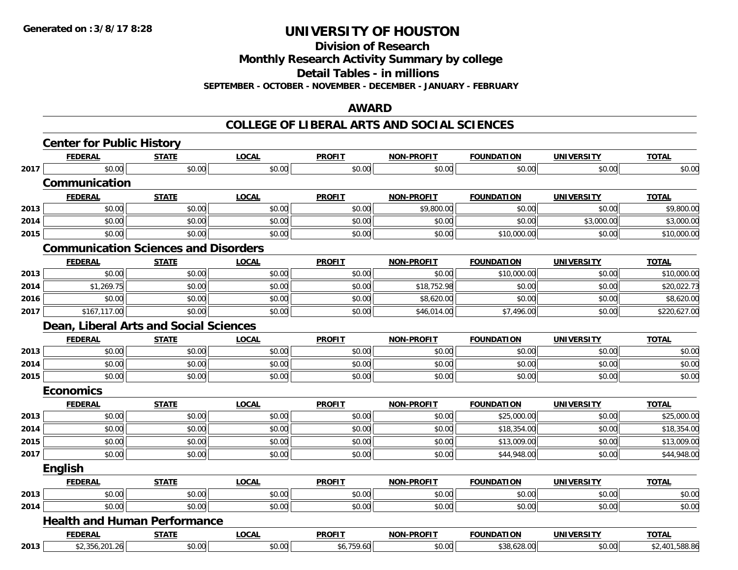**Division of Research**

**Monthly Research Activity Summary by college**

**Detail Tables - in millions**

**SEPTEMBER - OCTOBER - NOVEMBER - DECEMBER - JANUARY - FEBRUARY**

### **AWARD**

#### **COLLEGE OF LIBERAL ARTS AND SOCIAL SCIENCES**

|      | <b>Center for Public History</b>            |              |              |               |                   |                   |                   |                |
|------|---------------------------------------------|--------------|--------------|---------------|-------------------|-------------------|-------------------|----------------|
|      | <b>FEDERAL</b>                              | <b>STATE</b> | <b>LOCAL</b> | <b>PROFIT</b> | <b>NON-PROFIT</b> | <b>FOUNDATION</b> | <b>UNIVERSITY</b> | <b>TOTAL</b>   |
| 2017 | \$0.00                                      | \$0.00       | \$0.00       | \$0.00        | \$0.00            | \$0.00            | \$0.00            | \$0.00         |
|      | Communication                               |              |              |               |                   |                   |                   |                |
|      | <b>FEDERAL</b>                              | <b>STATE</b> | <b>LOCAL</b> | <b>PROFIT</b> | <b>NON-PROFIT</b> | <b>FOUNDATION</b> | <b>UNIVERSITY</b> | <b>TOTAL</b>   |
| 2013 | \$0.00                                      | \$0.00       | \$0.00       | \$0.00        | \$9,800.00        | \$0.00            | \$0.00            | \$9,800.00     |
| 2014 | \$0.00                                      | \$0.00       | \$0.00       | \$0.00        | \$0.00            | \$0.00            | \$3,000.00        | \$3,000.00     |
| 2015 | \$0.00                                      | \$0.00       | \$0.00       | \$0.00        | \$0.00            | \$10,000.00       | \$0.00            | \$10,000.00    |
|      | <b>Communication Sciences and Disorders</b> |              |              |               |                   |                   |                   |                |
|      | <b>FEDERAL</b>                              | <b>STATE</b> | <b>LOCAL</b> | <b>PROFIT</b> | <b>NON-PROFIT</b> | <b>FOUNDATION</b> | <b>UNIVERSITY</b> | <b>TOTAL</b>   |
| 2013 | \$0.00                                      | \$0.00       | \$0.00       | \$0.00        | \$0.00            | \$10,000.00       | \$0.00            | \$10,000.00    |
| 2014 | \$1,269.75                                  | \$0.00       | \$0.00       | \$0.00        | \$18,752.98       | \$0.00            | \$0.00            | \$20,022.73    |
| 2016 | \$0.00                                      | \$0.00       | \$0.00       | \$0.00        | \$8,620.00        | \$0.00            | \$0.00            | \$8,620.00     |
| 2017 | \$167,117.00                                | \$0.00       | \$0.00       | \$0.00        | \$46,014.00       | \$7,496.00        | \$0.00            | \$220,627.00   |
|      | Dean, Liberal Arts and Social Sciences      |              |              |               |                   |                   |                   |                |
|      | <b>FEDERAL</b>                              | <b>STATE</b> | <b>LOCAL</b> | <b>PROFIT</b> | <b>NON-PROFIT</b> | <b>FOUNDATION</b> | <b>UNIVERSITY</b> | <b>TOTAL</b>   |
| 2013 | \$0.00                                      | \$0.00       | \$0.00       | \$0.00        | \$0.00            | \$0.00            | \$0.00            | \$0.00         |
| 2014 | \$0.00                                      | \$0.00       | \$0.00       | \$0.00        | \$0.00            | \$0.00            | \$0.00            | \$0.00         |
| 2015 | \$0.00                                      | \$0.00       | \$0.00       | \$0.00        | \$0.00            | \$0.00            | \$0.00            | \$0.00         |
|      | <b>Economics</b>                            |              |              |               |                   |                   |                   |                |
|      | <b>FEDERAL</b>                              | <b>STATE</b> | <b>LOCAL</b> | <b>PROFIT</b> | <b>NON-PROFIT</b> | <b>FOUNDATION</b> | <b>UNIVERSITY</b> | <b>TOTAL</b>   |
| 2013 | \$0.00                                      | \$0.00       | \$0.00       | \$0.00        | \$0.00            | \$25,000.00       | \$0.00            | \$25,000.00    |
| 2014 | \$0.00                                      | \$0.00       | \$0.00       | \$0.00        | \$0.00            | \$18,354.00       | \$0.00            | \$18,354.00    |
| 2015 | \$0.00                                      | \$0.00       | \$0.00       | \$0.00        | \$0.00            | \$13,009.00       | \$0.00            | \$13,009.00    |
| 2017 | \$0.00                                      | \$0.00       | \$0.00       | \$0.00        | \$0.00            | \$44,948.00       | \$0.00            | \$44,948.00    |
|      | <b>English</b>                              |              |              |               |                   |                   |                   |                |
|      | <b>FEDERAL</b>                              | <b>STATE</b> | <b>LOCAL</b> | <b>PROFIT</b> | <b>NON-PROFIT</b> | <b>FOUNDATION</b> | <b>UNIVERSITY</b> | <b>TOTAL</b>   |
| 2013 | \$0.00                                      | \$0.00       | \$0.00       | \$0.00        | \$0.00            | \$0.00            | \$0.00            | \$0.00         |
| 2014 | \$0.00                                      | \$0.00       | \$0.00       | \$0.00        | \$0.00            | \$0.00            | \$0.00            | \$0.00         |
|      | <b>Health and Human Performance</b>         |              |              |               |                   |                   |                   |                |
|      | <b>FEDERAL</b>                              | <b>STATE</b> | <b>LOCAL</b> | <b>PROFIT</b> | <b>NON-PROFIT</b> | <b>FOUNDATION</b> | <b>UNIVERSITY</b> | <b>TOTAL</b>   |
| 2013 | \$2,356,201.26                              | \$0.00       | \$0.00       | \$6,759.60    | \$0.00            | \$38,628.00       | \$0.00            | \$2,401,588.86 |

**2013**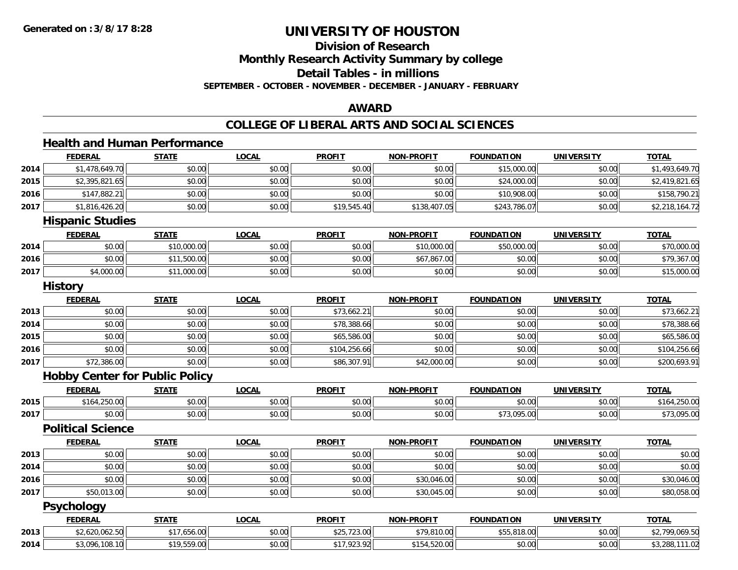**Division of Research**

**Monthly Research Activity Summary by college**

**Detail Tables - in millions**

**SEPTEMBER - OCTOBER - NOVEMBER - DECEMBER - JANUARY - FEBRUARY**

### **AWARD**

#### **COLLEGE OF LIBERAL ARTS AND SOCIAL SCIENCES**

|      | <b>Health and Human Performance</b>   |              |              |               |                   |                   |                   |                         |
|------|---------------------------------------|--------------|--------------|---------------|-------------------|-------------------|-------------------|-------------------------|
|      | <b>FEDERAL</b>                        | <b>STATE</b> | <b>LOCAL</b> | <b>PROFIT</b> | <b>NON-PROFIT</b> | <b>FOUNDATION</b> | <b>UNIVERSITY</b> | <b>TOTAL</b>            |
| 2014 | \$1,478,649.70                        | \$0.00       | \$0.00       | \$0.00        | \$0.00            | \$15,000.00       | \$0.00            | \$1,493,649.70          |
| 2015 | \$2,395,821.65                        | \$0.00       | \$0.00       | \$0.00        | \$0.00            | \$24,000.00       | \$0.00            | \$2,419,821.65          |
| 2016 | \$147,882.21                          | \$0.00       | \$0.00       | \$0.00        | \$0.00            | \$10,908.00       | \$0.00            | \$158,790.21            |
| 2017 | \$1,816,426.20                        | \$0.00       | \$0.00       | \$19,545.40   | \$138,407.05      | \$243,786.07      | \$0.00            | \$2,218,164.72          |
|      | <b>Hispanic Studies</b>               |              |              |               |                   |                   |                   |                         |
|      | <b>FEDERAL</b>                        | <b>STATE</b> | <b>LOCAL</b> | <b>PROFIT</b> | <b>NON-PROFIT</b> | <b>FOUNDATION</b> | <b>UNIVERSITY</b> | <b>TOTAL</b>            |
| 2014 | \$0.00                                | \$10,000.00  | \$0.00       | \$0.00        | \$10,000.00       | \$50,000.00       | \$0.00            | \$70,000.00             |
| 2016 | \$0.00                                | \$11,500.00  | \$0.00       | \$0.00        | \$67,867.00       | \$0.00            | \$0.00            | \$79,367.00             |
| 2017 | \$4,000.00                            | \$11,000.00  | \$0.00       | \$0.00        | \$0.00            | \$0.00            | \$0.00            | \$15,000.00             |
|      | <b>History</b>                        |              |              |               |                   |                   |                   |                         |
|      | <b>FEDERAL</b>                        | <b>STATE</b> | <b>LOCAL</b> | <b>PROFIT</b> | <b>NON-PROFIT</b> | <b>FOUNDATION</b> | <b>UNIVERSITY</b> | <b>TOTAL</b>            |
| 2013 | \$0.00                                | \$0.00       | \$0.00       | \$73,662.21   | \$0.00            | \$0.00            | \$0.00            | $\overline{$}73,662.21$ |
| 2014 | \$0.00                                | \$0.00       | \$0.00       | \$78,388.66   | \$0.00            | \$0.00            | \$0.00            | \$78,388.66             |
| 2015 | \$0.00                                | \$0.00       | \$0.00       | \$65,586.00   | \$0.00            | \$0.00            | \$0.00            | \$65,586.00             |
| 2016 | \$0.00                                | \$0.00       | \$0.00       | \$104,256.66  | \$0.00            | \$0.00            | \$0.00            | \$104,256.66            |
| 2017 | \$72,386.00                           | \$0.00       | \$0.00       | \$86,307.91   | \$42,000.00       | \$0.00            | \$0.00            | \$200,693.91            |
|      | <b>Hobby Center for Public Policy</b> |              |              |               |                   |                   |                   |                         |
|      | <b>FEDERAL</b>                        | <b>STATE</b> | <b>LOCAL</b> | <b>PROFIT</b> | <b>NON-PROFIT</b> | <b>FOUNDATION</b> | <b>UNIVERSITY</b> | <b>TOTAL</b>            |
| 2015 | \$164,250.00                          | \$0.00       | \$0.00       | \$0.00        | \$0.00            | \$0.00            | \$0.00            | \$164,250.00            |
| 2017 | \$0.00                                | \$0.00       | \$0.00       | \$0.00        | \$0.00            | \$73,095.00       | \$0.00            | \$73,095.00             |
|      | <b>Political Science</b>              |              |              |               |                   |                   |                   |                         |
|      | <b>FEDERAL</b>                        | <b>STATE</b> | <b>LOCAL</b> | <b>PROFIT</b> | <b>NON-PROFIT</b> | <b>FOUNDATION</b> | <b>UNIVERSITY</b> | <b>TOTAL</b>            |
| 2013 | \$0.00                                | \$0.00       | \$0.00       | \$0.00        | \$0.00            | \$0.00            | \$0.00            | \$0.00                  |
| 2014 | \$0.00                                | \$0.00       | \$0.00       | \$0.00        | \$0.00            | \$0.00            | \$0.00            | \$0.00                  |
| 2016 | \$0.00                                | \$0.00       | \$0.00       | \$0.00        | \$30,046.00       | \$0.00            | \$0.00            | \$30,046.00             |
| 2017 | \$50,013.00                           | \$0.00       | \$0.00       | \$0.00        | \$30,045.00       | \$0.00            | \$0.00            | \$80,058.00             |
|      | <b>Psychology</b>                     |              |              |               |                   |                   |                   |                         |
|      | <b>FEDERAL</b>                        | <b>STATE</b> | <b>LOCAL</b> | <b>PROFIT</b> | <b>NON-PROFIT</b> | <b>FOUNDATION</b> | <b>UNIVERSITY</b> | <b>TOTAL</b>            |
| 2013 | \$2,620,062.50                        | \$17,656.00  | \$0.00       | \$25,723.00   | \$79,810.00       | \$55,818.00       | \$0.00            | \$2,799,069.50          |
| 2014 | \$3,096,108.10                        | \$19,559.00  | \$0.00       | \$17,923.92   | \$154,520.00      | \$0.00            | \$0.00            | \$3,288,111.02          |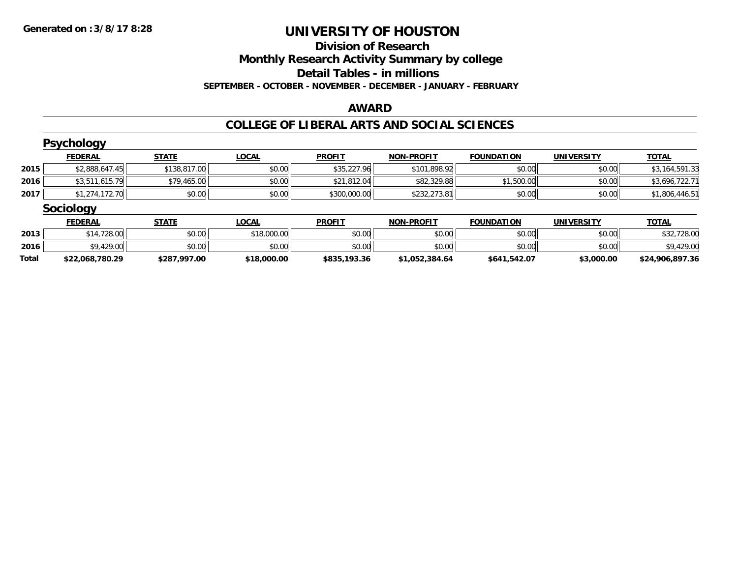# **Division of Research**

**Monthly Research Activity Summary by college**

**Detail Tables - in millions**

**SEPTEMBER - OCTOBER - NOVEMBER - DECEMBER - JANUARY - FEBRUARY**

### **AWARD**

#### **COLLEGE OF LIBERAL ARTS AND SOCIAL SCIENCES**

|              | <b>Psychology</b> |              |              |               |                   |                   |                   |                 |
|--------------|-------------------|--------------|--------------|---------------|-------------------|-------------------|-------------------|-----------------|
|              | <b>FEDERAL</b>    | <b>STATE</b> | <b>LOCAL</b> | <b>PROFIT</b> | <b>NON-PROFIT</b> | <b>FOUNDATION</b> | <b>UNIVERSITY</b> | <b>TOTAL</b>    |
| 2015         | \$2,888,647.45    | \$138,817.00 | \$0.00       | \$35,227.96   | \$101,898.92      | \$0.00            | \$0.00            | \$3,164,591.33  |
| 2016         | \$3,511,615.79    | \$79,465.00  | \$0.00       | \$21,812.04   | \$82,329.88       | \$1,500.00        | \$0.00            | \$3,696,722.71  |
| 2017         | \$1,274,172.70    | \$0.00       | \$0.00       | \$300,000.00  | \$232,273.81      | \$0.00            | \$0.00            | \$1,806,446.51  |
|              | <b>Sociology</b>  |              |              |               |                   |                   |                   |                 |
|              | <b>FEDERAL</b>    | <b>STATE</b> | <b>LOCAL</b> | <b>PROFIT</b> | <b>NON-PROFIT</b> | <b>FOUNDATION</b> | <b>UNIVERSITY</b> | <b>TOTAL</b>    |
| 2013         | \$14,728.00       | \$0.00       | \$18,000.00  | \$0.00        | \$0.00            | \$0.00            | \$0.00            | \$32,728.00     |
| 2016         | \$9,429.00        | \$0.00       | \$0.00       | \$0.00        | \$0.00            | \$0.00            | \$0.00            | \$9,429.00      |
| <b>Total</b> | \$22,068,780.29   | \$287,997.00 | \$18,000.00  | \$835,193.36  | \$1,052,384.64    | \$641,542.07      | \$3,000.00        | \$24,906,897.36 |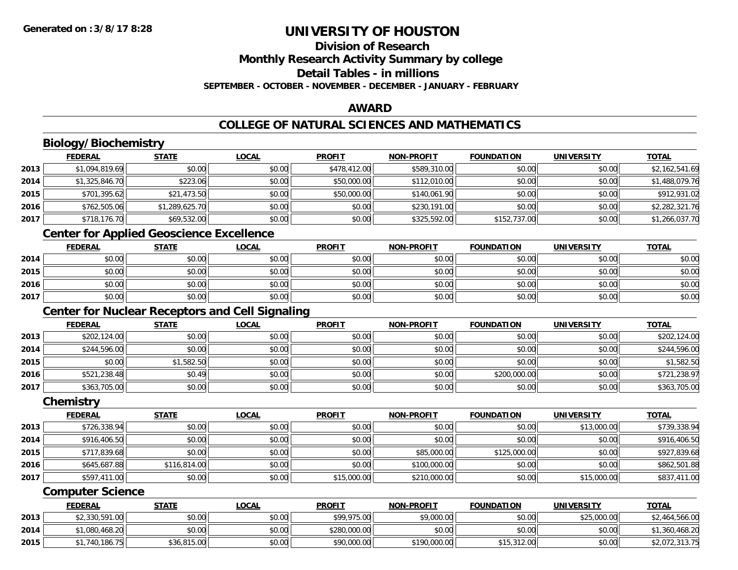# **Division of Research**

**Monthly Research Activity Summary by college**

**Detail Tables - in millions**

**SEPTEMBER - OCTOBER - NOVEMBER - DECEMBER - JANUARY - FEBRUARY**

### **AWARD**

## **COLLEGE OF NATURAL SCIENCES AND MATHEMATICS**

## **Biology/Biochemistry**

|      | <b>FEDERAL</b> | <b>STATE</b>   | <b>LOCAL</b> | <b>PROFIT</b> | <b>NON-PROFIT</b> | <b>FOUNDATION</b> | <b>UNIVERSITY</b> | <b>TOTAL</b>   |
|------|----------------|----------------|--------------|---------------|-------------------|-------------------|-------------------|----------------|
| 2013 | \$1,094,819.69 | \$0.00         | \$0.00       | \$478,412.00  | \$589,310.00      | \$0.00            | \$0.00            | \$2,162,541.69 |
| 2014 | \$1,325,846.70 | \$223.06       | \$0.00       | \$50,000.00   | \$112,010.00      | \$0.00            | \$0.00            | \$1,488,079.76 |
| 2015 | \$701,395.62   | \$21,473.50    | \$0.00       | \$50,000.00   | \$140,061.90      | \$0.00            | \$0.00            | \$912,931.02   |
| 2016 | \$762,505.06   | \$1,289,625.70 | \$0.00       | \$0.00        | \$230,191.00      | \$0.00            | \$0.00            | \$2,282,321.76 |
| 2017 | \$718,176.70   | \$69,532.00    | \$0.00       | \$0.00        | \$325,592.00      | \$152,737.00      | \$0.00            | \$1,266,037.70 |

### **Center for Applied Geoscience Excellence**

|      | <b>FEDERAL</b> | <b>STATE</b> | <u>LOCAL</u> | <b>PROFIT</b> | <b>NON-PROFIT</b> | <b>FOUNDATION</b> | <b>UNIVERSITY</b> | <b>TOTAL</b> |
|------|----------------|--------------|--------------|---------------|-------------------|-------------------|-------------------|--------------|
| 2014 | \$0.00         | \$0.00       | \$0.00       | \$0.00        | \$0.00            | \$0.00            | \$0.00            | \$0.00       |
| 2015 | \$0.00         | \$0.00       | \$0.00       | \$0.00        | \$0.00            | \$0.00            | \$0.00            | \$0.00       |
| 2016 | \$0.00         | \$0.00       | \$0.00       | \$0.00        | \$0.00            | \$0.00            | \$0.00            | \$0.00       |
| 2017 | \$0.00         | \$0.00       | \$0.00       | \$0.00        | \$0.00            | \$0.00            | \$0.00            | \$0.00       |

## **Center for Nuclear Receptors and Cell Signaling**

|      | <b>FEDERAL</b> | <u>STATE</u> | <u>LOCAL</u> | <b>PROFIT</b> | <b>NON-PROFIT</b> | <b>FOUNDATION</b> | <b>UNIVERSITY</b> | <b>TOTAL</b> |
|------|----------------|--------------|--------------|---------------|-------------------|-------------------|-------------------|--------------|
| 2013 | \$202,124.00   | \$0.00       | \$0.00       | \$0.00        | \$0.00            | \$0.00            | \$0.00            | \$202,124.00 |
| 2014 | \$244,596.00   | \$0.00       | \$0.00       | \$0.00        | \$0.00            | \$0.00            | \$0.00            | \$244,596.00 |
| 2015 | \$0.00         | \$1,582.50   | \$0.00       | \$0.00        | \$0.00            | \$0.00            | \$0.00            | \$1,582.50   |
| 2016 | \$521,238.48   | \$0.49       | \$0.00       | \$0.00        | \$0.00            | \$200,000.00      | \$0.00            | \$721,238.97 |
| 2017 | \$363,705.00   | \$0.00       | \$0.00       | \$0.00        | \$0.00            | \$0.00            | \$0.00            | \$363,705.00 |

#### **Chemistry**

|      | <b>FEDERAL</b> | <u>STATE</u> | <b>LOCAL</b> | <b>PROFIT</b> | <b>NON-PROFIT</b> | <b>FOUNDATION</b> | <b>UNIVERSITY</b> | <b>TOTAL</b> |
|------|----------------|--------------|--------------|---------------|-------------------|-------------------|-------------------|--------------|
| 2013 | \$726,338.94   | \$0.00       | \$0.00       | \$0.00        | \$0.00            | \$0.00            | \$13,000.00       | \$739,338.94 |
| 2014 | \$916,406.50   | \$0.00       | \$0.00       | \$0.00        | \$0.00            | \$0.00            | \$0.00            | \$916,406.50 |
| 2015 | \$717,839.68   | \$0.00       | \$0.00       | \$0.00        | \$85,000.00       | \$125,000.00      | \$0.00            | \$927,839.68 |
| 2016 | \$645,687.88   | \$116,814.00 | \$0.00       | \$0.00        | \$100,000.00      | \$0.00            | \$0.00            | \$862,501.88 |
| 2017 | \$597,411.00   | \$0.00       | \$0.00       | \$15,000.00   | \$210,000.00      | \$0.00            | \$15,000.00       | \$837,411.00 |

### **Computer Science**

|      | <b>FEDERAL</b> | <u>STATE</u> | <u>LOCAL</u> | <b>PROFIT</b> | <b>NON-PROFIT</b> | <b>FOUNDATION</b> | <b>UNIVERSITY</b> | <b>TOTAL</b>   |
|------|----------------|--------------|--------------|---------------|-------------------|-------------------|-------------------|----------------|
| 2013 | \$2,330,591.00 | \$0.00       | \$0.00       | \$99,975.00   | \$9,000.00        | \$0.00            | \$25,000.00       | \$2,464,566.00 |
| 2014 | \$1,080,468.20 | \$0.00       | \$0.00       | \$280,000.00  | \$0.00            | \$0.00            | \$0.00            | \$1,360,468.20 |
| 2015 | \$1,740,186.75 | \$36,815.00  | \$0.00       | \$90,000.00   | \$190,000.00      | \$15,312.00       | \$0.00            | \$2,072,313.75 |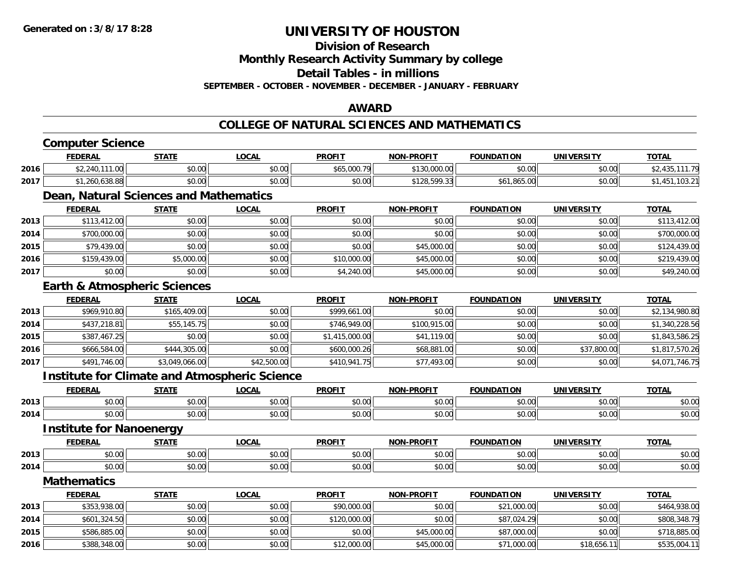**Division of Research**

**Monthly Research Activity Summary by college**

**Detail Tables - in millions**

**SEPTEMBER - OCTOBER - NOVEMBER - DECEMBER - JANUARY - FEBRUARY**

### **AWARD**

#### **COLLEGE OF NATURAL SCIENCES AND MATHEMATICS**

|      | <b>Computer Science</b>                              |                |              |                |                   |                   |                   |                |
|------|------------------------------------------------------|----------------|--------------|----------------|-------------------|-------------------|-------------------|----------------|
|      | <b>FEDERAL</b>                                       | <b>STATE</b>   | <b>LOCAL</b> | <b>PROFIT</b>  | <b>NON-PROFIT</b> | <b>FOUNDATION</b> | <b>UNIVERSITY</b> | <b>TOTAL</b>   |
| 2016 | \$2,240,111.00                                       | \$0.00         | \$0.00       | \$65,000.79    | \$130,000.00      | \$0.00            | \$0.00            | \$2,435,111.79 |
| 2017 | \$1,260,638.88                                       | \$0.00         | \$0.00       | \$0.00         | \$128,599.33      | \$61,865.00       | \$0.00            | \$1,451,103.21 |
|      | Dean, Natural Sciences and Mathematics               |                |              |                |                   |                   |                   |                |
|      | <b>FEDERAL</b>                                       | <b>STATE</b>   | <b>LOCAL</b> | <b>PROFIT</b>  | <b>NON-PROFIT</b> | <b>FOUNDATION</b> | <b>UNIVERSITY</b> | <b>TOTAL</b>   |
| 2013 | \$113,412.00                                         | \$0.00         | \$0.00       | \$0.00         | \$0.00            | \$0.00            | \$0.00            | \$113,412.00   |
| 2014 | \$700,000.00                                         | \$0.00         | \$0.00       | \$0.00         | \$0.00            | \$0.00            | \$0.00            | \$700,000.00   |
| 2015 | \$79,439.00                                          | \$0.00         | \$0.00       | \$0.00         | \$45,000.00       | \$0.00            | \$0.00            | \$124,439.00   |
| 2016 | \$159,439.00                                         | \$5,000.00     | \$0.00       | \$10,000.00    | \$45,000.00       | \$0.00            | \$0.00            | \$219,439.00   |
| 2017 | \$0.00                                               | \$0.00         | \$0.00       | \$4,240.00     | \$45,000.00       | \$0.00            | \$0.00            | \$49,240.00    |
|      | <b>Earth &amp; Atmospheric Sciences</b>              |                |              |                |                   |                   |                   |                |
|      | <b>FEDERAL</b>                                       | <b>STATE</b>   | <b>LOCAL</b> | <b>PROFIT</b>  | <b>NON-PROFIT</b> | <b>FOUNDATION</b> | <b>UNIVERSITY</b> | <b>TOTAL</b>   |
| 2013 | \$969,910.80                                         | \$165,409.00   | \$0.00       | \$999,661.00   | \$0.00            | \$0.00            | \$0.00            | \$2,134,980.80 |
| 2014 | \$437,218.81                                         | \$55,145.75    | \$0.00       | \$746,949.00   | \$100,915.00      | \$0.00            | \$0.00            | \$1,340,228.56 |
| 2015 | \$387,467.25                                         | \$0.00         | \$0.00       | \$1,415,000.00 | \$41,119.00       | \$0.00            | \$0.00            | \$1,843,586.25 |
| 2016 | \$666,584.00                                         | \$444,305.00   | \$0.00       | \$600,000.26   | \$68,881.00       | \$0.00            | \$37,800.00       | \$1,817,570.26 |
| 2017 | \$491,746.00                                         | \$3,049,066.00 | \$42,500.00  | \$410,941.75   | \$77,493.00       | \$0.00            | \$0.00            | \$4,071,746.75 |
|      | <b>Institute for Climate and Atmospheric Science</b> |                |              |                |                   |                   |                   |                |
|      | <b>FEDERAL</b>                                       | <b>STATE</b>   | <b>LOCAL</b> | <b>PROFIT</b>  | <b>NON-PROFIT</b> | <b>FOUNDATION</b> | <b>UNIVERSITY</b> | <b>TOTAL</b>   |
| 2013 | \$0.00                                               | \$0.00         | \$0.00       | \$0.00         | \$0.00            | \$0.00            | \$0.00            | \$0.00         |
| 2014 | \$0.00                                               | \$0.00         | \$0.00       | \$0.00         | \$0.00            | \$0.00            | \$0.00            | \$0.00         |
|      | <b>Institute for Nanoenergy</b>                      |                |              |                |                   |                   |                   |                |
|      | <b>FEDERAL</b>                                       | <b>STATE</b>   | LOCAL        | <b>PROFIT</b>  | <b>NON-PROFIT</b> | <b>FOUNDATION</b> | <b>UNIVERSITY</b> | <b>TOTAL</b>   |
| 2013 | \$0.00                                               | \$0.00         | \$0.00       | \$0.00         | \$0.00            | \$0.00            | \$0.00            | \$0.00         |
| 2014 | \$0.00                                               | \$0.00         | \$0.00       | \$0.00         | \$0.00            | \$0.00            | \$0.00            | \$0.00         |
|      | <b>Mathematics</b>                                   |                |              |                |                   |                   |                   |                |
|      | <b>FEDERAL</b>                                       | <b>STATE</b>   | <b>LOCAL</b> | <b>PROFIT</b>  | <b>NON-PROFIT</b> | <b>FOUNDATION</b> | <b>UNIVERSITY</b> | <b>TOTAL</b>   |
| 2013 | \$353,938.00                                         | \$0.00         | \$0.00       | \$90,000.00    | \$0.00            | \$21,000.00       | \$0.00            | \$464,938.00   |
| 2014 | \$601,324.50                                         | \$0.00         | \$0.00       | \$120,000.00   | \$0.00            | \$87,024.29       | \$0.00            | \$808,348.79   |
| 2015 | \$586,885.00                                         | \$0.00         | \$0.00       | \$0.00         | \$45,000.00       | \$87,000.00       | \$0.00            | \$718,885.00   |
| 2016 | \$388,348.00                                         | \$0.00         | \$0.00       | \$12,000.00    | \$45,000.00       | \$71,000.00       | \$18,656.11       | \$535,004.11   |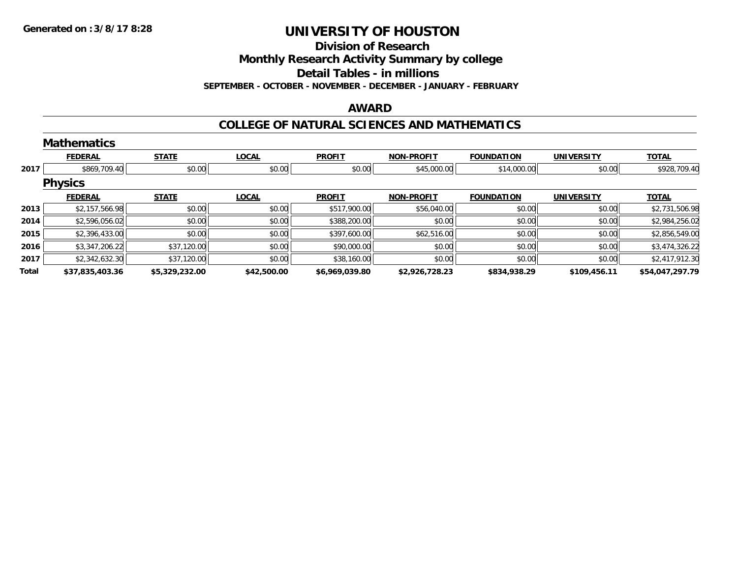**Division of Research**

**Monthly Research Activity Summary by college**

**Detail Tables - in millions**

**SEPTEMBER - OCTOBER - NOVEMBER - DECEMBER - JANUARY - FEBRUARY**

### **AWARD**

#### **COLLEGE OF NATURAL SCIENCES AND MATHEMATICS**

|       | <b>Mathematics</b> |                |              |                |                   |                   |                   |                 |
|-------|--------------------|----------------|--------------|----------------|-------------------|-------------------|-------------------|-----------------|
|       | <b>FEDERAL</b>     | <b>STATE</b>   | <b>LOCAL</b> | <b>PROFIT</b>  | <b>NON-PROFIT</b> | <b>FOUNDATION</b> | <b>UNIVERSITY</b> | <b>TOTAL</b>    |
| 2017  | \$869,709.40       | \$0.00         | \$0.00       | \$0.00         | \$45,000.00       | \$14,000.00       | \$0.00            | \$928,709.40    |
|       | <b>Physics</b>     |                |              |                |                   |                   |                   |                 |
|       | <b>FEDERAL</b>     | <b>STATE</b>   | <b>LOCAL</b> | <b>PROFIT</b>  | <b>NON-PROFIT</b> | <b>FOUNDATION</b> | <b>UNIVERSITY</b> | <b>TOTAL</b>    |
| 2013  | \$2,157,566.98     | \$0.00         | \$0.00       | \$517,900.00   | \$56,040.00       | \$0.00            | \$0.00            | \$2,731,506.98  |
| 2014  | \$2,596,056.02     | \$0.00         | \$0.00       | \$388,200.00   | \$0.00            | \$0.00            | \$0.00            | \$2,984,256.02  |
| 2015  | \$2,396,433.00     | \$0.00         | \$0.00       | \$397,600.00   | \$62,516.00       | \$0.00            | \$0.00            | \$2,856,549.00  |
| 2016  | \$3,347,206.22     | \$37,120.00    | \$0.00       | \$90,000.00    | \$0.00            | \$0.00            | \$0.00            | \$3,474,326.22  |
| 2017  | \$2,342,632.30     | \$37,120.00    | \$0.00       | \$38,160.00    | \$0.00            | \$0.00            | \$0.00            | \$2,417,912.30  |
| Total | \$37,835,403.36    | \$5,329,232.00 | \$42,500.00  | \$6,969,039.80 | \$2,926,728.23    | \$834,938.29      | \$109,456.11      | \$54,047,297.79 |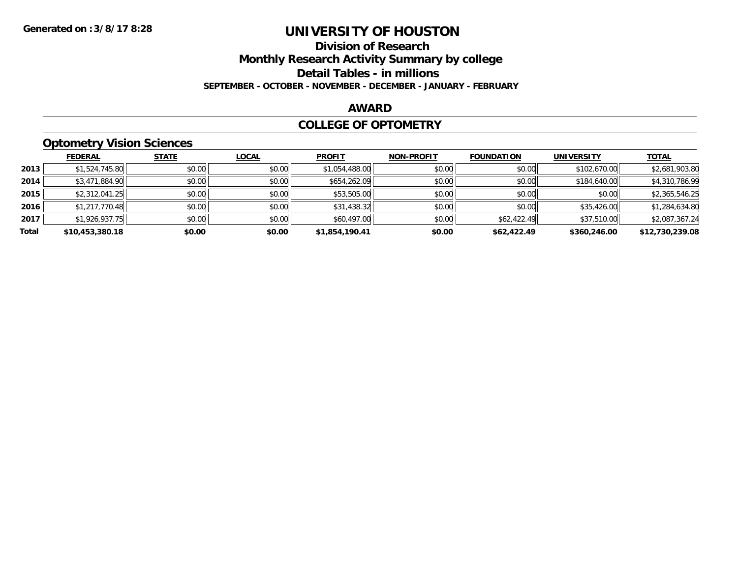## **Division of Research**

**Monthly Research Activity Summary by college**

**Detail Tables - in millions**

**SEPTEMBER - OCTOBER - NOVEMBER - DECEMBER - JANUARY - FEBRUARY**

#### **AWARD**

#### **COLLEGE OF OPTOMETRY**

## **Optometry Vision Sciences**

|       | <b>FEDERAL</b>  | <b>STATE</b> | <b>LOCAL</b> | <b>PROFIT</b>  | <b>NON-PROFIT</b> | <b>FOUNDATION</b> | <b>UNIVERSITY</b> | <u>TOTAL</u>    |
|-------|-----------------|--------------|--------------|----------------|-------------------|-------------------|-------------------|-----------------|
| 2013  | \$1,524,745.80  | \$0.00       | \$0.00       | \$1,054,488.00 | \$0.00            | \$0.00            | \$102,670.00      | \$2,681,903.80  |
| 2014  | \$3,471,884.90  | \$0.00       | \$0.00       | \$654,262.09   | \$0.00            | \$0.00            | \$184,640.00      | \$4,310,786.99  |
| 2015  | \$2,312,041.25  | \$0.00       | \$0.00       | \$53,505.00    | \$0.00            | \$0.00            | \$0.00            | \$2,365,546.25  |
| 2016  | \$1,217,770.48  | \$0.00       | \$0.00       | \$31,438.32    | \$0.00            | \$0.00            | \$35,426.00       | \$1,284,634.80  |
| 2017  | \$1,926,937.75  | \$0.00       | \$0.00       | \$60,497.00    | \$0.00            | \$62,422.49       | \$37,510.00       | \$2,087,367.24  |
| Total | \$10,453,380.18 | \$0.00       | \$0.00       | \$1,854,190.41 | \$0.00            | \$62,422.49       | \$360,246.00      | \$12,730,239.08 |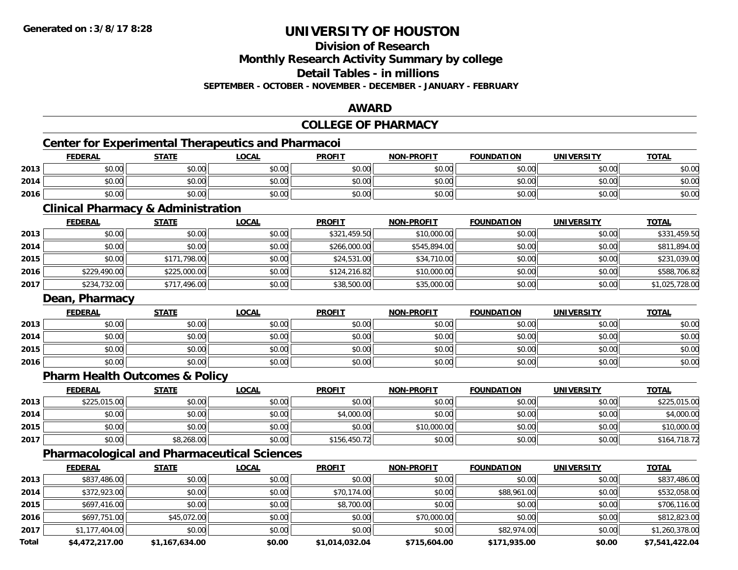**Division of Research**

**Monthly Research Activity Summary by college**

**Detail Tables - in millions**

**SEPTEMBER - OCTOBER - NOVEMBER - DECEMBER - JANUARY - FEBRUARY**

## **AWARD**

## **COLLEGE OF PHARMACY**

## **Center for Experimental Therapeutics and Pharmacoi**

|      | <b>FEDERAL</b> | <b>STATE</b> | LOCAL  | <b>PROFIT</b> | <b>NON-PROFIT</b> | <b>FOUNDATION</b> | <b>UNIVERSITY</b> | <b>TOTAL</b> |
|------|----------------|--------------|--------|---------------|-------------------|-------------------|-------------------|--------------|
| 2013 | \$0.00         | \$0.00       | \$0.00 | \$0.00        | \$0.00            | \$0.00            | \$0.00            | \$0.00       |
| 2014 | \$0.00         | \$0.00       | \$0.00 | \$0.00        | \$0.00            | \$0.00            | \$0.00            | \$0.00       |
| 2016 | \$0.00         | \$0.00       | \$0.00 | \$0.00        | \$0.00            | \$0.00            | \$0.00            | \$0.00       |

<u> 1980 - Johann Barbara, martxa alemaniar amerikan basar da basar da basar da basar da basar da basar da basar</u>

### **Clinical Pharmacy & Administration**

|      | <u>FEDERAL</u> | <b>STATE</b> | <u>LOCAL</u> | <b>PROFIT</b> | <b>NON-PROFIT</b> | <b>FOUNDATION</b> | <b>UNIVERSITY</b> | <b>TOTAL</b>   |
|------|----------------|--------------|--------------|---------------|-------------------|-------------------|-------------------|----------------|
| 2013 | \$0.00         | \$0.00       | \$0.00       | \$321,459.50  | \$10,000.00       | \$0.00            | \$0.00            | \$331,459.50   |
| 2014 | \$0.00         | \$0.00       | \$0.00       | \$266,000.00  | \$545,894.00      | \$0.00            | \$0.00            | \$811,894.00   |
| 2015 | \$0.00         | \$171,798.00 | \$0.00       | \$24,531.00   | \$34,710.00       | \$0.00            | \$0.00            | \$231,039.00   |
| 2016 | \$229,490.00   | \$225,000.00 | \$0.00       | \$124,216.82  | \$10,000.00       | \$0.00            | \$0.00            | \$588,706.82   |
| 2017 | \$234,732.00   | \$717,496.00 | \$0.00       | \$38,500.00   | \$35,000.00       | \$0.00            | \$0.00            | \$1,025,728.00 |

#### **Dean, Pharmacy**

|      | <b>FEDERAL</b> | <b>STATE</b> | <u>LOCAL</u> | <b>PROFIT</b> | <b>NON-PROFIT</b> | <b>FOUNDATION</b> | <b>UNIVERSITY</b> | <u>TOTAL</u> |
|------|----------------|--------------|--------------|---------------|-------------------|-------------------|-------------------|--------------|
| 2013 | \$0.00         | \$0.00       | \$0.00       | \$0.00        | \$0.00            | \$0.00            | \$0.00            | \$0.00       |
| 2014 | \$0.00         | \$0.00       | \$0.00       | \$0.00        | \$0.00            | \$0.00            | \$0.00            | \$0.00       |
| 2015 | \$0.00         | \$0.00       | \$0.00       | \$0.00        | \$0.00            | \$0.00            | \$0.00            | \$0.00       |
| 2016 | \$0.00         | \$0.00       | \$0.00       | \$0.00        | \$0.00            | \$0.00            | \$0.00            | \$0.00       |

### **Pharm Health Outcomes & Policy**

|      | <b>FEDERAL</b> | <u>STATE</u> | <b>LOCAL</b> | <b>PROFIT</b> | <b>NON-PROFIT</b> | <b>FOUNDATION</b> | <b>UNIVERSITY</b> | <b>TOTAL</b> |
|------|----------------|--------------|--------------|---------------|-------------------|-------------------|-------------------|--------------|
| 2013 | \$225,015.00   | \$0.00       | \$0.00       | \$0.00        | \$0.00            | \$0.00            | \$0.00            | \$225,015.00 |
| 2014 | \$0.00         | \$0.00       | \$0.00       | \$4,000.00    | \$0.00            | \$0.00            | \$0.00            | \$4,000.00   |
| 2015 | \$0.00         | \$0.00       | \$0.00       | \$0.00        | \$10,000.00       | \$0.00            | \$0.00            | \$10,000.00  |
| 2017 | \$0.00         | \$8,268.00   | \$0.00       | \$156,450.72  | \$0.00            | \$0.00            | \$0.00            | \$164,718.72 |

## **Pharmacological and Pharmaceutical Sciences**

|       | <b>FEDERAL</b> | <b>STATE</b>   | <b>LOCAL</b> | <b>PROFIT</b>  | <b>NON-PROFIT</b> | <b>FOUNDATION</b> | <b>UNIVERSITY</b> | <b>TOTAL</b>   |
|-------|----------------|----------------|--------------|----------------|-------------------|-------------------|-------------------|----------------|
| 2013  | \$837,486.00   | \$0.00         | \$0.00       | \$0.00         | \$0.00            | \$0.00            | \$0.00            | \$837,486.00   |
| 2014  | \$372,923.00   | \$0.00         | \$0.00       | \$70,174.00    | \$0.00            | \$88,961.00       | \$0.00            | \$532,058.00   |
| 2015  | \$697,416.00   | \$0.00         | \$0.00       | \$8,700.00     | \$0.00            | \$0.00            | \$0.00            | \$706,116.00   |
| 2016  | \$697,751.00   | \$45,072.00    | \$0.00       | \$0.00         | \$70,000.00       | \$0.00            | \$0.00            | \$812,823.00   |
| 2017  | \$1,177,404.00 | \$0.00         | \$0.00       | \$0.00         | \$0.00            | \$82,974.00       | \$0.00            | \$1,260,378.00 |
| Total | \$4,472,217.00 | \$1,167,634.00 | \$0.00       | \$1,014,032.04 | \$715,604.00      | \$171,935.00      | \$0.00            | \$7,541,422.04 |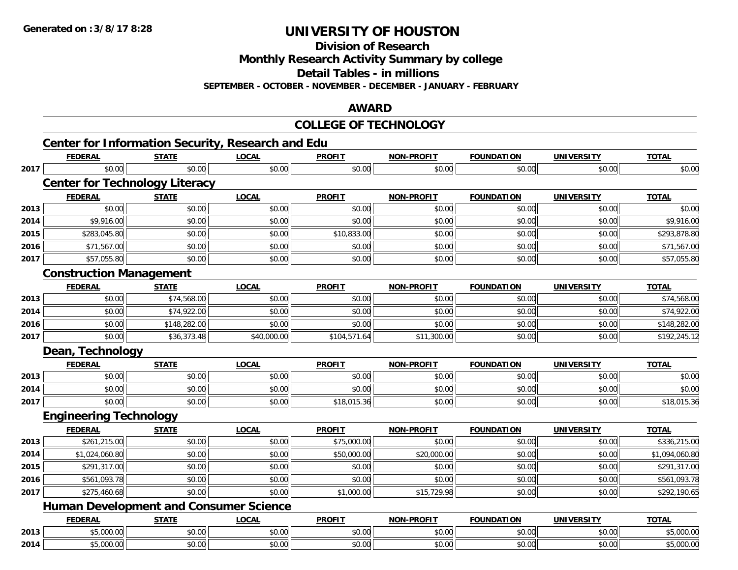**Division of Research**

**Monthly Research Activity Summary by college**

**Detail Tables - in millions**

**SEPTEMBER - OCTOBER - NOVEMBER - DECEMBER - JANUARY - FEBRUARY**

### **AWARD**

|      |                                                          |              |              | <b>COLLEGE OF TECHNOLOGY</b> |                   |                   |                   |                |
|------|----------------------------------------------------------|--------------|--------------|------------------------------|-------------------|-------------------|-------------------|----------------|
|      | <b>Center for Information Security, Research and Edu</b> |              |              |                              |                   |                   |                   |                |
|      | <b>FEDERAL</b>                                           | <b>STATE</b> | <b>LOCAL</b> | <b>PROFIT</b>                | <b>NON-PROFIT</b> | <b>FOUNDATION</b> | <b>UNIVERSITY</b> | <b>TOTAL</b>   |
| 2017 | \$0.00                                                   | \$0.00       | \$0.00       | \$0.00                       | \$0.00            | \$0.00            | \$0.00            | \$0.00         |
|      | <b>Center for Technology Literacy</b>                    |              |              |                              |                   |                   |                   |                |
|      | <b>FEDERAL</b>                                           | <b>STATE</b> | <b>LOCAL</b> | <b>PROFIT</b>                | <b>NON-PROFIT</b> | <b>FOUNDATION</b> | <b>UNIVERSITY</b> | <b>TOTAL</b>   |
| 2013 | \$0.00                                                   | \$0.00       | \$0.00       | \$0.00                       | \$0.00            | \$0.00            | \$0.00            | \$0.00         |
| 2014 | \$9,916.00                                               | \$0.00       | \$0.00       | \$0.00                       | \$0.00            | \$0.00            | \$0.00            | \$9,916.00     |
| 2015 | \$283,045.80                                             | \$0.00       | \$0.00       | \$10,833.00                  | \$0.00            | \$0.00            | \$0.00            | \$293,878.80   |
| 2016 | \$71,567.00                                              | \$0.00       | \$0.00       | \$0.00                       | \$0.00            | \$0.00            | \$0.00            | \$71,567.00    |
| 2017 | \$57,055.80                                              | \$0.00       | \$0.00       | \$0.00                       | \$0.00            | \$0.00            | \$0.00            | \$57,055.80    |
|      | <b>Construction Management</b>                           |              |              |                              |                   |                   |                   |                |
|      | <b>FEDERAL</b>                                           | <b>STATE</b> | <b>LOCAL</b> | <b>PROFIT</b>                | <b>NON-PROFIT</b> | <b>FOUNDATION</b> | <b>UNIVERSITY</b> | <b>TOTAL</b>   |
| 2013 | \$0.00                                                   | \$74,568.00  | \$0.00       | \$0.00                       | \$0.00            | \$0.00            | \$0.00            | \$74,568.00    |
| 2014 | \$0.00                                                   | \$74,922.00  | \$0.00       | \$0.00                       | \$0.00            | \$0.00            | \$0.00            | \$74,922.00    |
| 2016 | \$0.00                                                   | \$148,282.00 | \$0.00       | \$0.00                       | \$0.00            | \$0.00            | \$0.00            | \$148,282.00   |
| 2017 | \$0.00                                                   | \$36,373.48  | \$40,000.00  | \$104,571.64                 | \$11,300.00       | \$0.00            | \$0.00            | \$192,245.12   |
|      | Dean, Technology                                         |              |              |                              |                   |                   |                   |                |
|      | <b>FEDERAL</b>                                           | <b>STATE</b> | <b>LOCAL</b> | <b>PROFIT</b>                | <b>NON-PROFIT</b> | <b>FOUNDATION</b> | <b>UNIVERSITY</b> | <b>TOTAL</b>   |
| 2013 | \$0.00                                                   | \$0.00       | \$0.00       | \$0.00                       | \$0.00            | \$0.00            | \$0.00            | \$0.00         |
| 2014 | \$0.00                                                   | \$0.00       | \$0.00       | \$0.00                       | \$0.00            | \$0.00            | \$0.00            | \$0.00         |
| 2017 | \$0.00                                                   | \$0.00       | \$0.00       | \$18,015.36                  | \$0.00            | \$0.00            | \$0.00            | \$18,015.36    |
|      | <b>Engineering Technology</b>                            |              |              |                              |                   |                   |                   |                |
|      | <b>FEDERAL</b>                                           | <b>STATE</b> | <b>LOCAL</b> | <b>PROFIT</b>                | <b>NON-PROFIT</b> | <b>FOUNDATION</b> | <b>UNIVERSITY</b> | <b>TOTAL</b>   |
| 2013 | \$261,215.00                                             | \$0.00       | \$0.00       | \$75,000.00                  | \$0.00            | \$0.00            | \$0.00            | \$336,215.00   |
| 2014 | \$1,024,060.80                                           | \$0.00       | \$0.00       | \$50,000.00                  | \$20,000.00       | \$0.00            | \$0.00            | \$1,094,060.80 |
| 2015 | \$291,317.00                                             | \$0.00       | \$0.00       | \$0.00                       | \$0.00            | \$0.00            | \$0.00            | \$291,317.00   |
| 2016 | \$561,093.78                                             | \$0.00       | \$0.00       | \$0.00                       | \$0.00            | \$0.00            | \$0.00            | \$561,093.78   |
| 2017 | \$275,460.68                                             | \$0.00       | \$0.00       | \$1,000.00                   | \$15,729.98       | \$0.00            | \$0.00            | \$292,190.65   |
|      | <b>Human Development and Consumer Science</b>            |              |              |                              |                   |                   |                   |                |
|      | <b>FEDERAL</b>                                           | <b>STATE</b> | <b>LOCAL</b> | <b>PROFIT</b>                | <b>NON-PROFIT</b> | <b>FOUNDATION</b> | <b>UNIVERSITY</b> | <b>TOTAL</b>   |
| 2013 | \$5,000.00                                               | \$0.00       | \$0.00       | \$0.00                       | \$0.00            | \$0.00            | \$0.00            | \$5,000.00     |
| 2014 | \$5,000.00                                               | \$0.00       | \$0.00       | \$0.00                       | \$0.00            | \$0.00            | \$0.00            | \$5,000.00     |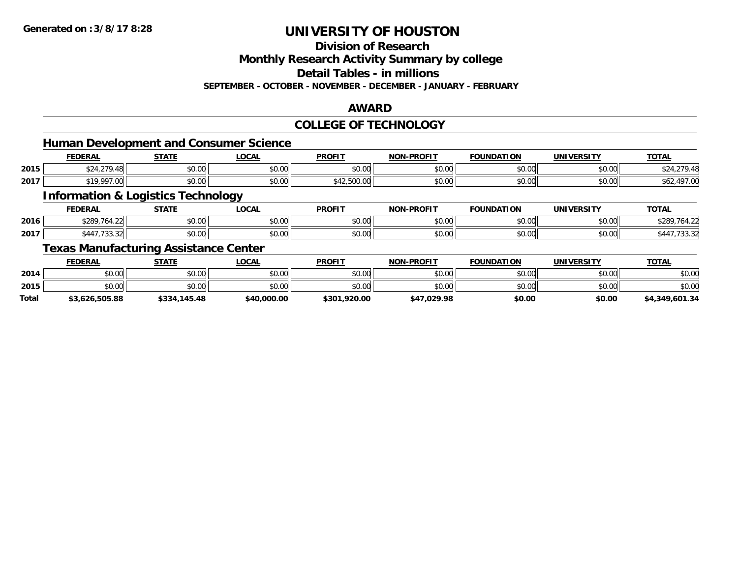**Division of Research**

**Monthly Research Activity Summary by college**

**Detail Tables - in millions**

**SEPTEMBER - OCTOBER - NOVEMBER - DECEMBER - JANUARY - FEBRUARY**

### **AWARD**

### **COLLEGE OF TECHNOLOGY**

|              | <b>Human Development and Consumer Science</b> |              |              |               |                   |                   |                   |                |
|--------------|-----------------------------------------------|--------------|--------------|---------------|-------------------|-------------------|-------------------|----------------|
|              | <b>FEDERAL</b>                                | <b>STATE</b> | <b>LOCAL</b> | <b>PROFIT</b> | <b>NON-PROFIT</b> | <b>FOUNDATION</b> | <b>UNIVERSITY</b> | <b>TOTAL</b>   |
| 2015         | \$24,279.48                                   | \$0.00       | \$0.00       | \$0.00        | \$0.00            | \$0.00            | \$0.00            | \$24,279.48    |
| 2017         | \$19,997.00                                   | \$0.00       | \$0.00       | \$42,500.00   | \$0.00            | \$0.00            | \$0.00            | \$62,497.00    |
|              | <b>Information &amp; Logistics Technology</b> |              |              |               |                   |                   |                   |                |
|              | <b>FEDERAL</b>                                | <b>STATE</b> | <b>LOCAL</b> | <b>PROFIT</b> | <b>NON-PROFIT</b> | <b>FOUNDATION</b> | <b>UNIVERSITY</b> | <b>TOTAL</b>   |
| 2016         | \$289,764.22                                  | \$0.00       | \$0.00       | \$0.00        | \$0.00            | \$0.00            | \$0.00            | \$289,764.22   |
| 2017         | \$447,733.32                                  | \$0.00       | \$0.00       | \$0.00        | \$0.00            | \$0.00            | \$0.00            | \$447,733.32   |
|              | <b>Texas Manufacturing Assistance Center</b>  |              |              |               |                   |                   |                   |                |
|              | <b>FEDERAL</b>                                | <b>STATE</b> | <b>LOCAL</b> | <b>PROFIT</b> | <b>NON-PROFIT</b> | <b>FOUNDATION</b> | <b>UNIVERSITY</b> | <b>TOTAL</b>   |
| 2014         | \$0.00                                        | \$0.00       | \$0.00       | \$0.00        | \$0.00            | \$0.00            | \$0.00            | \$0.00         |
| 2015         | \$0.00                                        | \$0.00       | \$0.00       | \$0.00        | \$0.00            | \$0.00            | \$0.00            | \$0.00         |
| <b>Total</b> | \$3,626,505.88                                | \$334,145.48 | \$40,000.00  | \$301,920.00  | \$47,029.98       | \$0.00            | \$0.00            | \$4,349,601.34 |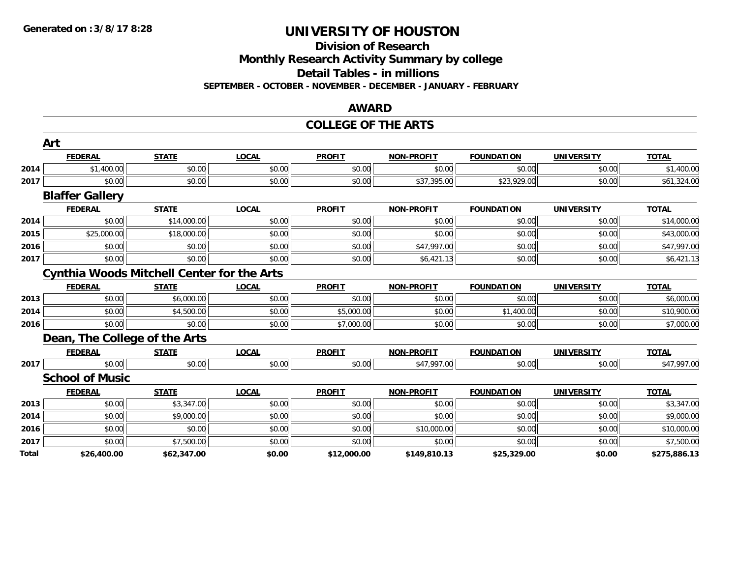#### **Division of Research**

**Monthly Research Activity Summary by college**

**Detail Tables - in millions**

**SEPTEMBER - OCTOBER - NOVEMBER - DECEMBER - JANUARY - FEBRUARY**

#### **AWARD**

#### **COLLEGE OF THE ARTS**

|       | Art                                               |              |              |               |                   |                   |                   |              |
|-------|---------------------------------------------------|--------------|--------------|---------------|-------------------|-------------------|-------------------|--------------|
|       | <b>FEDERAL</b>                                    | <b>STATE</b> | <b>LOCAL</b> | <b>PROFIT</b> | <b>NON-PROFIT</b> | <b>FOUNDATION</b> | <b>UNIVERSITY</b> | <b>TOTAL</b> |
| 2014  | \$1,400.00                                        | \$0.00       | \$0.00       | \$0.00        | \$0.00            | \$0.00            | \$0.00            | \$1,400.00   |
| 2017  | \$0.00                                            | \$0.00       | \$0.00       | \$0.00        | \$37,395.00       | \$23,929.00       | \$0.00            | \$61,324.00  |
|       | <b>Blaffer Gallery</b>                            |              |              |               |                   |                   |                   |              |
|       | <b>FEDERAL</b>                                    | <b>STATE</b> | <b>LOCAL</b> | <b>PROFIT</b> | <b>NON-PROFIT</b> | <b>FOUNDATION</b> | <b>UNIVERSITY</b> | <b>TOTAL</b> |
| 2014  | \$0.00                                            | \$14,000.00  | \$0.00       | \$0.00        | \$0.00            | \$0.00            | \$0.00            | \$14,000.00  |
| 2015  | \$25,000.00                                       | \$18,000.00  | \$0.00       | \$0.00        | \$0.00            | \$0.00            | \$0.00            | \$43,000.00  |
| 2016  | \$0.00                                            | \$0.00       | \$0.00       | \$0.00        | \$47,997.00       | \$0.00            | \$0.00            | \$47,997.00  |
| 2017  | \$0.00                                            | \$0.00       | \$0.00       | \$0.00        | \$6,421.13        | \$0.00            | \$0.00            | \$6,421.13   |
|       | <b>Cynthia Woods Mitchell Center for the Arts</b> |              |              |               |                   |                   |                   |              |
|       | <b>FEDERAL</b>                                    | <b>STATE</b> | <b>LOCAL</b> | <b>PROFIT</b> | <b>NON-PROFIT</b> | <b>FOUNDATION</b> | <b>UNIVERSITY</b> | <b>TOTAL</b> |
| 2013  | \$0.00                                            | \$6,000.00   | \$0.00       | \$0.00        | \$0.00            | \$0.00            | \$0.00            | \$6,000.00   |
| 2014  | \$0.00                                            | \$4,500.00   | \$0.00       | \$5,000.00    | \$0.00            | \$1,400.00        | \$0.00            | \$10,900.00  |
| 2016  | \$0.00                                            | \$0.00       | \$0.00       | \$7,000.00    | \$0.00            | \$0.00            | \$0.00            | \$7,000.00   |
|       | Dean, The College of the Arts                     |              |              |               |                   |                   |                   |              |
|       | <b>FEDERAL</b>                                    | <b>STATE</b> | <b>LOCAL</b> | <b>PROFIT</b> | <b>NON-PROFIT</b> | <b>FOUNDATION</b> | <b>UNIVERSITY</b> | <b>TOTAL</b> |
| 2017  | \$0.00                                            | \$0.00       | \$0.00       | \$0.00        | \$47,997.00       | \$0.00            | \$0.00            | \$47,997.00  |
|       | <b>School of Music</b>                            |              |              |               |                   |                   |                   |              |
|       | <b>FEDERAL</b>                                    | <b>STATE</b> | <b>LOCAL</b> | <b>PROFIT</b> | <b>NON-PROFIT</b> | <b>FOUNDATION</b> | <b>UNIVERSITY</b> | <b>TOTAL</b> |
| 2013  | \$0.00                                            | \$3,347.00   | \$0.00       | \$0.00        | \$0.00            | \$0.00            | \$0.00            | \$3,347.00   |
| 2014  | \$0.00                                            | \$9,000.00   | \$0.00       | \$0.00        | \$0.00            | \$0.00            | \$0.00            | \$9,000.00   |
| 2016  | \$0.00                                            | \$0.00       | \$0.00       | \$0.00        | \$10,000.00       | \$0.00            | \$0.00            | \$10,000.00  |
| 2017  | \$0.00                                            | \$7,500.00   | \$0.00       | \$0.00        | \$0.00            | \$0.00            | \$0.00            | \$7,500.00   |
| Total | \$26,400.00                                       | \$62,347.00  | \$0.00       | \$12,000.00   | \$149,810.13      | \$25,329.00       | \$0.00            | \$275,886.13 |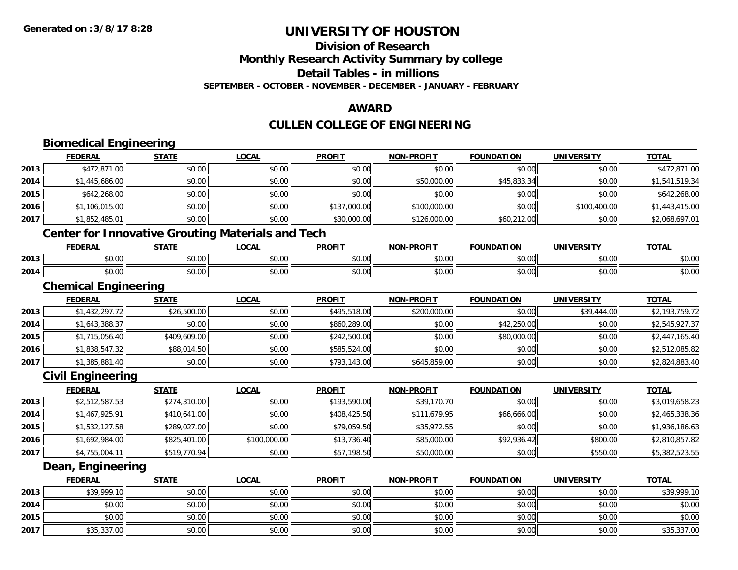## **Division of Research**

**Monthly Research Activity Summary by college**

**Detail Tables - in millions**

**SEPTEMBER - OCTOBER - NOVEMBER - DECEMBER - JANUARY - FEBRUARY**

### **AWARD**

## **CULLEN COLLEGE OF ENGINEERING**

|      | <b>Biomedical Engineering</b> |              |                                                          |               |                   |                   |                   |                |
|------|-------------------------------|--------------|----------------------------------------------------------|---------------|-------------------|-------------------|-------------------|----------------|
|      | <b>FEDERAL</b>                | <b>STATE</b> | <b>LOCAL</b>                                             | <b>PROFIT</b> | <b>NON-PROFIT</b> | <b>FOUNDATION</b> | <b>UNIVERSITY</b> | <b>TOTAL</b>   |
| 2013 | \$472,871.00                  | \$0.00       | \$0.00                                                   | \$0.00        | \$0.00            | \$0.00            | \$0.00            | \$472,871.00   |
| 2014 | \$1,445,686.00                | \$0.00       | \$0.00                                                   | \$0.00        | \$50,000.00       | \$45,833.34       | \$0.00            | \$1,541,519.34 |
| 2015 | \$642,268.00                  | \$0.00       | \$0.00                                                   | \$0.00        | \$0.00            | \$0.00            | \$0.00            | \$642,268.00   |
| 2016 | \$1,106,015.00                | \$0.00       | \$0.00                                                   | \$137,000.00  | \$100,000.00      | \$0.00            | \$100,400.00      | \$1,443,415.00 |
| 2017 | \$1,852,485.01                | \$0.00       | \$0.00                                                   | \$30,000.00   | \$126,000.00      | \$60,212.00       | \$0.00            | \$2,068,697.01 |
|      |                               |              | <b>Center for Innovative Grouting Materials and Tech</b> |               |                   |                   |                   |                |
|      | <b>FEDERAL</b>                | <b>STATE</b> | <b>LOCAL</b>                                             | <b>PROFIT</b> | <b>NON-PROFIT</b> | <b>FOUNDATION</b> | <b>UNIVERSITY</b> | <b>TOTAL</b>   |
| 2013 | \$0.00                        | \$0.00       | \$0.00                                                   | \$0.00        | \$0.00            | \$0.00            | \$0.00            | \$0.00         |
| 2014 | \$0.00                        | \$0.00       | \$0.00                                                   | \$0.00        | \$0.00            | \$0.00            | \$0.00            | \$0.00         |
|      | <b>Chemical Engineering</b>   |              |                                                          |               |                   |                   |                   |                |
|      | <b>FEDERAL</b>                | <b>STATE</b> | <b>LOCAL</b>                                             | <b>PROFIT</b> | <b>NON-PROFIT</b> | <b>FOUNDATION</b> | <b>UNIVERSITY</b> | <b>TOTAL</b>   |
| 2013 | \$1,432,297.72                | \$26,500.00  | \$0.00                                                   | \$495,518.00  | \$200,000.00      | \$0.00            | \$39,444.00       | \$2,193,759.72 |
| 2014 | \$1,643,388.37                | \$0.00       | \$0.00                                                   | \$860,289.00  | \$0.00            | \$42,250.00       | \$0.00            | \$2,545,927.37 |
| 2015 | \$1,715,056.40                | \$409,609.00 | \$0.00                                                   | \$242,500.00  | \$0.00            | \$80,000.00       | \$0.00            | \$2,447,165.40 |
| 2016 | \$1,838,547.32                | \$88,014.50  | \$0.00                                                   | \$585,524.00  | \$0.00            | \$0.00            | \$0.00            | \$2,512,085.82 |
| 2017 | \$1,385,881.40                | \$0.00       | \$0.00                                                   | \$793,143.00  | \$645,859.00      | \$0.00            | \$0.00            | \$2,824,883.40 |
|      | <b>Civil Engineering</b>      |              |                                                          |               |                   |                   |                   |                |
|      | <b>FEDERAL</b>                | <b>STATE</b> | <b>LOCAL</b>                                             | <b>PROFIT</b> | <b>NON-PROFIT</b> | <b>FOUNDATION</b> | <b>UNIVERSITY</b> | <b>TOTAL</b>   |
| 2013 | \$2,512,587.53                | \$274,310.00 | \$0.00                                                   | \$193,590.00  | \$39,170.70       | \$0.00            | \$0.00            | \$3,019,658.23 |
| 2014 | \$1,467,925.91                | \$410,641.00 | \$0.00                                                   | \$408,425.50  | \$111,679.95      | \$66,666.00       | \$0.00            | \$2,465,338.36 |
| 2015 | \$1,532,127.58                | \$289,027.00 | \$0.00                                                   | \$79,059.50   | \$35,972.55       | \$0.00            | \$0.00            | \$1,936,186.63 |
| 2016 | \$1,692,984.00                | \$825,401.00 | \$100,000.00                                             | \$13,736.40   | \$85,000.00       | \$92,936.42       | \$800.00          | \$2,810,857.82 |
| 2017 | \$4,755,004.11                | \$519,770.94 | \$0.00                                                   | \$57,198.50   | \$50,000.00       | \$0.00            | \$550.00          | \$5,382,523.55 |
|      | Dean, Engineering             |              |                                                          |               |                   |                   |                   |                |
|      | <b>FEDERAL</b>                | <b>STATE</b> | <b>LOCAL</b>                                             | <b>PROFIT</b> | <b>NON-PROFIT</b> | <b>FOUNDATION</b> | <b>UNIVERSITY</b> | <b>TOTAL</b>   |
| 2013 | \$39,999.10                   | \$0.00       | \$0.00                                                   | \$0.00        | \$0.00            | \$0.00            | \$0.00            | \$39,999.10    |
| 2014 | \$0.00                        | \$0.00       | \$0.00                                                   | \$0.00        | \$0.00            | \$0.00            | \$0.00            | \$0.00         |
| 2015 | \$0.00                        | \$0.00       | \$0.00                                                   | \$0.00        | \$0.00            | \$0.00            | \$0.00            | \$0.00         |
| 2017 | \$35,337.00                   | \$0.00       | \$0.00                                                   | \$0.00        | \$0.00            | \$0.00            | \$0.00            | \$35,337.00    |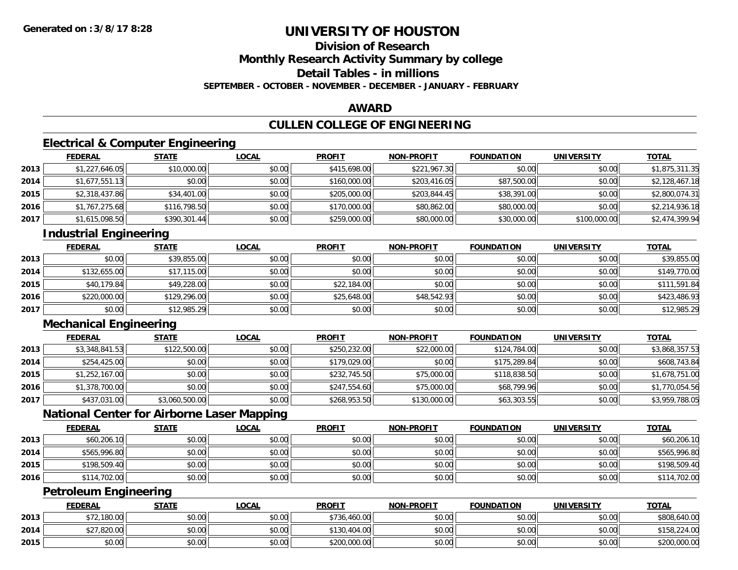## **Division of Research**

**Monthly Research Activity Summary by college**

**Detail Tables - in millions**

**SEPTEMBER - OCTOBER - NOVEMBER - DECEMBER - JANUARY - FEBRUARY**

### **AWARD**

## **CULLEN COLLEGE OF ENGINEERING**

## **Electrical & Computer Engineering**

|      | <b>FEDERAL</b> | <b>STATE</b> | <u>LOCAL</u> | <b>PROFIT</b> | <b>NON-PROFIT</b> | <b>FOUNDATION</b> | <b>UNIVERSITY</b> | <b>TOTAL</b>   |
|------|----------------|--------------|--------------|---------------|-------------------|-------------------|-------------------|----------------|
| 2013 | \$1,227,646.05 | \$10,000.00  | \$0.00       | \$415,698.00  | \$221,967.30      | \$0.00            | \$0.00            | \$1,875,311.35 |
| 2014 | \$1,677,551.13 | \$0.00       | \$0.00       | \$160,000.00  | \$203,416.05      | \$87,500.00       | \$0.00            | \$2,128,467.18 |
| 2015 | \$2,318,437.86 | \$34,401.00  | \$0.00       | \$205,000.00  | \$203,844.45      | \$38,391.00       | \$0.00            | \$2,800,074.31 |
| 2016 | \$1,767,275.68 | \$116,798.50 | \$0.00       | \$170,000.00  | \$80,862.00       | \$80,000.00       | \$0.00            | \$2,214,936.18 |
| 2017 | \$1,615,098.50 | \$390,301.44 | \$0.00       | \$259,000.00  | \$80,000.00       | \$30,000.00       | \$100,000.00      | \$2,474,399.94 |

## **Industrial Engineering**

|      | <u>FEDERAL</u> | <b>STATE</b> | <b>LOCAL</b> | <b>PROFIT</b> | <b>NON-PROFIT</b> | <b>FOUNDATION</b> | <b>UNIVERSITY</b> | <b>TOTAL</b> |
|------|----------------|--------------|--------------|---------------|-------------------|-------------------|-------------------|--------------|
| 2013 | \$0.00         | \$39,855.00  | \$0.00       | \$0.00        | \$0.00            | \$0.00            | \$0.00            | \$39,855.00  |
| 2014 | \$132,655.00   | \$17,115.00  | \$0.00       | \$0.00        | \$0.00            | \$0.00            | \$0.00            | \$149,770.00 |
| 2015 | \$40,179.84    | \$49,228.00  | \$0.00       | \$22,184.00   | \$0.00            | \$0.00            | \$0.00            | \$111,591.84 |
| 2016 | \$220,000.00   | \$129,296.00 | \$0.00       | \$25,648.00   | \$48,542.93       | \$0.00            | \$0.00            | \$423,486.93 |
| 2017 | \$0.00         | \$12,985.29  | \$0.00       | \$0.00        | \$0.00            | \$0.00            | \$0.00            | \$12,985.29  |

## **Mechanical Engineering**

|      | <b>FEDERAL</b> | <b>STATE</b>   | <b>LOCAL</b> | <b>PROFIT</b> | <b>NON-PROFIT</b> | <b>FOUNDATION</b> | <b>UNIVERSITY</b> | <b>TOTAL</b>   |
|------|----------------|----------------|--------------|---------------|-------------------|-------------------|-------------------|----------------|
| 2013 | \$3,348,841.53 | \$122,500.00   | \$0.00       | \$250,232.00  | \$22,000.00       | \$124,784.00      | \$0.00            | \$3,868,357.53 |
| 2014 | \$254,425.00   | \$0.00         | \$0.00       | \$179,029.00  | \$0.00            | \$175,289.84      | \$0.00            | \$608,743.84   |
| 2015 | \$1,252,167.00 | \$0.00         | \$0.00       | \$232,745.50  | \$75,000.00       | \$118,838.50      | \$0.00            | \$1,678,751.00 |
| 2016 | \$1,378,700.00 | \$0.00         | \$0.00       | \$247,554.60  | \$75,000.00       | \$68,799.96       | \$0.00            | \$1,770,054.56 |
| 2017 | \$437,031.00   | \$3,060,500.00 | \$0.00       | \$268,953.50  | \$130,000.00      | \$63,303.55       | \$0.00            | \$3,959,788.05 |

### **National Center for Airborne Laser Mapping**

|      | <b>FEDERAL</b> | <u>STATE</u> | <u>LOCAL</u> | <b>PROFIT</b> | <b>NON-PROFIT</b> | <b>FOUNDATION</b> | <b>UNIVERSITY</b> | <b>TOTAL</b> |
|------|----------------|--------------|--------------|---------------|-------------------|-------------------|-------------------|--------------|
| 2013 | \$60,206.10    | \$0.00       | \$0.00       | \$0.00        | \$0.00            | \$0.00            | \$0.00            | \$60,206.10  |
| 2014 | \$565,996.80   | \$0.00       | \$0.00       | \$0.00        | \$0.00            | \$0.00            | \$0.00            | \$565,996.80 |
| 2015 | \$198,509.40   | \$0.00       | \$0.00       | \$0.00        | \$0.00            | \$0.00            | \$0.00            | \$198,509.40 |
| 2016 | \$114,702.00   | \$0.00       | \$0.00       | \$0.00        | \$0.00            | \$0.00            | \$0.00            | \$114,702.00 |

## **Petroleum Engineering**

|      | <b>FEDERAL</b> | <b>STATE</b> | <u>LOCAL</u> | <b>PROFIT</b> | <b>NON-PROFIT</b> | <b>FOUNDATION</b> | UNIVERSITY | <b>TOTAL</b> |
|------|----------------|--------------|--------------|---------------|-------------------|-------------------|------------|--------------|
| 2013 | \$72,180.00    | \$0.00       | \$0.00       | \$736,460.00  | \$0.00            | \$0.00            | \$0.00     | \$808,640.00 |
| 2014 | \$27,820.00    | \$0.00       | \$0.00       | \$130.404.00  | \$0.00            | \$0.00            | \$0.00     | \$158,224.00 |
| 2015 | \$0.00         | \$0.00       | \$0.00       | \$200,000.00  | \$0.00            | \$0.00            | \$0.00     | \$200,000.00 |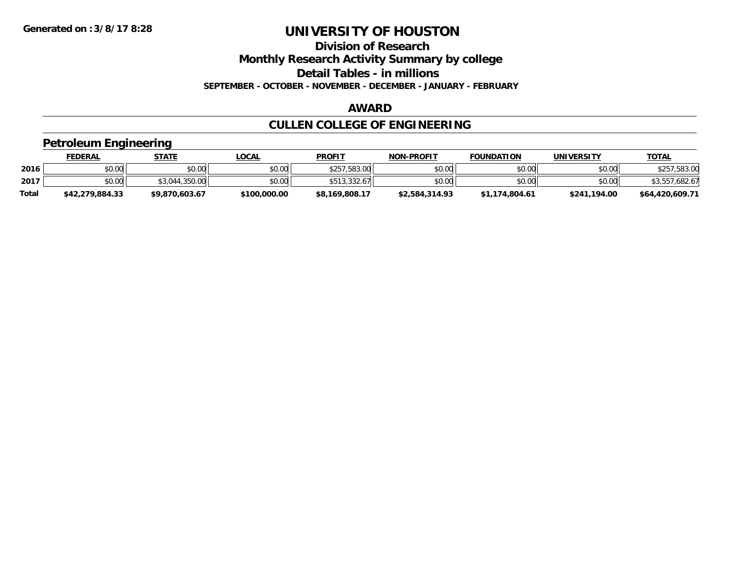**Division of Research**

**Monthly Research Activity Summary by college**

**Detail Tables - in millions**

**SEPTEMBER - OCTOBER - NOVEMBER - DECEMBER - JANUARY - FEBRUARY**

### **AWARD**

## **CULLEN COLLEGE OF ENGINEERING**

### **Petroleum Engineering**

|              | <u>FEDERAL</u>  | STATE          | <u>LOCAL</u> | <b>PROFIT</b>  | <b>NON-PROFIT</b> | <b>FOUNDATION</b> | UNIVERSITY   | <b>TOTAL</b>    |
|--------------|-----------------|----------------|--------------|----------------|-------------------|-------------------|--------------|-----------------|
| 2016         | \$0.00          | \$0.00         | \$0.00       | \$257,583.00   | \$0.00            | \$0.00            | \$0.00       | ,583.00         |
| 2017         | \$0.00          | \$3,044,350,00 | \$0.00       | \$513,332.67   | \$0.00            | \$0.00            | \$0.00       | \$3,557,682.67  |
| <b>Total</b> | \$42,279,884.33 | \$9,870,603.67 | \$100,000.00 | \$8.169.808.17 | \$2.584.314.93    | \$1,174,804.61    | \$241.194.00 | \$64,420,609.71 |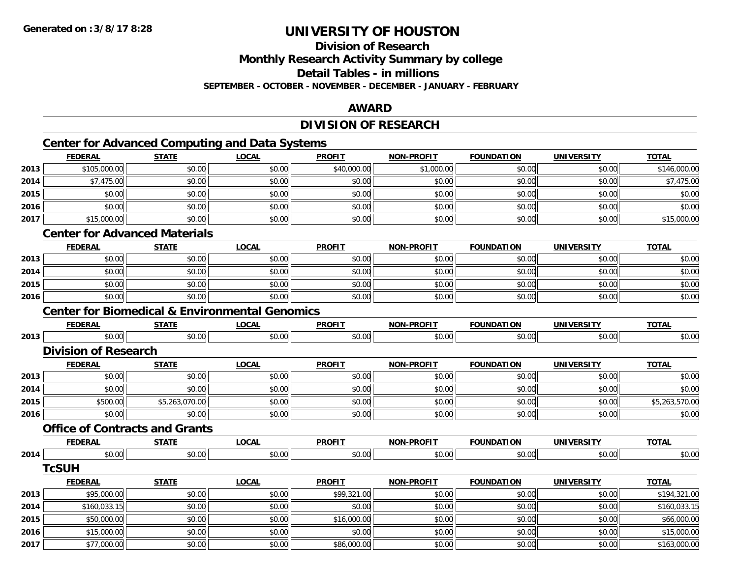**Division of Research**

**Monthly Research Activity Summary by college**

**Detail Tables - in millions**

**SEPTEMBER - OCTOBER - NOVEMBER - DECEMBER - JANUARY - FEBRUARY**

### **AWARD**

## **DIVISION OF RESEARCH**

## **Center for Advanced Computing and Data Systems**

|      | <b>FEDERAL</b>                                            | <b>STATE</b>   | <b>LOCAL</b> | <b>PROFIT</b> | <b>NON-PROFIT</b> | <b>FOUNDATION</b> | <b>UNIVERSITY</b> | <b>TOTAL</b>   |
|------|-----------------------------------------------------------|----------------|--------------|---------------|-------------------|-------------------|-------------------|----------------|
| 2013 | \$105,000.00                                              | \$0.00         | \$0.00       | \$40,000.00   | \$1,000.00        | \$0.00            | \$0.00            | \$146,000.00   |
| 2014 | \$7,475.00                                                | \$0.00         | \$0.00       | \$0.00        | \$0.00            | \$0.00            | \$0.00            | \$7,475.00     |
| 2015 | \$0.00                                                    | \$0.00         | \$0.00       | \$0.00        | \$0.00            | \$0.00            | \$0.00            | \$0.00         |
| 2016 | \$0.00                                                    | \$0.00         | \$0.00       | \$0.00        | \$0.00            | \$0.00            | \$0.00            | \$0.00         |
| 2017 | \$15,000.00                                               | \$0.00         | \$0.00       | \$0.00        | \$0.00            | \$0.00            | \$0.00            | \$15,000.00    |
|      | <b>Center for Advanced Materials</b>                      |                |              |               |                   |                   |                   |                |
|      | <b>FEDERAL</b>                                            | <b>STATE</b>   | <b>LOCAL</b> | <b>PROFIT</b> | <b>NON-PROFIT</b> | <b>FOUNDATION</b> | <b>UNIVERSITY</b> | <b>TOTAL</b>   |
| 2013 | \$0.00                                                    | \$0.00         | \$0.00       | \$0.00        | \$0.00            | \$0.00            | \$0.00            | \$0.00         |
| 2014 | \$0.00                                                    | \$0.00         | \$0.00       | \$0.00        | \$0.00            | \$0.00            | \$0.00            | \$0.00         |
| 2015 | \$0.00                                                    | \$0.00         | \$0.00       | \$0.00        | \$0.00            | \$0.00            | \$0.00            | \$0.00         |
| 2016 | \$0.00                                                    | \$0.00         | \$0.00       | \$0.00        | \$0.00            | \$0.00            | \$0.00            | \$0.00         |
|      | <b>Center for Biomedical &amp; Environmental Genomics</b> |                |              |               |                   |                   |                   |                |
|      | <b>FEDERAL</b>                                            | <b>STATE</b>   | <b>LOCAL</b> | <b>PROFIT</b> | <b>NON-PROFIT</b> | <b>FOUNDATION</b> | <b>UNIVERSITY</b> | <b>TOTAL</b>   |
| 2013 | \$0.00                                                    | \$0.00         | \$0.00       | \$0.00        | \$0.00            | \$0.00            | \$0.00            | \$0.00         |
|      | <b>Division of Research</b>                               |                |              |               |                   |                   |                   |                |
|      | <b>FEDERAL</b>                                            | <b>STATE</b>   | <b>LOCAL</b> | <b>PROFIT</b> | <b>NON-PROFIT</b> | <b>FOUNDATION</b> | <b>UNIVERSITY</b> | <b>TOTAL</b>   |
| 2013 | \$0.00                                                    | \$0.00         | \$0.00       | \$0.00        | \$0.00            | \$0.00            | \$0.00            | \$0.00         |
| 2014 | \$0.00                                                    | \$0.00         | \$0.00       | \$0.00        | \$0.00            | \$0.00            | \$0.00            | \$0.00         |
| 2015 | \$500.00                                                  | \$5,263,070.00 | \$0.00       | \$0.00        | \$0.00            | \$0.00            | \$0.00            | \$5,263,570.00 |
| 2016 | \$0.00                                                    | \$0.00         | \$0.00       | \$0.00        | \$0.00            | \$0.00            | \$0.00            | \$0.00         |
|      | <b>Office of Contracts and Grants</b>                     |                |              |               |                   |                   |                   |                |
|      | <b>FEDERAL</b>                                            | <b>STATE</b>   | <b>LOCAL</b> | <b>PROFIT</b> | <b>NON-PROFIT</b> | <b>FOUNDATION</b> | <b>UNIVERSITY</b> | <b>TOTAL</b>   |
| 2014 | \$0.00                                                    | \$0.00         | \$0.00       | \$0.00        | \$0.00            | \$0.00            | \$0.00            | \$0.00         |
|      | <b>TcSUH</b>                                              |                |              |               |                   |                   |                   |                |
|      | <b>FEDERAL</b>                                            | <b>STATE</b>   | <b>LOCAL</b> | <b>PROFIT</b> | <b>NON-PROFIT</b> | <b>FOUNDATION</b> | <b>UNIVERSITY</b> | <b>TOTAL</b>   |
| 2013 | \$95,000.00                                               | \$0.00         | \$0.00       | \$99,321.00   | \$0.00            | \$0.00            | \$0.00            | \$194,321.00   |
| 2014 | \$160,033.15                                              | \$0.00         | \$0.00       | \$0.00        | \$0.00            | \$0.00            | \$0.00            | \$160,033.15   |
| 2015 | \$50,000.00                                               | \$0.00         | \$0.00       | \$16,000.00   | \$0.00            | \$0.00            | \$0.00            | \$66,000.00    |
| 2016 | \$15,000.00                                               | \$0.00         | \$0.00       | \$0.00        | \$0.00            | \$0.00            | \$0.00            | \$15,000.00    |
| 2017 | \$77,000.00                                               | \$0.00         | \$0.00       | \$86,000.00   | \$0.00            | \$0.00            | \$0.00            | \$163,000.00   |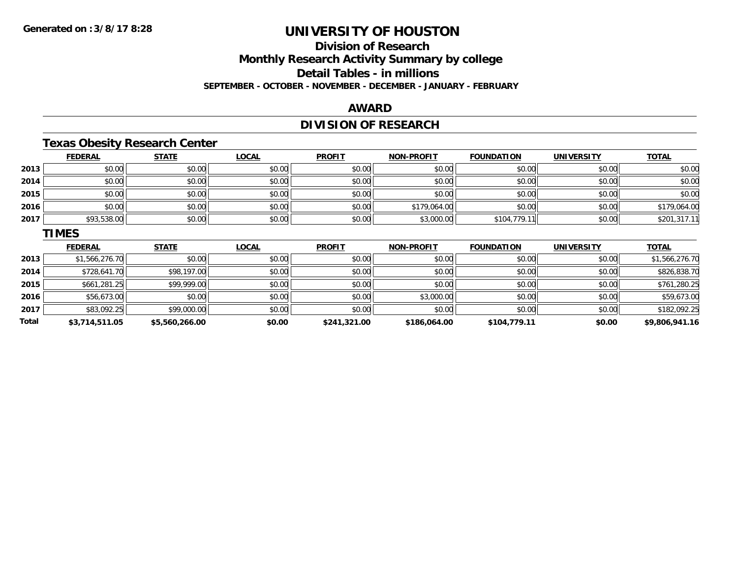## **Division of ResearchMonthly Research Activity Summary by college Detail Tables - in millions SEPTEMBER - OCTOBER - NOVEMBER - DECEMBER - JANUARY - FEBRUARY**

### **AWARD**

## **DIVISION OF RESEARCH**

## **Texas Obesity Research Center**

|        | <b>FEDERAL</b>        | <b>STATE</b>      | <b>LOCAL</b> | <b>PROFIT</b> | <b>NON-PROFIT</b> | <b>FOUNDATION</b> | <b>UNIVERSITY</b> | <b>TOTAL</b>          |
|--------|-----------------------|-------------------|--------------|---------------|-------------------|-------------------|-------------------|-----------------------|
| 2013   | \$0.00                | \$0.00            | \$0.00       | \$0.00        | \$0.00            | \$0.00            | \$0.00            | \$0.00                |
| 2014   | \$0.00                | \$0.00            | \$0.00       | \$0.00        | \$0.00            | \$0.00            | \$0.00            | \$0.00                |
| 2015   | \$0.00                | \$0.00            | \$0.00       | \$0.00        | \$0.00            | \$0.00            | \$0.00            | \$0.00                |
| 2016   | \$0.00                | \$0.00            | \$0.00       | \$0.00        | \$179,064.00      | \$0.00            | \$0.00            | \$179,064.00          |
| 2017   | \$93,538.00           | \$0.00            | \$0.00       | \$0.00        | \$3,000.00        | \$104,779.11      | \$0.00            | \$201,317.11          |
|        | <b>TIMES</b>          |                   |              |               |                   |                   |                   |                       |
|        | <b>FEDERAL</b>        | <b>STATE</b>      | <b>LOCAL</b> | <b>PROFIT</b> | <b>NON-PROFIT</b> | <b>FOUNDATION</b> | <b>UNIVERSITY</b> | <b>TOTAL</b>          |
| วการ 1 | <b>\$1,566,276,70</b> | $\epsilon$ n nnll | t∩ ∩∩        | t∩ ∪v         | t∩ ∩∩             | t∩ ∩∩ll           | t∩ ∩∩∥            | <b>\$1,566,276,70</b> |

| Total | \$3,714,511.05 | \$5,560,266.00 | \$0.00 | \$241,321.00 | \$186,064.00 | \$104,779.11 | \$0.00 | \$9,806,941.16 |
|-------|----------------|----------------|--------|--------------|--------------|--------------|--------|----------------|
| 2017  | \$83,092.25    | \$99,000.00    | \$0.00 | \$0.00       | \$0.00       | \$0.00       | \$0.00 | \$182,092.25   |
| 2016  | \$56,673.00    | \$0.00         | \$0.00 | \$0.00       | \$3,000.00   | \$0.00       | \$0.00 | \$59,673.00    |
| 2015  | \$661,281.25   | \$99,999.00    | \$0.00 | \$0.00       | \$0.00       | \$0.00       | \$0.00 | \$761,280.25   |
| 2014  | \$728,641.70   | \$98,197.00    | \$0.00 | \$0.00       | \$0.00       | \$0.00       | \$0.00 | \$826,838.70   |
| 2013  | \$1,566,276.70 | \$0.00         | \$0.00 | \$0.00       | \$0.00       | \$0.00       | \$0.00 | \$1,566,276.70 |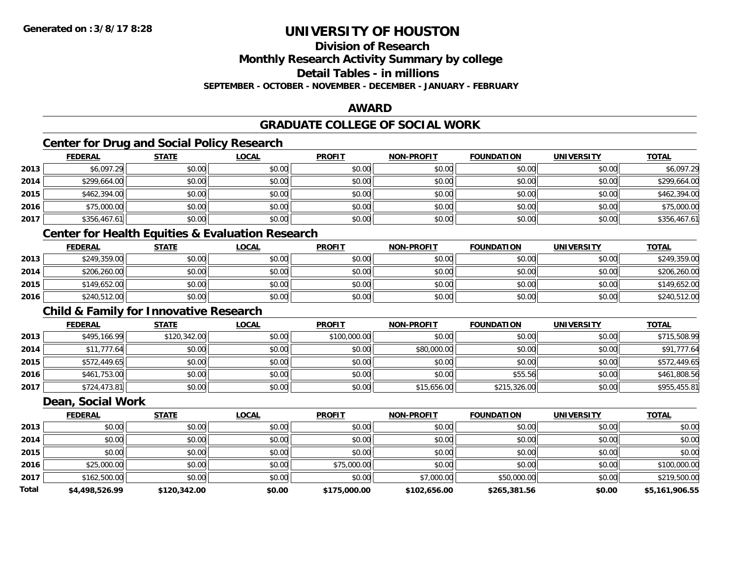## **Division of Research**

**Monthly Research Activity Summary by college**

**Detail Tables - in millions**

**SEPTEMBER - OCTOBER - NOVEMBER - DECEMBER - JANUARY - FEBRUARY**

### **AWARD**

## **GRADUATE COLLEGE OF SOCIAL WORK**

## **Center for Drug and Social Policy Research**

|      | <b>FEDERAL</b> | <b>STATE</b> | <u>LOCAL</u> | <b>PROFIT</b> | <b>NON-PROFIT</b> | <b>FOUNDATION</b> | <b>UNIVERSITY</b> | <b>TOTAL</b> |
|------|----------------|--------------|--------------|---------------|-------------------|-------------------|-------------------|--------------|
| 2013 | \$6,097.29     | \$0.00       | \$0.00       | \$0.00        | \$0.00            | \$0.00            | \$0.00            | \$6,097.29   |
| 2014 | \$299,664.00   | \$0.00       | \$0.00       | \$0.00        | \$0.00            | \$0.00            | \$0.00            | \$299,664.00 |
| 2015 | \$462,394.00   | \$0.00       | \$0.00       | \$0.00        | \$0.00            | \$0.00            | \$0.00            | \$462,394.00 |
| 2016 | \$75,000.00    | \$0.00       | \$0.00       | \$0.00        | \$0.00            | \$0.00            | \$0.00            | \$75,000.00  |
| 2017 | \$356,467.61   | \$0.00       | \$0.00       | \$0.00        | \$0.00            | \$0.00            | \$0.00            | \$356,467.61 |

## **Center for Health Equities & Evaluation Research**

|      | <b>FEDERAL</b> | <b>STATE</b> | <u>LOCAL</u> | <b>PROFIT</b> | <b>NON-PROFIT</b> | <b>FOUNDATION</b> | UNIVERSITY | <b>TOTAL</b> |
|------|----------------|--------------|--------------|---------------|-------------------|-------------------|------------|--------------|
| 2013 | \$249,359.00   | \$0.00       | \$0.00       | \$0.00        | \$0.00            | \$0.00            | \$0.00     | \$249,359.00 |
| 2014 | \$206,260.00   | \$0.00       | \$0.00       | \$0.00        | \$0.00            | \$0.00            | \$0.00     | \$206,260.00 |
| 2015 | \$149,652.00   | \$0.00       | \$0.00       | \$0.00        | \$0.00            | \$0.00            | \$0.00     | \$149,652.00 |
| 2016 | \$240,512.00   | \$0.00       | \$0.00       | \$0.00        | \$0.00            | \$0.00            | \$0.00     | \$240,512.00 |

## **Child & Family for Innovative Research**

|      | <u>FEDERAL</u> | <b>STATE</b> | <b>LOCAL</b> | <b>PROFIT</b> | <b>NON-PROFIT</b> | <b>FOUNDATION</b> | <b>UNIVERSITY</b> | <b>TOTAL</b> |
|------|----------------|--------------|--------------|---------------|-------------------|-------------------|-------------------|--------------|
| 2013 | \$495,166.99   | \$120,342.00 | \$0.00       | \$100,000.00  | \$0.00            | \$0.00            | \$0.00            | \$715,508.99 |
| 2014 | \$11,777.64    | \$0.00       | \$0.00       | \$0.00        | \$80,000.00       | \$0.00            | \$0.00            | \$91,777.64  |
| 2015 | \$572,449.65   | \$0.00       | \$0.00       | \$0.00        | \$0.00            | \$0.00            | \$0.00            | \$572,449.65 |
| 2016 | \$461,753.00   | \$0.00       | \$0.00       | \$0.00        | \$0.00            | \$55.56           | \$0.00            | \$461,808.56 |
| 2017 | \$724,473.81   | \$0.00       | \$0.00       | \$0.00        | \$15,656.00       | \$215,326.00      | \$0.00            | \$955,455.81 |

#### **Dean, Social Work**

|              | <b>FEDERAL</b> | <b>STATE</b> | <u>LOCAL</u> | <b>PROFIT</b> | <b>NON-PROFIT</b> | <b>FOUNDATION</b> | <b>UNIVERSITY</b> | <b>TOTAL</b>   |
|--------------|----------------|--------------|--------------|---------------|-------------------|-------------------|-------------------|----------------|
| 2013         | \$0.00         | \$0.00       | \$0.00       | \$0.00        | \$0.00            | \$0.00            | \$0.00            | \$0.00         |
| 2014         | \$0.00         | \$0.00       | \$0.00       | \$0.00        | \$0.00            | \$0.00            | \$0.00            | \$0.00         |
| 2015         | \$0.00         | \$0.00       | \$0.00       | \$0.00        | \$0.00            | \$0.00            | \$0.00            | \$0.00         |
| 2016         | \$25,000.00    | \$0.00       | \$0.00       | \$75,000.00   | \$0.00            | \$0.00            | \$0.00            | \$100,000.00   |
| 2017         | \$162,500.00   | \$0.00       | \$0.00       | \$0.00        | \$7,000.00        | \$50,000.00       | \$0.00            | \$219,500.00   |
| <b>Total</b> | \$4,498,526.99 | \$120,342.00 | \$0.00       | \$175,000.00  | \$102,656.00      | \$265,381.56      | \$0.00            | \$5,161,906.55 |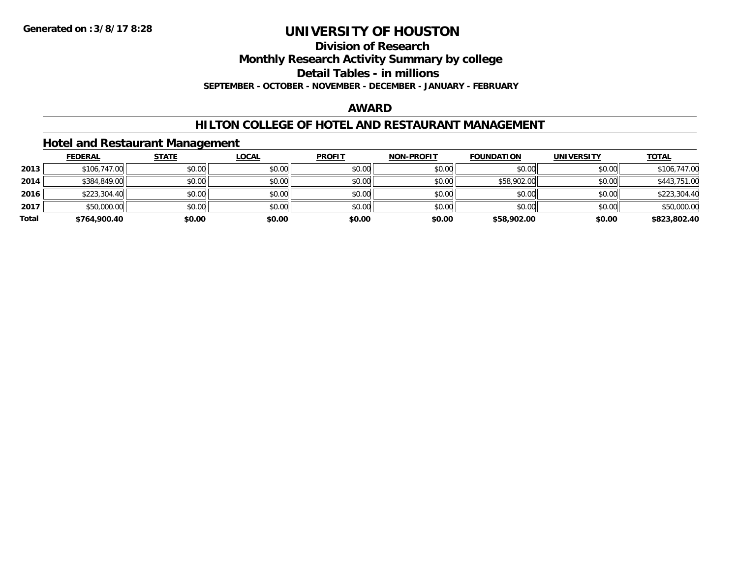**Division of Research**

**Monthly Research Activity Summary by college**

**Detail Tables - in millions**

**SEPTEMBER - OCTOBER - NOVEMBER - DECEMBER - JANUARY - FEBRUARY**

#### **AWARD**

### **HILTON COLLEGE OF HOTEL AND RESTAURANT MANAGEMENT**

### **Hotel and Restaurant Management**

|       | <b>FEDERAL</b> | <u>STATE</u> | <b>LOCAL</b> | <b>PROFIT</b> | <b>NON-PROFIT</b> | <b>FOUNDATION</b> | <b>UNIVERSITY</b> | <b>TOTAL</b> |
|-------|----------------|--------------|--------------|---------------|-------------------|-------------------|-------------------|--------------|
| 2013  | \$106,747.00   | \$0.00       | \$0.00       | \$0.00        | \$0.00            | \$0.00            | \$0.00            | \$106,747.00 |
| 2014  | \$384,849.00   | \$0.00       | \$0.00       | \$0.00        | \$0.00            | \$58,902.00       | \$0.00            | \$443,751.00 |
| 2016  | \$223,304.40   | \$0.00       | \$0.00       | \$0.00        | \$0.00            | \$0.00            | \$0.00            | \$223,304.40 |
| 2017  | \$50,000.00    | \$0.00       | \$0.00       | \$0.00        | \$0.00            | \$0.00            | \$0.00            | \$50,000.00  |
| Total | \$764,900.40   | \$0.00       | \$0.00       | \$0.00        | \$0.00            | \$58,902.00       | \$0.00            | \$823,802.40 |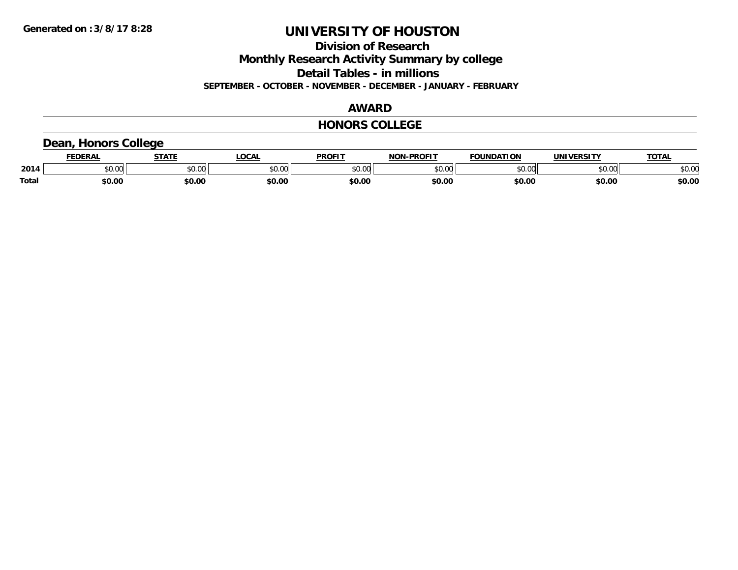**Division of Research**

**Monthly Research Activity Summary by college**

**Detail Tables - in millions**

**SEPTEMBER - OCTOBER - NOVEMBER - DECEMBER - JANUARY - FEBRUARY**

## **AWARD**

#### **HONORS COLLEGE**

### **Dean, Honors College**

|              | <b>FEDERAL</b> | <b>STATE</b> | <b>LOCAL</b>  | <b>PROFIT</b>       | <b>J-PROFIT</b><br><b>NON</b> | <b>FOUNDATION</b> | UNIVERSITY | <b>TOTAL</b> |
|--------------|----------------|--------------|---------------|---------------------|-------------------------------|-------------------|------------|--------------|
| 2014         | vv.vv          | \$0.00       | 0000<br>PU.UU | 0000<br>. UU<br>, J | 0000<br>ט.טע                  | \$0.00            | \$0.00     | \$0.00       |
| <b>Total</b> | \$0.00         | \$0.00       | \$0.00        | \$0.00              | \$0.00                        | \$0.00            | \$0.00     | \$0.00       |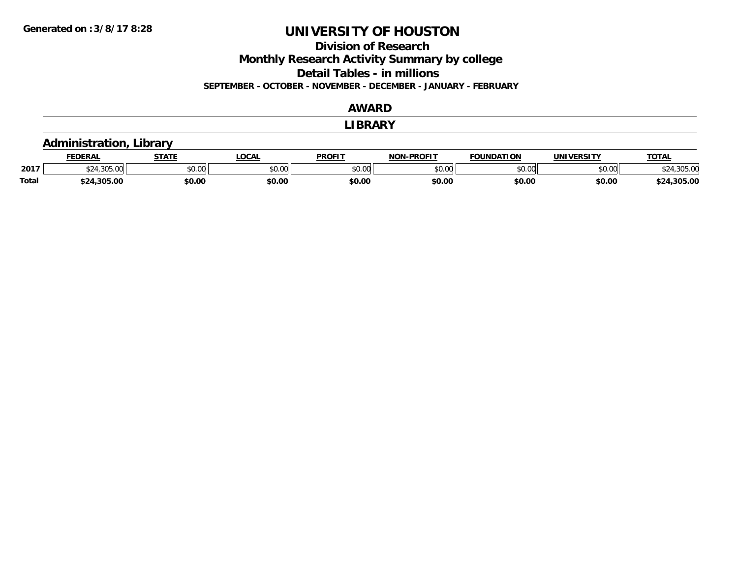**Division of Research**

**Monthly Research Activity Summary by college**

**Detail Tables - in millions**

**SEPTEMBER - OCTOBER - NOVEMBER - DECEMBER - JANUARY - FEBRUARY**

### **AWARD**

#### **LIBRARY**

### **Administration, Library**

|              | <b>FEDERAL</b> | -----  | <b>OCAL</b>    | <b>PROFIT</b>                               | -PROFIT<br>NON | <b>FOUNDATION</b> | UNIVERSITY | TOTA.          |
|--------------|----------------|--------|----------------|---------------------------------------------|----------------|-------------------|------------|----------------|
| 2017         |                | \$0.00 | ሶስ ሰሰ<br>JU.UU | $\mathfrak{e}\cap\mathfrak{e}\cap$<br>DU.UU | ሶስ ሰስ<br>טט.טע | \$0.00            | \$0.00     | 205.00         |
| <b>Total</b> | .305.00<br>よつハ | \$0.00 | \$0.00         | \$0.00                                      | \$0.00         | \$0.00            | \$0.00     | .305.00<br>キウル |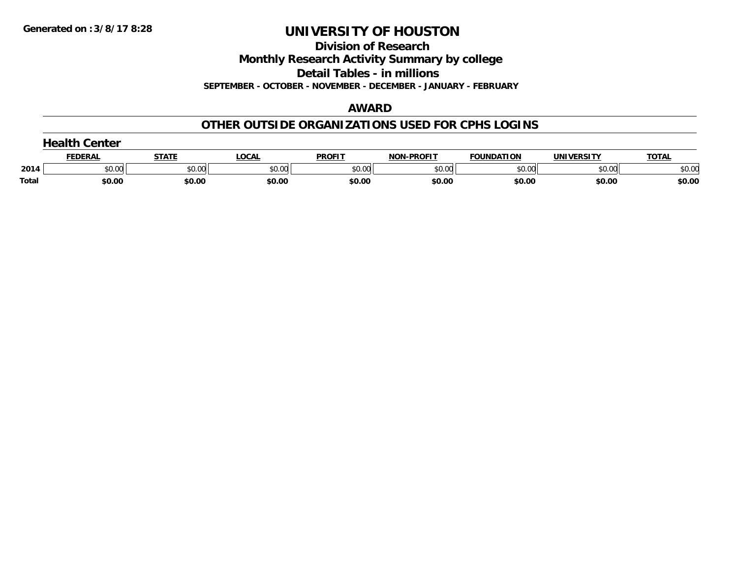**Division of Research**

**Monthly Research Activity Summary by college**

**Detail Tables - in millions**

**SEPTEMBER - OCTOBER - NOVEMBER - DECEMBER - JANUARY - FEBRUARY**

#### **AWARD**

### **OTHER OUTSIDE ORGANIZATIONS USED FOR CPHS LOGINS**

|       | Center        |        |        |               |                   |                   |            |              |
|-------|---------------|--------|--------|---------------|-------------------|-------------------|------------|--------------|
|       | <b>FEDERA</b> | STATI  | LOCAL  | <b>PROFIT</b> | <b>NON-PROFIT</b> | <b>FOUNDATION</b> | UNIVERSITY | <b>TOTAL</b> |
| 2014  | \$0.00        | \$0.00 | \$0.00 | \$0.00        | \$0.00            | \$0.00            | \$0.00     | \$0.00       |
| Total | \$0.00        | \$0.00 | \$0.00 | \$0.00        | \$0.00            | \$0.00            | \$0.00     | \$0.00       |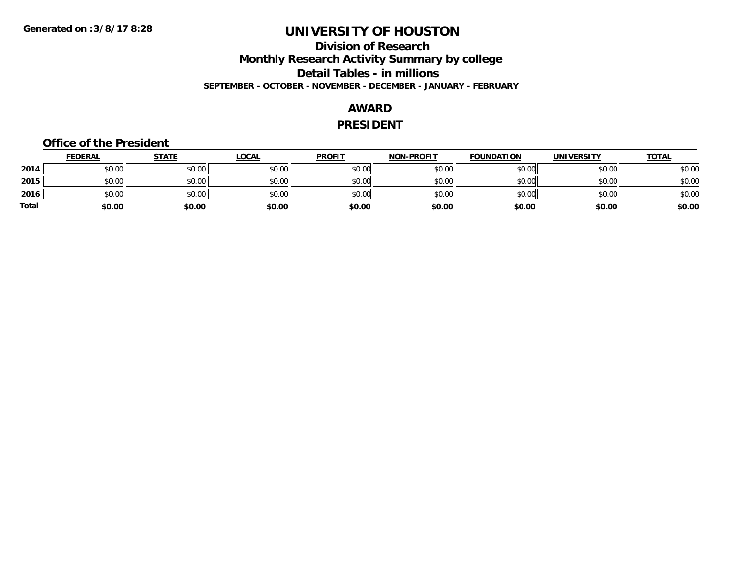### **Division of Research Monthly Research Activity Summary by college Detail Tables - in millions SEPTEMBER - OCTOBER - NOVEMBER - DECEMBER - JANUARY - FEBRUARY**

#### **AWARD**

#### **PRESIDENT**

#### **Office of the President**

|       | <b>FEDERAL</b> | <u>STATE</u> | <u>LOCAL</u> | <b>PROFIT</b> | <b>NON-PROFIT</b> | <b>FOUNDATION</b> | <b>UNIVERSITY</b> | <b>TOTAL</b> |
|-------|----------------|--------------|--------------|---------------|-------------------|-------------------|-------------------|--------------|
| 2014  | \$0.00         | \$0.00       | \$0.00       | \$0.00        | \$0.00            | \$0.00            | \$0.00            | \$0.00       |
| 2015  | \$0.00         | \$0.00       | \$0.00       | \$0.00        | \$0.00            | \$0.00            | \$0.00            | \$0.00       |
| 2016  | \$0.00         | \$0.00       | \$0.00       | \$0.00        | \$0.00            | \$0.00            | \$0.00            | \$0.00       |
| Total | \$0.00         | \$0.00       | \$0.00       | \$0.00        | \$0.00            | \$0.00            | \$0.00            | \$0.00       |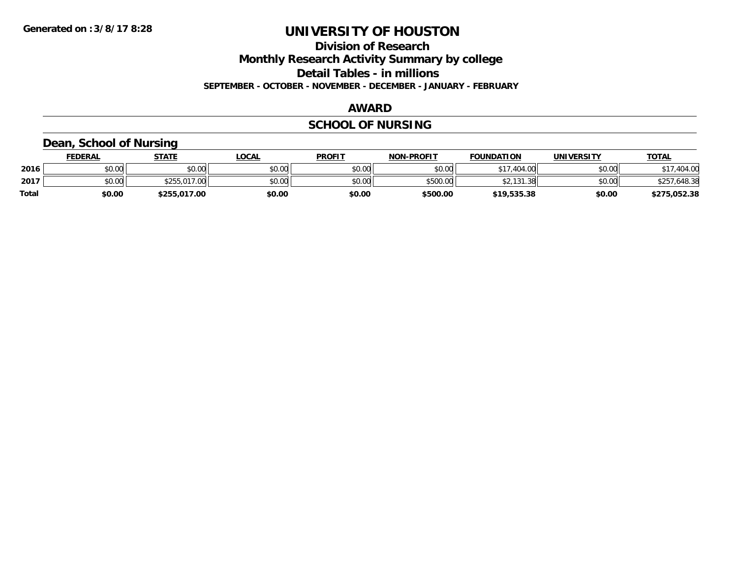**Division of Research**

**Monthly Research Activity Summary by college**

**Detail Tables - in millions**

**SEPTEMBER - OCTOBER - NOVEMBER - DECEMBER - JANUARY - FEBRUARY**

#### **AWARD**

## **SCHOOL OF NURSING**

### **Dean, School of Nursing**

|              | <b>FEDERAL</b> | <b>STATE</b> | <u>LOCAL</u> | <b>PROFIT</b> | <b>NON-PROFIT</b> | <b>FOUNDATION</b>     | UNIVERSITY | <b>TOTAL</b>       |
|--------------|----------------|--------------|--------------|---------------|-------------------|-----------------------|------------|--------------------|
| 2016         | \$0.00         | \$0.00       | \$0.00       | \$0.00        | \$0.00            | .404.00<br><b>617</b> | \$0.00     | 404.00             |
| 2017         | \$0.00         | \$255,017,00 | \$0.00       | \$0.00        | \$500.00          | \$2,131,38            | \$0.00     | 1,648.38<br>\$257. |
| <b>Total</b> | \$0.00         | \$255,017.00 | \$0.00       | \$0.00        | \$500.00          | \$19,535.38           | \$0.00     | \$275,052.38       |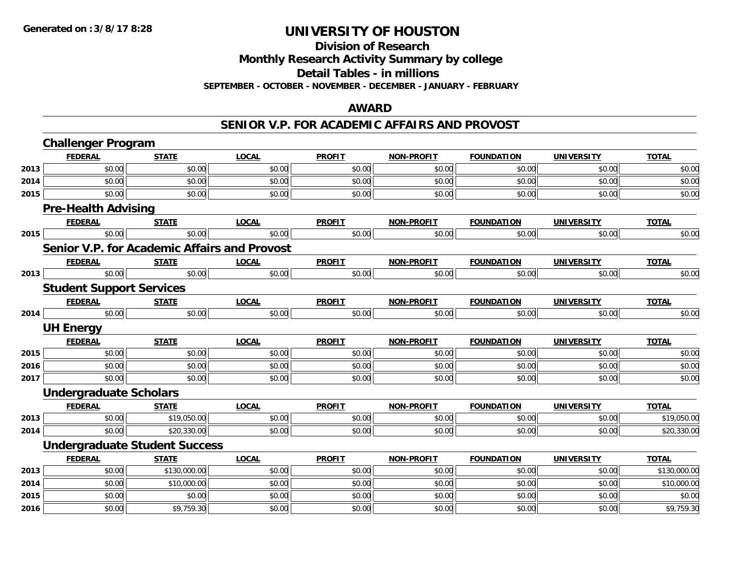**Division of Research**

**Monthly Research Activity Summary by college**

**Detail Tables - in millions**

**SEPTEMBER - OCTOBER - NOVEMBER - DECEMBER - JANUARY - FEBRUARY**

### **AWARD**

#### **SENIOR V.P. FOR ACADEMIC AFFAIRS AND PROVOST**

|      | <b>Challenger Program</b>                           |              |              |               |                   |                   |                   |              |
|------|-----------------------------------------------------|--------------|--------------|---------------|-------------------|-------------------|-------------------|--------------|
|      | <b>FEDERAL</b>                                      | <b>STATE</b> | <b>LOCAL</b> | <b>PROFIT</b> | <b>NON-PROFIT</b> | <b>FOUNDATION</b> | <b>UNIVERSITY</b> | <b>TOTAL</b> |
| 2013 | \$0.00                                              | \$0.00       | \$0.00       | \$0.00        | \$0.00            | \$0.00            | \$0.00            | \$0.00       |
| 2014 | \$0.00                                              | \$0.00       | \$0.00       | \$0.00        | \$0.00            | \$0.00            | \$0.00            | \$0.00       |
| 2015 | \$0.00                                              | \$0.00       | \$0.00       | \$0.00        | \$0.00            | \$0.00            | \$0.00            | \$0.00       |
|      | <b>Pre-Health Advising</b>                          |              |              |               |                   |                   |                   |              |
|      | <b>FEDERAL</b>                                      | <b>STATE</b> | <b>LOCAL</b> | <b>PROFIT</b> | <b>NON-PROFIT</b> | <b>FOUNDATION</b> | <b>UNIVERSITY</b> | <b>TOTAL</b> |
| 2015 | \$0.00                                              | \$0.00       | \$0.00       | \$0.00        | \$0.00            | \$0.00            | \$0.00            | \$0.00       |
|      | <b>Senior V.P. for Academic Affairs and Provost</b> |              |              |               |                   |                   |                   |              |
|      | <b>FEDERAL</b>                                      | <b>STATE</b> | <b>LOCAL</b> | <b>PROFIT</b> | <b>NON-PROFIT</b> | <b>FOUNDATION</b> | <b>UNIVERSITY</b> | <b>TOTAL</b> |
| 2013 | \$0.00                                              | \$0.00       | \$0.00       | \$0.00        | \$0.00            | \$0.00            | \$0.00            | \$0.00       |
|      | <b>Student Support Services</b>                     |              |              |               |                   |                   |                   |              |
|      | <b>FEDERAL</b>                                      | <b>STATE</b> | <b>LOCAL</b> | <b>PROFIT</b> | <b>NON-PROFIT</b> | <b>FOUNDATION</b> | <b>UNIVERSITY</b> | <b>TOTAL</b> |
| 2014 | \$0.00                                              | \$0.00       | \$0.00       | \$0.00        | \$0.00            | \$0.00            | \$0.00            | \$0.00       |
|      | <b>UH Energy</b>                                    |              |              |               |                   |                   |                   |              |
|      | <b>FEDERAL</b>                                      | <b>STATE</b> | <b>LOCAL</b> | <b>PROFIT</b> | <b>NON-PROFIT</b> | <b>FOUNDATION</b> | <b>UNIVERSITY</b> | <b>TOTAL</b> |
| 2015 | \$0.00                                              | \$0.00       | \$0.00       | \$0.00        | \$0.00            | \$0.00            | \$0.00            | \$0.00       |
| 2016 | \$0.00                                              | \$0.00       | \$0.00       | \$0.00        | \$0.00            | \$0.00            | \$0.00            | \$0.00       |
| 2017 | \$0.00                                              | \$0.00       | \$0.00       | \$0.00        | \$0.00            | \$0.00            | \$0.00            | \$0.00       |
|      | <b>Undergraduate Scholars</b>                       |              |              |               |                   |                   |                   |              |
|      | <b>FEDERAL</b>                                      | <b>STATE</b> | <b>LOCAL</b> | <b>PROFIT</b> | <b>NON-PROFIT</b> | <b>FOUNDATION</b> | <b>UNIVERSITY</b> | <b>TOTAL</b> |
| 2013 | \$0.00                                              | \$19,050.00  | \$0.00       | \$0.00        | \$0.00            | \$0.00            | \$0.00            | \$19,050.00  |
| 2014 | \$0.00                                              | \$20,330.00  | \$0.00       | \$0.00        | \$0.00            | \$0.00            | \$0.00            | \$20,330.00  |
|      | <b>Undergraduate Student Success</b>                |              |              |               |                   |                   |                   |              |
|      | <b>FEDERAL</b>                                      | <b>STATE</b> | <b>LOCAL</b> | <b>PROFIT</b> | <b>NON-PROFIT</b> | <b>FOUNDATION</b> | <b>UNIVERSITY</b> | <b>TOTAL</b> |
| 2013 | \$0.00                                              | \$130,000.00 | \$0.00       | \$0.00        | \$0.00            | \$0.00            | \$0.00            | \$130,000.00 |
| 2014 | \$0.00                                              | \$10,000.00  | \$0.00       | \$0.00        | \$0.00            | \$0.00            | \$0.00            | \$10,000.00  |
| 2015 | \$0.00                                              | \$0.00       | \$0.00       | \$0.00        | \$0.00            | \$0.00            | \$0.00            | \$0.00       |
| 2016 | \$0.00                                              | \$9,759.30   | \$0.00       | \$0.00        | \$0.00            | \$0.00            | \$0.00            | \$9,759.30   |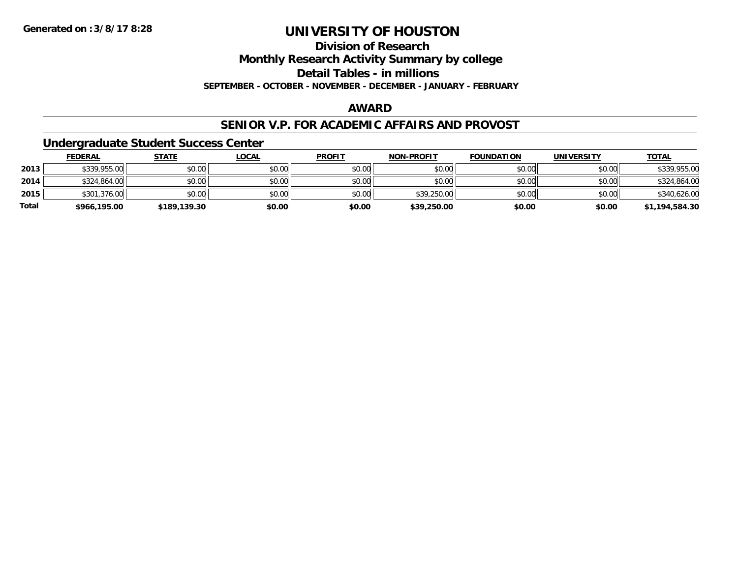**Division of Research**

**Monthly Research Activity Summary by college**

**Detail Tables - in millions**

**SEPTEMBER - OCTOBER - NOVEMBER - DECEMBER - JANUARY - FEBRUARY**

### **AWARD**

#### **SENIOR V.P. FOR ACADEMIC AFFAIRS AND PROVOST**

#### **Undergraduate Student Success Center**

|              | <u>FEDERAL</u> | <u>STATE</u> | <u>LOCAL</u> | <b>PROFIT</b> | <b>NON-PROFIT</b> | <b>FOUNDATION</b> | <b>UNIVERSITY</b> | <b>TOTAL</b>   |
|--------------|----------------|--------------|--------------|---------------|-------------------|-------------------|-------------------|----------------|
| 2013         | \$339,955.00   | \$0.00       | \$0.00       | \$0.00        | \$0.00            | \$0.00            | \$0.00            | \$339,955.00   |
| 2014         | \$324,864.00   | \$0.00       | \$0.00       | \$0.00        | \$0.00            | \$0.00            | \$0.00            | \$324,864.00   |
| 2015         | \$301,376.00   | \$0.00       | \$0.00       | \$0.00        | \$39,250.00       | \$0.00            | \$0.00            | \$340,626.00   |
| <b>Total</b> | \$966,195.00   | \$189,139.30 | \$0.00       | \$0.00        | \$39,250.00       | \$0.00            | \$0.00            | \$1,194,584.30 |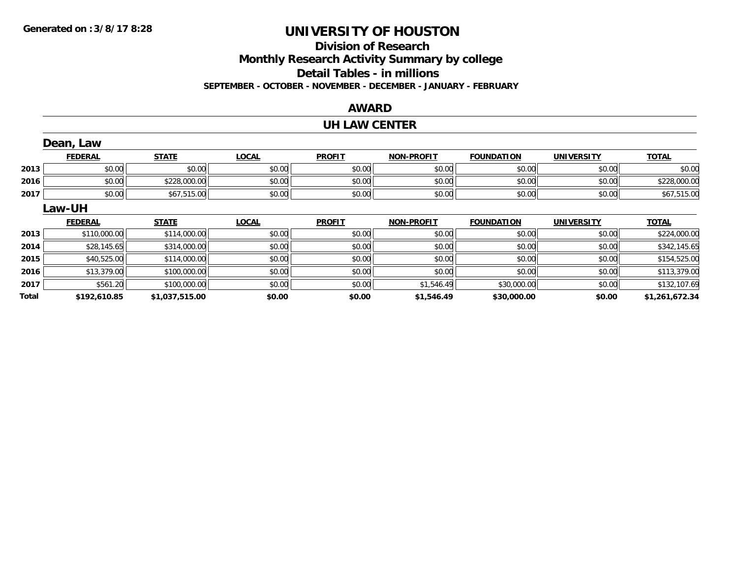## **Division of ResearchMonthly Research Activity Summary by college Detail Tables - in millions SEPTEMBER - OCTOBER - NOVEMBER - DECEMBER - JANUARY - FEBRUARY**

### **AWARD**

#### **UH LAW CENTER**

|       | Dean, Law      |                |              |               |                   |                   |                   |                |
|-------|----------------|----------------|--------------|---------------|-------------------|-------------------|-------------------|----------------|
|       | <b>FEDERAL</b> | <b>STATE</b>   | <b>LOCAL</b> | <b>PROFIT</b> | <b>NON-PROFIT</b> | <b>FOUNDATION</b> | <b>UNIVERSITY</b> | <b>TOTAL</b>   |
| 2013  | \$0.00         | \$0.00         | \$0.00       | \$0.00        | \$0.00            | \$0.00            | \$0.00            | \$0.00         |
| 2016  | \$0.00         | \$228,000.00   | \$0.00       | \$0.00        | \$0.00            | \$0.00            | \$0.00            | \$228,000.00   |
| 2017  | \$0.00         | \$67,515.00    | \$0.00       | \$0.00        | \$0.00            | \$0.00            | \$0.00            | \$67,515.00    |
|       | <b>Law-UH</b>  |                |              |               |                   |                   |                   |                |
|       | <b>FEDERAL</b> | <b>STATE</b>   | <b>LOCAL</b> | <b>PROFIT</b> | <b>NON-PROFIT</b> | <b>FOUNDATION</b> | <b>UNIVERSITY</b> | <b>TOTAL</b>   |
| 2013  | \$110,000.00   | \$114,000.00   | \$0.00       | \$0.00        | \$0.00            | \$0.00            | \$0.00            | \$224,000.00   |
| 2014  | \$28,145.65    | \$314,000.00   | \$0.00       | \$0.00        | \$0.00            | \$0.00            | \$0.00            | \$342,145.65   |
| 2015  | \$40,525.00    | \$114,000.00   | \$0.00       | \$0.00        | \$0.00            | \$0.00            | \$0.00            | \$154,525.00   |
| 2016  | \$13,379.00    | \$100,000.00   | \$0.00       | \$0.00        | \$0.00            | \$0.00            | \$0.00            | \$113,379.00   |
| 2017  | \$561.20       | \$100,000.00   | \$0.00       | \$0.00        | \$1,546.49        | \$30,000.00       | \$0.00            | \$132,107.69   |
| Total | \$192,610.85   | \$1,037,515.00 | \$0.00       | \$0.00        | \$1,546.49        | \$30,000.00       | \$0.00            | \$1,261,672.34 |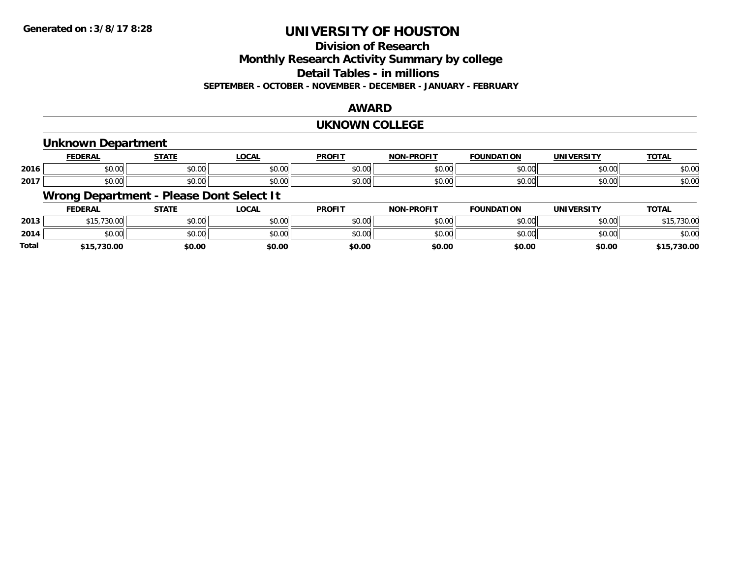## **Division of Research**

**Monthly Research Activity Summary by college**

**Detail Tables - in millions**

**SEPTEMBER - OCTOBER - NOVEMBER - DECEMBER - JANUARY - FEBRUARY**

### **AWARD**

#### **UKNOWN COLLEGE**

### **Unknown Department**

|      | <b>FEDERAL</b>            | <b>CTATE</b>  | 001<br>.uunl         | <b>PROFIT</b> | -PROFIT<br>NON- | <b>FOUNDATION</b> | <b>UNIVERSITY</b>    | <b>TOTAL</b> |
|------|---------------------------|---------------|----------------------|---------------|-----------------|-------------------|----------------------|--------------|
| 2016 | ሖ ∩<br>₽∪.∪∪              | 0000<br>vu.uu | 0000<br>PO.OO        | vv.v          | 0000<br>vv.vv   | 0000<br>v.vv      | 0000<br>JU.UU        | \$0.00       |
| 2017 | $\sim$<br>$\sim$<br>vv.vv | 0000<br>PO.OO | 0000<br><b>JU.UU</b> | JU.UU         | 0000<br>PO.OO   | 0000<br>,u.uu     | 0000<br><b>DU.UG</b> | \$0.00       |

## **Wrong Department - Please Dont Select It**

|              | <b>FEDERAL</b>                        | STATE  | <u>LOCAL</u> | <b>PROFIT</b> | <b>NON-PROFIT</b> | <b>FOUNDATION</b> | UNIVERSITY | <b>TOTAL</b>  |
|--------------|---------------------------------------|--------|--------------|---------------|-------------------|-------------------|------------|---------------|
| 2013         | 15,730.00                             | \$0.00 | \$0.00       | \$0.00        | \$0.00            | \$0.00            | \$0.00     | 15,730.00\$   |
| 2014         | $\uparrow$ $\wedge$ $\wedge$<br>DU.UU | \$0.00 | \$0.00       | \$0.00        | \$0.00            | \$0.00            | \$0.00     | \$0.00        |
| <b>Total</b> | \$15,730.00                           | \$0.00 | \$0.00       | \$0.00        | \$0.00            | \$0.00            | \$0.00     | ,730.00<br>¢1 |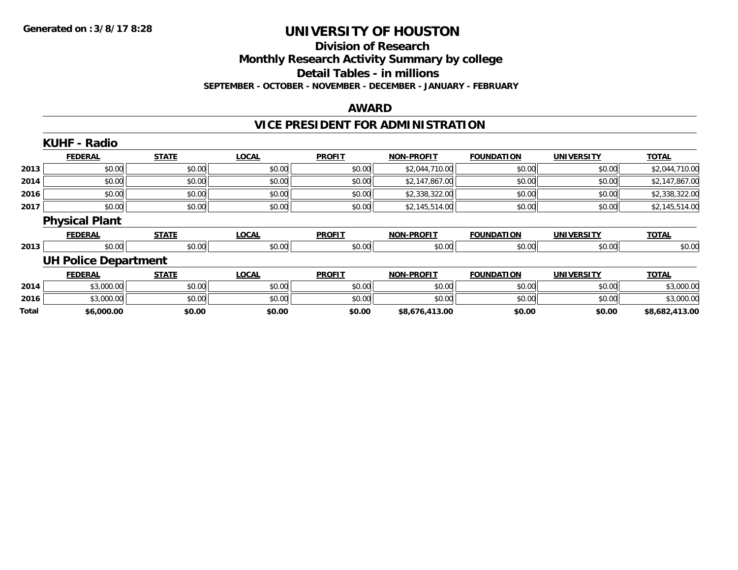## **Division of ResearchMonthly Research Activity Summary by college Detail Tables - in millions SEPTEMBER - OCTOBER - NOVEMBER - DECEMBER - JANUARY - FEBRUARY**

### **AWARD**

## **VICE PRESIDENT FOR ADMINISTRATION**

|       | <b>KUHF - Radio</b>         |              |              |               |                   |                   |                   |                |
|-------|-----------------------------|--------------|--------------|---------------|-------------------|-------------------|-------------------|----------------|
|       | <b>FEDERAL</b>              | <b>STATE</b> | <b>LOCAL</b> | <b>PROFIT</b> | <b>NON-PROFIT</b> | <b>FOUNDATION</b> | <b>UNIVERSITY</b> | <b>TOTAL</b>   |
| 2013  | \$0.00                      | \$0.00       | \$0.00       | \$0.00        | \$2,044,710.00    | \$0.00            | \$0.00            | \$2,044,710.00 |
| 2014  | \$0.00                      | \$0.00       | \$0.00       | \$0.00        | \$2,147,867.00    | \$0.00            | \$0.00            | \$2,147,867.00 |
| 2016  | \$0.00                      | \$0.00       | \$0.00       | \$0.00        | \$2,338,322.00    | \$0.00            | \$0.00            | \$2,338,322.00 |
| 2017  | \$0.00                      | \$0.00       | \$0.00       | \$0.00        | \$2,145,514.00    | \$0.00            | \$0.00            | \$2,145,514.00 |
|       | <b>Physical Plant</b>       |              |              |               |                   |                   |                   |                |
|       | <b>FEDERAL</b>              | <b>STATE</b> | <b>LOCAL</b> | <b>PROFIT</b> | <b>NON-PROFIT</b> | <b>FOUNDATION</b> | <b>UNIVERSITY</b> | <b>TOTAL</b>   |
| 2013  | \$0.00                      | \$0.00       | \$0.00       | \$0.00        | \$0.00            | \$0.00            | \$0.00            | \$0.00         |
|       | <b>UH Police Department</b> |              |              |               |                   |                   |                   |                |
|       | <b>FEDERAL</b>              | <b>STATE</b> | <b>LOCAL</b> | <b>PROFIT</b> | <b>NON-PROFIT</b> | <b>FOUNDATION</b> | <b>UNIVERSITY</b> | <b>TOTAL</b>   |
| 2014  | \$3,000.00                  | \$0.00       | \$0.00       | \$0.00        | \$0.00            | \$0.00            | \$0.00            | \$3,000.00     |
| 2016  | \$3,000.00                  | \$0.00       | \$0.00       | \$0.00        | \$0.00            | \$0.00            | \$0.00            | \$3,000.00     |
| Total | \$6,000.00                  | \$0.00       | \$0.00       | \$0.00        | \$8,676,413.00    | \$0.00            | \$0.00            | \$8,682,413.00 |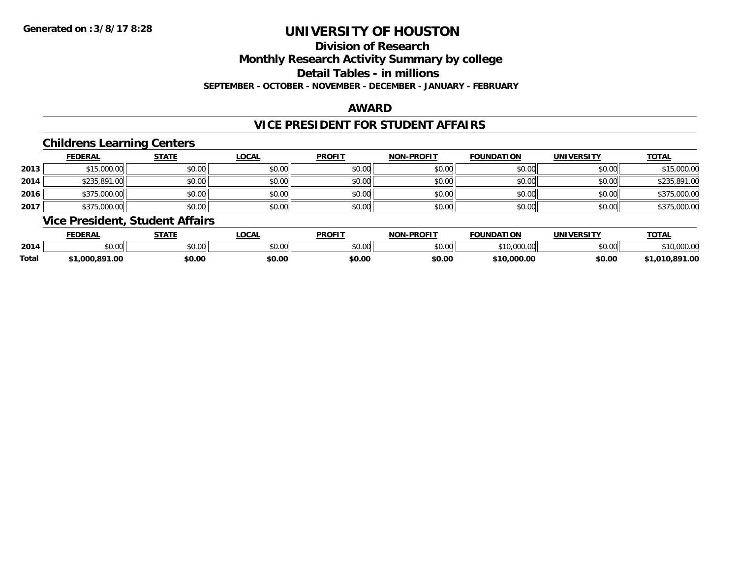## **Division of Research**

**Monthly Research Activity Summary by college**

**Detail Tables - in millions**

**SEPTEMBER - OCTOBER - NOVEMBER - DECEMBER - JANUARY - FEBRUARY**

### **AWARD**

### **VICE PRESIDENT FOR STUDENT AFFAIRS**

### **Childrens Learning Centers**

|      | <b>FEDERAL</b> | <u>STATE</u> | <u>LOCAL</u> | <b>PROFIT</b> | <b>NON-PROFIT</b> | <b>FOUNDATION</b> | <b>UNIVERSITY</b> | <b>TOTAL</b> |
|------|----------------|--------------|--------------|---------------|-------------------|-------------------|-------------------|--------------|
| 2013 | \$15,000.00    | \$0.00       | \$0.00       | \$0.00        | \$0.00            | \$0.00            | \$0.00            | \$15,000.00  |
| 2014 | \$235,891.00   | \$0.00       | \$0.00       | \$0.00        | \$0.00            | \$0.00            | \$0.00            | \$235,891.00 |
| 2016 | \$375,000.00   | \$0.00       | \$0.00       | \$0.00        | \$0.00            | \$0.00            | \$0.00            | \$375,000.00 |
| 2017 | \$375,000.00   | \$0.00       | \$0.00       | \$0.00        | \$0.00            | \$0.00            | \$0.00            | \$375,000.00 |

### **Vice President, Student Affairs**

|       | <b>FEDERAI</b>     | STATE  | <b>LOCAL</b> | <b>PROFIT</b> | <b>-PROFIT</b><br>NON | <b>FOUNDATION</b>             | UNIVERSITY | <b>TOTAL</b>    |
|-------|--------------------|--------|--------------|---------------|-----------------------|-------------------------------|------------|-----------------|
| 2014  | $\sim$ 00<br>vu.uu | \$0.00 | \$0.00       | \$0.00        | ልስ ለሰ<br>DU.UG        | $\uparrow$ 10.000<br>, IU.UUU | \$0.00     | 10,000.00       |
| Total | 000.891.00         | \$0.00 | \$0.00       | \$0.00        | \$0.00                | 000.00,<br><b>¢10</b>         | \$0.00     | 891.00.<br>.010 |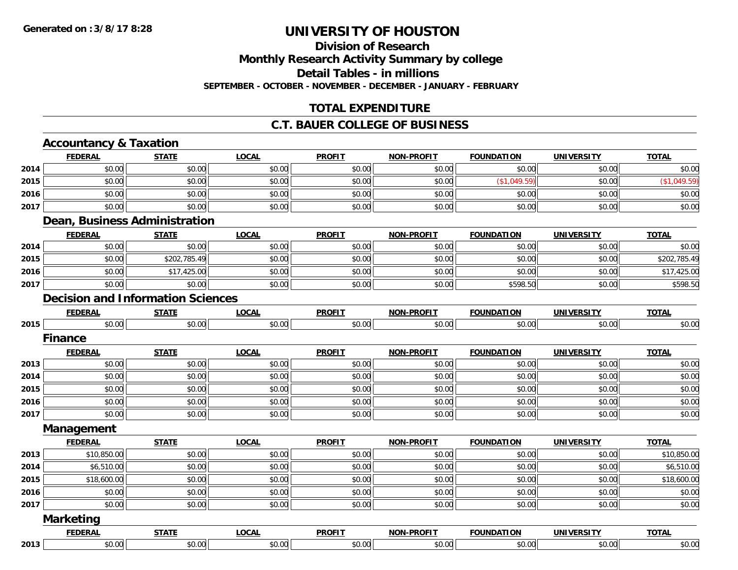## **Division of ResearchMonthly Research Activity Summary by college Detail Tables - in millions SEPTEMBER - OCTOBER - NOVEMBER - DECEMBER - JANUARY - FEBRUARY**

## **TOTAL EXPENDITURE**

### **C.T. BAUER COLLEGE OF BUSINESS**

|      | <b>Accountancy &amp; Taxation</b>        |              |              |               |                   |                   |                   |              |
|------|------------------------------------------|--------------|--------------|---------------|-------------------|-------------------|-------------------|--------------|
|      | <b>FEDERAL</b>                           | <b>STATE</b> | <b>LOCAL</b> | <b>PROFIT</b> | <b>NON-PROFIT</b> | <b>FOUNDATION</b> | <b>UNIVERSITY</b> | <b>TOTAL</b> |
| 2014 | \$0.00                                   | \$0.00       | \$0.00       | \$0.00        | \$0.00            | \$0.00            | \$0.00            | \$0.00       |
| 2015 | \$0.00                                   | \$0.00       | \$0.00       | \$0.00        | \$0.00            | (\$1,049.59)      | \$0.00            | (\$1,049.59) |
| 2016 | \$0.00                                   | \$0.00       | \$0.00       | \$0.00        | \$0.00            | \$0.00            | \$0.00            | \$0.00       |
| 2017 | \$0.00                                   | \$0.00       | \$0.00       | \$0.00        | \$0.00            | \$0.00            | \$0.00            | \$0.00       |
|      | Dean, Business Administration            |              |              |               |                   |                   |                   |              |
|      | <b>FEDERAL</b>                           | <b>STATE</b> | <b>LOCAL</b> | <b>PROFIT</b> | <b>NON-PROFIT</b> | <b>FOUNDATION</b> | <b>UNIVERSITY</b> | <b>TOTAL</b> |
| 2014 | \$0.00                                   | \$0.00       | \$0.00       | \$0.00        | \$0.00            | \$0.00            | \$0.00            | \$0.00       |
| 2015 | \$0.00                                   | \$202,785.49 | \$0.00       | \$0.00        | \$0.00            | \$0.00            | \$0.00            | \$202,785.49 |
| 2016 | \$0.00                                   | \$17,425.00  | \$0.00       | \$0.00        | \$0.00            | \$0.00            | \$0.00            | \$17,425.00  |
| 2017 | \$0.00                                   | \$0.00       | \$0.00       | \$0.00        | \$0.00            | \$598.50          | \$0.00            | \$598.50     |
|      | <b>Decision and Information Sciences</b> |              |              |               |                   |                   |                   |              |
|      | <b>FEDERAL</b>                           | <b>STATE</b> | <b>LOCAL</b> | <b>PROFIT</b> | <b>NON-PROFIT</b> | <b>FOUNDATION</b> | <b>UNIVERSITY</b> | <b>TOTAL</b> |
| 2015 | \$0.00                                   | \$0.00       | \$0.00       | \$0.00        | \$0.00            | \$0.00            | \$0.00            | \$0.00       |
|      | <b>Finance</b>                           |              |              |               |                   |                   |                   |              |
|      | <b>FEDERAL</b>                           | <b>STATE</b> | <b>LOCAL</b> | <b>PROFIT</b> | <b>NON-PROFIT</b> | <b>FOUNDATION</b> | <b>UNIVERSITY</b> | <b>TOTAL</b> |
| 2013 | \$0.00                                   | \$0.00       | \$0.00       | \$0.00        | \$0.00            | \$0.00            | \$0.00            | \$0.00       |
| 2014 | \$0.00                                   | \$0.00       | \$0.00       | \$0.00        | \$0.00            | \$0.00            | \$0.00            | \$0.00       |
| 2015 | \$0.00                                   | \$0.00       | \$0.00       | \$0.00        | \$0.00            | \$0.00            | \$0.00            | \$0.00       |
| 2016 | \$0.00                                   | \$0.00       | \$0.00       | \$0.00        | \$0.00            | \$0.00            | \$0.00            | \$0.00       |
| 2017 | \$0.00                                   | \$0.00       | \$0.00       | \$0.00        | \$0.00            | \$0.00            | \$0.00            | \$0.00       |
|      | Management                               |              |              |               |                   |                   |                   |              |
|      | <b>FEDERAL</b>                           | <b>STATE</b> | <b>LOCAL</b> | <b>PROFIT</b> | <b>NON-PROFIT</b> | <b>FOUNDATION</b> | <b>UNIVERSITY</b> | <b>TOTAL</b> |
| 2013 | \$10,850.00                              | \$0.00       | \$0.00       | \$0.00        | \$0.00            | \$0.00            | \$0.00            | \$10,850.00  |
| 2014 | \$6,510.00                               | \$0.00       | \$0.00       | \$0.00        | \$0.00            | \$0.00            | \$0.00            | \$6,510.00   |
| 2015 | \$18,600.00                              | \$0.00       | \$0.00       | \$0.00        | \$0.00            | \$0.00            | \$0.00            | \$18,600.00  |
| 2016 | \$0.00                                   | \$0.00       | \$0.00       | \$0.00        | \$0.00            | \$0.00            | \$0.00            | \$0.00       |
| 2017 | \$0.00                                   | \$0.00       | \$0.00       | \$0.00        | \$0.00            | \$0.00            | \$0.00            | \$0.00       |
|      | <b>Marketing</b>                         |              |              |               |                   |                   |                   |              |
|      | <b>FEDERAL</b>                           | <b>STATE</b> | <b>LOCAL</b> | <b>PROFIT</b> | <b>NON-PROFIT</b> | <b>FOUNDATION</b> | <b>UNIVERSITY</b> | <b>TOTAL</b> |
| 2013 | \$0.00                                   | \$0.00       | \$0.00       | \$0.00        | \$0.00            | \$0.00            | \$0.00            | \$0.00       |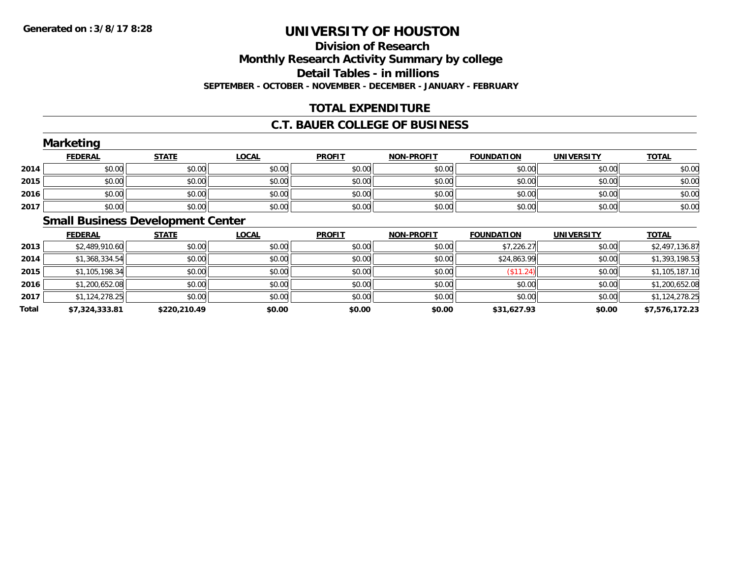## **Division of ResearchMonthly Research Activity Summary by college Detail Tables - in millions SEPTEMBER - OCTOBER - NOVEMBER - DECEMBER - JANUARY - FEBRUARY**

## **TOTAL EXPENDITURE**

### **C.T. BAUER COLLEGE OF BUSINESS**

|      | <b>Marketing</b>                   |              |              |               |                   |                   |                   |              |
|------|------------------------------------|--------------|--------------|---------------|-------------------|-------------------|-------------------|--------------|
|      | <b>FEDERAL</b>                     | <b>STATE</b> | <b>LOCAL</b> | <b>PROFIT</b> | <b>NON-PROFIT</b> | <b>FOUNDATION</b> | <b>UNIVERSITY</b> | <b>TOTAL</b> |
| 2014 | \$0.00                             | \$0.00       | \$0.00       | \$0.00        | \$0.00            | \$0.00            | \$0.00            | \$0.00       |
| 2015 | \$0.00                             | \$0.00       | \$0.00       | \$0.00        | \$0.00            | \$0.00            | \$0.00            | \$0.00       |
| 2016 | \$0.00                             | \$0.00       | \$0.00       | \$0.00        | \$0.00            | \$0.00            | \$0.00            | \$0.00       |
| 2017 | \$0.00                             | \$0.00       | \$0.00       | \$0.00        | \$0.00            | \$0.00            | \$0.00            | \$0.00       |
|      | Constitutional Development Oration |              |              |               |                   |                   |                   |              |

#### **Small Business Development Center**

|       | <b>FEDERAL</b> | <b>STATE</b> | <b>LOCAL</b> | <b>PROFIT</b> | <b>NON-PROFIT</b> | <b>FOUNDATION</b> | <b>UNIVERSITY</b> | <b>TOTAL</b>   |
|-------|----------------|--------------|--------------|---------------|-------------------|-------------------|-------------------|----------------|
| 2013  | \$2,489,910.60 | \$0.00       | \$0.00       | \$0.00        | \$0.00            | \$7,226.27        | \$0.00            | \$2,497,136.87 |
| 2014  | \$1,368,334.54 | \$0.00       | \$0.00       | \$0.00        | \$0.00            | \$24,863.99       | \$0.00            | \$1,393,198.53 |
| 2015  | \$1,105,198.34 | \$0.00       | \$0.00       | \$0.00        | \$0.00            | (\$11.24)         | \$0.00            | \$1,105,187.10 |
| 2016  | \$1,200,652.08 | \$0.00       | \$0.00       | \$0.00        | \$0.00            | \$0.00            | \$0.00            | \$1,200,652.08 |
| 2017  | \$1,124,278.25 | \$0.00       | \$0.00       | \$0.00        | \$0.00            | \$0.00            | \$0.00            | \$1,124,278.25 |
| Total | \$7,324,333.81 | \$220,210.49 | \$0.00       | \$0.00        | \$0.00            | \$31,627.93       | \$0.00            | \$7,576,172.23 |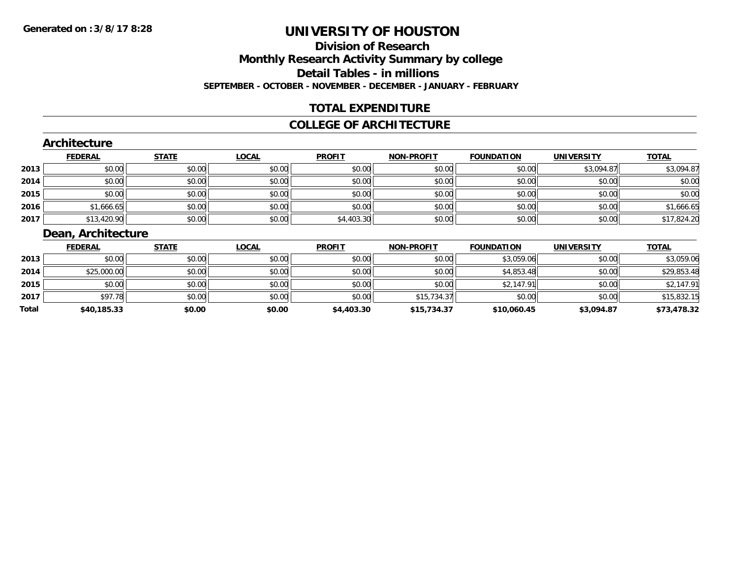## **Division of ResearchMonthly Research Activity Summary by college Detail Tables - in millions SEPTEMBER - OCTOBER - NOVEMBER - DECEMBER - JANUARY - FEBRUARY**

### **TOTAL EXPENDITURE**

#### **COLLEGE OF ARCHITECTURE**

### **Architecture**

|      | <b>FEDERAL</b> | <b>STATE</b> | <b>LOCAL</b> | <b>PROFIT</b> | <b>NON-PROFIT</b> | <b>FOUNDATION</b> | <b>UNIVERSITY</b> | <b>TOTAL</b> |
|------|----------------|--------------|--------------|---------------|-------------------|-------------------|-------------------|--------------|
| 2013 | \$0.00         | \$0.00       | \$0.00       | \$0.00        | \$0.00            | \$0.00            | \$3,094.87        | \$3,094.87   |
| 2014 | \$0.00         | \$0.00       | \$0.00       | \$0.00        | \$0.00            | \$0.00            | \$0.00            | \$0.00       |
| 2015 | \$0.00         | \$0.00       | \$0.00       | \$0.00        | \$0.00            | \$0.00            | \$0.00            | \$0.00       |
| 2016 | \$1,666.65     | \$0.00       | \$0.00       | \$0.00        | \$0.00            | \$0.00            | \$0.00            | \$1,666.65   |
| 2017 | \$13,420.90    | \$0.00       | \$0.00       | \$4,403.30    | \$0.00            | \$0.00            | \$0.00            | \$17,824.20  |

## **Dean, Architecture**

|       | <b>FEDERAL</b> | <b>STATE</b> | <u>LOCAL</u> | <b>PROFIT</b> | <b>NON-PROFIT</b> | <b>FOUNDATION</b> | <b>UNIVERSITY</b> | <b>TOTAL</b> |
|-------|----------------|--------------|--------------|---------------|-------------------|-------------------|-------------------|--------------|
| 2013  | \$0.00         | \$0.00       | \$0.00       | \$0.00        | \$0.00            | \$3,059.06        | \$0.00            | \$3,059.06   |
| 2014  | \$25,000.00    | \$0.00       | \$0.00       | \$0.00        | \$0.00            | \$4,853.48        | \$0.00            | \$29,853.48  |
| 2015  | \$0.00         | \$0.00       | \$0.00       | \$0.00        | \$0.00            | \$2,147.91        | \$0.00            | \$2,147.91   |
| 2017  | \$97.78        | \$0.00       | \$0.00       | \$0.00        | \$15,734.37       | \$0.00            | \$0.00            | \$15,832.15  |
| Total | \$40,185.33    | \$0.00       | \$0.00       | \$4,403.30    | \$15,734.37       | \$10,060.45       | \$3,094.87        | \$73,478.32  |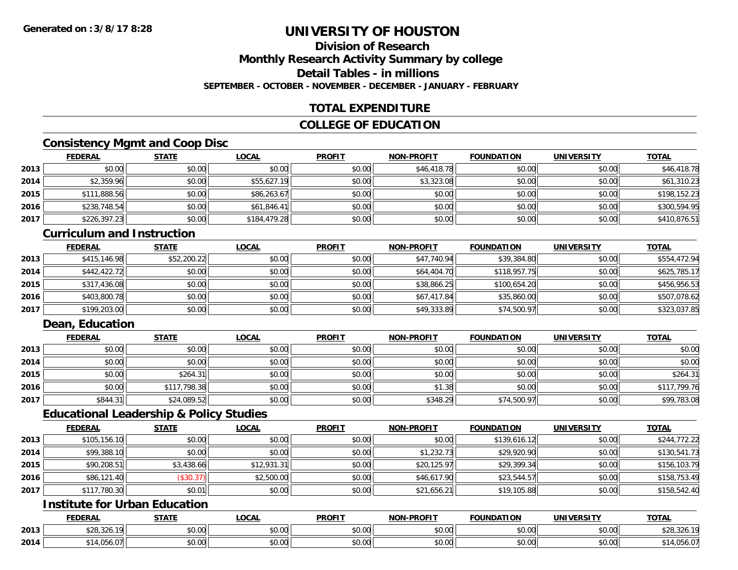## **Division of Research**

**Monthly Research Activity Summary by college**

**Detail Tables - in millions**

**SEPTEMBER - OCTOBER - NOVEMBER - DECEMBER - JANUARY - FEBRUARY**

## **TOTAL EXPENDITURE**

### **COLLEGE OF EDUCATION**

## **Consistency Mgmt and Coop Disc**

|      | <b>FEDERAL</b> | <b>STATE</b> | <u>LOCAL</u> | <b>PROFIT</b> | <b>NON-PROFIT</b> | <b>FOUNDATION</b> | <b>UNIVERSITY</b> | <b>TOTAL</b> |
|------|----------------|--------------|--------------|---------------|-------------------|-------------------|-------------------|--------------|
| 2013 | \$0.00         | \$0.00       | \$0.00       | \$0.00        | \$46,418.78       | \$0.00            | \$0.00            | \$46,418.78  |
| 2014 | \$2,359.96     | \$0.00       | \$55,627.19  | \$0.00        | \$3,323.08        | \$0.00            | \$0.00            | \$61,310.23  |
| 2015 | \$111,888.56   | \$0.00       | \$86,263.67  | \$0.00        | \$0.00            | \$0.00            | \$0.00            | \$198,152.23 |
| 2016 | \$238,748.54   | \$0.00       | \$61,846.41  | \$0.00        | \$0.00            | \$0.00            | \$0.00            | \$300,594.95 |
| 2017 | \$226,397.23   | \$0.00       | \$184,479.28 | \$0.00        | \$0.00            | \$0.00            | \$0.00            | \$410,876.51 |

#### **Curriculum and Instruction**

|      | <b>FEDERAL</b> | <b>STATE</b> | <b>LOCAL</b> | <b>PROFIT</b> | <b>NON-PROFIT</b> | <b>FOUNDATION</b> | <b>UNIVERSITY</b> | <b>TOTAL</b> |
|------|----------------|--------------|--------------|---------------|-------------------|-------------------|-------------------|--------------|
| 2013 | \$415,146.98   | \$52,200.22  | \$0.00       | \$0.00        | \$47,740.94       | \$39,384.80       | \$0.00            | \$554,472.94 |
| 2014 | \$442,422.72   | \$0.00       | \$0.00       | \$0.00        | \$64,404.70       | \$118,957.75      | \$0.00            | \$625,785.17 |
| 2015 | \$317,436.08   | \$0.00       | \$0.00       | \$0.00        | \$38,866.25       | \$100,654,20      | \$0.00            | \$456,956.53 |
| 2016 | \$403,800.78   | \$0.00       | \$0.00       | \$0.00        | \$67,417.84       | \$35,860.00       | \$0.00            | \$507,078.62 |
| 2017 | \$199,203.00   | \$0.00       | \$0.00       | \$0.00        | \$49,333.89       | \$74,500.97       | \$0.00            | \$323,037.85 |

## **Dean, Education**

|      | <u>FEDERAL</u> | <u>STATE</u> | <u>LOCAL</u> | <b>PROFIT</b> | <b>NON-PROFIT</b> | <b>FOUNDATION</b> | <b>UNIVERSITY</b> | <b>TOTAL</b> |
|------|----------------|--------------|--------------|---------------|-------------------|-------------------|-------------------|--------------|
| 2013 | \$0.00         | \$0.00       | \$0.00       | \$0.00        | \$0.00            | \$0.00            | \$0.00            | \$0.00       |
| 2014 | \$0.00         | \$0.00       | \$0.00       | \$0.00        | \$0.00            | \$0.00            | \$0.00            | \$0.00       |
| 2015 | \$0.00         | \$264.31     | \$0.00       | \$0.00        | \$0.00            | \$0.00            | \$0.00            | \$264.31     |
| 2016 | \$0.00         | \$117,798.38 | \$0.00       | \$0.00        | \$1.38            | \$0.00            | \$0.00            | \$117,799.76 |
| 2017 | \$844.31       | \$24,089.52  | \$0.00       | \$0.00        | \$348.29          | \$74,500.97       | \$0.00            | \$99,783.08  |

### **Educational Leadership & Policy Studies**

|      | <b>FEDERAL</b> | <b>STATE</b> | <u>LOCAL</u> | <b>PROFIT</b> | <b>NON-PROFIT</b> | <b>FOUNDATION</b> | <b>UNIVERSITY</b> | <b>TOTAL</b> |
|------|----------------|--------------|--------------|---------------|-------------------|-------------------|-------------------|--------------|
| 2013 | \$105,156.10   | \$0.00       | \$0.00       | \$0.00        | \$0.00            | \$139,616.12      | \$0.00            | \$244,772.22 |
| 2014 | \$99,388.10    | \$0.00       | \$0.00       | \$0.00        | \$1,232.73        | \$29,920.90       | \$0.00            | \$130,541.73 |
| 2015 | \$90,208.51    | \$3,438.66   | \$12.931.31  | \$0.00        | \$20,125.97       | \$29,399.34       | \$0.00            | \$156,103.79 |
| 2016 | \$86,121.40    | (\$30.37)    | \$2,500.00   | \$0.00        | \$46,617.90       | \$23,544.57       | \$0.00            | \$158,753.49 |
| 2017 | \$117,780.30   | \$0.01       | \$0.00       | \$0.00        | \$21,656.21       | \$19,105.88       | \$0.00            | \$158,542.40 |

## **Institute for Urban Education**

|      | <b>FEDERAL</b>                                     | <b>CTATE</b><br>3 I A I I | <b>LOCAL</b>              | <b>PROFIT</b>  | <b>NON-PROFIT</b>    | <b>FOUNDATION</b> | UNIVERSITY                    | <b>TOTAL</b> |
|------|----------------------------------------------------|---------------------------|---------------------------|----------------|----------------------|-------------------|-------------------------------|--------------|
| 2013 | $\sim$<br>$\uparrow$ $\uparrow$<br>™ا ا ا ا ا ا ال | \$0.00                    | $\sim$<br>$\sim$<br>vv.vv | ልስ ስስ<br>DU.UU | 0.00<br>DU.UU        | \$0.00            | $\sim$ $\sim$<br><b>JU.UU</b> | \$28,320.    |
| 2014 | $\sim$ $\sim$ $\sim$<br>, vuu. v                   | \$0.00                    | ሖ ∩<br>$\sim$<br>vu.uu    | 0000<br>JU.UU  | 0.00<br><b>DU.UU</b> | \$0.00            | $\sim$ $\sim$<br><b>JU.UU</b> | 4,000.V      |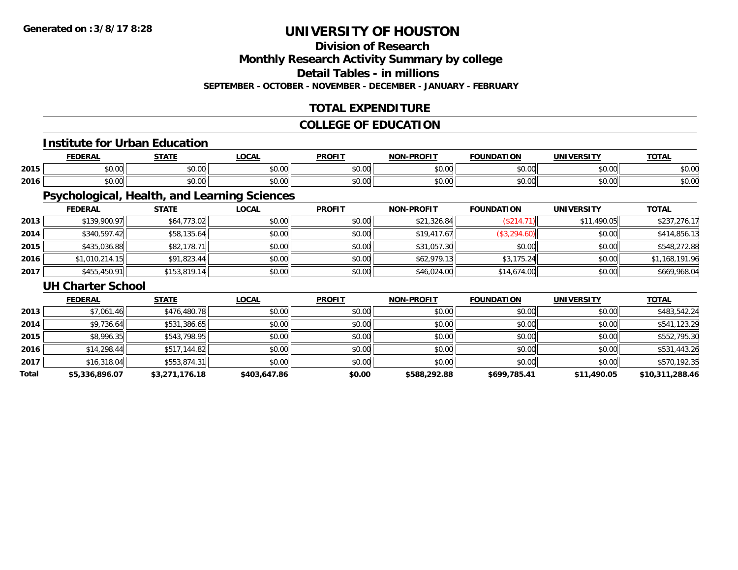## **Division of Research**

**Monthly Research Activity Summary by college**

**Detail Tables - in millions**

**SEPTEMBER - OCTOBER - NOVEMBER - DECEMBER - JANUARY - FEBRUARY**

## **TOTAL EXPENDITURE**

### **COLLEGE OF EDUCATION**

#### **Institute for Urban Education**

|      |               | $C = 1$                | <b>OCAL</b>                               | <b>DDOEIT</b><br>ж | <b>DDAFIT</b><br>810 B | .                                                                        |               | ---            |
|------|---------------|------------------------|-------------------------------------------|--------------------|------------------------|--------------------------------------------------------------------------|---------------|----------------|
| 2015 | 0.00<br>שט.טע | $\sim$ $\sim$<br>JU.UU | $\uparrow$ $\uparrow$ $\uparrow$<br>JU.UU | 0000<br>JU.UU      | \$0.00                 | $\begin{array}{c} \uparrow \\ \uparrow \\ \uparrow \end{array}$<br>JU.UU | 0.00<br>JU.UU | ስስ ስስ<br>DU.UU |
| 2016 | 0.00<br>pu.uu | $\sim$ $\sim$<br>PO.OO | 0.00<br>ט.טע                              | 0000<br>JU.UU      | \$0.00                 | $\sim$ $\sim$<br>JU.UU                                                   | 0000<br>PU.UU | ሶስ ሰሰ<br>DU.UU |

## **Psychological, Health, and Learning Sciences**

|      | <b>FEDERAL</b> | <u>STATE</u> | <b>LOCAL</b> | <b>PROFIT</b> | <b>NON-PROFIT</b> | <b>FOUNDATION</b> | <b>UNIVERSITY</b> | <b>TOTAL</b>   |
|------|----------------|--------------|--------------|---------------|-------------------|-------------------|-------------------|----------------|
| 2013 | \$139,900.97   | \$64,773.02  | \$0.00       | \$0.00        | \$21,326.84       | \$214.            | \$11,490.05       | \$237,276.17   |
| 2014 | \$340,597.42   | \$58,135.64  | \$0.00       | \$0.00        | \$19,417.67       | (\$3,294.60)      | \$0.00            | \$414,856.13   |
| 2015 | \$435,036.88   | \$82,178.71  | \$0.00       | \$0.00        | \$31,057.30       | \$0.00            | \$0.00            | \$548,272.88   |
| 2016 | \$1,010,214.15 | \$91,823.44  | \$0.00       | \$0.00        | \$62,979.13       | \$3,175.24        | \$0.00            | \$1,168,191.96 |
| 2017 | \$455,450.91   | \$153,819.14 | \$0.00       | \$0.00        | \$46,024.00       | \$14,674.00       | \$0.00            | \$669,968.04   |

#### **UH Charter School**

|       | <b>FEDERAL</b> | <b>STATE</b>   | <b>LOCAL</b> | <b>PROFIT</b> | <b>NON-PROFIT</b> | <b>FOUNDATION</b> | <b>UNIVERSITY</b> | <b>TOTAL</b>    |
|-------|----------------|----------------|--------------|---------------|-------------------|-------------------|-------------------|-----------------|
| 2013  | \$7,061.46     | \$476,480.78   | \$0.00       | \$0.00        | \$0.00            | \$0.00            | \$0.00            | \$483,542.24    |
| 2014  | \$9,736.64     | \$531,386.65   | \$0.00       | \$0.00        | \$0.00            | \$0.00            | \$0.00            | \$541,123.29    |
| 2015  | \$8,996.35     | \$543,798.95   | \$0.00       | \$0.00        | \$0.00            | \$0.00            | \$0.00            | \$552,795.30    |
| 2016  | \$14,298.44    | \$517,144.82   | \$0.00       | \$0.00        | \$0.00            | \$0.00            | \$0.00            | \$531,443.26    |
| 2017  | \$16,318.04    | \$553,874.31   | \$0.00       | \$0.00        | \$0.00            | \$0.00            | \$0.00            | \$570,192.35    |
| Total | \$5,336,896.07 | \$3,271,176.18 | \$403,647.86 | \$0.00        | \$588,292.88      | \$699.785.41      | \$11,490.05       | \$10,311,288.46 |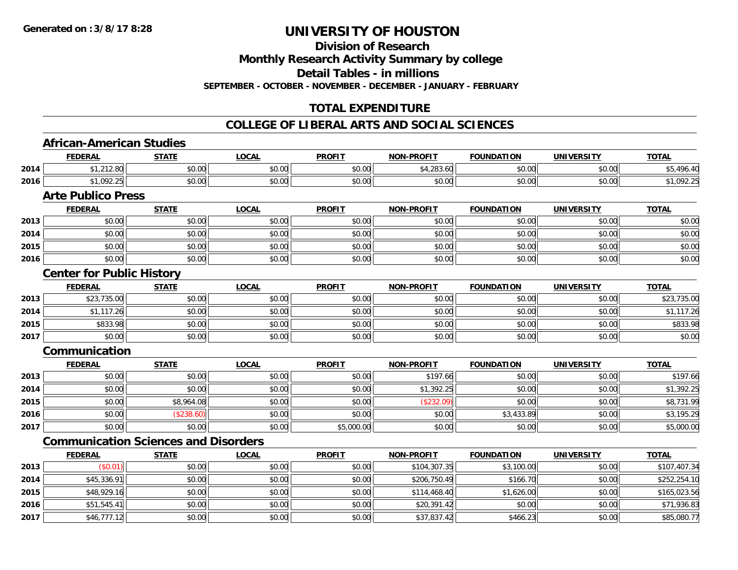**2017**

## **UNIVERSITY OF HOUSTON**

**Division of Research**

**Monthly Research Activity Summary by college**

**Detail Tables - in millions**

**SEPTEMBER - OCTOBER - NOVEMBER - DECEMBER - JANUARY - FEBRUARY**

## **TOTAL EXPENDITURE**

### **COLLEGE OF LIBERAL ARTS AND SOCIAL SCIENCES**

|      | <b>African-American Studies</b>  |                                             |              |               |                   |                   |                   |              |
|------|----------------------------------|---------------------------------------------|--------------|---------------|-------------------|-------------------|-------------------|--------------|
|      | <b>FEDERAL</b>                   | <b>STATE</b>                                | <b>LOCAL</b> | <b>PROFIT</b> | <b>NON-PROFIT</b> | <b>FOUNDATION</b> | <b>UNIVERSITY</b> | <b>TOTAL</b> |
| 2014 | \$1,212.80                       | \$0.00                                      | \$0.00       | \$0.00        | \$4,283.60        | \$0.00            | \$0.00            | \$5,496.40   |
| 2016 | \$1,092.25                       | \$0.00                                      | \$0.00       | \$0.00        | \$0.00            | \$0.00            | \$0.00            | \$1,092.25   |
|      | <b>Arte Publico Press</b>        |                                             |              |               |                   |                   |                   |              |
|      | <b>FEDERAL</b>                   | <b>STATE</b>                                | <b>LOCAL</b> | <b>PROFIT</b> | <b>NON-PROFIT</b> | <b>FOUNDATION</b> | <b>UNIVERSITY</b> | <b>TOTAL</b> |
| 2013 | \$0.00                           | \$0.00                                      | \$0.00       | \$0.00        | \$0.00            | \$0.00            | \$0.00            | \$0.00       |
| 2014 | \$0.00                           | \$0.00                                      | \$0.00       | \$0.00        | \$0.00            | \$0.00            | \$0.00            | \$0.00       |
| 2015 | \$0.00                           | \$0.00                                      | \$0.00       | \$0.00        | \$0.00            | \$0.00            | \$0.00            | \$0.00       |
| 2016 | \$0.00                           | \$0.00                                      | \$0.00       | \$0.00        | \$0.00            | \$0.00            | \$0.00            | \$0.00       |
|      | <b>Center for Public History</b> |                                             |              |               |                   |                   |                   |              |
|      | <b>FEDERAL</b>                   | <b>STATE</b>                                | <b>LOCAL</b> | <b>PROFIT</b> | <b>NON-PROFIT</b> | <b>FOUNDATION</b> | <b>UNIVERSITY</b> | <b>TOTAL</b> |
| 2013 | \$23,735.00                      | \$0.00                                      | \$0.00       | \$0.00        | \$0.00            | \$0.00            | \$0.00            | \$23,735.00  |
| 2014 | \$1,117.26                       | \$0.00                                      | \$0.00       | \$0.00        | \$0.00            | \$0.00            | \$0.00            | \$1,117.26   |
| 2015 | \$833.98                         | \$0.00                                      | \$0.00       | \$0.00        | \$0.00            | \$0.00            | \$0.00            | \$833.98     |
| 2017 | \$0.00                           | \$0.00                                      | \$0.00       | \$0.00        | \$0.00            | \$0.00            | \$0.00            | \$0.00       |
|      | Communication                    |                                             |              |               |                   |                   |                   |              |
|      | <b>FEDERAL</b>                   | <b>STATE</b>                                | <b>LOCAL</b> | <b>PROFIT</b> | <b>NON-PROFIT</b> | <b>FOUNDATION</b> | <b>UNIVERSITY</b> | <b>TOTAL</b> |
| 2013 | \$0.00                           | \$0.00                                      | \$0.00       | \$0.00        | \$197.66          | \$0.00            | \$0.00            | \$197.66     |
| 2014 | \$0.00                           | \$0.00                                      | \$0.00       | \$0.00        | \$1,392.25        | \$0.00            | \$0.00            | \$1,392.25   |
| 2015 | \$0.00                           | \$8,964.08                                  | \$0.00       | \$0.00        | (\$232.09)        | \$0.00            | \$0.00            | \$8,731.99   |
| 2016 | \$0.00                           | (\$238.60)                                  | \$0.00       | \$0.00        | \$0.00            | \$3,433.89        | \$0.00            | \$3,195.29   |
| 2017 | \$0.00                           | \$0.00                                      | \$0.00       | \$5,000.00    | \$0.00            | \$0.00            | \$0.00            | \$5,000.00   |
|      |                                  | <b>Communication Sciences and Disorders</b> |              |               |                   |                   |                   |              |
|      | <b>FEDERAL</b>                   | <b>STATE</b>                                | <b>LOCAL</b> | <b>PROFIT</b> | <b>NON-PROFIT</b> | <b>FOUNDATION</b> | <b>UNIVERSITY</b> | <b>TOTAL</b> |
| 2013 | (\$0.01)                         | \$0.00                                      | \$0.00       | \$0.00        | \$104,307.35      | \$3,100.00        | \$0.00            | \$107,407.34 |
| 2014 | \$45,336.91                      | \$0.00                                      | \$0.00       | \$0.00        | \$206,750.49      | \$166.70          | \$0.00            | \$252,254.10 |
| 2015 | \$48,929.16                      | \$0.00                                      | \$0.00       | \$0.00        | \$114,468.40      | \$1,626.00        | \$0.00            | \$165,023.56 |
| 2016 | \$51,545.41                      | \$0.00                                      | \$0.00       | \$0.00        | \$20,391.42       | \$0.00            | \$0.00            | \$71,936.83  |

\$46,777.12 \$0.00 \$0.00 \$0.00 \$37,837.42 \$466.23 \$0.00 \$85,080.77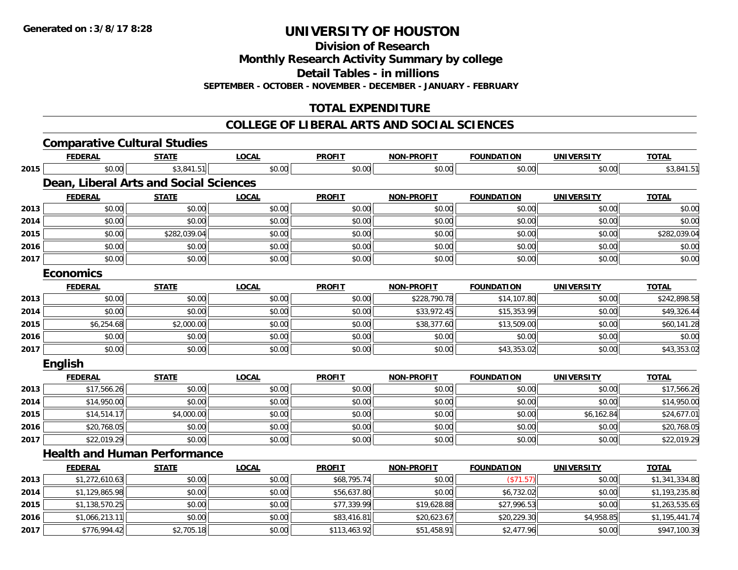**2017**

## **UNIVERSITY OF HOUSTON**

**Division of Research**

**Monthly Research Activity Summary by college**

**Detail Tables - in millions**

**SEPTEMBER - OCTOBER - NOVEMBER - DECEMBER - JANUARY - FEBRUARY**

## **TOTAL EXPENDITURE**

#### **COLLEGE OF LIBERAL ARTS AND SOCIAL SCIENCES**

|      | <b>Comparative Cultural Studies</b>    |              |              |               |                   |                   |                   |                |
|------|----------------------------------------|--------------|--------------|---------------|-------------------|-------------------|-------------------|----------------|
|      | <b>FEDERAL</b>                         | <b>STATE</b> | <b>LOCAL</b> | <b>PROFIT</b> | <b>NON-PROFIT</b> | <b>FOUNDATION</b> | <b>UNIVERSITY</b> | <b>TOTAL</b>   |
| 2015 | \$0.00                                 | \$3,841.51   | \$0.00       | \$0.00        | \$0.00            | \$0.00            | \$0.00            | \$3,841.51     |
|      | Dean, Liberal Arts and Social Sciences |              |              |               |                   |                   |                   |                |
|      | <b>FEDERAL</b>                         | <b>STATE</b> | <b>LOCAL</b> | <b>PROFIT</b> | <b>NON-PROFIT</b> | <b>FOUNDATION</b> | <b>UNIVERSITY</b> | <b>TOTAL</b>   |
| 2013 | \$0.00                                 | \$0.00       | \$0.00       | \$0.00        | \$0.00            | \$0.00            | \$0.00            | \$0.00         |
| 2014 | \$0.00                                 | \$0.00       | \$0.00       | \$0.00        | \$0.00            | \$0.00            | \$0.00            | \$0.00         |
| 2015 | \$0.00                                 | \$282,039.04 | \$0.00       | \$0.00        | \$0.00            | \$0.00            | \$0.00            | \$282,039.04   |
| 2016 | \$0.00                                 | \$0.00       | \$0.00       | \$0.00        | \$0.00            | \$0.00            | \$0.00            | \$0.00         |
| 2017 | \$0.00                                 | \$0.00       | \$0.00       | \$0.00        | \$0.00            | \$0.00            | \$0.00            | \$0.00         |
|      | <b>Economics</b>                       |              |              |               |                   |                   |                   |                |
|      | <b>FEDERAL</b>                         | <b>STATE</b> | <b>LOCAL</b> | <b>PROFIT</b> | <b>NON-PROFIT</b> | <b>FOUNDATION</b> | <b>UNIVERSITY</b> | <b>TOTAL</b>   |
| 2013 | \$0.00                                 | \$0.00       | \$0.00       | \$0.00        | \$228,790.78      | \$14,107.80       | \$0.00            | \$242,898.58   |
| 2014 | \$0.00                                 | \$0.00       | \$0.00       | \$0.00        | \$33,972.45       | \$15,353.99       | \$0.00            | \$49,326.44    |
| 2015 | \$6,254.68                             | \$2,000.00   | \$0.00       | \$0.00        | \$38,377.60       | \$13,509.00       | \$0.00            | \$60,141.28    |
| 2016 | \$0.00                                 | \$0.00       | \$0.00       | \$0.00        | \$0.00            | \$0.00            | \$0.00            | \$0.00         |
| 2017 | \$0.00                                 | \$0.00       | \$0.00       | \$0.00        | \$0.00            | \$43,353.02       | \$0.00            | \$43,353.02    |
|      | English                                |              |              |               |                   |                   |                   |                |
|      | <b>FEDERAL</b>                         | <b>STATE</b> | <b>LOCAL</b> | <b>PROFIT</b> | <b>NON-PROFIT</b> | <b>FOUNDATION</b> | <b>UNIVERSITY</b> | <b>TOTAL</b>   |
| 2013 | \$17,566.26                            | \$0.00       | \$0.00       | \$0.00        | \$0.00            | \$0.00            | \$0.00            | \$17,566.26    |
| 2014 | \$14,950.00                            | \$0.00       | \$0.00       | \$0.00        | \$0.00            | \$0.00            | \$0.00            | \$14,950.00    |
| 2015 | \$14,514.17                            | \$4,000.00   | \$0.00       | \$0.00        | \$0.00            | \$0.00            | \$6,162.84        | \$24,677.01    |
| 2016 | \$20,768.05                            | \$0.00       | \$0.00       | \$0.00        | \$0.00            | \$0.00            | \$0.00            | \$20,768.05    |
| 2017 | \$22,019.29                            | \$0.00       | \$0.00       | \$0.00        | \$0.00            | \$0.00            | \$0.00            | \$22,019.29    |
|      | <b>Health and Human Performance</b>    |              |              |               |                   |                   |                   |                |
|      | <b>FEDERAL</b>                         | <b>STATE</b> | <b>LOCAL</b> | <b>PROFIT</b> | <b>NON-PROFIT</b> | <b>FOUNDATION</b> | <b>UNIVERSITY</b> | <b>TOTAL</b>   |
| 2013 | \$1,272,610.63                         | \$0.00       | \$0.00       | \$68,795.74   | \$0.00            | (\$71.57)         | \$0.00            | \$1,341,334.80 |
| 2014 | \$1,129,865.98                         | \$0.00       | \$0.00       | \$56,637.80   | \$0.00            | \$6,732.02        | \$0.00            | \$1,193,235.80 |
| 2015 | \$1,138,570.25                         | \$0.00       | \$0.00       | \$77,339.99   | \$19,628.88       | \$27,996.53       | \$0.00            | \$1,263,535.65 |
| 2016 | \$1,066,213.11                         | \$0.00       | \$0.00       | \$83,416.81   | \$20,623.67       | \$20,229.30       | \$4,958.85        | \$1,195,441.74 |

**7** \$776,994.42 \$2,705.18 \$2,705.18 \$0.00 \$113,463.92 \$113,463.92 \$51,458.91 \$2,477.96 \$2,477.96 \$0.00 \$947,100.39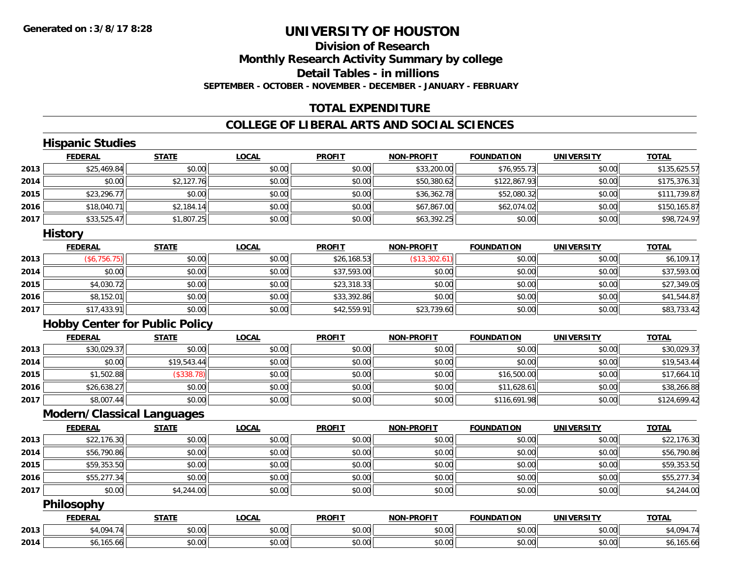### **Division of ResearchMonthly Research Activity Summary by college Detail Tables - in millionsSEPTEMBER - OCTOBER - NOVEMBER - DECEMBER - JANUARY - FEBRUARY**

## **TOTAL EXPENDITURE**

## **COLLEGE OF LIBERAL ARTS AND SOCIAL SCIENCES**

# **Hispanic Studies**

|      | <b>FEDERAL</b> | <u>STATE</u> | <u>LOCAL</u> | <b>PROFIT</b> | <b>NON-PROFIT</b> | <b>FOUNDATION</b> | <b>UNIVERSITY</b> | <b>TOTAL</b> |
|------|----------------|--------------|--------------|---------------|-------------------|-------------------|-------------------|--------------|
| 2013 | \$25,469.84    | \$0.00       | \$0.00       | \$0.00        | \$33,200.00       | \$76,955.73       | \$0.00            | \$135,625.57 |
| 2014 | \$0.00         | \$2,127.76   | \$0.00       | \$0.00        | \$50,380.62       | \$122,867.93      | \$0.00            | \$175,376.31 |
| 2015 | \$23,296.77    | \$0.00       | \$0.00       | \$0.00        | \$36,362.78       | \$52,080.32       | \$0.00            | \$111,739.87 |
| 2016 | \$18,040.71    | \$2,184.14   | \$0.00       | \$0.00        | \$67,867.00       | \$62,074.02       | \$0.00            | \$150,165.87 |
| 2017 | \$33,525.47    | \$1,807.25   | \$0.00       | \$0.00        | \$63,392.25       | \$0.00            | \$0.00            | \$98,724.97  |

#### **History**

|      | <b>FEDERAL</b> | <b>STATE</b> | <b>LOCAL</b> | <b>PROFIT</b> | <b>NON-PROFIT</b> | <b>FOUNDATION</b> | <b>UNIVERSITY</b> | <b>TOTAL</b> |
|------|----------------|--------------|--------------|---------------|-------------------|-------------------|-------------------|--------------|
| 2013 | (\$6,756.75)   | \$0.00       | \$0.00       | \$26,168.53   | (\$13,302.61)     | \$0.00            | \$0.00            | \$6,109.17   |
| 2014 | \$0.00         | \$0.00       | \$0.00       | \$37,593.00   | \$0.00            | \$0.00            | \$0.00            | \$37,593.00  |
| 2015 | \$4,030.72     | \$0.00       | \$0.00       | \$23,318.33   | \$0.00            | \$0.00            | \$0.00            | \$27,349.05  |
| 2016 | \$8,152.01     | \$0.00       | \$0.00       | \$33,392.86   | \$0.00            | \$0.00            | \$0.00            | \$41,544.87  |
| 2017 | \$17,433.91    | \$0.00       | \$0.00       | \$42,559.91   | \$23,739.60       | \$0.00            | \$0.00            | \$83,733.42  |

## **Hobby Center for Public Policy**

|      | <b>FEDERAL</b> | <u>STATE</u> | <u>LOCAL</u> | <b>PROFIT</b> | <b>NON-PROFIT</b> | <b>FOUNDATION</b> | <b>UNIVERSITY</b> | <b>TOTAL</b> |
|------|----------------|--------------|--------------|---------------|-------------------|-------------------|-------------------|--------------|
| 2013 | \$30,029.37    | \$0.00       | \$0.00       | \$0.00        | \$0.00            | \$0.00            | \$0.00            | \$30,029.37  |
| 2014 | \$0.00         | \$19,543.44  | \$0.00       | \$0.00        | \$0.00            | \$0.00            | \$0.00            | \$19,543.44  |
| 2015 | \$1,502.88     | (\$338.78)   | \$0.00       | \$0.00        | \$0.00            | \$16,500.00       | \$0.00            | \$17,664.10  |
| 2016 | \$26,638.27    | \$0.00       | \$0.00       | \$0.00        | \$0.00            | \$11,628.61       | \$0.00            | \$38,266.88  |
| 2017 | \$8,007.44     | \$0.00       | \$0.00       | \$0.00        | \$0.00            | \$116,691.98      | \$0.00            | \$124,699.42 |

#### **Modern/Classical Languages**

|      | <b>FEDERAL</b> | <b>STATE</b> | <b>LOCAL</b> | <b>PROFIT</b> | <b>NON-PROFIT</b> | <b>FOUNDATION</b> | <b>UNIVERSITY</b> | <b>TOTAL</b> |
|------|----------------|--------------|--------------|---------------|-------------------|-------------------|-------------------|--------------|
| 2013 | \$22,176.30    | \$0.00       | \$0.00       | \$0.00        | \$0.00            | \$0.00            | \$0.00            | \$22,176.30  |
| 2014 | \$56,790.86    | \$0.00       | \$0.00       | \$0.00        | \$0.00            | \$0.00            | \$0.00            | \$56,790.86  |
| 2015 | \$59,353.50    | \$0.00       | \$0.00       | \$0.00        | \$0.00            | \$0.00            | \$0.00            | \$59,353.50  |
| 2016 | \$55,277.34    | \$0.00       | \$0.00       | \$0.00        | \$0.00            | \$0.00            | \$0.00            | \$55,277.34  |
| 2017 | \$0.00         | \$4,244.00   | \$0.00       | \$0.00        | \$0.00            | \$0.00            | \$0.00            | \$4,244.00   |

### **Philosophy**

|      | <b>FEDERAI</b>                                | <b>CTATE</b>               | <b>_OCAI</b>              | <b>PROFIT</b> | $M$ -DDOF'T<br><b>BIABI</b> | <b>FOUNDATION</b> | UNIVERSITY    | <b>TOTAL</b>         |
|------|-----------------------------------------------|----------------------------|---------------------------|---------------|-----------------------------|-------------------|---------------|----------------------|
| 2013 | $\sqrt{2}$                                    | \$0.00                     | 0000<br>PU.U              | \$0.00        | 0.00<br>vu.vu               | \$0.00            | 0.00<br>vu.vu | ,7,094               |
| 2014 | $\mathcal{L}$ and $\mathcal{L}$<br>\$0,105.00 | $n \cap \Omega$<br>JU.UU ' | $\sim$<br>$\sim$<br>JU.UU | \$0.00        | $\sim$ 00<br>JU.UU          | \$0.00            | 0.00<br>JU.UU | $\sim$<br>30, 100.00 |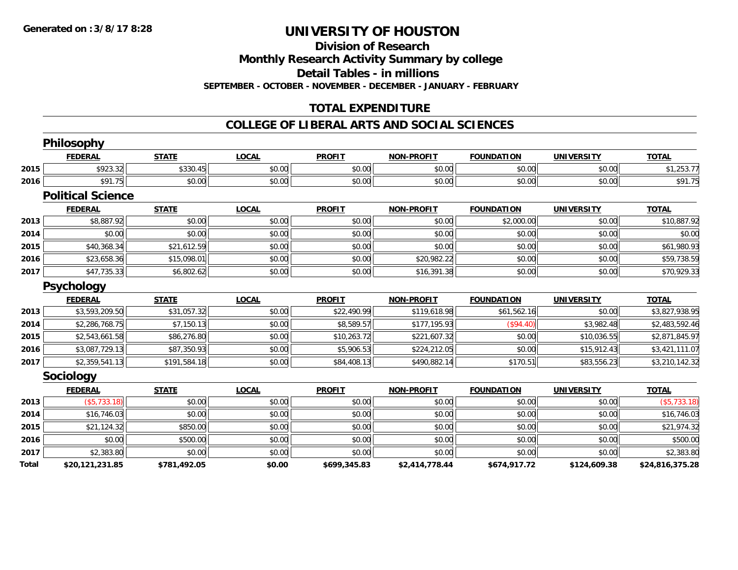**Division of Research**

**Monthly Research Activity Summary by college**

**Detail Tables - in millions**

**SEPTEMBER - OCTOBER - NOVEMBER - DECEMBER - JANUARY - FEBRUARY**

### **TOTAL EXPENDITURE**

#### **COLLEGE OF LIBERAL ARTS AND SOCIAL SCIENCES**

|       | Philosophy               |              |              |               |                   |                   |                   |                 |
|-------|--------------------------|--------------|--------------|---------------|-------------------|-------------------|-------------------|-----------------|
|       | <b>FEDERAL</b>           | <b>STATE</b> | <b>LOCAL</b> | <b>PROFIT</b> | <b>NON-PROFIT</b> | <b>FOUNDATION</b> | <b>UNIVERSITY</b> | <b>TOTAL</b>    |
| 2015  | \$923.32                 | \$330.45     | \$0.00       | \$0.00        | \$0.00            | \$0.00            | \$0.00            | \$1,253.77      |
| 2016  | \$91.75                  | \$0.00       | \$0.00       | \$0.00        | \$0.00            | \$0.00            | \$0.00            | \$91.75         |
|       | <b>Political Science</b> |              |              |               |                   |                   |                   |                 |
|       | <b>FEDERAL</b>           | <b>STATE</b> | <b>LOCAL</b> | <b>PROFIT</b> | <b>NON-PROFIT</b> | <b>FOUNDATION</b> | <b>UNIVERSITY</b> | <b>TOTAL</b>    |
| 2013  | \$8,887.92               | \$0.00       | \$0.00       | \$0.00        | \$0.00            | \$2,000.00        | \$0.00            | \$10,887.92     |
| 2014  | \$0.00                   | \$0.00       | \$0.00       | \$0.00        | \$0.00            | \$0.00            | \$0.00            | \$0.00          |
| 2015  | \$40,368.34              | \$21,612.59  | \$0.00       | \$0.00        | \$0.00            | \$0.00            | \$0.00            | \$61,980.93     |
| 2016  | \$23,658.36              | \$15,098.01  | \$0.00       | \$0.00        | \$20,982.22       | \$0.00            | \$0.00            | \$59,738.59     |
| 2017  | \$47,735.33              | \$6,802.62   | \$0.00       | \$0.00        | \$16,391.38       | \$0.00            | \$0.00            | \$70,929.33     |
|       | <b>Psychology</b>        |              |              |               |                   |                   |                   |                 |
|       | <b>FEDERAL</b>           | <b>STATE</b> | <b>LOCAL</b> | <b>PROFIT</b> | <b>NON-PROFIT</b> | <b>FOUNDATION</b> | <b>UNIVERSITY</b> | <b>TOTAL</b>    |
| 2013  | \$3,593,209.50           | \$31,057.32  | \$0.00       | \$22,490.99   | \$119,618.98      | \$61,562.16       | \$0.00            | \$3,827,938.95  |
| 2014  | \$2,286,768.75           | \$7,150.13   | \$0.00       | \$8,589.57    | \$177,195.93      | (\$94.40)         | \$3,982.48        | \$2,483,592.46  |
| 2015  | \$2,543,661.58           | \$86,276.80  | \$0.00       | \$10,263.72   | \$221,607.32      | \$0.00            | \$10,036.55       | \$2,871,845.97  |
| 2016  | \$3,087,729.13           | \$87,350.93  | \$0.00       | \$5,906.53    | \$224,212.05      | \$0.00            | \$15,912.43       | \$3,421,111.07  |
| 2017  | \$2,359,541.13           | \$191,584.18 | \$0.00       | \$84,408.13   | \$490,882.14      | \$170.51          | \$83,556.23       | \$3,210,142.32  |
|       | Sociology                |              |              |               |                   |                   |                   |                 |
|       | <b>FEDERAL</b>           | <b>STATE</b> | <b>LOCAL</b> | <b>PROFIT</b> | <b>NON-PROFIT</b> | <b>FOUNDATION</b> | <b>UNIVERSITY</b> | <b>TOTAL</b>    |
| 2013  | (\$5,733.18)             | \$0.00       | \$0.00       | \$0.00        | \$0.00            | \$0.00            | \$0.00            | (\$5,733.18)    |
| 2014  | \$16,746.03              | \$0.00       | \$0.00       | \$0.00        | \$0.00            | \$0.00            | \$0.00            | \$16,746.03     |
| 2015  | \$21,124.32              | \$850.00     | \$0.00       | \$0.00        | \$0.00            | \$0.00            | \$0.00            | \$21,974.32     |
| 2016  | \$0.00                   | \$500.00     | \$0.00       | \$0.00        | \$0.00            | \$0.00            | \$0.00            | \$500.00        |
| 2017  | \$2,383.80               | \$0.00       | \$0.00       | \$0.00        | \$0.00            | \$0.00            | \$0.00            | \$2,383.80      |
| Total | \$20,121,231.85          | \$781,492.05 | \$0.00       | \$699,345.83  | \$2,414,778.44    | \$674,917.72      | \$124,609.38      | \$24,816,375.28 |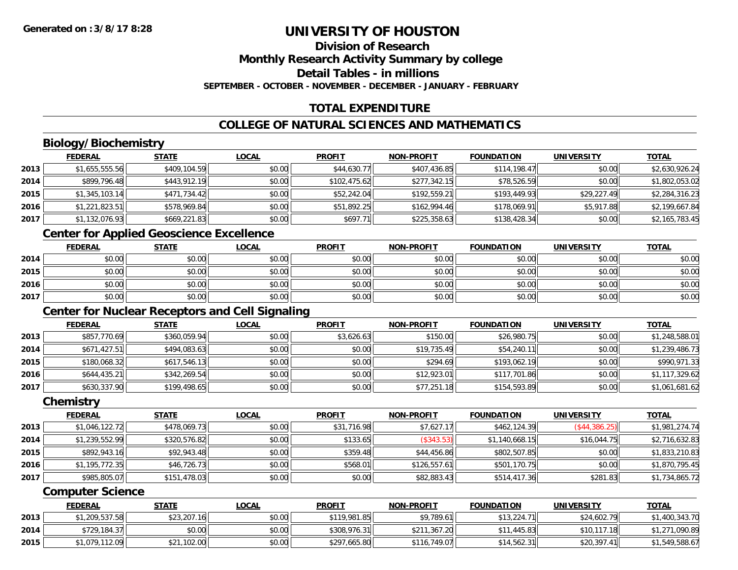# **Division of Research**

**Monthly Research Activity Summary by college**

**Detail Tables - in millions**

**SEPTEMBER - OCTOBER - NOVEMBER - DECEMBER - JANUARY - FEBRUARY**

### **TOTAL EXPENDITURE**

### **COLLEGE OF NATURAL SCIENCES AND MATHEMATICS**

### **Biology/Biochemistry**

|      | <b>FEDERAL</b> | <b>STATE</b> | <u>LOCAL</u> | <b>PROFIT</b> | <b>NON-PROFIT</b> | <b>FOUNDATION</b> | <b>UNIVERSITY</b> | <b>TOTAL</b>   |
|------|----------------|--------------|--------------|---------------|-------------------|-------------------|-------------------|----------------|
| 2013 | \$1,655,555.56 | \$409,104.59 | \$0.00       | \$44,630.77   | \$407,436.85      | \$114.198.47      | \$0.00            | \$2,630,926.24 |
| 2014 | \$899,796.48   | \$443,912.19 | \$0.00       | \$102,475.62  | \$277,342.15      | \$78,526.59       | \$0.00            | \$1,802,053.02 |
| 2015 | \$1,345,103.14 | \$471,734.42 | \$0.00       | \$52,242.04   | \$192,559.21      | \$193,449.93      | \$29,227.49       | \$2,284,316.23 |
| 2016 | \$1,221,823.51 | \$578,969.84 | \$0.00       | \$51,892.25   | \$162.994.46      | \$178,069.91      | \$5,917.88        | \$2,199,667.84 |
| 2017 | \$1,132,076.93 | \$669,221.83 | \$0.00       | \$697.71      | \$225,358.63      | \$138,428.34      | \$0.00            | \$2,165,783.45 |

#### **Center for Applied Geoscience Excellence**

|      | <b>FEDERAL</b> | STATE  | <u>LOCAL</u> | <b>PROFIT</b> | <b>NON-PROFIT</b> | <b>FOUNDATION</b> | <b>UNIVERSITY</b> | <b>TOTAL</b> |
|------|----------------|--------|--------------|---------------|-------------------|-------------------|-------------------|--------------|
| 2014 | \$0.00         | \$0.00 | \$0.00       | \$0.00        | \$0.00            | \$0.00            | \$0.00            | \$0.00       |
| 2015 | \$0.00         | \$0.00 | \$0.00       | \$0.00        | \$0.00            | \$0.00            | \$0.00            | \$0.00       |
| 2016 | \$0.00         | \$0.00 | \$0.00       | \$0.00        | \$0.00            | \$0.00            | \$0.00            | \$0.00       |
| 2017 | \$0.00         | \$0.00 | \$0.00       | \$0.00        | \$0.00            | \$0.00            | \$0.00            | \$0.00       |

### **Center for Nuclear Receptors and Cell Signaling**

|      | <b>FEDERAL</b> | <b>STATE</b> | <u>LOCAL</u> | <b>PROFIT</b> | <b>NON-PROFIT</b> | <b>FOUNDATION</b> | <b>UNIVERSITY</b> | <b>TOTAL</b>   |
|------|----------------|--------------|--------------|---------------|-------------------|-------------------|-------------------|----------------|
| 2013 | \$857,770.69   | \$360,059.94 | \$0.00       | \$3,626.63    | \$150.00          | \$26,980.75       | \$0.00            | \$1,248,588.01 |
| 2014 | \$671,427.51   | \$494,083.63 | \$0.00       | \$0.00        | \$19,735.49       | \$54,240.11       | \$0.00            | \$1,239,486.73 |
| 2015 | \$180,068.32   | \$617,546.13 | \$0.00       | \$0.00        | \$294.69          | \$193,062.19      | \$0.00            | \$990,971.33   |
| 2016 | \$644,435.21   | \$342,269.54 | \$0.00       | \$0.00        | \$12,923.01       | \$117,701.86      | \$0.00            | \$1,117,329.62 |
| 2017 | \$630,337.90   | \$199,498.65 | \$0.00       | \$0.00        | \$77,251.18       | \$154,593.89      | \$0.00            | \$1,061,681.62 |

#### **Chemistry**

|      | <b>FEDERAL</b> | <b>STATE</b> | <b>LOCAL</b> | <b>PROFIT</b> | <b>NON-PROFIT</b> | <b>FOUNDATION</b> | <b>UNIVERSITY</b> | <b>TOTAL</b>   |
|------|----------------|--------------|--------------|---------------|-------------------|-------------------|-------------------|----------------|
| 2013 | \$1,046,122.72 | \$478,069.73 | \$0.00       | \$31,716.98   | \$7,627.17        | \$462,124.39      | (S44, 386.25)     | \$1,981,274.74 |
| 2014 | \$1,239,552.99 | \$320,576.82 | \$0.00       | \$133.65      | (\$343.53)        | \$1,140,668.15    | \$16,044.75       | \$2,716,632.83 |
| 2015 | \$892,943.16   | \$92,943.48  | \$0.00       | \$359.48      | \$44,456.86       | \$802,507.85      | \$0.00            | \$1,833,210.83 |
| 2016 | \$1,195,772.35 | \$46,726.73  | \$0.00       | \$568.01      | \$126,557.61      | \$501,170.75      | \$0.00            | \$1,870,795.45 |
| 2017 | \$985,805.07   | \$151,478.03 | \$0.00       | \$0.00        | \$82,883.43       | \$514,417.36      | \$281.83          | \$1,734,865.72 |

#### **Computer Science**

|      | <b>FEDERAL</b> | <b>STATE</b>    | <u>LOCAL</u> | <b>PROFIT</b> | <b>NON-PROFIT</b> | <b>FOUNDATION</b> | <b>UNIVERSITY</b> | <b>TOTAL</b>   |
|------|----------------|-----------------|--------------|---------------|-------------------|-------------------|-------------------|----------------|
| 2013 | \$1,209,537.58 | \$23,207.16     | \$0.00       | \$119,981.85  | \$9,789.61        | \$13,224.71       | \$24,602.79       | \$1,400,343.70 |
| 2014 | \$729,184.37   | \$0.00          | \$0.00       | \$308,976.31  | \$211,367.20      | \$11,445.83       | \$10,117.18       | \$1,271,090.89 |
| 2015 | \$1,079,112.09 | .102.00<br>\$21 | \$0.00       | \$297,665.80  | \$116,749.07      | \$14.562.31       | \$20,397.41       | \$1,549,588.67 |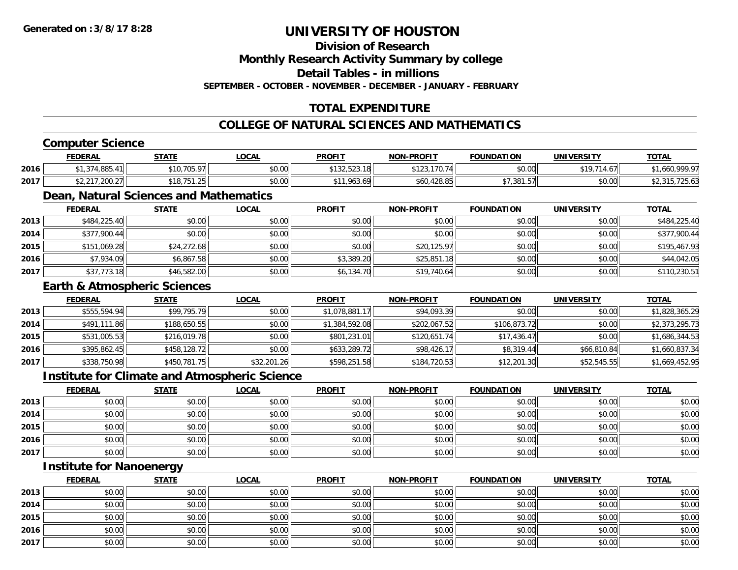**Division of Research**

**Monthly Research Activity Summary by college**

**Detail Tables - in millions**

**SEPTEMBER - OCTOBER - NOVEMBER - DECEMBER - JANUARY - FEBRUARY**

### **TOTAL EXPENDITURE**

#### **COLLEGE OF NATURAL SCIENCES AND MATHEMATICS**

#### **Computer Science**

|      | <u>FEDERAL</u>                    | <b>STATE</b>        | LOCAL  | <b>PROFIT</b>               | <b>NON-PROFIT</b>       | <b>FOUNDATION</b>                           | <b>UNIVERSITY</b>    | <b>TOTAL</b> |
|------|-----------------------------------|---------------------|--------|-----------------------------|-------------------------|---------------------------------------------|----------------------|--------------|
| 2016 | 1.885                             | ,705.97<br>, I U    | \$0.00 | <b>ሰኅ ገገ</b><br>3132.523.18 | $+100$<br>1707<br>10.14 | \$0.00                                      | <b>¢10 71</b><br>.01 | 1.660.999.97 |
| 2017 | <b>CO 001 CPC CPC</b><br>، ۷۷۰ ه. | \$18.751.<br>,,,,,, | \$0.00 | \$11,963.69                 | ີ 1 4 2 8. 8 ບ<br>ተ / ሶ | <b>¢7 221 57</b><br><u>. ، ن ا ن تن ، .</u> | \$0.00               | 72 J.U.      |

### **Dean, Natural Sciences and Mathematics**

|      | <b>FEDERAL</b> | <b>STATE</b> | <b>LOCAL</b> | <b>PROFIT</b> | <b>NON-PROFIT</b> | <b>FOUNDATION</b> | <b>UNIVERSITY</b> | <b>TOTAL</b> |
|------|----------------|--------------|--------------|---------------|-------------------|-------------------|-------------------|--------------|
| 2013 | \$484,225.40   | \$0.00       | \$0.00       | \$0.00        | \$0.00            | \$0.00            | \$0.00            | \$484,225.40 |
| 2014 | \$377,900.44   | \$0.00       | \$0.00       | \$0.00        | \$0.00            | \$0.00            | \$0.00            | \$377,900.44 |
| 2015 | \$151,069.28   | \$24,272.68  | \$0.00       | \$0.00        | \$20,125.97       | \$0.00            | \$0.00            | \$195,467.93 |
| 2016 | \$7,934.09     | \$6,867.58   | \$0.00       | \$3,389.20    | \$25,851.18       | \$0.00            | \$0.00            | \$44,042.05  |
| 2017 | \$37,773.18    | \$46,582.00  | \$0.00       | \$6,134.70    | \$19,740.64       | \$0.00            | \$0.00            | \$110,230.51 |

#### **Earth & Atmospheric Sciences**

|      | <b>FEDERAL</b> | <b>STATE</b> | <b>LOCAL</b> | <b>PROFIT</b>  | <b>NON-PROFIT</b> | <b>FOUNDATION</b> | <b>UNIVERSITY</b> | <b>TOTAL</b>   |
|------|----------------|--------------|--------------|----------------|-------------------|-------------------|-------------------|----------------|
| 2013 | \$555,594.94   | \$99,795.79  | \$0.00       | \$1,078,881.17 | \$94,093.39       | \$0.00            | \$0.00            | \$1,828,365.29 |
| 2014 | \$491,111.86   | \$188,650.55 | \$0.00       | \$1,384,592.08 | \$202,067.52      | \$106,873.72      | \$0.00            | \$2,373,295.73 |
| 2015 | \$531,005.53   | \$216,019.78 | \$0.00       | \$801,231.01   | \$120,651.74      | \$17,436.47       | \$0.00            | \$1,686,344.53 |
| 2016 | \$395,862.45   | \$458,128.72 | \$0.00       | \$633,289.72   | \$98,426.17       | \$8,319.44        | \$66,810.84       | \$1,660,837.34 |
| 2017 | \$338,750.98   | \$450,781.75 | \$32,201.26  | \$598,251.58   | \$184,720.53      | \$12,201.30       | \$52,545.55       | \$1,669,452.95 |

#### **Institute for Climate and Atmospheric Science**

|      | <u>FEDERAL</u> | <u>STATE</u> | <u>LOCAL</u> | <b>PROFIT</b> | <b>NON-PROFIT</b> | <b>FOUNDATION</b> | <b>UNIVERSITY</b> | <b>TOTAL</b> |
|------|----------------|--------------|--------------|---------------|-------------------|-------------------|-------------------|--------------|
| 2013 | \$0.00         | \$0.00       | \$0.00       | \$0.00        | \$0.00            | \$0.00            | \$0.00            | \$0.00       |
| 2014 | \$0.00         | \$0.00       | \$0.00       | \$0.00        | \$0.00            | \$0.00            | \$0.00            | \$0.00       |
| 2015 | \$0.00         | \$0.00       | \$0.00       | \$0.00        | \$0.00            | \$0.00            | \$0.00            | \$0.00       |
| 2016 | \$0.00         | \$0.00       | \$0.00       | \$0.00        | \$0.00            | \$0.00            | \$0.00            | \$0.00       |
| 2017 | \$0.00         | \$0.00       | \$0.00       | \$0.00        | \$0.00            | \$0.00            | \$0.00            | \$0.00       |

### **Institute for Nanoenergy**

|      | <b>FEDERAL</b> | <b>STATE</b> | <u>LOCAL</u> | <b>PROFIT</b> | <b>NON-PROFIT</b> | <b>FOUNDATION</b> | <b>UNIVERSITY</b> | <b>TOTAL</b> |
|------|----------------|--------------|--------------|---------------|-------------------|-------------------|-------------------|--------------|
| 2013 | \$0.00         | \$0.00       | \$0.00       | \$0.00        | \$0.00            | \$0.00            | \$0.00            | \$0.00       |
| 2014 | \$0.00         | \$0.00       | \$0.00       | \$0.00        | \$0.00            | \$0.00            | \$0.00            | \$0.00       |
| 2015 | \$0.00         | \$0.00       | \$0.00       | \$0.00        | \$0.00            | \$0.00            | \$0.00            | \$0.00       |
| 2016 | \$0.00         | \$0.00       | \$0.00       | \$0.00        | \$0.00            | \$0.00            | \$0.00            | \$0.00       |
| 2017 | \$0.00         | \$0.00       | \$0.00       | \$0.00        | \$0.00            | \$0.00            | \$0.00            | \$0.00       |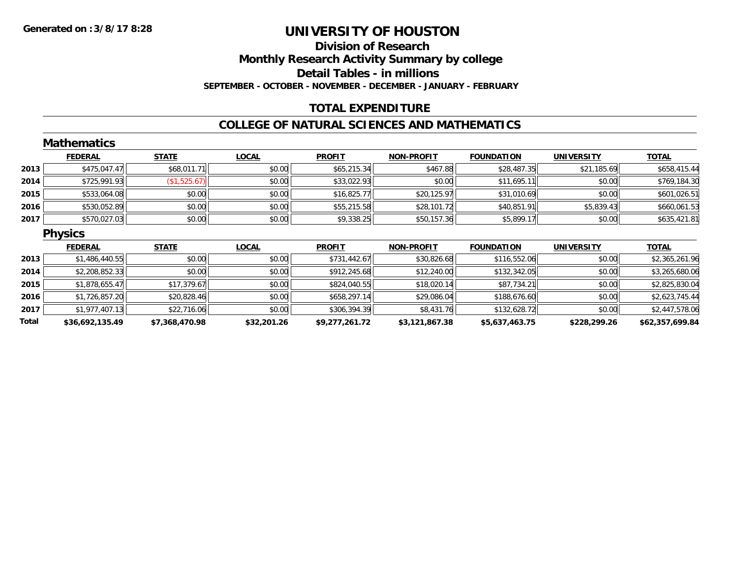#### **Division of Research Monthly Research Activity Summary by college Detail Tables - in millions SEPTEMBER - OCTOBER - NOVEMBER - DECEMBER - JANUARY - FEBRUARY**

#### **TOTAL EXPENDITURE**

#### **COLLEGE OF NATURAL SCIENCES AND MATHEMATICS**

|       | <b>Mathematics</b> |                |              |                |                   |                   |                   |                 |
|-------|--------------------|----------------|--------------|----------------|-------------------|-------------------|-------------------|-----------------|
|       | <b>FEDERAL</b>     | <b>STATE</b>   | <b>LOCAL</b> | <b>PROFIT</b>  | <b>NON-PROFIT</b> | <b>FOUNDATION</b> | <b>UNIVERSITY</b> | <b>TOTAL</b>    |
| 2013  | \$475,047.47       | \$68,011.71    | \$0.00       | \$65,215.34    | \$467.88          | \$28,487.35       | \$21,185.69       | \$658,415.44    |
| 2014  | \$725,991.93       | (\$1,525.67)   | \$0.00       | \$33,022.93    | \$0.00            | \$11,695.11       | \$0.00            | \$769,184.30    |
| 2015  | \$533,064.08       | \$0.00         | \$0.00       | \$16,825.77    | \$20,125.97       | \$31,010.69       | \$0.00            | \$601,026.51    |
| 2016  | \$530,052.89       | \$0.00         | \$0.00       | \$55,215.58    | \$28,101.72       | \$40,851.91       | \$5,839.43        | \$660,061.53    |
| 2017  | \$570,027.03       | \$0.00         | \$0.00       | \$9,338.25     | \$50,157.36       | \$5,899.17        | \$0.00            | \$635,421.81    |
|       | <b>Physics</b>     |                |              |                |                   |                   |                   |                 |
|       | <b>FEDERAL</b>     | <b>STATE</b>   | <b>LOCAL</b> | <b>PROFIT</b>  | <b>NON-PROFIT</b> | <b>FOUNDATION</b> | <b>UNIVERSITY</b> | <b>TOTAL</b>    |
| 2013  | \$1,486,440.55     | \$0.00         | \$0.00       | \$731,442.67   | \$30,826.68       | \$116,552.06      | \$0.00            | \$2,365,261.96  |
| 2014  | \$2,208,852.33     | \$0.00         | \$0.00       | \$912,245.68   | \$12,240.00       | \$132,342.05      | \$0.00            | \$3,265,680.06  |
| 2015  | \$1,878,655.47     | \$17,379.67    | \$0.00       | \$824,040.55   | \$18,020.14       | \$87,734.21       | \$0.00            | \$2,825,830.04  |
| 2016  | \$1,726,857.20     | \$20,828.46    | \$0.00       | \$658,297.14   | \$29,086.04       | \$188,676.60      | \$0.00            | \$2,623,745.44  |
| 2017  | \$1,977,407.13     | \$22,716.06    | \$0.00       | \$306,394.39   | \$8,431.76        | \$132,628.72      | \$0.00            | \$2,447,578.06  |
| Total | \$36,692,135.49    | \$7,368,470.98 | \$32,201.26  | \$9,277,261.72 | \$3,121,867.38    | \$5,637,463.75    | \$228,299.26      | \$62,357,699.84 |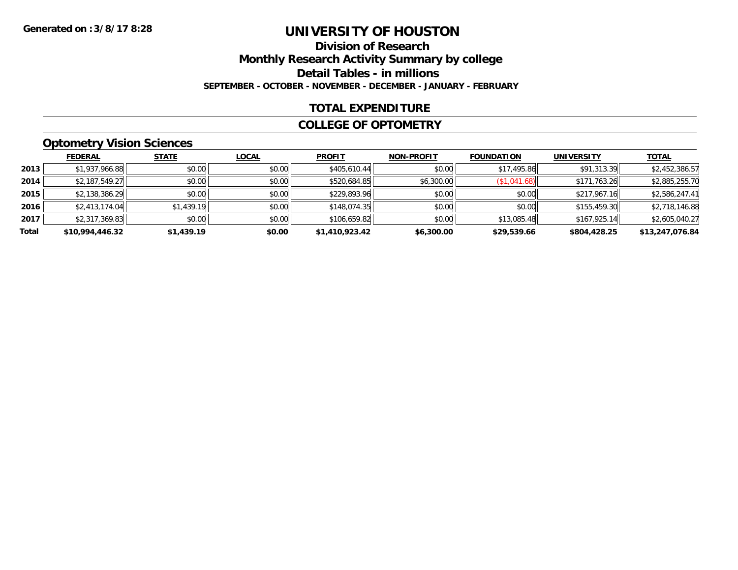### **Division of ResearchMonthly Research Activity Summary by college Detail Tables - in millions SEPTEMBER - OCTOBER - NOVEMBER - DECEMBER - JANUARY - FEBRUARY**

#### **TOTAL EXPENDITURE**

#### **COLLEGE OF OPTOMETRY**

### **Optometry Vision Sciences**

|       | <b>FEDERAL</b>  | <b>STATE</b> | <b>LOCAL</b> | <b>PROFIT</b>  | <b>NON-PROFIT</b> | <b>FOUNDATION</b> | <b>UNIVERSITY</b> | <b>TOTAL</b>    |
|-------|-----------------|--------------|--------------|----------------|-------------------|-------------------|-------------------|-----------------|
| 2013  | \$1,937,966.88  | \$0.00       | \$0.00       | \$405,610.44   | \$0.00            | \$17,495.86       | \$91,313.39       | \$2,452,386.57  |
| 2014  | \$2,187,549.27  | \$0.00       | \$0.00       | \$520,684.85   | \$6,300.00        | \$1,041.68        | \$171,763.26      | \$2,885,255.70  |
| 2015  | \$2,138,386.29  | \$0.00       | \$0.00       | \$229,893.96   | \$0.00            | \$0.00            | \$217,967.16      | \$2,586,247.41  |
| 2016  | \$2,413,174.04  | \$1,439.19   | \$0.00       | \$148,074.35   | \$0.00            | \$0.00            | \$155,459.30      | \$2,718,146.88  |
| 2017  | \$2,317,369.83  | \$0.00       | \$0.00       | \$106,659.82   | \$0.00            | \$13,085.48       | \$167,925.14      | \$2,605,040.27  |
| Total | \$10,994,446.32 | \$1,439.19   | \$0.00       | \$1,410,923.42 | \$6,300.00        | \$29,539.66       | \$804,428.25      | \$13,247,076.84 |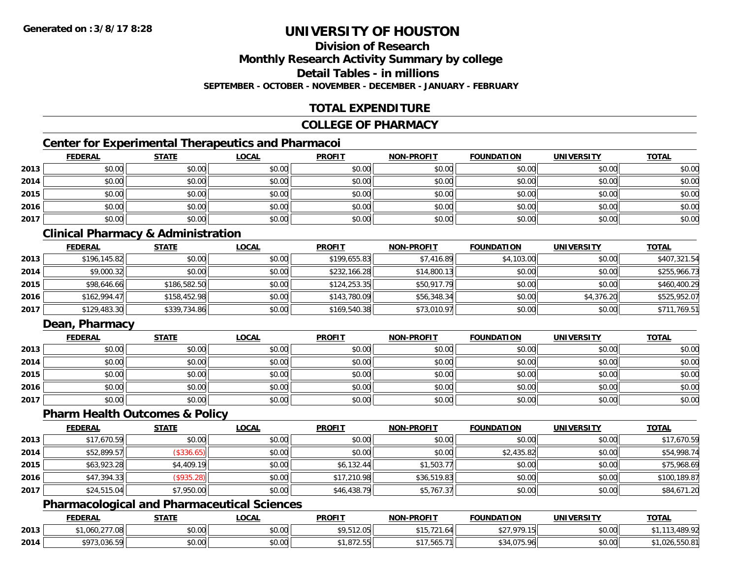### **Division of Research**

**Monthly Research Activity Summary by college**

**Detail Tables - in millions**

**SEPTEMBER - OCTOBER - NOVEMBER - DECEMBER - JANUARY - FEBRUARY**

### **TOTAL EXPENDITURE**

#### **COLLEGE OF PHARMACY**

### **Center for Experimental Therapeutics and Pharmacoi**

|      | <b>FEDERAL</b> | <b>STATE</b> | <b>LOCAL</b> | <b>PROFIT</b> | <b>NON-PROFIT</b> | <b>FOUNDATION</b> | <b>UNIVERSITY</b> | <b>TOTAL</b> |
|------|----------------|--------------|--------------|---------------|-------------------|-------------------|-------------------|--------------|
| 2013 | \$0.00         | \$0.00       | \$0.00       | \$0.00        | \$0.00            | \$0.00            | \$0.00            | \$0.00       |
| 2014 | \$0.00         | \$0.00       | \$0.00       | \$0.00        | \$0.00            | \$0.00            | \$0.00            | \$0.00       |
| 2015 | \$0.00         | \$0.00       | \$0.00       | \$0.00        | \$0.00            | \$0.00            | \$0.00            | \$0.00       |
| 2016 | \$0.00         | \$0.00       | \$0.00       | \$0.00        | \$0.00            | \$0.00            | \$0.00            | \$0.00       |
| 2017 | \$0.00         | \$0.00       | \$0.00       | \$0.00        | \$0.00            | \$0.00            | \$0.00            | \$0.00       |

### **Clinical Pharmacy & Administration**

|      | <b>FEDERAL</b> | <b>STATE</b> | <b>LOCAL</b> | <b>PROFIT</b> | <b>NON-PROFIT</b> | <b>FOUNDATION</b> | <b>UNIVERSITY</b> | <b>TOTAL</b> |
|------|----------------|--------------|--------------|---------------|-------------------|-------------------|-------------------|--------------|
| 2013 | \$196,145.82   | \$0.00       | \$0.00       | \$199.655.83  | \$7,416.89        | \$4,103.00        | \$0.00            | \$407,321.54 |
| 2014 | \$9,000.32     | \$0.00       | \$0.00       | \$232,166.28  | \$14,800.13       | \$0.00            | \$0.00            | \$255,966.73 |
| 2015 | \$98,646.66    | \$186,582.50 | \$0.00       | \$124.253.35  | \$50,917.79       | \$0.00            | \$0.00            | \$460,400.29 |
| 2016 | \$162,994.47   | \$158,452.98 | \$0.00       | \$143,780.09  | \$56,348.34       | \$0.00            | \$4,376.20        | \$525,952.07 |
| 2017 | \$129,483.30   | \$339,734.86 | \$0.00       | \$169,540.38  | \$73,010.97       | \$0.00            | \$0.00            | \$711,769.51 |

### **Dean, Pharmacy**

|      | <b>FEDERAL</b> | <b>STATE</b> | <u>LOCAL</u> | <b>PROFIT</b> | <b>NON-PROFIT</b> | <b>FOUNDATION</b> | <b>UNIVERSITY</b> | <b>TOTAL</b> |
|------|----------------|--------------|--------------|---------------|-------------------|-------------------|-------------------|--------------|
| 2013 | \$0.00         | \$0.00       | \$0.00       | \$0.00        | \$0.00            | \$0.00            | \$0.00            | \$0.00       |
| 2014 | \$0.00         | \$0.00       | \$0.00       | \$0.00        | \$0.00            | \$0.00            | \$0.00            | \$0.00       |
| 2015 | \$0.00         | \$0.00       | \$0.00       | \$0.00        | \$0.00            | \$0.00            | \$0.00            | \$0.00       |
| 2016 | \$0.00         | \$0.00       | \$0.00       | \$0.00        | \$0.00            | \$0.00            | \$0.00            | \$0.00       |
| 2017 | \$0.00         | \$0.00       | \$0.00       | \$0.00        | \$0.00            | \$0.00            | \$0.00            | \$0.00       |

#### **Pharm Health Outcomes & Policy**

|      | <b>FEDERAL</b> | <b>STATE</b> | <b>LOCAL</b> | <b>PROFIT</b> | <b>NON-PROFIT</b> | <b>FOUNDATION</b> | <b>UNIVERSITY</b> | <b>TOTAL</b> |
|------|----------------|--------------|--------------|---------------|-------------------|-------------------|-------------------|--------------|
| 2013 | \$17,670.59    | \$0.00       | \$0.00       | \$0.00        | \$0.00            | \$0.00            | \$0.00            | \$17,670.59  |
| 2014 | \$52,899.57    | (\$336.65)   | \$0.00       | \$0.00        | \$0.00            | \$2,435.82        | \$0.00            | \$54,998.74  |
| 2015 | \$63,923.28    | \$4,409.19   | \$0.00       | \$6,132.44    | \$1,503.77        | \$0.00            | \$0.00            | \$75,968.69  |
| 2016 | \$47,394.33    | (\$935.28)   | \$0.00       | \$17,210.98   | \$36,519.83       | \$0.00            | \$0.00            | \$100,189.87 |
| 2017 | \$24,515.04    | \$7,950.00   | \$0.00       | \$46,438.79   | \$5,767.37        | \$0.00            | \$0.00            | \$84,671.20  |

#### **Pharmacological and Pharmaceutical Sciences**

|      | <b>FEDERAL</b> | <b>STATE</b>  | <b>LOCAL</b>   | <b>PROFIT</b>        | <b>NON-PROFIT</b>        | <b>FOUNDATION</b>    | <b>UNIVERSITY</b> | <b>TOTAL</b> |
|------|----------------|---------------|----------------|----------------------|--------------------------|----------------------|-------------------|--------------|
| 2013 | \$1,060,277.08 | 0.00<br>DU.UU | ስስ ስስ<br>DU.UG | \$9,512.05           | $A - 701$<br>"15،721.64  | \$2707015<br>717. IJ | \$0.00            | .489.92      |
| 2014 | \$973.036.59   | 0000<br>DU.UU | \$0.00         | 072E<br>L.O. / 2. JO | $22.75$ 565.71<br>.565.7 | \$34,075.96          | \$0.00            | 1.026.550.81 |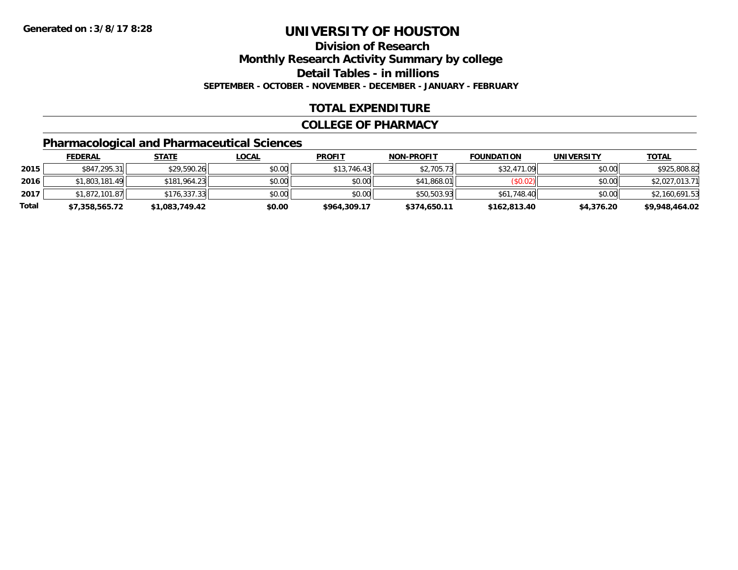**Division of Research**

**Monthly Research Activity Summary by college**

**Detail Tables - in millions**

**SEPTEMBER - OCTOBER - NOVEMBER - DECEMBER - JANUARY - FEBRUARY**

#### **TOTAL EXPENDITURE**

#### **COLLEGE OF PHARMACY**

### **Pharmacological and Pharmaceutical Sciences**

|       | <b>FEDERAL</b> | <u>STATE</u>   | <u>LOCAL</u> | <b>PROFIT</b> | <b>NON-PROFIT</b> | <b>FOUNDATION</b> | UNIVERSITY | <b>TOTAL</b>   |
|-------|----------------|----------------|--------------|---------------|-------------------|-------------------|------------|----------------|
| 2015  | \$847,295.31   | \$29,590.26    | \$0.00       | \$13,746.43   | \$2,705.73        | \$32,471.09       | \$0.00     | \$925,808.82   |
| 2016  | \$1,803,181.49 | \$181,964.23   | \$0.00       | \$0.00        | \$41,868.01       | (S0.02)           | \$0.00     | \$2,027,013.71 |
| 2017  | \$1,872,101.87 | \$176.337.33   | \$0.00       | \$0.00        | \$50,503.93       | \$61,748.40       | \$0.00     | \$2,160,691.53 |
| Total | \$7,358,565.72 | \$1,083,749.42 | \$0.00       | \$964,309.17  | \$374,650.11      | \$162,813.40      | \$4,376.20 | \$9,948,464.02 |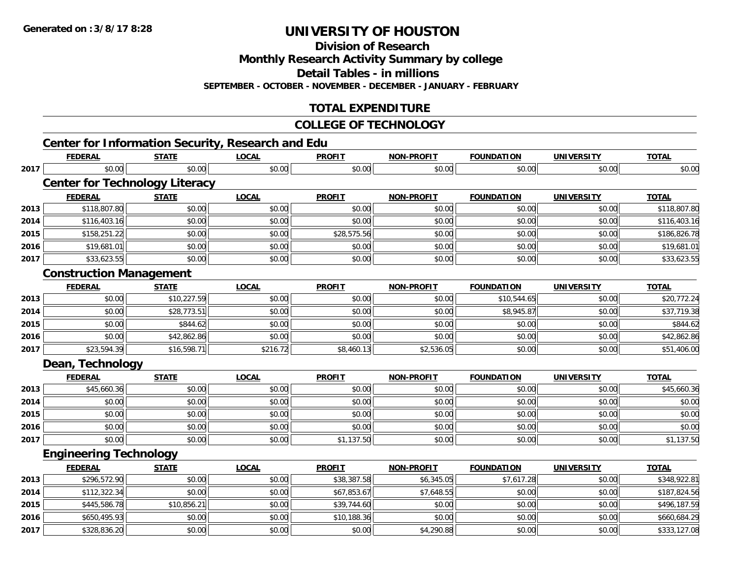**Division of Research**

**Monthly Research Activity Summary by college**

**Detail Tables - in millions**

**SEPTEMBER - OCTOBER - NOVEMBER - DECEMBER - JANUARY - FEBRUARY**

### **TOTAL EXPENDITURE**

### **COLLEGE OF TECHNOLOGY**

|      |                                                          |              |              | UULLLUL UI TLUIIIVULUUT |                   |                   |                   |              |
|------|----------------------------------------------------------|--------------|--------------|-------------------------|-------------------|-------------------|-------------------|--------------|
|      | <b>Center for Information Security, Research and Edu</b> |              |              |                         |                   |                   |                   |              |
|      | <b>FEDERAL</b>                                           | <b>STATE</b> | <b>LOCAL</b> | <b>PROFIT</b>           | <b>NON-PROFIT</b> | <b>FOUNDATION</b> | <b>UNIVERSITY</b> | <b>TOTAL</b> |
| 2017 | \$0.00                                                   | \$0.00       | \$0.00       | \$0.00                  | \$0.00            | \$0.00            | \$0.00            | \$0.00       |
|      | <b>Center for Technology Literacy</b>                    |              |              |                         |                   |                   |                   |              |
|      | <b>FEDERAL</b>                                           | <b>STATE</b> | <b>LOCAL</b> | <b>PROFIT</b>           | <b>NON-PROFIT</b> | <b>FOUNDATION</b> | <b>UNIVERSITY</b> | <b>TOTAL</b> |
| 2013 | \$118,807.80                                             | \$0.00       | \$0.00       | \$0.00                  | \$0.00            | \$0.00            | \$0.00            | \$118,807.80 |
| 2014 | \$116,403.16                                             | \$0.00       | \$0.00       | \$0.00                  | \$0.00            | \$0.00            | \$0.00            | \$116,403.16 |
| 2015 | \$158,251.22                                             | \$0.00       | \$0.00       | \$28,575.56             | \$0.00            | \$0.00            | \$0.00            | \$186,826.78 |
| 2016 | \$19,681.01                                              | \$0.00       | \$0.00       | \$0.00                  | \$0.00            | \$0.00            | \$0.00            | \$19,681.01  |
| 2017 | \$33,623.55                                              | \$0.00       | \$0.00       | \$0.00                  | \$0.00            | \$0.00            | \$0.00            | \$33,623.55  |
|      | <b>Construction Management</b>                           |              |              |                         |                   |                   |                   |              |
|      | <b>FEDERAL</b>                                           | <b>STATE</b> | <b>LOCAL</b> | <b>PROFIT</b>           | <b>NON-PROFIT</b> | <b>FOUNDATION</b> | <b>UNIVERSITY</b> | <b>TOTAL</b> |
| 2013 | \$0.00                                                   | \$10,227.59  | \$0.00       | \$0.00                  | \$0.00            | \$10,544.65       | \$0.00            | \$20,772.24  |
| 2014 | \$0.00                                                   | \$28,773.51  | \$0.00       | \$0.00                  | \$0.00            | \$8,945.87        | \$0.00            | \$37,719.38  |
| 2015 | \$0.00                                                   | \$844.62     | \$0.00       | \$0.00                  | \$0.00            | \$0.00            | \$0.00            | \$844.62     |
| 2016 | \$0.00                                                   | \$42,862.86  | \$0.00       | \$0.00                  | \$0.00            | \$0.00            | \$0.00            | \$42,862.86  |
| 2017 | \$23,594.39                                              | \$16,598.71  | \$216.72     | \$8,460.13              | \$2,536.05        | \$0.00            | \$0.00            | \$51,406.00  |
|      | Dean, Technology                                         |              |              |                         |                   |                   |                   |              |
|      | <b>FEDERAL</b>                                           | <b>STATE</b> | <b>LOCAL</b> | <b>PROFIT</b>           | <b>NON-PROFIT</b> | <b>FOUNDATION</b> | <b>UNIVERSITY</b> | <b>TOTAL</b> |
| 2013 | \$45,660.36                                              | \$0.00       | \$0.00       | \$0.00                  | \$0.00            | \$0.00            | \$0.00            | \$45,660.36  |
| 2014 | \$0.00                                                   | \$0.00       | \$0.00       | \$0.00                  | \$0.00            | \$0.00            | \$0.00            | \$0.00       |
| 2015 | \$0.00                                                   | \$0.00       | \$0.00       | \$0.00                  | \$0.00            | \$0.00            | \$0.00            | \$0.00       |
| 2016 | \$0.00                                                   | \$0.00       | \$0.00       | \$0.00                  | \$0.00            | \$0.00            | \$0.00            | \$0.00       |
| 2017 | \$0.00                                                   | \$0.00       | \$0.00       | \$1,137.50              | \$0.00            | \$0.00            | \$0.00            | \$1,137.50   |
|      | <b>Engineering Technology</b>                            |              |              |                         |                   |                   |                   |              |
|      | <b>FEDERAL</b>                                           | <b>STATE</b> | <b>LOCAL</b> | <b>PROFIT</b>           | <b>NON-PROFIT</b> | <b>FOUNDATION</b> | <b>UNIVERSITY</b> | <b>TOTAL</b> |
| 2013 | \$296,572.90                                             | \$0.00       | \$0.00       | \$38,387.58             | \$6,345.05        | \$7,617.28        | \$0.00            | \$348,922.81 |
| 2014 | \$112,322.34                                             | \$0.00       | \$0.00       | \$67,853.67             | \$7,648.55        | \$0.00            | \$0.00            | \$187,824.56 |
| 2015 | \$445,586.78                                             | \$10,856.21  | \$0.00       | \$39,744.60             | \$0.00            | \$0.00            | \$0.00            | \$496,187.59 |
| 2016 | \$650,495.93                                             | \$0.00       | \$0.00       | \$10,188.36             | \$0.00            | \$0.00            | \$0.00            | \$660,684.29 |
| 2017 | \$328,836.20                                             | \$0.00       | \$0.00       | \$0.00                  | \$4,290.88        | \$0.00            | \$0.00            | \$333,127.08 |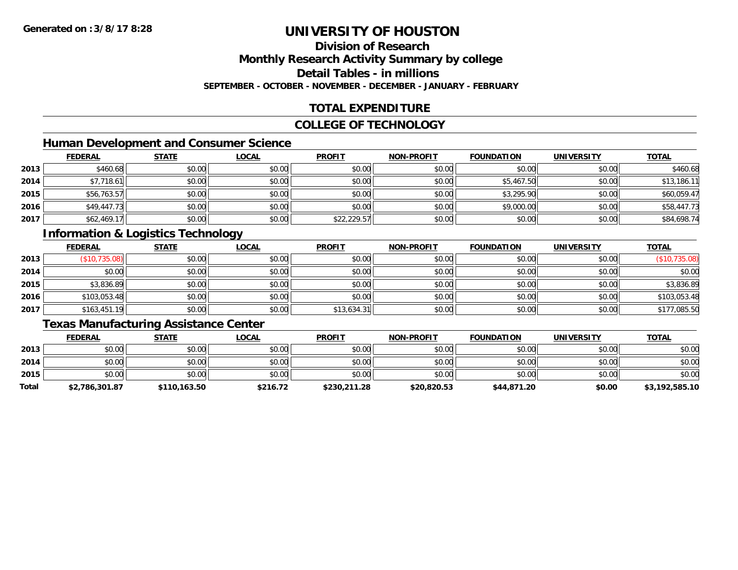## **Division of Research**

**Monthly Research Activity Summary by college**

**Detail Tables - in millions**

**SEPTEMBER - OCTOBER - NOVEMBER - DECEMBER - JANUARY - FEBRUARY**

### **TOTAL EXPENDITURE**

#### **COLLEGE OF TECHNOLOGY**

#### **Human Development and Consumer Science**

|      | <b>FEDERAL</b> | <b>STATE</b> | <b>LOCAL</b> | <b>PROFIT</b> | NON-PROFIT | <b>FOUNDATION</b> | <b>UNIVERSITY</b> | <b>TOTAL</b> |
|------|----------------|--------------|--------------|---------------|------------|-------------------|-------------------|--------------|
| 2013 | \$460.68       | \$0.00       | \$0.00       | \$0.00        | \$0.00     | \$0.00            | \$0.00            | \$460.68     |
| 2014 | \$7,718.61     | \$0.00       | \$0.00       | \$0.00        | \$0.00     | \$5,467.50        | \$0.00            | \$13,186.11  |
| 2015 | \$56,763.57    | \$0.00       | \$0.00       | \$0.00        | \$0.00     | \$3,295.90        | \$0.00            | \$60,059.47  |
| 2016 | \$49,447.73    | \$0.00       | \$0.00       | \$0.00        | \$0.00     | \$9,000.00        | \$0.00            | \$58,447.73  |
| 2017 | \$62,469.17    | \$0.00       | \$0.00       | \$22,229.57   | \$0.00     | \$0.00            | \$0.00            | \$84,698.74  |

### **Information & Logistics Technology**

|      | <b>FEDERAL</b> | <b>STATE</b> | <u>LOCAL</u> | <b>PROFIT</b> | <b>NON-PROFIT</b> | <b>FOUNDATION</b> | <b>UNIVERSITY</b> | <b>TOTAL</b>     |
|------|----------------|--------------|--------------|---------------|-------------------|-------------------|-------------------|------------------|
| 2013 | \$10,735.08    | \$0.00       | \$0.00       | \$0.00        | \$0.00            | \$0.00            | \$0.00            | 735.08)<br>′\$10 |
| 2014 | \$0.00         | \$0.00       | \$0.00       | \$0.00        | \$0.00            | \$0.00            | \$0.00            | \$0.00           |
| 2015 | \$3,836.89     | \$0.00       | \$0.00       | \$0.00        | \$0.00            | \$0.00            | \$0.00            | \$3,836.89       |
| 2016 | \$103,053.48   | \$0.00       | \$0.00       | \$0.00        | \$0.00            | \$0.00            | \$0.00            | \$103,053.48     |
| 2017 | \$163,451.19   | \$0.00       | \$0.00       | \$13,634.31   | \$0.00            | \$0.00            | \$0.00            | \$177,085.50     |

#### **Texas Manufacturing Assistance Center**

|       | <b>FEDERAL</b> | <b>STATE</b> | <u>LOCAL</u> | <b>PROFIT</b> | <b>NON-PROFIT</b> | <b>FOUNDATION</b> | <b>UNIVERSITY</b> | <b>TOTAL</b>   |
|-------|----------------|--------------|--------------|---------------|-------------------|-------------------|-------------------|----------------|
| 2013  | \$0.00         | \$0.00       | \$0.00       | \$0.00        | \$0.00            | \$0.00            | \$0.00            | \$0.00         |
| 2014  | \$0.00         | \$0.00       | \$0.00       | \$0.00        | \$0.00            | \$0.00            | \$0.00            | \$0.00         |
| 2015  | \$0.00         | \$0.00       | \$0.00       | \$0.00        | \$0.00            | \$0.00            | \$0.00            | \$0.00         |
| Total | \$2,786,301.87 | \$110,163.50 | \$216.72     | \$230,211.28  | \$20,820.53       | \$44,871.20       | \$0.00            | \$3,192,585.10 |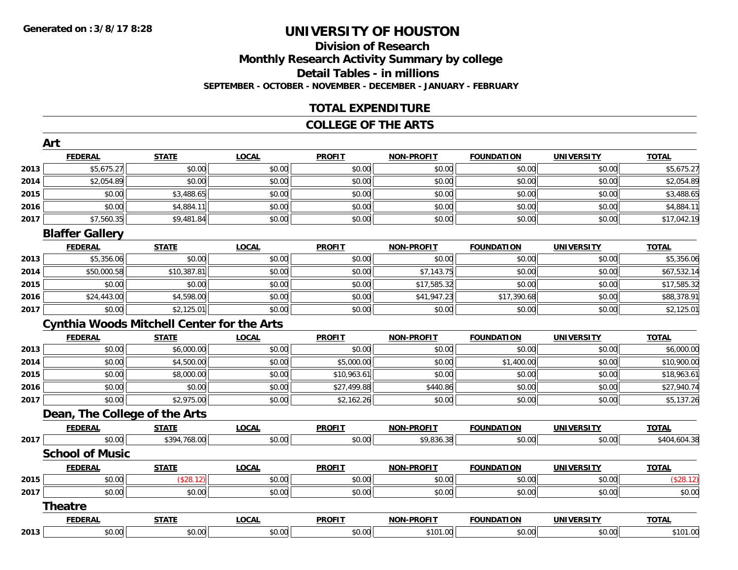### **Division of ResearchMonthly Research Activity Summary by college Detail Tables - in millions SEPTEMBER - OCTOBER - NOVEMBER - DECEMBER - JANUARY - FEBRUARY**

#### **TOTAL EXPENDITURE**

#### **COLLEGE OF THE ARTS**

|      | Art                                               |              |              |               |                   |                   |                   |              |
|------|---------------------------------------------------|--------------|--------------|---------------|-------------------|-------------------|-------------------|--------------|
|      | <b>FEDERAL</b>                                    | <b>STATE</b> | <b>LOCAL</b> | <b>PROFIT</b> | <b>NON-PROFIT</b> | <b>FOUNDATION</b> | <b>UNIVERSITY</b> | <b>TOTAL</b> |
| 2013 | \$5,675.27                                        | \$0.00       | \$0.00       | \$0.00        | \$0.00            | \$0.00            | \$0.00            | \$5,675.27   |
| 2014 | \$2,054.89                                        | \$0.00       | \$0.00       | \$0.00        | \$0.00            | \$0.00            | \$0.00            | \$2,054.89   |
| 2015 | \$0.00                                            | \$3,488.65   | \$0.00       | \$0.00        | \$0.00            | \$0.00            | \$0.00            | \$3,488.65   |
| 2016 | \$0.00                                            | \$4,884.11   | \$0.00       | \$0.00        | \$0.00            | \$0.00            | \$0.00            | \$4,884.11   |
| 2017 | \$7,560.35                                        | \$9,481.84   | \$0.00       | \$0.00        | \$0.00            | \$0.00            | \$0.00            | \$17,042.19  |
|      | <b>Blaffer Gallery</b>                            |              |              |               |                   |                   |                   |              |
|      | <b>FEDERAL</b>                                    | <b>STATE</b> | <b>LOCAL</b> | <b>PROFIT</b> | <b>NON-PROFIT</b> | <b>FOUNDATION</b> | <b>UNIVERSITY</b> | <b>TOTAL</b> |
| 2013 | \$5,356.06                                        | \$0.00       | \$0.00       | \$0.00        | \$0.00            | \$0.00            | \$0.00            | \$5,356.06   |
| 2014 | \$50,000.58                                       | \$10,387.81  | \$0.00       | \$0.00        | \$7,143.75        | \$0.00            | \$0.00            | \$67,532.14  |
| 2015 | \$0.00                                            | \$0.00       | \$0.00       | \$0.00        | \$17,585.32       | \$0.00            | \$0.00            | \$17,585.32  |
| 2016 | \$24,443.00                                       | \$4,598.00   | \$0.00       | \$0.00        | \$41,947.23       | \$17,390.68       | \$0.00            | \$88,378.91  |
| 2017 | \$0.00                                            | \$2,125.01   | \$0.00       | \$0.00        | \$0.00            | \$0.00            | \$0.00            | \$2,125.01   |
|      | <b>Cynthia Woods Mitchell Center for the Arts</b> |              |              |               |                   |                   |                   |              |
|      | <b>FEDERAL</b>                                    | <b>STATE</b> | <b>LOCAL</b> | <b>PROFIT</b> | NON-PROFIT        | <b>FOUNDATION</b> | <b>UNIVERSITY</b> | <b>TOTAL</b> |
| 2013 | \$0.00                                            | \$6,000.00   | \$0.00       | \$0.00        | \$0.00            | \$0.00            | \$0.00            | \$6,000.00   |
| 2014 | \$0.00                                            | \$4,500.00   | \$0.00       | \$5,000.00    | \$0.00            | \$1,400.00        | \$0.00            | \$10,900.00  |
| 2015 | \$0.00                                            | \$8,000.00   | \$0.00       | \$10,963.61   | \$0.00            | \$0.00            | \$0.00            | \$18,963.61  |
| 2016 | \$0.00                                            | \$0.00       | \$0.00       | \$27,499.88   | \$440.86          | \$0.00            | \$0.00            | \$27,940.74  |
| 2017 | \$0.00                                            | \$2,975.00   | \$0.00       | \$2,162.26    | \$0.00            | \$0.00            | \$0.00            | \$5,137.26   |
|      | Dean, The College of the Arts                     |              |              |               |                   |                   |                   |              |
|      | <b>FEDERAL</b>                                    | <b>STATE</b> | <b>LOCAL</b> | <b>PROFIT</b> | <b>NON-PROFIT</b> | <b>FOUNDATION</b> | <b>UNIVERSITY</b> | <b>TOTAL</b> |
| 2017 | \$0.00                                            | \$394,768.00 | \$0.00       | \$0.00        | \$9,836.38        | \$0.00            | \$0.00            | \$404,604.38 |
|      | <b>School of Music</b>                            |              |              |               |                   |                   |                   |              |
|      | <b>FEDERAL</b>                                    | <b>STATE</b> | <b>LOCAL</b> | <b>PROFIT</b> | <b>NON-PROFIT</b> | <b>FOUNDATION</b> | <b>UNIVERSITY</b> | <b>TOTAL</b> |
| 2015 | \$0.00                                            | (\$28.12)    | \$0.00       | \$0.00        | \$0.00            | \$0.00            | \$0.00            | (\$28.12)    |
| 2017 | \$0.00                                            | \$0.00       | \$0.00       | \$0.00        | \$0.00            | \$0.00            | \$0.00            | \$0.00       |
|      | <b>Theatre</b>                                    |              |              |               |                   |                   |                   |              |
|      | <b>FEDERAL</b>                                    | <b>STATE</b> | <b>LOCAL</b> | <b>PROFIT</b> | <b>NON-PROFIT</b> | <b>FOUNDATION</b> | <b>UNIVERSITY</b> | <b>TOTAL</b> |
| 2013 | \$0.00                                            | \$0.00       | \$0.00       | \$0.00        | \$101.00          | \$0.00            | \$0.00            | \$101.00     |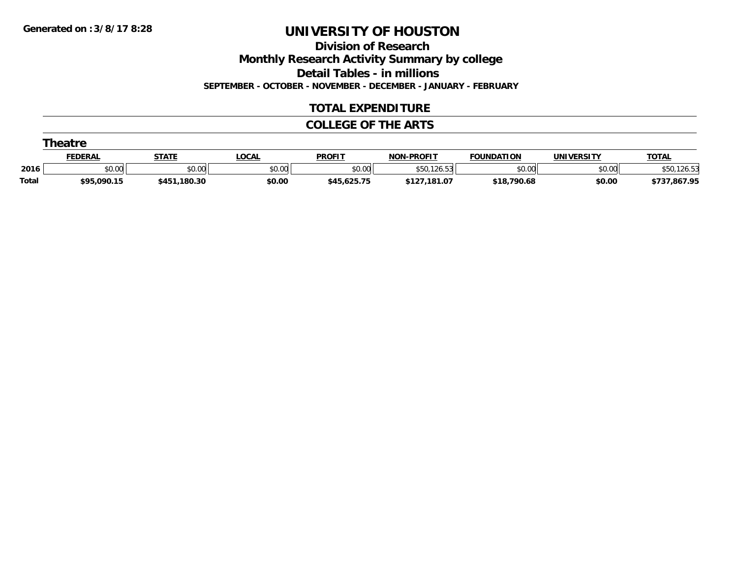**Division of Research**

**Monthly Research Activity Summary by college**

**Detail Tables - in millions**

**SEPTEMBER - OCTOBER - NOVEMBER - DECEMBER - JANUARY - FEBRUARY**

#### **TOTAL EXPENDITURE**

#### **COLLEGE OF THE ARTS**

|       | <b>Theatre</b> |              |        |               |                   |                   |            |              |  |  |  |  |
|-------|----------------|--------------|--------|---------------|-------------------|-------------------|------------|--------------|--|--|--|--|
|       | <b>FEDERAL</b> | <b>STATE</b> | _OCAL  | <b>PROFIT</b> | <b>NON-PROFIT</b> | <b>FOUNDATION</b> | UNIVERSITY | <b>TOTAL</b> |  |  |  |  |
| 2016  | \$0.00         | \$0.00       | \$0.00 | \$0.00        | .126.53<br>\$50.  | \$0.00            | \$0.00     | 126.53       |  |  |  |  |
| Total | \$95,090.15    | \$451,180.30 | \$0.00 | \$45,625.75   | \$127,181.07      | \$18,790.68       | \$0.00     | \$737,867.95 |  |  |  |  |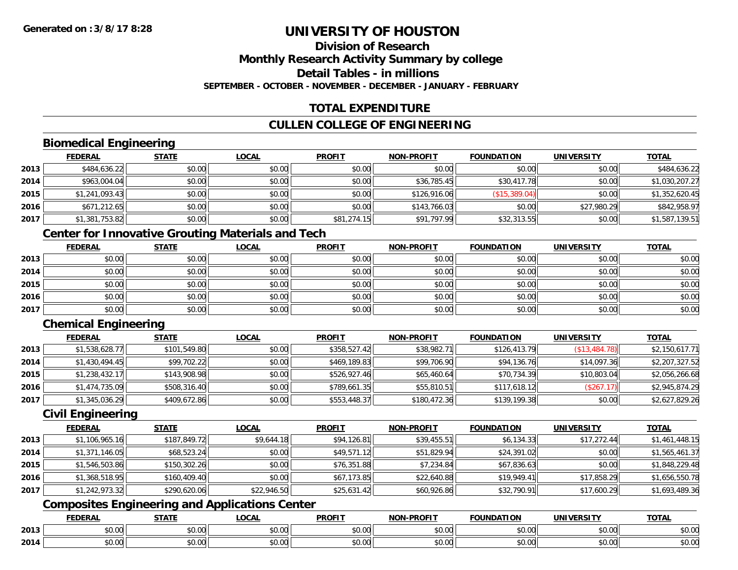## **Division of ResearchMonthly Research Activity Summary by college Detail Tables - in millions**

**SEPTEMBER - OCTOBER - NOVEMBER - DECEMBER - JANUARY - FEBRUARY**

### **TOTAL EXPENDITURE**

### **CULLEN COLLEGE OF ENGINEERING**

### **Biomedical Engineering**

|      | <b>FEDERAL</b> | <b>STATE</b> | <b>LOCAL</b> | <b>PROFIT</b> | <b>NON-PROFIT</b> | <b>FOUNDATION</b> | <b>UNIVERSITY</b> | <b>TOTAL</b>   |
|------|----------------|--------------|--------------|---------------|-------------------|-------------------|-------------------|----------------|
| 2013 | \$484,636.22   | \$0.00       | \$0.00       | \$0.00        | \$0.00            | \$0.00            | \$0.00            | \$484,636.22   |
| 2014 | \$963,004.04   | \$0.00       | \$0.00       | \$0.00        | \$36,785.45       | \$30,417.78       | \$0.00            | \$1,030,207.27 |
| 2015 | \$1,241,093.43 | \$0.00       | \$0.00       | \$0.00        | \$126,916.06      | (\$15,389.04)     | \$0.00            | \$1,352,620.45 |
| 2016 | \$671,212.65   | \$0.00       | \$0.00       | \$0.00        | \$143,766.03      | \$0.00            | \$27,980.29       | \$842,958.97   |
| 2017 | \$1,381,753.82 | \$0.00       | \$0.00       | \$81,274.15   | \$91,797.99       | \$32,313.55       | \$0.00            | \$1,587,139.51 |

### **Center for Innovative Grouting Materials and Tech**

|      | <b>FEDERAL</b> | <b>STATE</b> | <b>LOCAL</b> | <b>PROFIT</b> | <b>NON-PROFIT</b> | <b>FOUNDATION</b> | <b>UNIVERSITY</b> | <u>TOTAL</u> |
|------|----------------|--------------|--------------|---------------|-------------------|-------------------|-------------------|--------------|
| 2013 | \$0.00         | \$0.00       | \$0.00       | \$0.00        | \$0.00            | \$0.00            | \$0.00            | \$0.00       |
| 2014 | \$0.00         | \$0.00       | \$0.00       | \$0.00        | \$0.00            | \$0.00            | \$0.00            | \$0.00       |
| 2015 | \$0.00         | \$0.00       | \$0.00       | \$0.00        | \$0.00            | \$0.00            | \$0.00            | \$0.00       |
| 2016 | \$0.00         | \$0.00       | \$0.00       | \$0.00        | \$0.00            | \$0.00            | \$0.00            | \$0.00       |
| 2017 | \$0.00         | \$0.00       | \$0.00       | \$0.00        | \$0.00            | \$0.00            | \$0.00            | \$0.00       |

### **Chemical Engineering**

|      | <b>FEDERAL</b> | <b>STATE</b> | <b>LOCAL</b> | <b>PROFIT</b> | <b>NON-PROFIT</b> | <b>FOUNDATION</b> | <b>UNIVERSITY</b> | <b>TOTAL</b>   |
|------|----------------|--------------|--------------|---------------|-------------------|-------------------|-------------------|----------------|
| 2013 | \$1,538,628.77 | \$101,549.80 | \$0.00       | \$358,527.42  | \$38,982.71       | \$126,413.79      | (S13, 484.78)     | \$2,150,617.71 |
| 2014 | \$1,430,494.45 | \$99,702.22  | \$0.00       | \$469,189.83  | \$99,706.90       | \$94,136.76       | \$14,097.36       | \$2,207,327.52 |
| 2015 | \$1,238,432.17 | \$143,908.98 | \$0.00       | \$526,927.46  | \$65,460.64       | \$70,734.39       | \$10,803.04       | \$2,056,266.68 |
| 2016 | \$1,474,735.09 | \$508,316.40 | \$0.00       | \$789,661.35  | \$55,810.51       | \$117,618.12      | (\$267.17)        | \$2,945,874.29 |
| 2017 | \$1,345,036.29 | \$409,672.86 | \$0.00       | \$553,448.37  | \$180,472.36      | \$139,199.38      | \$0.00            | \$2,627,829.26 |

#### **Civil Engineering**

|      | <b>FEDERAL</b> | <b>STATE</b> | <b>LOCAL</b> | <b>PROFIT</b> | <b>NON-PROFIT</b> | <b>FOUNDATION</b> | <b>UNIVERSITY</b> | <b>TOTAL</b>   |
|------|----------------|--------------|--------------|---------------|-------------------|-------------------|-------------------|----------------|
| 2013 | \$1,106,965.16 | \$187,849.72 | \$9,644.18   | \$94,126.81   | \$39,455.51       | \$6,134.33        | \$17,272.44       | \$1,461,448.15 |
| 2014 | \$1,371,146.05 | \$68,523.24  | \$0.00       | \$49,571.12   | \$51,829.94       | \$24,391.02       | \$0.00            | \$1,565,461.37 |
| 2015 | \$1,546,503.86 | \$150,302.26 | \$0.00       | \$76,351.88   | \$7,234.84        | \$67,836.63       | \$0.00            | \$1,848,229.48 |
| 2016 | \$1,368,518.95 | \$160,409.40 | \$0.00       | \$67,173.85   | \$22,640.88       | \$19,949.41       | \$17,858.29       | \$1,656,550.78 |
| 2017 | \$1,242,973.32 | \$290,620.06 | \$22,946.50  | \$25,631.42   | \$60,926.86       | \$32,790.91       | \$17,600.29       | \$1,693,489.36 |

### **Composites Engineering and Applications Center**

|      | <b>FEBER!</b><br>-n.e | $- - - -$                              | .OCAI                                      | <b>PROFIT</b>                 | <b>LDDOFIT</b><br><b>NON</b> | <b>INDA</b> | - 3           | <b>TOTAL</b>                   |
|------|-----------------------|----------------------------------------|--------------------------------------------|-------------------------------|------------------------------|-------------|---------------|--------------------------------|
| 2013 | $\sim$ 00<br>ิ ∪ ∪ ∪  | $\sim$<br>$\sim$ $\sim$<br>90. UU      | $\mathsf{A} \cap \mathsf{A} \cap$<br>PU.UU | $\sim$ $\sim$ $\sim$<br>pu.uu | \$0.00                       | JU.UU       | 0.00<br>vv.vv | 0000<br>\$U.UU                 |
| 2014 | ง∪.∪บ                 | $\uparrow$ $\uparrow$<br>$\sim$<br>ט.ט | $\sim$ 00<br>PO.OO                         | $\sim$ 00<br>JU.UU            | \$0.00                       | vv.         | 0.00<br>JU.UU | 0 <sup>0</sup><br><b>JU.UU</b> |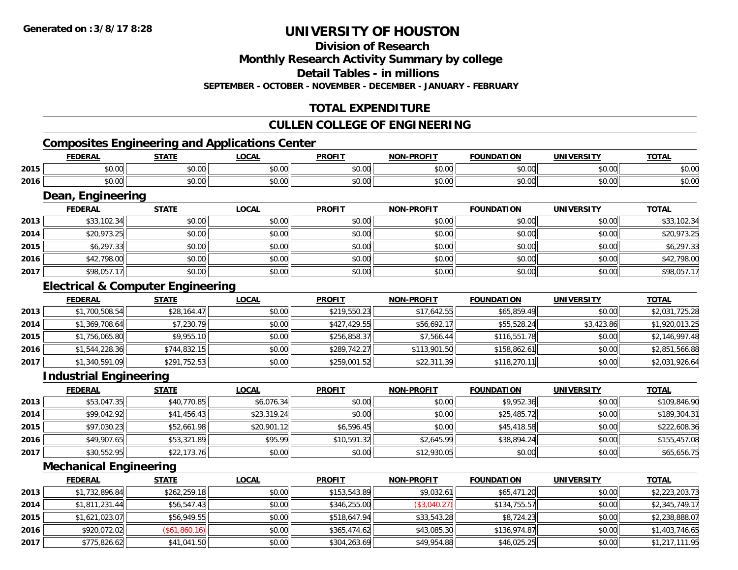**Division of Research**

**Monthly Research Activity Summary by college**

**Detail Tables - in millions**

**SEPTEMBER - OCTOBER - NOVEMBER - DECEMBER - JANUARY - FEBRUARY**

### **TOTAL EXPENDITURE**

#### **CULLEN COLLEGE OF ENGINEERING**

### **Composites Engineering and Applications Center**

|      | <b>FEDERAL</b> | <b>STATI</b> | $\sim$ $\sim$ $\sim$<br>ואטע. | <b>PROFIT</b>                                          | <b>DDALLT</b><br><b>NON</b> | <b>FOUNDATION</b>   | <b>IINIVEDSITV</b> | TOT.                                                                           |
|------|----------------|--------------|-------------------------------|--------------------------------------------------------|-----------------------------|---------------------|--------------------|--------------------------------------------------------------------------------|
| 2015 | 0000           | ტი იი        | $\sim$ $\sim$                 | $\uparrow$ $\uparrow$ $\uparrow$ $\uparrow$ $\uparrow$ | 0000                        | 0.00                | $\sim$ 00          | $\begin{array}{c} \hline \text{A} & \text{A} & \text{B} \\ \hline \end{array}$ |
|      | DU.UU          | JU.UU        | pu.uu                         | JU.U                                                   | vu.uu                       | JU.UU               | JU.UU              | DU.UG                                                                          |
|      | 0000           | 0000         | $\uparrow$ $\land$ $\uparrow$ | $\mathsf{A}\cap\mathsf{A}\cap\mathsf{A}$               | 0000                        | 0.00                | 0.00               | $\sim$ $\sim$                                                                  |
| 2016 | pu.uu          | vu.uu        | J∪.∪u                         | - JU J                                                 | vu.vu                       | $\overline{v}$ . UU | vv.vv              | ง∪.∪บ                                                                          |

#### **Dean, Engineering**

|      | Dean, Engineering |              |              |               |                   |                   |                   |              |  |  |  |  |
|------|-------------------|--------------|--------------|---------------|-------------------|-------------------|-------------------|--------------|--|--|--|--|
|      | <b>FEDERAL</b>    | <b>STATE</b> | <b>LOCAL</b> | <b>PROFIT</b> | <b>NON-PROFIT</b> | <b>FOUNDATION</b> | <b>UNIVERSITY</b> | <b>TOTAL</b> |  |  |  |  |
| 2013 | \$33,102.34       | \$0.00       | \$0.00       | \$0.00        | \$0.00            | \$0.00            | \$0.00            | \$33,102.34  |  |  |  |  |
| 2014 | \$20,973.25       | \$0.00       | \$0.00       | \$0.00        | \$0.00            | \$0.00            | \$0.00            | \$20,973.25  |  |  |  |  |
| 2015 | \$6,297.33        | \$0.00       | \$0.00       | \$0.00        | \$0.00            | \$0.00            | \$0.00            | \$6,297.33   |  |  |  |  |
| 2016 | \$42,798.00       | \$0.00       | \$0.00       | \$0.00        | \$0.00            | \$0.00            | \$0.00            | \$42,798.00  |  |  |  |  |
| 2017 | \$98,057.17       | \$0.00       | \$0.00       | \$0.00        | \$0.00            | \$0.00            | \$0.00            | \$98,057.17  |  |  |  |  |

### **Electrical & Computer Engineering**

|      | <b>FEDERAL</b> | <b>STATE</b> | <b>LOCAL</b> | <b>PROFIT</b> | <b>NON-PROFIT</b> | <b>FOUNDATION</b> | <b>UNIVERSITY</b> | <b>TOTAL</b>   |
|------|----------------|--------------|--------------|---------------|-------------------|-------------------|-------------------|----------------|
| 2013 | \$1,700,508.54 | \$28.164.47  | \$0.00       | \$219,550.23  | \$17,642.55       | \$65,859.49       | \$0.00            | \$2,031,725.28 |
| 2014 | \$1,369,708.64 | \$7,230.79   | \$0.00       | \$427,429.55  | \$56,692.17       | \$55,528.24       | \$3,423.86        | \$1,920,013.25 |
| 2015 | \$1,756,065.80 | \$9,955.10   | \$0.00       | \$256,858.37  | \$7.566.44        | \$116,551.78      | \$0.00            | \$2,146,997.48 |
| 2016 | \$1,544,228.36 | \$744,832.15 | \$0.00       | \$289,742.27  | \$113,901.50      | \$158,862.61      | \$0.00            | \$2,851,566.88 |
| 2017 | \$1,340,591.09 | \$291,752.53 | \$0.00       | \$259,001.52  | \$22,311.39       | \$118,270.11      | \$0.00            | \$2,031,926.64 |

#### **Industrial Engineering**

|      | <b>FEDERAL</b> | <b>STATE</b> | <u>LOCAL</u> | <b>PROFIT</b> | <b>NON-PROFIT</b> | <b>FOUNDATION</b> | <b>UNIVERSITY</b> | <b>TOTAL</b> |
|------|----------------|--------------|--------------|---------------|-------------------|-------------------|-------------------|--------------|
| 2013 | \$53,047.35    | \$40,770.85  | \$6,076.34   | \$0.00        | \$0.00            | \$9,952.36        | \$0.00            | \$109,846.90 |
| 2014 | \$99,042.92    | \$41,456.43  | \$23,319.24  | \$0.00        | \$0.00            | \$25,485.72       | \$0.00            | \$189,304.31 |
| 2015 | \$97,030.23    | \$52,661.98  | \$20,901.12  | \$6,596.45    | \$0.00            | \$45,418.58       | \$0.00            | \$222,608.36 |
| 2016 | \$49,907.65    | \$53,321.89  | \$95.99      | \$10,591.32   | \$2,645.99        | \$38,894.24       | \$0.00            | \$155,457.08 |
| 2017 | \$30,552.95    | \$22,173.76  | \$0.00       | \$0.00        | \$12,930.05       | \$0.00            | \$0.00            | \$65,656.75  |

#### **Mechanical Engineering**

|      | <b>FEDERAL</b> | <u>STATE</u>  | <b>LOCAL</b> | <b>PROFIT</b> | <b>NON-PROFIT</b> | <b>FOUNDATION</b> | <b>UNIVERSITY</b> | <u>TOTAL</u>   |
|------|----------------|---------------|--------------|---------------|-------------------|-------------------|-------------------|----------------|
| 2013 | \$1,732,896.84 | \$262,259.18  | \$0.00       | \$153,543.89  | \$9,032.61        | \$65,471.20       | \$0.00            | \$2,223,203.73 |
| 2014 | \$1,811,231.44 | \$56,547.43   | \$0.00       | \$346,255.00  | (\$3,040.27)      | \$134,755.57      | \$0.00            | \$2,345,749.17 |
| 2015 | \$1,621,023.07 | \$56,949.55   | \$0.00       | \$518,647.94  | \$33,543.28       | \$8,724.23        | \$0.00            | \$2,238,888.07 |
| 2016 | \$920,072.02   | (\$61,860.16) | \$0.00       | \$365,474.62  | \$43,085.30       | \$136,974.87      | \$0.00            | \$1,403,746.65 |
| 2017 | \$775,826.62   | \$41,041.50   | \$0.00       | \$304,263.69  | \$49,954.88       | \$46,025.25       | \$0.00            | \$1,217,111.95 |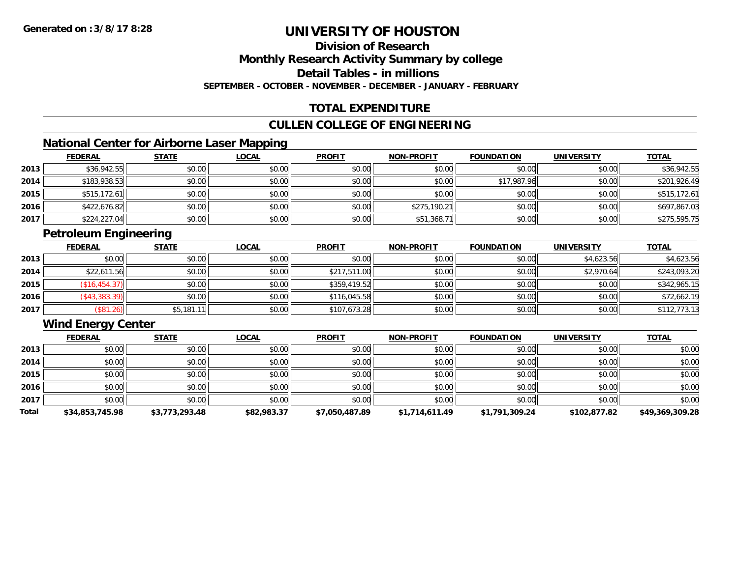#### **Division of ResearchMonthly Research Activity Summary by college Detail Tables - in millions**

**SEPTEMBER - OCTOBER - NOVEMBER - DECEMBER - JANUARY - FEBRUARY**

### **TOTAL EXPENDITURE**

#### **CULLEN COLLEGE OF ENGINEERING**

### **National Center for Airborne Laser Mapping**

|      | <b>FEDERAL</b> | <b>STATE</b> | <u>LOCAL</u> | <b>PROFIT</b> | <b>NON-PROFIT</b> | <b>FOUNDATION</b> | <b>UNIVERSITY</b> | <b>TOTAL</b> |
|------|----------------|--------------|--------------|---------------|-------------------|-------------------|-------------------|--------------|
| 2013 | \$36,942.55    | \$0.00       | \$0.00       | \$0.00        | \$0.00            | \$0.00            | \$0.00            | \$36,942.55  |
| 2014 | \$183,938.53   | \$0.00       | \$0.00       | \$0.00        | \$0.00            | \$17,987.96       | \$0.00            | \$201,926.49 |
| 2015 | \$515,172.61   | \$0.00       | \$0.00       | \$0.00        | \$0.00            | \$0.00            | \$0.00            | \$515,172.61 |
| 2016 | \$422,676.82   | \$0.00       | \$0.00       | \$0.00        | \$275,190.21      | \$0.00            | \$0.00            | \$697,867.03 |
| 2017 | \$224,227.04   | \$0.00       | \$0.00       | \$0.00        | \$51,368.71       | \$0.00            | \$0.00            | \$275,595.75 |

### **Petroleum Engineering**

|      | <b>FEDERAL</b> | <b>STATE</b> | <u>LOCAL</u> | <b>PROFIT</b> | <b>NON-PROFIT</b> | <b>FOUNDATION</b> | <b>UNIVERSITY</b> | <b>TOTAL</b> |
|------|----------------|--------------|--------------|---------------|-------------------|-------------------|-------------------|--------------|
| 2013 | \$0.00         | \$0.00       | \$0.00       | \$0.00        | \$0.00            | \$0.00            | \$4,623.56        | \$4,623.56   |
| 2014 | \$22,611.56    | \$0.00       | \$0.00       | \$217,511.00  | \$0.00            | \$0.00            | \$2,970.64        | \$243,093.20 |
| 2015 | (\$16, 454.37) | \$0.00       | \$0.00       | \$359,419.52  | \$0.00            | \$0.00            | \$0.00            | \$342,965.15 |
| 2016 | (\$43,383.39)  | \$0.00       | \$0.00       | \$116,045.58  | \$0.00            | \$0.00            | \$0.00            | \$72,662.19  |
| 2017 | (\$81.26)      | \$5,181.11   | \$0.00       | \$107,673.28  | \$0.00            | \$0.00            | \$0.00            | \$112,773.13 |

#### **Wind Energy Center**

|       | <b>FEDERAL</b>  | <b>STATE</b>   | <b>LOCAL</b> | <b>PROFIT</b>  | <b>NON-PROFIT</b> | <b>FOUNDATION</b> | <b>UNIVERSITY</b> | <b>TOTAL</b>    |
|-------|-----------------|----------------|--------------|----------------|-------------------|-------------------|-------------------|-----------------|
| 2013  | \$0.00          | \$0.00         | \$0.00       | \$0.00         | \$0.00            | \$0.00            | \$0.00            | \$0.00          |
| 2014  | \$0.00          | \$0.00         | \$0.00       | \$0.00         | \$0.00            | \$0.00            | \$0.00            | \$0.00          |
| 2015  | \$0.00          | \$0.00         | \$0.00       | \$0.00         | \$0.00            | \$0.00            | \$0.00            | \$0.00          |
| 2016  | \$0.00          | \$0.00         | \$0.00       | \$0.00         | \$0.00            | \$0.00            | \$0.00            | \$0.00          |
| 2017  | \$0.00          | \$0.00         | \$0.00       | \$0.00         | \$0.00            | \$0.00            | \$0.00            | \$0.00          |
| Total | \$34,853,745.98 | \$3,773,293.48 | \$82,983.37  | \$7,050,487.89 | \$1,714,611.49    | \$1,791,309.24    | \$102,877.82      | \$49,369,309.28 |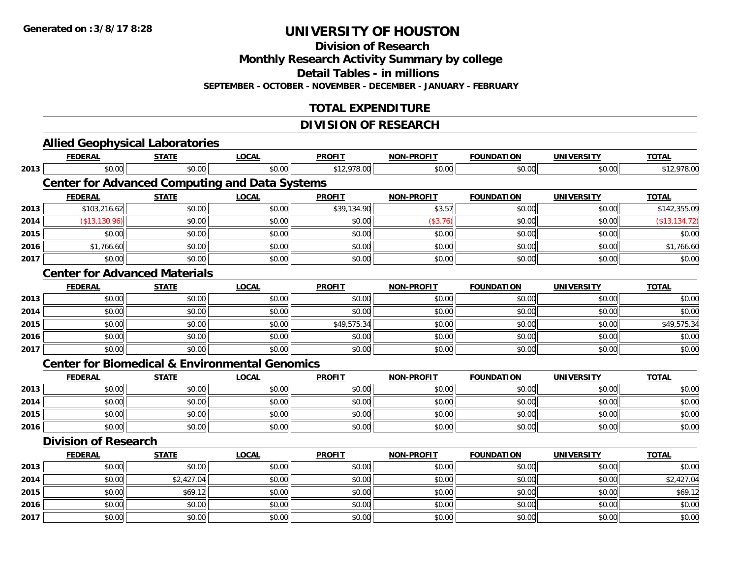**Division of Research**

**Monthly Research Activity Summary by college**

**Detail Tables - in millions**

**SEPTEMBER - OCTOBER - NOVEMBER - DECEMBER - JANUARY - FEBRUARY**

### **TOTAL EXPENDITURE**

#### **DIVISION OF RESEARCH**

|      | <b>Allied Geophysical Laboratories</b>                    |              |              |               |                   |                   |                   |               |
|------|-----------------------------------------------------------|--------------|--------------|---------------|-------------------|-------------------|-------------------|---------------|
|      | <b>FEDERAL</b>                                            | <b>STATE</b> | <b>LOCAL</b> | <b>PROFIT</b> | <b>NON-PROFIT</b> | <b>FOUNDATION</b> | <b>UNIVERSITY</b> | <b>TOTAL</b>  |
| 2013 | \$0.00                                                    | \$0.00       | \$0.00       | \$12,978.00   | \$0.00            | \$0.00            | \$0.00            | \$12,978.00   |
|      | <b>Center for Advanced Computing and Data Systems</b>     |              |              |               |                   |                   |                   |               |
|      | <b>FEDERAL</b>                                            | <b>STATE</b> | <b>LOCAL</b> | <b>PROFIT</b> | <b>NON-PROFIT</b> | <b>FOUNDATION</b> | <b>UNIVERSITY</b> | <b>TOTAL</b>  |
| 2013 | \$103,216.62                                              | \$0.00       | \$0.00       | \$39,134.90   | \$3.57            | \$0.00            | \$0.00            | \$142,355.09  |
| 2014 | (\$13,130.96)                                             | \$0.00       | \$0.00       | \$0.00        | (\$3.76)          | \$0.00            | \$0.00            | (\$13,134.72) |
| 2015 | \$0.00                                                    | \$0.00       | \$0.00       | \$0.00        | \$0.00            | \$0.00            | \$0.00            | \$0.00        |
| 2016 | \$1,766.60                                                | \$0.00       | \$0.00       | \$0.00        | \$0.00            | \$0.00            | \$0.00            | \$1,766.60    |
| 2017 | \$0.00                                                    | \$0.00       | \$0.00       | \$0.00        | \$0.00            | \$0.00            | \$0.00            | \$0.00        |
|      | <b>Center for Advanced Materials</b>                      |              |              |               |                   |                   |                   |               |
|      | <b>FEDERAL</b>                                            | <b>STATE</b> | <b>LOCAL</b> | <b>PROFIT</b> | <b>NON-PROFIT</b> | <b>FOUNDATION</b> | <b>UNIVERSITY</b> | <b>TOTAL</b>  |
| 2013 | \$0.00                                                    | \$0.00       | \$0.00       | \$0.00        | \$0.00            | \$0.00            | \$0.00            | \$0.00        |
| 2014 | \$0.00                                                    | \$0.00       | \$0.00       | \$0.00        | \$0.00            | \$0.00            | \$0.00            | \$0.00        |
| 2015 | \$0.00                                                    | \$0.00       | \$0.00       | \$49,575.34   | \$0.00            | \$0.00            | \$0.00            | \$49,575.34   |
| 2016 | \$0.00                                                    | \$0.00       | \$0.00       | \$0.00        | \$0.00            | \$0.00            | \$0.00            | \$0.00        |
| 2017 | \$0.00                                                    | \$0.00       | \$0.00       | \$0.00        | \$0.00            | \$0.00            | \$0.00            | \$0.00        |
|      | <b>Center for Biomedical &amp; Environmental Genomics</b> |              |              |               |                   |                   |                   |               |
|      | <b>FEDERAL</b>                                            | <b>STATE</b> | <b>LOCAL</b> | <b>PROFIT</b> | <b>NON-PROFIT</b> | <b>FOUNDATION</b> | <b>UNIVERSITY</b> | <b>TOTAL</b>  |
| 2013 | \$0.00                                                    | \$0.00       | \$0.00       | \$0.00        | \$0.00            | \$0.00            | \$0.00            | \$0.00        |
| 2014 | \$0.00                                                    | \$0.00       | \$0.00       | \$0.00        | \$0.00            | \$0.00            | \$0.00            | \$0.00        |
| 2015 | \$0.00                                                    | \$0.00       | \$0.00       | \$0.00        | \$0.00            | \$0.00            | \$0.00            | \$0.00        |
| 2016 | \$0.00                                                    | \$0.00       | \$0.00       | \$0.00        | \$0.00            | \$0.00            | \$0.00            | \$0.00        |
|      | <b>Division of Research</b>                               |              |              |               |                   |                   |                   |               |
|      | <b>FEDERAL</b>                                            | <b>STATE</b> | <b>LOCAL</b> | <b>PROFIT</b> | <b>NON-PROFIT</b> | <b>FOUNDATION</b> | <b>UNIVERSITY</b> | <b>TOTAL</b>  |
| 2013 | \$0.00                                                    | \$0.00       | \$0.00       | \$0.00        | \$0.00            | \$0.00            | \$0.00            | \$0.00        |
| 2014 | \$0.00                                                    | \$2,427.04   | \$0.00       | \$0.00        | \$0.00            | \$0.00            | \$0.00            | \$2,427.04    |
| 2015 | \$0.00                                                    | \$69.12      | \$0.00       | \$0.00        | \$0.00            | \$0.00            | \$0.00            | \$69.12       |
| 2016 | \$0.00                                                    | \$0.00       | \$0.00       | \$0.00        | \$0.00            | \$0.00            | \$0.00            | \$0.00        |
| 2017 | \$0.00                                                    | \$0.00       | \$0.00       | \$0.00        | \$0.00            | \$0.00            | \$0.00            | \$0.00        |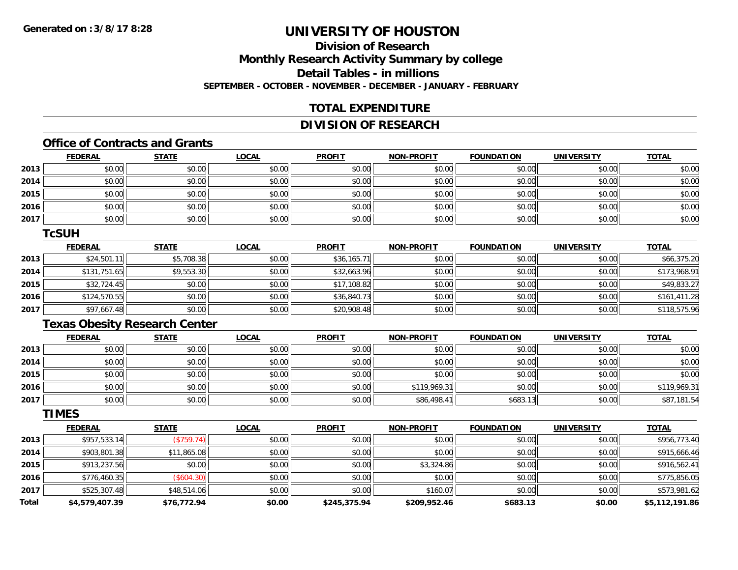#### **Division of ResearchMonthly Research Activity Summary by college Detail Tables - in millions SEPTEMBER - OCTOBER - NOVEMBER - DECEMBER - JANUARY - FEBRUARY**

#### **TOTAL EXPENDITURE**

#### **DIVISION OF RESEARCH**

### **Office of Contracts and Grants**

|      | <b>FEDERAL</b> | <b>STATE</b> | <u>LOCAL</u> | <b>PROFIT</b> | <b>NON-PROFIT</b> | <b>FOUNDATION</b> | <b>UNIVERSITY</b> | <b>TOTAL</b> |
|------|----------------|--------------|--------------|---------------|-------------------|-------------------|-------------------|--------------|
| 2013 | \$0.00         | \$0.00       | \$0.00       | \$0.00        | \$0.00            | \$0.00            | \$0.00            | \$0.00       |
| 2014 | \$0.00         | \$0.00       | \$0.00       | \$0.00        | \$0.00            | \$0.00            | \$0.00            | \$0.00       |
| 2015 | \$0.00         | \$0.00       | \$0.00       | \$0.00        | \$0.00            | \$0.00            | \$0.00            | \$0.00       |
| 2016 | \$0.00         | \$0.00       | \$0.00       | \$0.00        | \$0.00            | \$0.00            | \$0.00            | \$0.00       |
| 2017 | \$0.00         | \$0.00       | \$0.00       | \$0.00        | \$0.00            | \$0.00            | \$0.00            | \$0.00       |

#### **TcSUH**

|      | <b>FEDERAL</b> | <b>STATE</b> | <u>LOCAL</u> | <b>PROFIT</b> | <b>NON-PROFIT</b> | <b>FOUNDATION</b> | <b>UNIVERSITY</b> | <b>TOTAL</b> |
|------|----------------|--------------|--------------|---------------|-------------------|-------------------|-------------------|--------------|
| 2013 | \$24,501.11    | \$5,708.38   | \$0.00       | \$36,165.71   | \$0.00            | \$0.00            | \$0.00            | \$66,375.20  |
| 2014 | \$131,751.65   | \$9,553.30   | \$0.00       | \$32,663.96   | \$0.00            | \$0.00            | \$0.00            | \$173,968.91 |
| 2015 | \$32,724.45    | \$0.00       | \$0.00       | \$17,108.82   | \$0.00            | \$0.00            | \$0.00            | \$49,833.27  |
| 2016 | \$124,570.55   | \$0.00       | \$0.00       | \$36,840.73   | \$0.00            | \$0.00            | \$0.00            | \$161,411.28 |
| 2017 | \$97,667.48    | \$0.00       | \$0.00       | \$20,908.48   | \$0.00            | \$0.00            | \$0.00            | \$118,575.96 |

### **Texas Obesity Research Center**

|      | <u>FEDERAL</u> | <u>STATE</u> | <u>LOCAL</u> | <b>PROFIT</b> | <b>NON-PROFIT</b> | <b>FOUNDATION</b> | <b>UNIVERSITY</b> | <b>TOTAL</b> |
|------|----------------|--------------|--------------|---------------|-------------------|-------------------|-------------------|--------------|
| 2013 | \$0.00         | \$0.00       | \$0.00       | \$0.00        | \$0.00            | \$0.00            | \$0.00            | \$0.00       |
| 2014 | \$0.00         | \$0.00       | \$0.00       | \$0.00        | \$0.00            | \$0.00            | \$0.00            | \$0.00       |
| 2015 | \$0.00         | \$0.00       | \$0.00       | \$0.00        | \$0.00            | \$0.00            | \$0.00            | \$0.00       |
| 2016 | \$0.00         | \$0.00       | \$0.00       | \$0.00        | \$119,969.31      | \$0.00            | \$0.00            | \$119,969.31 |
| 2017 | \$0.00         | \$0.00       | \$0.00       | \$0.00        | \$86,498.41       | \$683.13          | \$0.00            | \$87,181.54  |

#### **TIMES**

|              | <b>FEDERAL</b> | <b>STATE</b> | <u>LOCAL</u> | <b>PROFIT</b> | <b>NON-PROFIT</b> | <b>FOUNDATION</b> | <b>UNIVERSITY</b> | <b>TOTAL</b>   |
|--------------|----------------|--------------|--------------|---------------|-------------------|-------------------|-------------------|----------------|
| 2013         | \$957,533.14   | (\$759.74)   | \$0.00       | \$0.00        | \$0.00            | \$0.00            | \$0.00            | \$956,773.40   |
| 2014         | \$903,801.38   | \$11,865.08  | \$0.00       | \$0.00        | \$0.00            | \$0.00            | \$0.00            | \$915,666.46   |
| 2015         | \$913,237.56   | \$0.00       | \$0.00       | \$0.00        | \$3,324.86        | \$0.00            | \$0.00            | \$916,562.41   |
| 2016         | \$776,460.35   | (S604.30)    | \$0.00       | \$0.00        | \$0.00            | \$0.00            | \$0.00            | \$775,856.05   |
| 2017         | \$525,307.48   | \$48,514.06  | \$0.00       | \$0.00        | \$160.07          | \$0.00            | \$0.00            | \$573,981.62   |
| <b>Total</b> | \$4,579,407.39 | \$76,772.94  | \$0.00       | \$245,375.94  | \$209,952.46      | \$683.13          | \$0.00            | \$5,112,191.86 |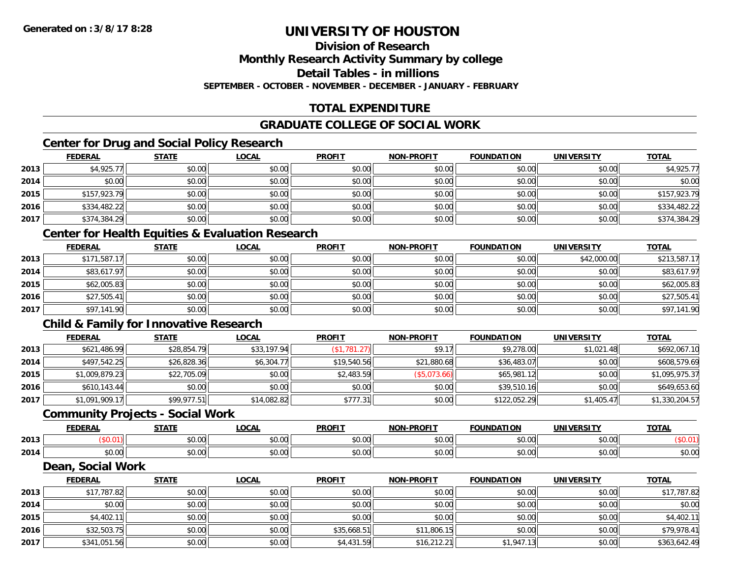### **Division of Research**

#### **Monthly Research Activity Summary by college**

**Detail Tables - in millions**

**SEPTEMBER - OCTOBER - NOVEMBER - DECEMBER - JANUARY - FEBRUARY**

### **TOTAL EXPENDITURE**

#### **GRADUATE COLLEGE OF SOCIAL WORK**

### **Center for Drug and Social Policy Research**

|      | <b>FEDERAL</b> | <b>STATE</b> | <u>LOCAL</u> | <b>PROFIT</b> | <b>NON-PROFIT</b> | <b>FOUNDATION</b> | <b>UNIVERSITY</b> | <b>TOTAL</b> |
|------|----------------|--------------|--------------|---------------|-------------------|-------------------|-------------------|--------------|
| 2013 | \$4,925.77     | \$0.00       | \$0.00       | \$0.00        | \$0.00            | \$0.00            | \$0.00            | \$4,925.77   |
| 2014 | \$0.00         | \$0.00       | \$0.00       | \$0.00        | \$0.00            | \$0.00            | \$0.00            | \$0.00       |
| 2015 | \$157,923.79   | \$0.00       | \$0.00       | \$0.00        | \$0.00            | \$0.00            | \$0.00            | \$157,923.79 |
| 2016 | \$334,482.22   | \$0.00       | \$0.00       | \$0.00        | \$0.00            | \$0.00            | \$0.00            | \$334,482.22 |
| 2017 | \$374,384.29   | \$0.00       | \$0.00       | \$0.00        | \$0.00            | \$0.00            | \$0.00            | \$374,384.29 |

#### **Center for Health Equities & Evaluation Research**

|      | <u>FEDERAL</u> | <u>STATE</u> | <u>LOCAL</u> | <b>PROFIT</b> | <b>NON-PROFIT</b> | <b>FOUNDATION</b> | <b>UNIVERSITY</b> | <b>TOTAL</b> |
|------|----------------|--------------|--------------|---------------|-------------------|-------------------|-------------------|--------------|
| 2013 | \$171,587.17   | \$0.00       | \$0.00       | \$0.00        | \$0.00            | \$0.00            | \$42,000.00       | \$213,587.17 |
| 2014 | \$83,617.97    | \$0.00       | \$0.00       | \$0.00        | \$0.00            | \$0.00            | \$0.00            | \$83,617.97  |
| 2015 | \$62,005.83    | \$0.00       | \$0.00       | \$0.00        | \$0.00            | \$0.00            | \$0.00            | \$62,005.83  |
| 2016 | \$27,505.41    | \$0.00       | \$0.00       | \$0.00        | \$0.00            | \$0.00            | \$0.00            | \$27,505.41  |
| 2017 | \$97,141.90    | \$0.00       | \$0.00       | \$0.00        | \$0.00            | \$0.00            | \$0.00            | \$97,141.90  |

#### **Child & Family for Innovative Research**

|      | <b>FEDERAL</b> | <b>STATE</b> | <b>LOCAL</b> | <b>PROFIT</b> | <b>NON-PROFIT</b> | <b>FOUNDATION</b> | <b>UNIVERSITY</b> | <b>TOTAL</b>   |
|------|----------------|--------------|--------------|---------------|-------------------|-------------------|-------------------|----------------|
| 2013 | \$621,486.99   | \$28,854.79  | \$33,197.94  | (\$1,781.27)  | \$9.17            | \$9,278.00        | \$1,021.48        | \$692,067.10   |
| 2014 | \$497,542.25   | \$26,828.36  | \$6,304.77   | \$19,540.56   | \$21,880.68       | \$36,483.07       | \$0.00            | \$608,579.69   |
| 2015 | \$1,009,879.23 | \$22,705.09  | \$0.00       | \$2,483.59    | (\$5,073.66)      | \$65,981.12       | \$0.00            | \$1,095,975.37 |
| 2016 | \$610,143.44   | \$0.00       | \$0.00       | \$0.00        | \$0.00            | \$39,510.16       | \$0.00            | \$649,653.60   |
| 2017 | \$1,091,909.17 | \$99,977.51  | \$14,082.82  | \$777.31      | \$0.00            | \$122,052.29      | \$1,405.47        | \$1,330,204.57 |

#### **Community Projects - Social Work**

|      | <b>FEDERAL</b>         | 27.77          | <b>OCAL</b>   | <b>PROFIT</b>         | <b>NON-PROFIT</b> | <b>FOUNDATION</b>       | UNIVERSITY | <b>TOTAL</b>   |
|------|------------------------|----------------|---------------|-----------------------|-------------------|-------------------------|------------|----------------|
| 2013 |                        | ሶስ ሰሰ<br>JU.UU | 0.00<br>JU.UU | JU.UU                 | 0000<br>vv.vv     | 0000<br>$+0.00$         | \$0.00     |                |
| 2014 | $\sim$ $\sim$<br>JU.UU | ሶስ ሰሰ<br>JU.UU | 0.00<br>JU.UU | $\sim$ $\sim$<br>JU.U | 0000<br>JU.UU     | $n \cap \neg$<br>⊸J.UUI | \$0.00     | ቀስ ሰሰ<br>DU.UG |

#### **Dean, Social Work**

|      | <b>FEDERAL</b> | <b>STATE</b> | <u>LOCAL</u> | <b>PROFIT</b> | <b>NON-PROFIT</b> | <b>FOUNDATION</b> | <b>UNIVERSITY</b> | <b>TOTAL</b> |
|------|----------------|--------------|--------------|---------------|-------------------|-------------------|-------------------|--------------|
| 2013 | \$17,787.82    | \$0.00       | \$0.00       | \$0.00        | \$0.00            | \$0.00            | \$0.00            | \$17,787.82  |
| 2014 | \$0.00         | \$0.00       | \$0.00       | \$0.00        | \$0.00            | \$0.00            | \$0.00            | \$0.00       |
| 2015 | \$4,402.11     | \$0.00       | \$0.00       | \$0.00        | \$0.00            | \$0.00            | \$0.00            | \$4,402.11   |
| 2016 | \$32,503.75    | \$0.00       | \$0.00       | \$35,668.51   | \$11,806.15       | \$0.00            | \$0.00            | \$79,978.41  |
| 2017 | \$341,051.56   | \$0.00       | \$0.00       | \$4,431.59    | \$16,212.21       | \$1,947.13        | \$0.00            | \$363,642.49 |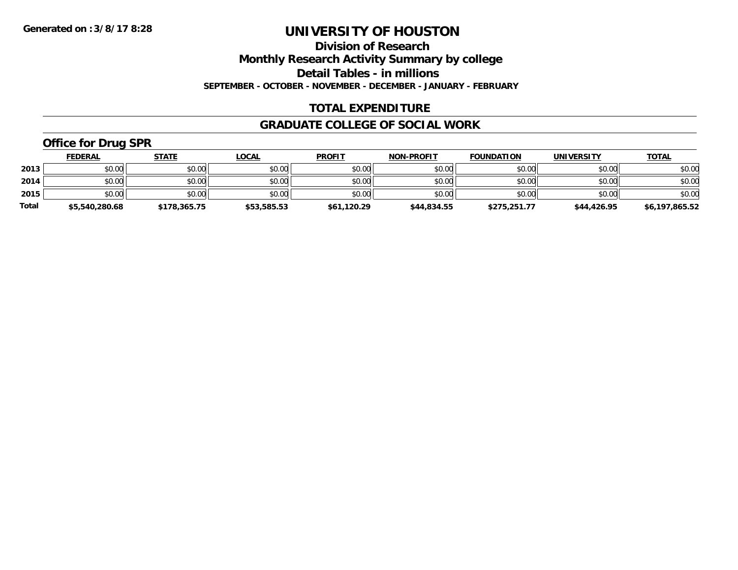**Division of Research**

**Monthly Research Activity Summary by college**

**Detail Tables - in millions**

**SEPTEMBER - OCTOBER - NOVEMBER - DECEMBER - JANUARY - FEBRUARY**

#### **TOTAL EXPENDITURE**

#### **GRADUATE COLLEGE OF SOCIAL WORK**

### **Office for Drug SPR**

|              | <u>FEDERAL</u> | <u>STATE</u> | <u>LOCAL</u> | <b>PROFIT</b> | <b>NON-PROFIT</b> | <b>FOUNDATION</b> | <b>UNIVERSITY</b> | <b>TOTAL</b>   |
|--------------|----------------|--------------|--------------|---------------|-------------------|-------------------|-------------------|----------------|
| 2013         | \$0.00         | \$0.00       | \$0.00       | \$0.00        | \$0.00            | \$0.00            | \$0.00            | \$0.00         |
| 2014         | \$0.00         | \$0.00       | \$0.00       | \$0.00        | \$0.00            | \$0.00            | \$0.00            | \$0.00         |
| 2015         | \$0.00         | \$0.00       | \$0.00       | \$0.00        | \$0.00            | \$0.00            | \$0.00            | \$0.00         |
| <b>Total</b> | \$5,540,280.68 | \$178,365.75 | \$53,585.53  | \$61,120.29   | \$44,834.55       | \$275,251.77      | \$44,426.95       | \$6,197,865.52 |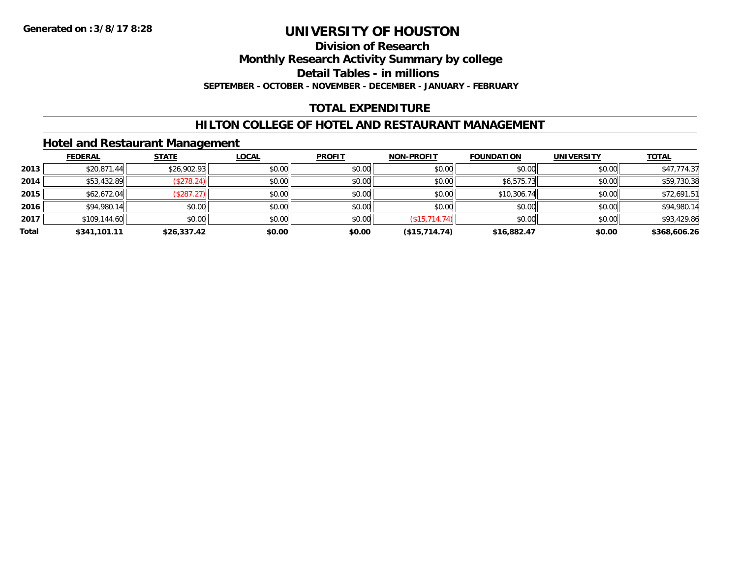#### **Division of Research**

**Monthly Research Activity Summary by college**

**Detail Tables - in millions**

**SEPTEMBER - OCTOBER - NOVEMBER - DECEMBER - JANUARY - FEBRUARY**

#### **TOTAL EXPENDITURE**

#### **HILTON COLLEGE OF HOTEL AND RESTAURANT MANAGEMENT**

#### **Hotel and Restaurant Management**

|       | <b>FEDERAL</b> | <b>STATE</b>      | <u>LOCAL</u> | <b>PROFIT</b> | <b>NON-PROFIT</b> | <b>FOUNDATION</b> | <b>UNIVERSITY</b> | <b>TOTAL</b> |
|-------|----------------|-------------------|--------------|---------------|-------------------|-------------------|-------------------|--------------|
| 2013  | \$20,871.44    | \$26,902.93       | \$0.00       | \$0.00        | \$0.00            | \$0.00            | \$0.00            | \$47,774.37  |
| 2014  | \$53,432.89    | (\$278.24)        | \$0.00       | \$0.00        | \$0.00            | \$6,575.73        | \$0.00            | \$59,730.38  |
| 2015  | \$62,672.04    | $($ \$287.27) $ $ | \$0.00       | \$0.00        | \$0.00            | \$10,306.74       | \$0.00            | \$72,691.51  |
| 2016  | \$94,980.14    | \$0.00            | \$0.00       | \$0.00        | \$0.00            | \$0.00            | \$0.00            | \$94,980.14  |
| 2017  | \$109,144.60   | \$0.00            | \$0.00       | \$0.00        | (S15, 714.74)     | \$0.00            | \$0.00            | \$93,429.86  |
| Total | \$341,101.11   | \$26,337.42       | \$0.00       | \$0.00        | (\$15,714.74)     | \$16,882.47       | \$0.00            | \$368,606.26 |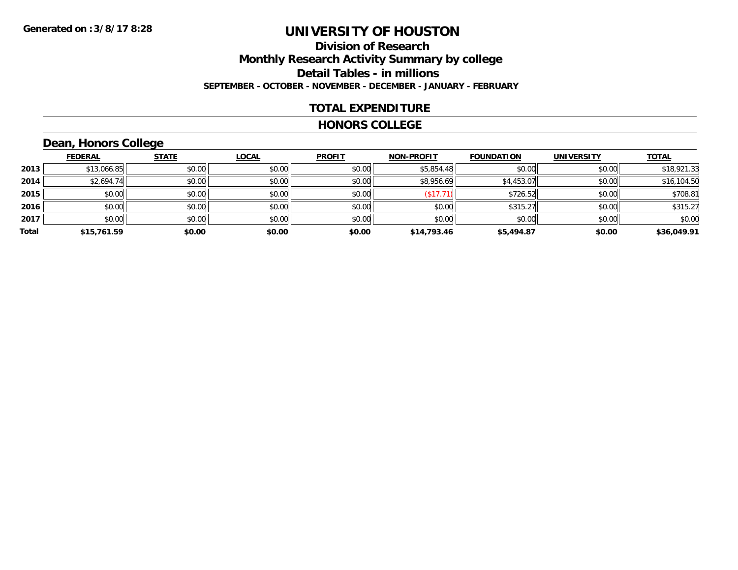#### **Division of Research Monthly Research Activity Summary by college Detail Tables - in millions SEPTEMBER - OCTOBER - NOVEMBER - DECEMBER - JANUARY - FEBRUARY**

#### **TOTAL EXPENDITURE**

#### **HONORS COLLEGE**

### **Dean, Honors College**

|       |                | $\sim$       |              |               |                   |                   |                   |              |
|-------|----------------|--------------|--------------|---------------|-------------------|-------------------|-------------------|--------------|
|       | <b>FEDERAL</b> | <b>STATE</b> | <b>LOCAL</b> | <b>PROFIT</b> | <b>NON-PROFIT</b> | <b>FOUNDATION</b> | <b>UNIVERSITY</b> | <b>TOTAL</b> |
| 2013  | \$13,066.85    | \$0.00       | \$0.00       | \$0.00        | \$5,854.48        | \$0.00            | \$0.00            | \$18,921.33  |
| 2014  | \$2,694.74     | \$0.00       | \$0.00       | \$0.00        | \$8,956.69        | \$4,453.07        | \$0.00            | \$16,104.50  |
| 2015  | \$0.00         | \$0.00       | \$0.00       | \$0.00        | \$17.7            | \$726.52          | \$0.00            | \$708.81     |
| 2016  | \$0.00         | \$0.00       | \$0.00       | \$0.00        | \$0.00            | \$315.27          | \$0.00            | \$315.27     |
| 2017  | \$0.00         | \$0.00       | \$0.00       | \$0.00        | \$0.00            | \$0.00            | \$0.00            | \$0.00       |
| Total | \$15,761.59    | \$0.00       | \$0.00       | \$0.00        | \$14,793.46       | \$5,494.87        | \$0.00            | \$36,049.91  |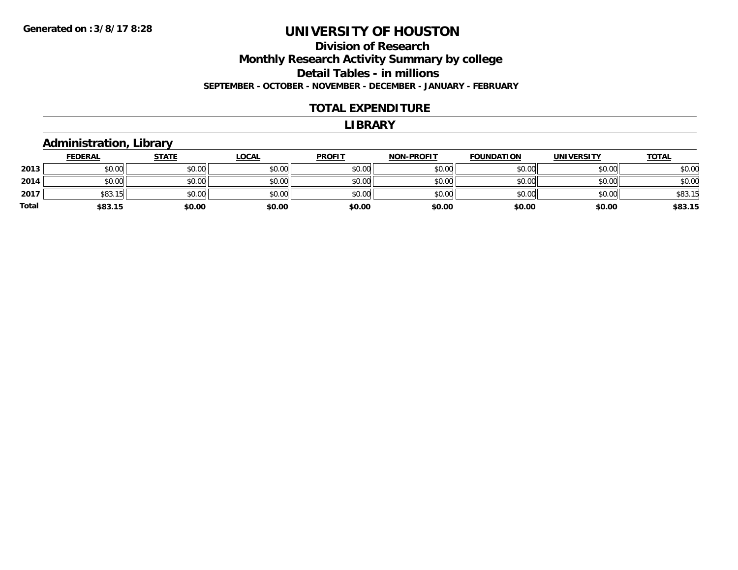#### **Division of Research Monthly Research Activity Summary by college Detail Tables - in millions SEPTEMBER - OCTOBER - NOVEMBER - DECEMBER - JANUARY - FEBRUARY**

#### **TOTAL EXPENDITURE**

#### **LIBRARY**

#### **Administration, Library**

|              | <b>FEDERAL</b>           | <u>STATE</u> | <u>LOCAL</u> | <b>PROFIT</b> | <b>NON-PROFIT</b> | <b>FOUNDATION</b> | <b>UNIVERSITY</b> | <u>TOTAL</u> |
|--------------|--------------------------|--------------|--------------|---------------|-------------------|-------------------|-------------------|--------------|
| 2013         | \$0.00                   | \$0.00       | \$0.00       | \$0.00        | \$0.00            | \$0.00            | \$0.00            | \$0.00       |
| 2014         | \$0.00                   | \$0.00       | \$0.00       | \$0.00        | \$0.00            | \$0.00            | \$0.00            | \$0.00       |
| 2017         | \$83.1<br>1 <sub>E</sub> | \$0.00       | \$0.00       | \$0.00        | \$0.00            | \$0.00            | \$0.00            | \$83.15      |
| <b>Total</b> | \$83.15                  | \$0.00       | \$0.00       | \$0.00        | \$0.00            | \$0.00            | \$0.00            | \$83.15      |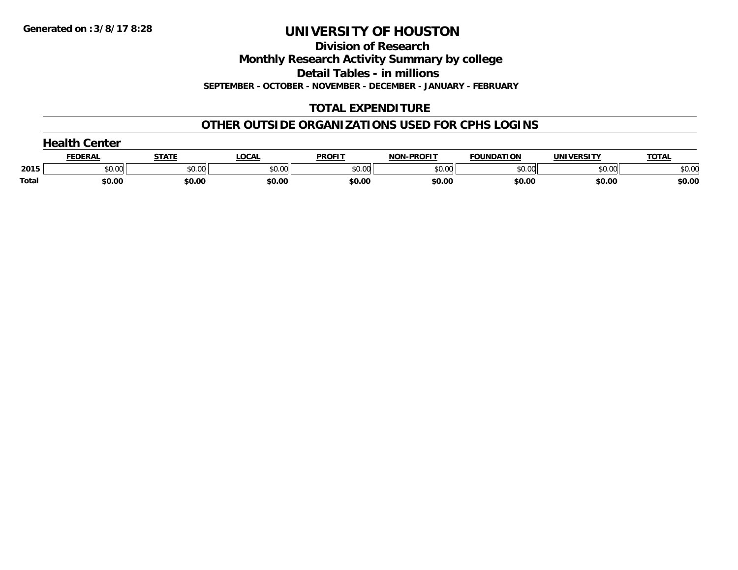**Division of Research**

**Monthly Research Activity Summary by college**

**Detail Tables - in millions**

**SEPTEMBER - OCTOBER - NOVEMBER - DECEMBER - JANUARY - FEBRUARY**

### **TOTAL EXPENDITURE**

#### **OTHER OUTSIDE ORGANIZATIONS USED FOR CPHS LOGINS**

|              | nealth ∂<br>Center |              |              |               |                   |                   |            |              |  |
|--------------|--------------------|--------------|--------------|---------------|-------------------|-------------------|------------|--------------|--|
|              | <b>FEDERAL</b>     | <b>STATE</b> | <b>LOCAL</b> | <b>PROFIT</b> | <b>NON-PROFIT</b> | <b>FOUNDATION</b> | UNIVERSITY | <b>TOTAL</b> |  |
| 2015         | \$0.00             | \$0.00       | \$0.00       | \$0.00        | \$0.00            | \$0.00            | \$0.00     | \$0.00       |  |
| <b>Total</b> | \$0.00             | \$0.00       | \$0.00       | \$0.00        | \$0.00            | \$0.00            | \$0.00     | \$0.00       |  |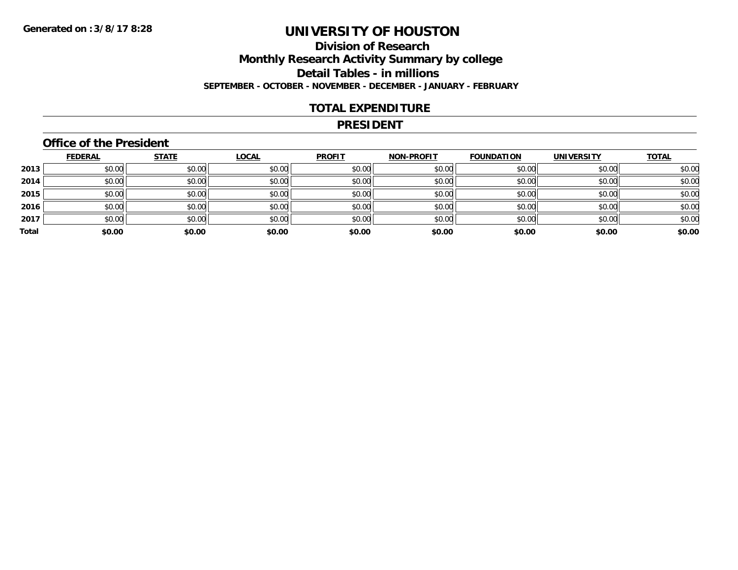### **Division of ResearchMonthly Research Activity Summary by college Detail Tables - in millions SEPTEMBER - OCTOBER - NOVEMBER - DECEMBER - JANUARY - FEBRUARY**

#### **TOTAL EXPENDITURE**

#### **PRESIDENT**

#### **Office of the President**

|       | <b>FEDERAL</b> | <b>STATE</b> | <b>LOCAL</b> | <b>PROFIT</b> | <b>NON-PROFIT</b> | <b>FOUNDATION</b> | <b>UNIVERSITY</b> | <b>TOTAL</b> |
|-------|----------------|--------------|--------------|---------------|-------------------|-------------------|-------------------|--------------|
| 2013  | \$0.00         | \$0.00       | \$0.00       | \$0.00        | \$0.00            | \$0.00            | \$0.00            | \$0.00       |
| 2014  | \$0.00         | \$0.00       | \$0.00       | \$0.00        | \$0.00            | \$0.00            | \$0.00            | \$0.00       |
| 2015  | \$0.00         | \$0.00       | \$0.00       | \$0.00        | \$0.00            | \$0.00            | \$0.00            | \$0.00       |
| 2016  | \$0.00         | \$0.00       | \$0.00       | \$0.00        | \$0.00            | \$0.00            | \$0.00            | \$0.00       |
| 2017  | \$0.00         | \$0.00       | \$0.00       | \$0.00        | \$0.00            | \$0.00            | \$0.00            | \$0.00       |
| Total | \$0.00         | \$0.00       | \$0.00       | \$0.00        | \$0.00            | \$0.00            | \$0.00            | \$0.00       |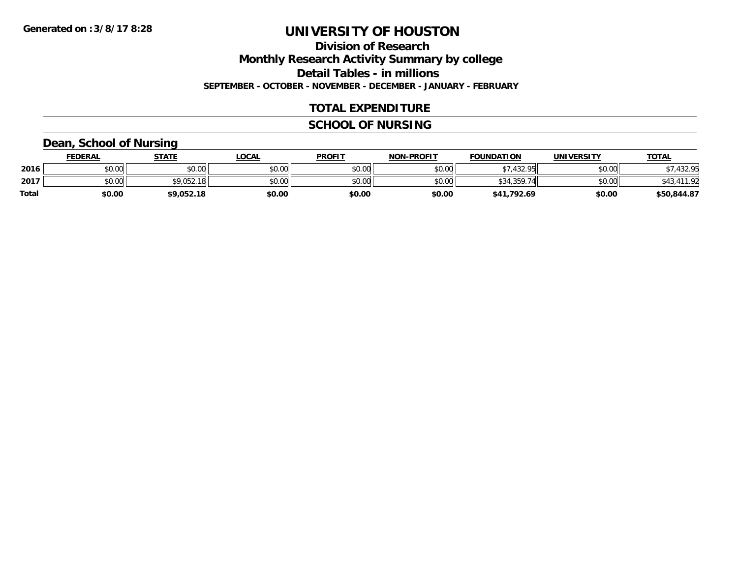#### **Division of Research Monthly Research Activity Summary by college Detail Tables - in millions SEPTEMBER - OCTOBER - NOVEMBER - DECEMBER - JANUARY - FEBRUARY**

#### **TOTAL EXPENDITURE**

### **SCHOOL OF NURSING**

#### **Dean, School of Nursing**

|       | <b>FEDERAL</b> | STATE      | <u>LOCAL</u> | <b>PROFIT</b> | <b>NON-PROFIT</b> | <b>FOUNDATION</b> | UNIVERSITY | <b>TOTAL</b> |
|-------|----------------|------------|--------------|---------------|-------------------|-------------------|------------|--------------|
| 2016  | \$0.00         | \$0.00     | \$0.00       | \$0.00        | \$0.00            | .432.95           | \$0.00     | ,432.95      |
| 2017  | \$0.00         | \$9,052.18 | \$0.00       | \$0.00        | \$0.00            | \$34,359.74       | \$0.00     | .92          |
| Total | \$0.00         | \$9,052.18 | \$0.00       | \$0.00        | \$0.00            | \$41,792.69       | \$0.00     | \$50,844.87  |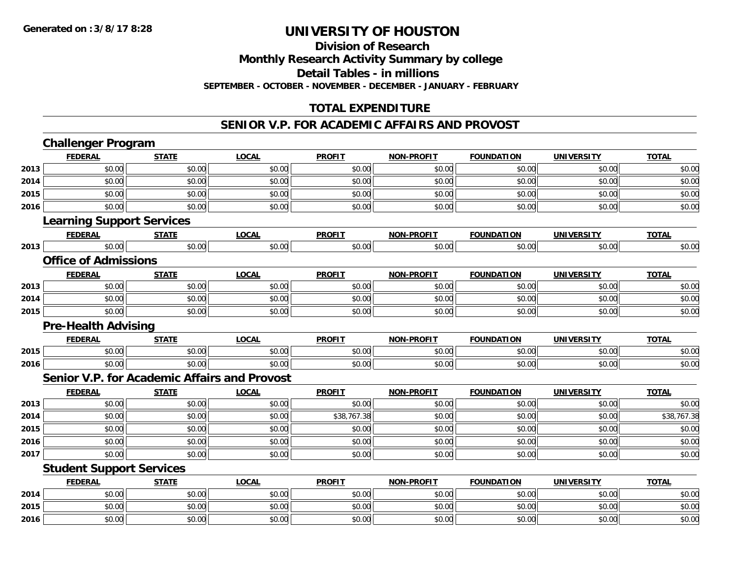**2016**

## **UNIVERSITY OF HOUSTON**

### **Division of Research**

**Monthly Research Activity Summary by college**

**Detail Tables - in millions**

**SEPTEMBER - OCTOBER - NOVEMBER - DECEMBER - JANUARY - FEBRUARY**

### **TOTAL EXPENDITURE**

#### **SENIOR V.P. FOR ACADEMIC AFFAIRS AND PROVOST**

|      | <b>Challenger Program</b>        |              |                                              |               |                   |                   |                   |              |
|------|----------------------------------|--------------|----------------------------------------------|---------------|-------------------|-------------------|-------------------|--------------|
|      | <b>FEDERAL</b>                   | <b>STATE</b> | <b>LOCAL</b>                                 | <b>PROFIT</b> | <b>NON-PROFIT</b> | <b>FOUNDATION</b> | <b>UNIVERSITY</b> | <b>TOTAL</b> |
| 2013 | \$0.00                           | \$0.00       | \$0.00                                       | \$0.00        | \$0.00            | \$0.00            | \$0.00            | \$0.00       |
| 2014 | \$0.00                           | \$0.00       | \$0.00                                       | \$0.00        | \$0.00            | \$0.00            | \$0.00            | \$0.00       |
| 2015 | \$0.00                           | \$0.00       | \$0.00                                       | \$0.00        | \$0.00            | \$0.00            | \$0.00            | \$0.00       |
| 2016 | \$0.00                           | \$0.00       | \$0.00                                       | \$0.00        | \$0.00            | \$0.00            | \$0.00            | \$0.00       |
|      | <b>Learning Support Services</b> |              |                                              |               |                   |                   |                   |              |
|      | <b>FEDERAL</b>                   | <b>STATE</b> | <b>LOCAL</b>                                 | <b>PROFIT</b> | <b>NON-PROFIT</b> | <b>FOUNDATION</b> | <b>UNIVERSITY</b> | <b>TOTAL</b> |
| 2013 | \$0.00                           | \$0.00       | \$0.00                                       | \$0.00        | \$0.00            | \$0.00            | \$0.00            | \$0.00       |
|      | <b>Office of Admissions</b>      |              |                                              |               |                   |                   |                   |              |
|      | <b>FEDERAL</b>                   | <b>STATE</b> | <b>LOCAL</b>                                 | <b>PROFIT</b> | <b>NON-PROFIT</b> | <b>FOUNDATION</b> | <b>UNIVERSITY</b> | <b>TOTAL</b> |
| 2013 | \$0.00                           | \$0.00       | \$0.00                                       | \$0.00        | \$0.00            | \$0.00            | \$0.00            | \$0.00       |
| 2014 | \$0.00                           | \$0.00       | \$0.00                                       | \$0.00        | \$0.00            | \$0.00            | \$0.00            | \$0.00       |
| 2015 | \$0.00                           | \$0.00       | \$0.00                                       | \$0.00        | \$0.00            | \$0.00            | \$0.00            | \$0.00       |
|      | <b>Pre-Health Advising</b>       |              |                                              |               |                   |                   |                   |              |
|      | <b>FEDERAL</b>                   | <b>STATE</b> | <b>LOCAL</b>                                 | <b>PROFIT</b> | <b>NON-PROFIT</b> | <b>FOUNDATION</b> | <b>UNIVERSITY</b> | <b>TOTAL</b> |
| 2015 | \$0.00                           | \$0.00       | \$0.00                                       | \$0.00        | \$0.00            | \$0.00            | \$0.00            | \$0.00       |
| 2016 | \$0.00                           | \$0.00       | \$0.00                                       | \$0.00        | \$0.00            | \$0.00            | \$0.00            | \$0.00       |
|      |                                  |              | Senior V.P. for Academic Affairs and Provost |               |                   |                   |                   |              |
|      | <b>FEDERAL</b>                   | <b>STATE</b> | <b>LOCAL</b>                                 | <b>PROFIT</b> | <b>NON-PROFIT</b> | <b>FOUNDATION</b> | <b>UNIVERSITY</b> | <b>TOTAL</b> |
| 2013 | \$0.00                           | \$0.00       | \$0.00                                       | \$0.00        | \$0.00            | \$0.00            | \$0.00            | \$0.00       |
| 2014 | \$0.00                           | \$0.00       | \$0.00                                       | \$38,767.38   | \$0.00            | \$0.00            | \$0.00            | \$38,767.38  |
| 2015 | \$0.00                           | \$0.00       | \$0.00                                       | \$0.00        | \$0.00            | \$0.00            | \$0.00            | \$0.00       |
| 2016 | \$0.00                           | \$0.00       | \$0.00                                       | \$0.00        | \$0.00            | \$0.00            | \$0.00            | \$0.00       |
| 2017 | \$0.00                           | \$0.00       | \$0.00                                       | \$0.00        | \$0.00            | \$0.00            | \$0.00            | \$0.00       |
|      | <b>Student Support Services</b>  |              |                                              |               |                   |                   |                   |              |
|      | <b>FEDERAL</b>                   | <b>STATE</b> | <b>LOCAL</b>                                 | <b>PROFIT</b> | <b>NON-PROFIT</b> | <b>FOUNDATION</b> | <b>UNIVERSITY</b> | <b>TOTAL</b> |
| 2014 | \$0.00                           | \$0.00       | \$0.00                                       | \$0.00        | \$0.00            | \$0.00            | \$0.00            | \$0.00       |
| 2015 | \$0.00                           | \$0.00       | \$0.00                                       | \$0.00        | \$0.00            | \$0.00            | \$0.00            | \$0.00       |

6 \$0.00 \$0.00 \$0.00 \$0.00 \$0.00 \$0.00 \$0.00 \$0.00 \$0.00 \$0.00 \$0.00 \$0.00 \$0.00 \$0.00 \$0.00 \$0.00 \$0.00 \$0.00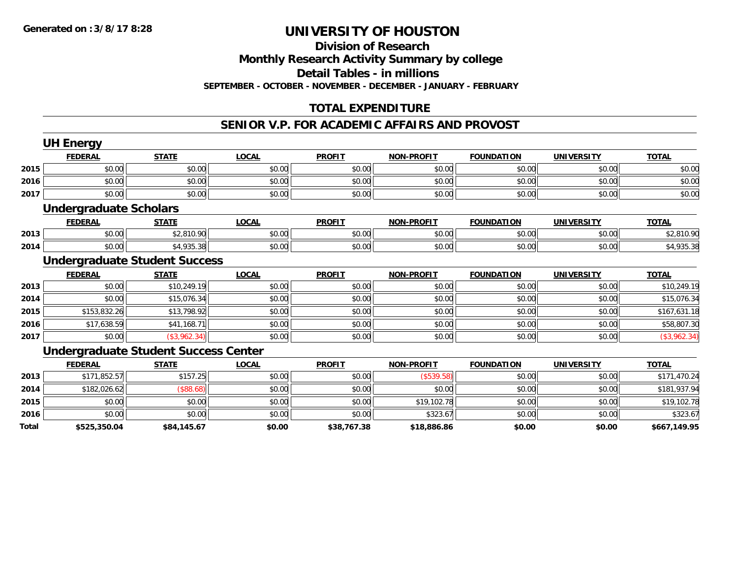#### **Division of Research**

**Monthly Research Activity Summary by college**

**Detail Tables - in millions**

**SEPTEMBER - OCTOBER - NOVEMBER - DECEMBER - JANUARY - FEBRUARY**

### **TOTAL EXPENDITURE**

#### **SENIOR V.P. FOR ACADEMIC AFFAIRS AND PROVOST**

|       | <b>UH Energy</b>              |                                             |              |               |                   |                   |                   |              |
|-------|-------------------------------|---------------------------------------------|--------------|---------------|-------------------|-------------------|-------------------|--------------|
|       | <b>FEDERAL</b>                | <b>STATE</b>                                | <b>LOCAL</b> | <b>PROFIT</b> | <b>NON-PROFIT</b> | <b>FOUNDATION</b> | <b>UNIVERSITY</b> | <b>TOTAL</b> |
| 2015  | \$0.00                        | \$0.00                                      | \$0.00       | \$0.00        | \$0.00            | \$0.00            | \$0.00            | \$0.00       |
| 2016  | \$0.00                        | \$0.00                                      | \$0.00       | \$0.00        | \$0.00            | \$0.00            | \$0.00            | \$0.00       |
| 2017  | \$0.00                        | \$0.00                                      | \$0.00       | \$0.00        | \$0.00            | \$0.00            | \$0.00            | \$0.00       |
|       | <b>Undergraduate Scholars</b> |                                             |              |               |                   |                   |                   |              |
|       | <b>FEDERAL</b>                | <b>STATE</b>                                | <b>LOCAL</b> | <b>PROFIT</b> | <b>NON-PROFIT</b> | <b>FOUNDATION</b> | <b>UNIVERSITY</b> | <b>TOTAL</b> |
| 2013  | \$0.00                        | \$2,810.90                                  | \$0.00       | \$0.00        | \$0.00            | \$0.00            | \$0.00            | \$2,810.90   |
| 2014  | \$0.00                        | \$4,935.38                                  | \$0.00       | \$0.00        | \$0.00            | \$0.00            | \$0.00            | \$4,935.38   |
|       |                               | <b>Undergraduate Student Success</b>        |              |               |                   |                   |                   |              |
|       | <b>FEDERAL</b>                | <b>STATE</b>                                | <b>LOCAL</b> | <b>PROFIT</b> | <b>NON-PROFIT</b> | <b>FOUNDATION</b> | <b>UNIVERSITY</b> | <b>TOTAL</b> |
| 2013  | \$0.00                        | \$10,249.19                                 | \$0.00       | \$0.00        | \$0.00            | \$0.00            | \$0.00            | \$10,249.19  |
| 2014  | \$0.00                        | \$15,076.34                                 | \$0.00       | \$0.00        | \$0.00            | \$0.00            | \$0.00            | \$15,076.34  |
| 2015  | \$153,832.26                  | \$13,798.92                                 | \$0.00       | \$0.00        | \$0.00            | \$0.00            | \$0.00            | \$167,631.18 |
| 2016  | \$17,638.59                   | \$41,168.71                                 | \$0.00       | \$0.00        | \$0.00            | \$0.00            | \$0.00            | \$58,807.30  |
| 2017  | \$0.00                        | (\$3,962.34)                                | \$0.00       | \$0.00        | \$0.00            | \$0.00            | \$0.00            | (\$3,962.34) |
|       |                               | <b>Undergraduate Student Success Center</b> |              |               |                   |                   |                   |              |
|       | <b>FEDERAL</b>                | <b>STATE</b>                                | <b>LOCAL</b> | <b>PROFIT</b> | <b>NON-PROFIT</b> | <b>FOUNDATION</b> | <b>UNIVERSITY</b> | <b>TOTAL</b> |
| 2013  | \$171,852.57                  | \$157.25                                    | \$0.00       | \$0.00        | (\$539.58)        | \$0.00            | \$0.00            | \$171,470.24 |
| 2014  | \$182,026.62                  | (\$88.68)                                   | \$0.00       | \$0.00        | \$0.00            | \$0.00            | \$0.00            | \$181,937.94 |
| 2015  | \$0.00                        | \$0.00                                      | \$0.00       | \$0.00        | \$19,102.78       | \$0.00            | \$0.00            | \$19,102.78  |
| 2016  | \$0.00                        | \$0.00                                      | \$0.00       | \$0.00        | \$323.67          | \$0.00            | \$0.00            | \$323.67     |
| Total | \$525,350.04                  | \$84,145.67                                 | \$0.00       | \$38,767.38   | \$18,886.86       | \$0.00            | \$0.00            | \$667,149.95 |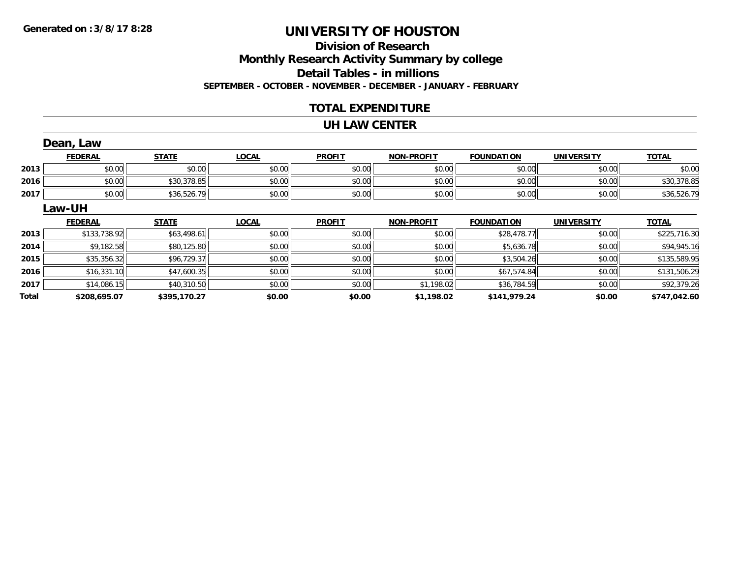### **Division of ResearchMonthly Research Activity Summary by college Detail Tables - in millions SEPTEMBER - OCTOBER - NOVEMBER - DECEMBER - JANUARY - FEBRUARY**

#### **TOTAL EXPENDITURE**

#### **UH LAW CENTER**

|       | Dean, Law      |              |              |               |                   |                   |                   |              |
|-------|----------------|--------------|--------------|---------------|-------------------|-------------------|-------------------|--------------|
|       | <b>FEDERAL</b> | <b>STATE</b> | <b>LOCAL</b> | <b>PROFIT</b> | <b>NON-PROFIT</b> | <b>FOUNDATION</b> | <b>UNIVERSITY</b> | <b>TOTAL</b> |
| 2013  | \$0.00         | \$0.00       | \$0.00       | \$0.00        | \$0.00            | \$0.00            | \$0.00            | \$0.00       |
| 2016  | \$0.00         | \$30,378.85  | \$0.00       | \$0.00        | \$0.00            | \$0.00            | \$0.00            | \$30,378.85  |
| 2017  | \$0.00         | \$36,526.79  | \$0.00       | \$0.00        | \$0.00            | \$0.00            | \$0.00            | \$36,526.79  |
|       | Law-UH         |              |              |               |                   |                   |                   |              |
|       | <b>FEDERAL</b> | <b>STATE</b> | <b>LOCAL</b> | <b>PROFIT</b> | <b>NON-PROFIT</b> | <b>FOUNDATION</b> | <b>UNIVERSITY</b> | <b>TOTAL</b> |
| 2013  | \$133,738.92   | \$63,498.61  | \$0.00       | \$0.00        | \$0.00            | \$28,478.77       | \$0.00            | \$225,716.30 |
| 2014  | \$9,182.58     | \$80,125.80  | \$0.00       | \$0.00        | \$0.00            | \$5,636.78        | \$0.00            | \$94,945.16  |
| 2015  | \$35,356.32    | \$96,729.37  | \$0.00       | \$0.00        | \$0.00            | \$3,504.26        | \$0.00            | \$135,589.95 |
| 2016  | \$16,331.10    | \$47,600.35  | \$0.00       | \$0.00        | \$0.00            | \$67,574.84       | \$0.00            | \$131,506.29 |
| 2017  | \$14,086.15    | \$40,310.50  | \$0.00       | \$0.00        | \$1,198.02        | \$36,784.59       | \$0.00            | \$92,379.26  |
| Total | \$208,695.07   | \$395,170.27 | \$0.00       | \$0.00        | \$1,198.02        | \$141,979.24      | \$0.00            | \$747.042.60 |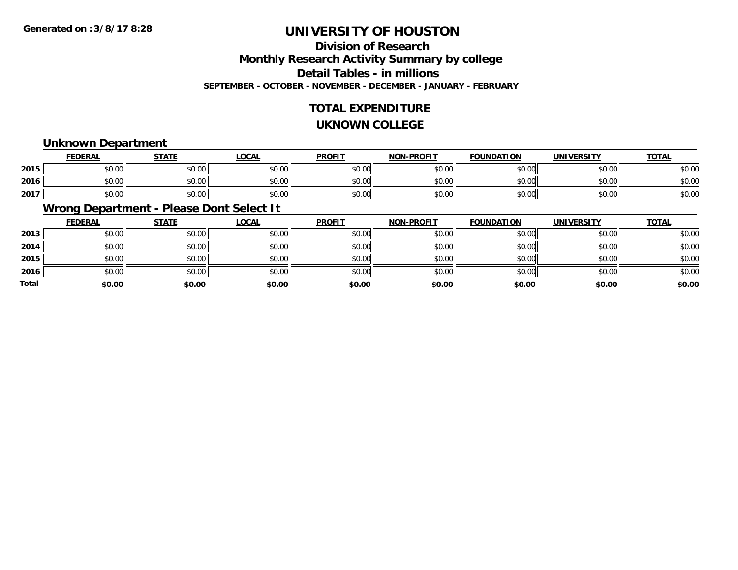#### **Division of ResearchMonthly Research Activity Summary by college Detail Tables - in millions SEPTEMBER - OCTOBER - NOVEMBER - DECEMBER - JANUARY - FEBRUARY**

#### **TOTAL EXPENDITURE**

#### **UKNOWN COLLEGE**

#### **Unknown Department**

|      | <b>FEDERAL</b>        | <b>STATE</b> | LOCAL  | <b>PROFIT</b> | <b>I-PROFIT</b><br><b>NON</b> | <b>FOUNDATION</b> | <b>UNIVERSITY</b> | <b>TOTAL</b> |
|------|-----------------------|--------------|--------|---------------|-------------------------------|-------------------|-------------------|--------------|
| 2015 | <b>CO OC</b><br>DU.UU | \$0.00       | \$0.00 | \$0.00        | \$0.00                        | \$0.00            | \$0.00            | \$0.00       |
| 2016 | ሰሰ ሰሰ<br>DU.UU        | \$0.00       | \$0.00 | \$0.00        | \$0.00                        | \$0.00            | \$0.00            | \$0.00       |
| 2017 | \$0.00                | \$0.00       | \$0.00 | \$0.00        | \$0.00                        | \$0.00            | \$0.00            | \$0.00       |

### **Wrong Department - Please Dont Select It**

|              | <b>FEDERAL</b> | <b>STATE</b> | <b>LOCAL</b> | <b>PROFIT</b> | <b>NON-PROFIT</b> | <b>FOUNDATION</b> | <b>UNIVERSITY</b> | <b>TOTAL</b> |
|--------------|----------------|--------------|--------------|---------------|-------------------|-------------------|-------------------|--------------|
| 2013         | \$0.00         | \$0.00       | \$0.00       | \$0.00        | \$0.00            | \$0.00            | \$0.00            | \$0.00       |
| 2014         | \$0.00         | \$0.00       | \$0.00       | \$0.00        | \$0.00            | \$0.00            | \$0.00            | \$0.00       |
| 2015         | \$0.00         | \$0.00       | \$0.00       | \$0.00        | \$0.00            | \$0.00            | \$0.00            | \$0.00       |
| 2016         | \$0.00         | \$0.00       | \$0.00       | \$0.00        | \$0.00            | \$0.00            | \$0.00            | \$0.00       |
| <b>Total</b> | \$0.00         | \$0.00       | \$0.00       | \$0.00        | \$0.00            | \$0.00            | \$0.00            | \$0.00       |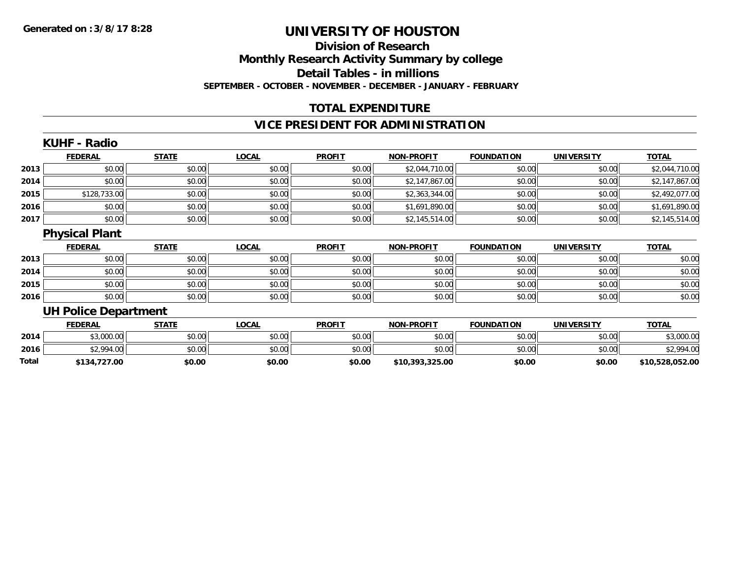#### **Division of Research Monthly Research Activity Summary by college Detail Tables - in millions SEPTEMBER - OCTOBER - NOVEMBER - DECEMBER - JANUARY - FEBRUARY**

#### **TOTAL EXPENDITURE**

#### **VICE PRESIDENT FOR ADMINISTRATION**

|       | <b>KUHF - Radio</b>         |              |              |               |                   |                   |                   |                 |
|-------|-----------------------------|--------------|--------------|---------------|-------------------|-------------------|-------------------|-----------------|
|       | <b>FEDERAL</b>              | <b>STATE</b> | <b>LOCAL</b> | <b>PROFIT</b> | <b>NON-PROFIT</b> | <b>FOUNDATION</b> | <b>UNIVERSITY</b> | <b>TOTAL</b>    |
| 2013  | \$0.00                      | \$0.00       | \$0.00       | \$0.00        | \$2,044,710.00    | \$0.00            | \$0.00            | \$2,044,710.00  |
| 2014  | \$0.00                      | \$0.00       | \$0.00       | \$0.00        | \$2,147,867.00    | \$0.00            | \$0.00            | \$2,147,867.00  |
| 2015  | \$128,733.00                | \$0.00       | \$0.00       | \$0.00        | \$2,363,344.00    | \$0.00            | \$0.00            | \$2,492,077.00  |
| 2016  | \$0.00                      | \$0.00       | \$0.00       | \$0.00        | \$1,691,890.00    | \$0.00            | \$0.00            | \$1,691,890.00  |
| 2017  | \$0.00                      | \$0.00       | \$0.00       | \$0.00        | \$2,145,514.00    | \$0.00            | \$0.00            | \$2,145,514.00  |
|       | <b>Physical Plant</b>       |              |              |               |                   |                   |                   |                 |
|       | <b>FEDERAL</b>              | <b>STATE</b> | <b>LOCAL</b> | <b>PROFIT</b> | <b>NON-PROFIT</b> | <b>FOUNDATION</b> | <b>UNIVERSITY</b> | <b>TOTAL</b>    |
| 2013  | \$0.00                      | \$0.00       | \$0.00       | \$0.00        | \$0.00            | \$0.00            | \$0.00            | \$0.00          |
| 2014  | \$0.00                      | \$0.00       | \$0.00       | \$0.00        | \$0.00            | \$0.00            | \$0.00            | \$0.00          |
| 2015  | \$0.00                      | \$0.00       | \$0.00       | \$0.00        | \$0.00            | \$0.00            | \$0.00            | \$0.00          |
| 2016  | \$0.00                      | \$0.00       | \$0.00       | \$0.00        | \$0.00            | \$0.00            | \$0.00            | \$0.00          |
|       | <b>UH Police Department</b> |              |              |               |                   |                   |                   |                 |
|       | <b>FEDERAL</b>              | <b>STATE</b> | <b>LOCAL</b> | <b>PROFIT</b> | <b>NON-PROFIT</b> | <b>FOUNDATION</b> | <b>UNIVERSITY</b> | <b>TOTAL</b>    |
| 2014  | \$3,000.00                  | \$0.00       | \$0.00       | \$0.00        | \$0.00            | \$0.00            | \$0.00            | \$3,000.00      |
| 2016  | \$2,994.00                  | \$0.00       | \$0.00       | \$0.00        | \$0.00            | \$0.00            | \$0.00            | \$2,994.00      |
| Total | \$134,727.00                | \$0.00       | \$0.00       | \$0.00        | \$10,393,325.00   | \$0.00            | \$0.00            | \$10,528,052.00 |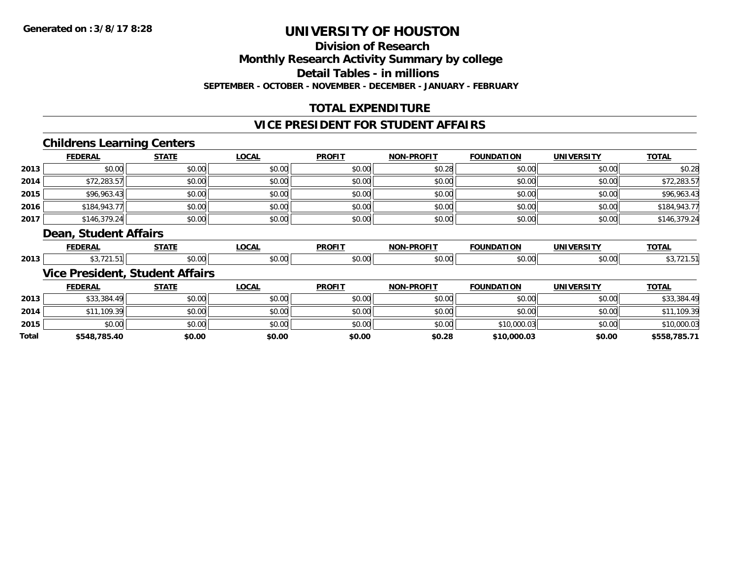**Division of Research**

**Monthly Research Activity Summary by college**

**Detail Tables - in millions**

**SEPTEMBER - OCTOBER - NOVEMBER - DECEMBER - JANUARY - FEBRUARY**

### **TOTAL EXPENDITURE**

#### **VICE PRESIDENT FOR STUDENT AFFAIRS**

#### **Childrens Learning Centers**

|      | <b>FEDERAL</b>        | <b>STATE</b> | <b>LOCAL</b> | <b>PROFIT</b> | <b>NON-PROFIT</b> | <b>FOUNDATION</b> | <b>UNIVERSITY</b> | <b>TOTAL</b> |
|------|-----------------------|--------------|--------------|---------------|-------------------|-------------------|-------------------|--------------|
| 2013 | \$0.00                | \$0.00       | \$0.00       | \$0.00        | \$0.28            | \$0.00            | \$0.00            | \$0.28       |
| 2014 | \$72,283.57           | \$0.00       | \$0.00       | \$0.00        | \$0.00            | \$0.00            | \$0.00            | \$72,283.57  |
| 2015 | \$96,963.43           | \$0.00       | \$0.00       | \$0.00        | \$0.00            | \$0.00            | \$0.00            | \$96,963.43  |
| 2016 | \$184,943.77          | \$0.00       | \$0.00       | \$0.00        | \$0.00            | \$0.00            | \$0.00            | \$184,943.77 |
| 2017 | \$146,379.24          | \$0.00       | \$0.00       | \$0.00        | \$0.00            | \$0.00            | \$0.00            | \$146,379.24 |
|      | Dean, Student Affairs |              |              |               |                   |                   |                   |              |
|      | <b>FEDERAL</b>        | <b>STATE</b> | <b>LOCAL</b> | <b>PROFIT</b> | <b>NON-PROFIT</b> | <b>FOUNDATION</b> | <b>UNIVERSITY</b> | <b>TOTAL</b> |
| 2013 | \$3,721.51            | \$0.00       | \$0.00       | \$0.00        | \$0.00            | \$0.00            | \$0.00            | \$3,721.51   |
|      | .<br>-                |              |              |               |                   |                   |                   |              |

#### **Vice President, Student Affairs**

|       | <b>FEDERAL</b> | <b>STATE</b> | <u>LOCAL</u> | <b>PROFIT</b> | <b>NON-PROFIT</b> | <b>FOUNDATION</b> | <b>UNIVERSITY</b> | <b>TOTAL</b> |
|-------|----------------|--------------|--------------|---------------|-------------------|-------------------|-------------------|--------------|
| 2013  | \$33,384.49    | \$0.00       | \$0.00       | \$0.00        | \$0.00            | \$0.00            | \$0.00            | \$33,384.49  |
| 2014  | \$11,109.39    | \$0.00       | \$0.00       | \$0.00        | \$0.00            | \$0.00            | \$0.00            | \$11,109.39  |
| 2015  | \$0.00         | \$0.00       | \$0.00       | \$0.00        | \$0.00            | \$10,000.03       | \$0.00            | \$10,000.03  |
| Total | \$548,785.40   | \$0.00       | \$0.00       | \$0.00        | \$0.28            | \$10,000.03       | \$0.00            | \$558,785.71 |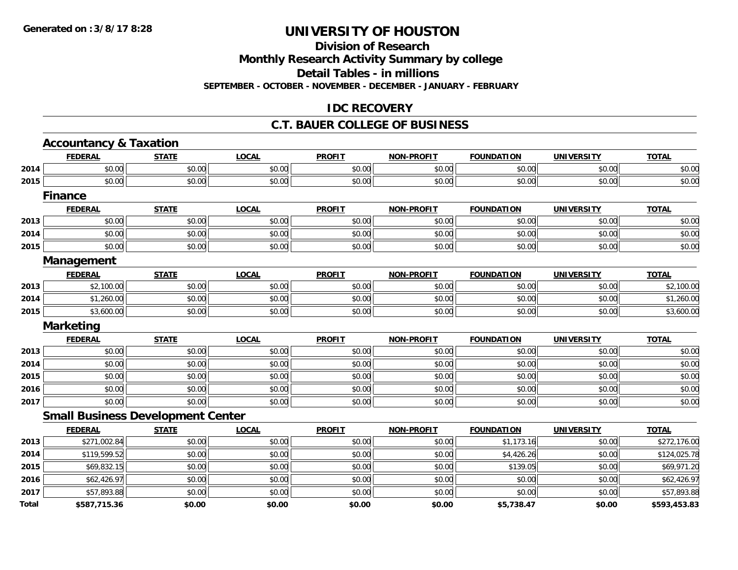**Division of Research**

**Monthly Research Activity Summary by college**

**Detail Tables - in millions**

**SEPTEMBER - OCTOBER - NOVEMBER - DECEMBER - JANUARY - FEBRUARY**

#### **IDC RECOVERY**

#### **C.T. BAUER COLLEGE OF BUSINESS**

|              | <b>Accountancy &amp; Taxation</b>        |              |              |               |                   |                   |                   |              |
|--------------|------------------------------------------|--------------|--------------|---------------|-------------------|-------------------|-------------------|--------------|
|              | <b>FEDERAL</b>                           | <b>STATE</b> | <b>LOCAL</b> | <b>PROFIT</b> | <b>NON-PROFIT</b> | <b>FOUNDATION</b> | <b>UNIVERSITY</b> | <b>TOTAL</b> |
| 2014         | \$0.00                                   | \$0.00       | \$0.00       | \$0.00        | \$0.00            | \$0.00            | \$0.00            | \$0.00       |
| 2015         | \$0.00                                   | \$0.00       | \$0.00       | \$0.00        | \$0.00            | \$0.00            | \$0.00            | \$0.00       |
|              | <b>Finance</b>                           |              |              |               |                   |                   |                   |              |
|              | <b>FEDERAL</b>                           | <b>STATE</b> | <b>LOCAL</b> | <b>PROFIT</b> | <b>NON-PROFIT</b> | <b>FOUNDATION</b> | <b>UNIVERSITY</b> | <b>TOTAL</b> |
| 2013         | \$0.00                                   | \$0.00       | \$0.00       | \$0.00        | \$0.00            | \$0.00            | \$0.00            | \$0.00       |
| 2014         | \$0.00                                   | \$0.00       | \$0.00       | \$0.00        | \$0.00            | \$0.00            | \$0.00            | \$0.00       |
| 2015         | \$0.00                                   | \$0.00       | \$0.00       | \$0.00        | \$0.00            | \$0.00            | \$0.00            | \$0.00       |
|              | Management                               |              |              |               |                   |                   |                   |              |
|              | <b>FEDERAL</b>                           | <b>STATE</b> | <b>LOCAL</b> | <b>PROFIT</b> | <b>NON-PROFIT</b> | <b>FOUNDATION</b> | <b>UNIVERSITY</b> | <b>TOTAL</b> |
| 2013         | \$2,100.00                               | \$0.00       | \$0.00       | \$0.00        | \$0.00            | \$0.00            | \$0.00            | \$2,100.00   |
| 2014         | \$1,260.00                               | \$0.00       | \$0.00       | \$0.00        | \$0.00            | \$0.00            | \$0.00            | \$1,260.00   |
| 2015         | \$3,600.00                               | \$0.00       | \$0.00       | \$0.00        | \$0.00            | \$0.00            | \$0.00            | \$3,600.00   |
|              | <b>Marketing</b>                         |              |              |               |                   |                   |                   |              |
|              | <b>FEDERAL</b>                           | <b>STATE</b> | <b>LOCAL</b> | <b>PROFIT</b> | <b>NON-PROFIT</b> | <b>FOUNDATION</b> | <b>UNIVERSITY</b> | <b>TOTAL</b> |
| 2013         | \$0.00                                   | \$0.00       | \$0.00       | \$0.00        | \$0.00            | \$0.00            | \$0.00            | \$0.00       |
| 2014         | \$0.00                                   | \$0.00       | \$0.00       | \$0.00        | \$0.00            | \$0.00            | \$0.00            | \$0.00       |
| 2015         | \$0.00                                   | \$0.00       | \$0.00       | \$0.00        | \$0.00            | \$0.00            | \$0.00            | \$0.00       |
| 2016         | \$0.00                                   | \$0.00       | \$0.00       | \$0.00        | \$0.00            | \$0.00            | \$0.00            | \$0.00       |
| 2017         | \$0.00                                   | \$0.00       | \$0.00       | \$0.00        | \$0.00            | \$0.00            | \$0.00            | \$0.00       |
|              | <b>Small Business Development Center</b> |              |              |               |                   |                   |                   |              |
|              | <b>FEDERAL</b>                           | <b>STATE</b> | <b>LOCAL</b> | <b>PROFIT</b> | <b>NON-PROFIT</b> | <b>FOUNDATION</b> | <b>UNIVERSITY</b> | <b>TOTAL</b> |
| 2013         | \$271,002.84                             | \$0.00       | \$0.00       | \$0.00        | \$0.00            | \$1,173.16        | \$0.00            | \$272,176.00 |
| 2014         | \$119,599.52                             | \$0.00       | \$0.00       | \$0.00        | \$0.00            | \$4,426.26        | \$0.00            | \$124,025.78 |
| 2015         | \$69,832.15                              | \$0.00       | \$0.00       | \$0.00        | \$0.00            | \$139.05          | \$0.00            | \$69,971.20  |
| 2016         | \$62,426.97                              | \$0.00       | \$0.00       | \$0.00        | \$0.00            | \$0.00            | \$0.00            | \$62,426.97  |
| 2017         | \$57,893.88                              | \$0.00       | \$0.00       | \$0.00        | \$0.00            | \$0.00            | \$0.00            | \$57,893.88  |
| <b>Total</b> | \$587,715.36                             | \$0.00       | \$0.00       | \$0.00        | \$0.00            | \$5,738.47        | \$0.00            | \$593,453.83 |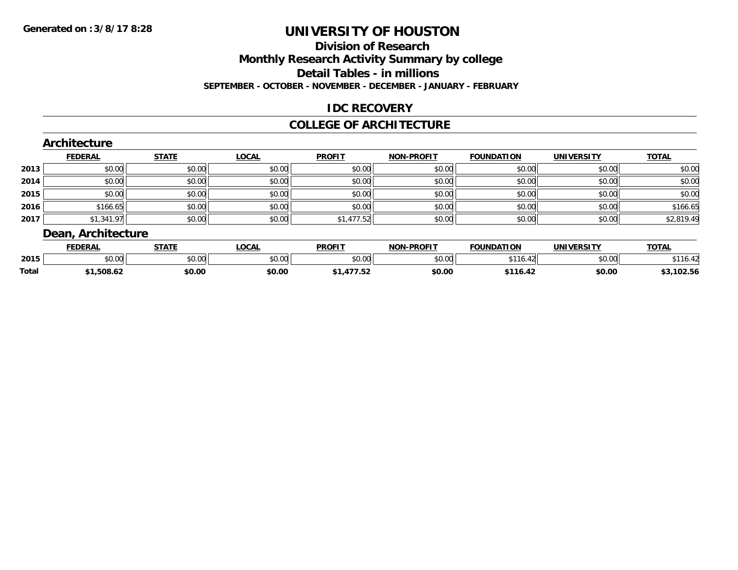## **Division of ResearchMonthly Research Activity Summary by college Detail Tables - in millions**

**SEPTEMBER - OCTOBER - NOVEMBER - DECEMBER - JANUARY - FEBRUARY**

### **IDC RECOVERY**

#### **COLLEGE OF ARCHITECTURE**

|      | Architecture       |              |              |               |                   |                   |                   |              |
|------|--------------------|--------------|--------------|---------------|-------------------|-------------------|-------------------|--------------|
|      | <b>FEDERAL</b>     | <b>STATE</b> | <b>LOCAL</b> | <b>PROFIT</b> | <b>NON-PROFIT</b> | <b>FOUNDATION</b> | <b>UNIVERSITY</b> | <b>TOTAL</b> |
| 2013 | \$0.00             | \$0.00       | \$0.00       | \$0.00        | \$0.00            | \$0.00            | \$0.00            | \$0.00       |
| 2014 | \$0.00             | \$0.00       | \$0.00       | \$0.00        | \$0.00            | \$0.00            | \$0.00            | \$0.00       |
| 2015 | \$0.00             | \$0.00       | \$0.00       | \$0.00        | \$0.00            | \$0.00            | \$0.00            | \$0.00       |
| 2016 | \$166.65           | \$0.00       | \$0.00       | \$0.00        | \$0.00            | \$0.00            | \$0.00            | \$166.65     |
| 2017 | \$1,341.97         | \$0.00       | \$0.00       | \$1,477.52    | \$0.00            | \$0.00            | \$0.00            | \$2,819.49   |
|      | Dean, Architecture |              |              |               |                   |                   |                   |              |

|              | <b>FEDERAI</b> | CTATE         | 0.00<br>UUMI | <b>PROFIT</b> | -PROFIT<br><b>MON</b> | <b>FOUNDATION</b> | <b>IINIVEDSITV</b> | <b>TAT</b> |
|--------------|----------------|---------------|--------------|---------------|-----------------------|-------------------|--------------------|------------|
| 2015         | ሐሴ ሰሰ<br>PU.UU | 0000<br>PO.OO | vv.vu        | 0000<br>JU.UU | 0000<br>∕∪.∪u         | ***<br>$\sim$     | 0000<br>vv.vv      |            |
| <b>Total</b> | .508.62        | \$0.00        | \$0.00       | .             | \$0.00                |                   | \$0.00             | uz.j       |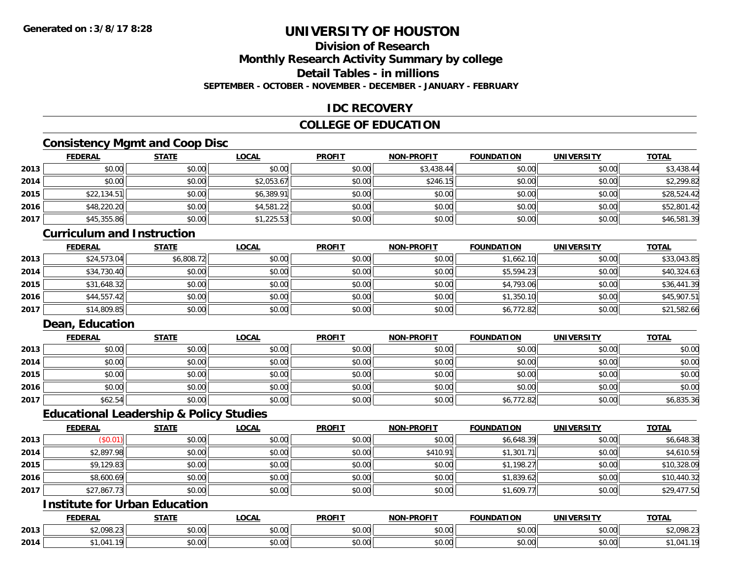### **Division of Research**

**Monthly Research Activity Summary by college**

**Detail Tables - in millions**

**SEPTEMBER - OCTOBER - NOVEMBER - DECEMBER - JANUARY - FEBRUARY**

#### **IDC RECOVERY**

#### **COLLEGE OF EDUCATION**

### **Consistency Mgmt and Coop Disc**

|      | <b>FEDERAL</b> | <b>STATE</b> | <b>LOCAL</b> | <b>PROFIT</b> | <b>NON-PROFIT</b> | <b>FOUNDATION</b> | <b>UNIVERSITY</b> | <b>TOTAL</b> |
|------|----------------|--------------|--------------|---------------|-------------------|-------------------|-------------------|--------------|
| 2013 | \$0.00         | \$0.00       | \$0.00       | \$0.00        | \$3,438.44        | \$0.00            | \$0.00            | \$3,438.44   |
| 2014 | \$0.00         | \$0.00       | \$2,053.67   | \$0.00        | \$246.15          | \$0.00            | \$0.00            | \$2,299.82   |
| 2015 | \$22,134.51    | \$0.00       | \$6,389.91   | \$0.00        | \$0.00            | \$0.00            | \$0.00            | \$28,524.42  |
| 2016 | \$48,220.20    | \$0.00       | \$4,581.22   | \$0.00        | \$0.00            | \$0.00            | \$0.00            | \$52,801.42  |
| 2017 | \$45,355.86    | \$0.00       | \$1,225.53   | \$0.00        | \$0.00            | \$0.00            | \$0.00            | \$46,581.39  |

#### **Curriculum and Instruction**

|      | <b>FEDERAL</b> | <u>STATE</u> | <u>LOCAL</u> | <b>PROFIT</b> | <b>NON-PROFIT</b> | <b>FOUNDATION</b> | <b>UNIVERSITY</b> | <b>TOTAL</b> |
|------|----------------|--------------|--------------|---------------|-------------------|-------------------|-------------------|--------------|
| 2013 | \$24,573.04    | \$6,808.72   | \$0.00       | \$0.00        | \$0.00            | \$1,662.10        | \$0.00            | \$33,043.85  |
| 2014 | \$34,730.40    | \$0.00       | \$0.00       | \$0.00        | \$0.00            | \$5,594.23        | \$0.00            | \$40,324.63  |
| 2015 | \$31,648.32    | \$0.00       | \$0.00       | \$0.00        | \$0.00            | \$4,793.06        | \$0.00            | \$36,441.39  |
| 2016 | \$44,557.42    | \$0.00       | \$0.00       | \$0.00        | \$0.00            | \$1,350.10        | \$0.00            | \$45,907.51  |
| 2017 | \$14,809.85    | \$0.00       | \$0.00       | \$0.00        | \$0.00            | \$6,772.82        | \$0.00            | \$21,582.66  |

#### **Dean, Education**

|      | <b>FEDERAL</b> | <b>STATE</b> | <b>LOCAL</b> | <b>PROFIT</b> | <b>NON-PROFIT</b> | <b>FOUNDATION</b> | <b>UNIVERSITY</b> | <b>TOTAL</b> |
|------|----------------|--------------|--------------|---------------|-------------------|-------------------|-------------------|--------------|
| 2013 | \$0.00         | \$0.00       | \$0.00       | \$0.00        | \$0.00            | \$0.00            | \$0.00            | \$0.00       |
| 2014 | \$0.00         | \$0.00       | \$0.00       | \$0.00        | \$0.00            | \$0.00            | \$0.00            | \$0.00       |
| 2015 | \$0.00         | \$0.00       | \$0.00       | \$0.00        | \$0.00            | \$0.00            | \$0.00            | \$0.00       |
| 2016 | \$0.00         | \$0.00       | \$0.00       | \$0.00        | \$0.00            | \$0.00            | \$0.00            | \$0.00       |
| 2017 | \$62.54        | \$0.00       | \$0.00       | \$0.00        | \$0.00            | \$6,772.82        | \$0.00            | \$6,835.36   |

#### **Educational Leadership & Policy Studies**

|      | <b>FEDERAL</b> | <b>STATE</b> | <u>LOCAL</u> | <b>PROFIT</b> | <b>NON-PROFIT</b> | <b>FOUNDATION</b> | <b>UNIVERSITY</b> | <b>TOTAL</b> |
|------|----------------|--------------|--------------|---------------|-------------------|-------------------|-------------------|--------------|
| 2013 | (\$0.01)       | \$0.00       | \$0.00       | \$0.00        | \$0.00            | \$6,648.39        | \$0.00            | \$6,648.38   |
| 2014 | \$2,897.98     | \$0.00       | \$0.00       | \$0.00        | \$410.91          | \$1,301.71        | \$0.00            | \$4,610.59   |
| 2015 | \$9,129.83     | \$0.00       | \$0.00       | \$0.00        | \$0.00            | \$1,198.27        | \$0.00            | \$10,328.09  |
| 2016 | \$8,600.69     | \$0.00       | \$0.00       | \$0.00        | \$0.00            | \$1,839.62        | \$0.00            | \$10,440.32  |
| 2017 | \$27,867.73    | \$0.00       | \$0.00       | \$0.00        | \$0.00            | \$1,609.77        | \$0.00            | \$29,477.50  |

#### **Institute for Urban Education**

|      | <b>FEDERAL</b>            | <b>CTATE</b>           | <b>LOCAL</b>              | <b>PROFIT</b>  | <b>LPROFIT</b><br>NON. | <b>FOUNDATION</b> | UNIVERSITY                                 | <b>TOTAL</b>                  |
|------|---------------------------|------------------------|---------------------------|----------------|------------------------|-------------------|--------------------------------------------|-------------------------------|
| 2013 | $*2.000.25$<br>\$2,098.23 | \$0.00                 | $\sim$<br>$\sim$<br>₽∪.∪∪ | ტი იი<br>DU.UU | 0000<br>pu.uu          | 0000<br>JU.UU     | $\theta$ $\theta$ $\theta$<br><b>JU.UU</b> | <b>NOR 23</b><br>92, U 70. ZJ |
| 2014 | 0.11<br>$\sim$            | $\sim$ $\sim$<br>0.00٪ | ሐ ሴ<br>$\sim$<br>vu.uu    | 0000<br>DU.UG  | 0000<br>JU.UU          | 0000<br>PU.UU     | 0.00<br><b>PU.UU</b>                       | 1.041                         |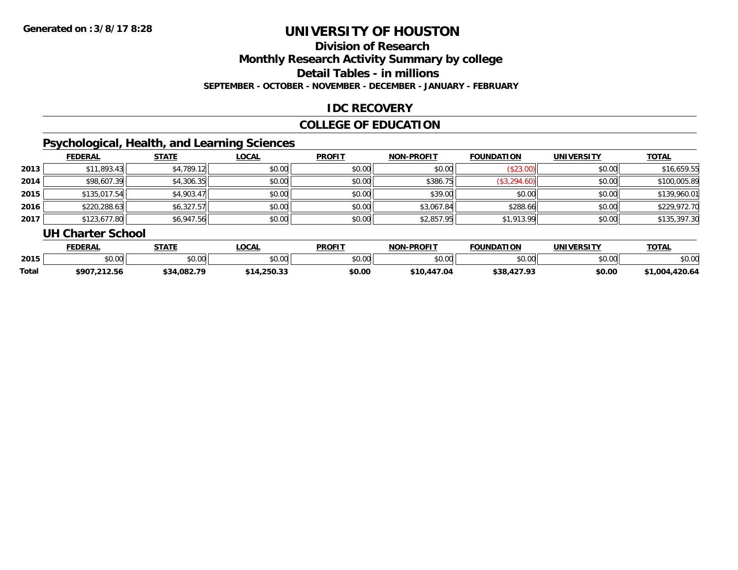## **Division of Research**

**Monthly Research Activity Summary by college**

**Detail Tables - in millions**

**SEPTEMBER - OCTOBER - NOVEMBER - DECEMBER - JANUARY - FEBRUARY**

#### **IDC RECOVERY**

#### **COLLEGE OF EDUCATION**

### **Psychological, Health, and Learning Sciences**

|      | <b>FEDERAL</b> | <b>STATE</b> | <b>LOCAL</b> | <b>PROFIT</b> | <b>NON-PROFIT</b> | <b>FOUNDATION</b> | <b>UNIVERSITY</b> | <b>TOTAL</b> |
|------|----------------|--------------|--------------|---------------|-------------------|-------------------|-------------------|--------------|
| 2013 | \$11,893.43    | \$4,789.12   | \$0.00       | \$0.00        | \$0.00            | (\$23.00)         | \$0.00            | \$16,659.55  |
| 2014 | \$98,607.39    | \$4,306.35   | \$0.00       | \$0.00        | \$386.75          | (\$3,294.60)      | \$0.00            | \$100,005.89 |
| 2015 | \$135,017.54   | \$4,903.47   | \$0.00       | \$0.00        | \$39.00           | \$0.00            | \$0.00            | \$139,960.01 |
| 2016 | \$220,288.63   | \$6,327.57   | \$0.00       | \$0.00        | \$3,067.84        | \$288.66          | \$0.00            | \$229,972.70 |
| 2017 | \$123,677.80   | \$6,947.56   | \$0.00       | \$0.00        | \$2,857.95        | \$1,913.99        | \$0.00            | \$135,397.30 |

#### **UH Charter School**

|       | FEDERAL                 | <b>СТЛТЕ</b>                           | <b>OCAL</b>        | <b>PROFIT</b> | <b>LPROFIT</b><br>חרות             | <b>FOUNDATION</b><br>пов | INIIVEDCIT    | <b>TOTAL</b>            |
|-------|-------------------------|----------------------------------------|--------------------|---------------|------------------------------------|--------------------------|---------------|-------------------------|
| 2015  | $\sim$ 00<br>vu.uu      | $\mathbb{R}^n$ $\mathbb{R}^n$<br>DU.UU | vu.vu              | 0000<br>PO.OO | \$0.00                             | $\sim$ 00<br>PU.UU       | 0000<br>vu.vu | $\sim$ $\sim$<br>\$U.UU |
| Total | cov.<br>.12.50<br>, , v | \$34.082.79                            | \$14,250.33<br>Ф1, | \$0.00        | $+40$<br>.<br>04. /<br><u>аа і</u> | 127.O2<br>ሐ ግ ጠ          | \$0.00        | 420.64<br>∴ ∩∩ ^        |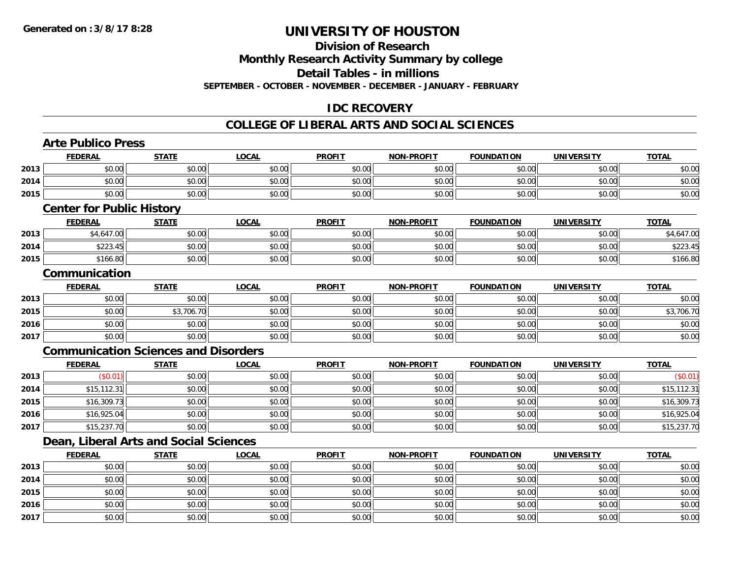**2017**

## **UNIVERSITY OF HOUSTON**

### **Division of Research**

**Monthly Research Activity Summary by college**

**Detail Tables - in millions**

**SEPTEMBER - OCTOBER - NOVEMBER - DECEMBER - JANUARY - FEBRUARY**

#### **IDC RECOVERY**

#### **COLLEGE OF LIBERAL ARTS AND SOCIAL SCIENCES**

|      | <b>Arte Publico Press</b>        |                                             |              |               |                   |                   |                   |              |
|------|----------------------------------|---------------------------------------------|--------------|---------------|-------------------|-------------------|-------------------|--------------|
|      | <b>FEDERAL</b>                   | <b>STATE</b>                                | <b>LOCAL</b> | <b>PROFIT</b> | <b>NON-PROFIT</b> | <b>FOUNDATION</b> | <b>UNIVERSITY</b> | <b>TOTAL</b> |
| 2013 | \$0.00                           | \$0.00                                      | \$0.00       | \$0.00        | \$0.00            | \$0.00            | \$0.00            | \$0.00       |
| 2014 | \$0.00                           | \$0.00                                      | \$0.00       | \$0.00        | \$0.00            | \$0.00            | \$0.00            | \$0.00       |
| 2015 | \$0.00                           | \$0.00                                      | \$0.00       | \$0.00        | \$0.00            | \$0.00            | \$0.00            | \$0.00       |
|      | <b>Center for Public History</b> |                                             |              |               |                   |                   |                   |              |
|      | <b>FEDERAL</b>                   | <b>STATE</b>                                | <b>LOCAL</b> | <b>PROFIT</b> | <b>NON-PROFIT</b> | <b>FOUNDATION</b> | <b>UNIVERSITY</b> | <b>TOTAL</b> |
| 2013 | \$4,647.00                       | \$0.00                                      | \$0.00       | \$0.00        | \$0.00            | \$0.00            | \$0.00            | \$4,647.00   |
| 2014 | \$223.45                         | \$0.00                                      | \$0.00       | \$0.00        | \$0.00            | \$0.00            | \$0.00            | \$223.45     |
| 2015 | \$166.80                         | \$0.00                                      | \$0.00       | \$0.00        | \$0.00            | \$0.00            | \$0.00            | \$166.80     |
|      | Communication                    |                                             |              |               |                   |                   |                   |              |
|      | <b>FEDERAL</b>                   | <b>STATE</b>                                | <b>LOCAL</b> | <b>PROFIT</b> | <b>NON-PROFIT</b> | <b>FOUNDATION</b> | <b>UNIVERSITY</b> | <b>TOTAL</b> |
| 2013 | \$0.00                           | \$0.00                                      | \$0.00       | \$0.00        | \$0.00            | \$0.00            | \$0.00            | \$0.00       |
| 2015 | \$0.00                           | \$3,706.70                                  | \$0.00       | \$0.00        | \$0.00            | \$0.00            | \$0.00            | \$3,706.70   |
| 2016 | \$0.00                           | \$0.00                                      | \$0.00       | \$0.00        | \$0.00            | \$0.00            | \$0.00            | \$0.00       |
| 2017 | \$0.00                           | \$0.00                                      | \$0.00       | \$0.00        | \$0.00            | \$0.00            | \$0.00            | \$0.00       |
|      |                                  | <b>Communication Sciences and Disorders</b> |              |               |                   |                   |                   |              |
|      | <b>FEDERAL</b>                   | <b>STATE</b>                                | <b>LOCAL</b> | <b>PROFIT</b> | <b>NON-PROFIT</b> | <b>FOUNDATION</b> | <b>UNIVERSITY</b> | <b>TOTAL</b> |
| 2013 | (S0.01)                          | \$0.00                                      | \$0.00       | \$0.00        | \$0.00            | \$0.00            | \$0.00            | (\$0.01)     |
| 2014 | \$15,112.31                      | \$0.00                                      | \$0.00       | \$0.00        | \$0.00            | \$0.00            | \$0.00            | \$15,112.31  |
| 2015 | \$16,309.73                      | \$0.00                                      | \$0.00       | \$0.00        | \$0.00            | \$0.00            | \$0.00            | \$16,309.73  |
| 2016 | \$16,925.04                      | \$0.00                                      | \$0.00       | \$0.00        | \$0.00            | \$0.00            | \$0.00            | \$16,925.04  |
| 2017 | \$15,237.70                      | \$0.00                                      | \$0.00       | \$0.00        | \$0.00            | \$0.00            | \$0.00            | \$15,237.70  |
|      |                                  | Dean, Liberal Arts and Social Sciences      |              |               |                   |                   |                   |              |
|      | <b>FEDERAL</b>                   | <b>STATE</b>                                | <b>LOCAL</b> | <b>PROFIT</b> | <b>NON-PROFIT</b> | <b>FOUNDATION</b> | <b>UNIVERSITY</b> | <b>TOTAL</b> |
| 2013 | \$0.00                           | \$0.00                                      | \$0.00       | \$0.00        | \$0.00            | \$0.00            | \$0.00            | \$0.00       |
| 2014 | \$0.00                           | \$0.00                                      | \$0.00       | \$0.00        | \$0.00            | \$0.00            | \$0.00            | \$0.00       |
| 2015 | \$0.00                           | \$0.00                                      | \$0.00       | \$0.00        | \$0.00            | \$0.00            | \$0.00            | \$0.00       |
| 2016 | \$0.00                           | \$0.00                                      | \$0.00       | \$0.00        | \$0.00            | \$0.00            | \$0.00            | \$0.00       |

7 | \$0.00 \$0.00 \$0.00 \$0.00 \$0.00 \$0.00 \$0.00 \$0.00 \$0.00 \$0.00 \$0.00 \$0.00 \$0.00 \$0.00 \$0.00 \$0.00 \$0.00 \$0.00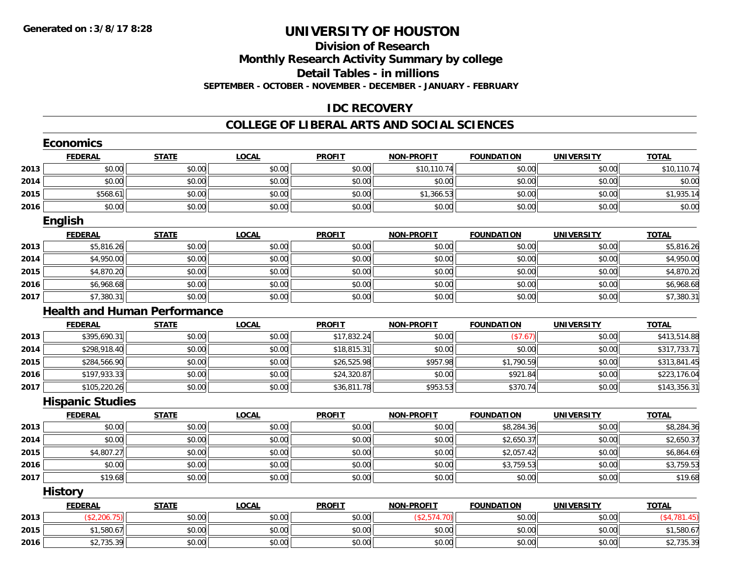### **Division of Research Monthly Research Activity Summary by college Detail Tables - in millions**

**SEPTEMBER - OCTOBER - NOVEMBER - DECEMBER - JANUARY - FEBRUARY**

### **IDC RECOVERY**

#### **COLLEGE OF LIBERAL ARTS AND SOCIAL SCIENCES**

|      | <b>Economics</b>                    |              |              |               |                   |                   |                   |              |
|------|-------------------------------------|--------------|--------------|---------------|-------------------|-------------------|-------------------|--------------|
|      | <b>FEDERAL</b>                      | <b>STATE</b> | <b>LOCAL</b> | <b>PROFIT</b> | <b>NON-PROFIT</b> | <b>FOUNDATION</b> | <b>UNIVERSITY</b> | <b>TOTAL</b> |
| 2013 | \$0.00                              | \$0.00       | \$0.00       | \$0.00        | \$10,110.74       | \$0.00            | \$0.00            | \$10,110.74  |
| 2014 | \$0.00                              | \$0.00       | \$0.00       | \$0.00        | \$0.00            | \$0.00            | \$0.00            | \$0.00       |
| 2015 | \$568.61                            | \$0.00       | \$0.00       | \$0.00        | \$1,366.53        | \$0.00            | \$0.00            | \$1,935.14   |
| 2016 | \$0.00                              | \$0.00       | \$0.00       | \$0.00        | \$0.00            | \$0.00            | \$0.00            | \$0.00       |
|      | <b>English</b>                      |              |              |               |                   |                   |                   |              |
|      | <b>FEDERAL</b>                      | <b>STATE</b> | <b>LOCAL</b> | <b>PROFIT</b> | <b>NON-PROFIT</b> | <b>FOUNDATION</b> | <b>UNIVERSITY</b> | <b>TOTAL</b> |
| 2013 | \$5,816.26                          | \$0.00       | \$0.00       | \$0.00        | \$0.00            | \$0.00            | \$0.00            | \$5,816.26   |
| 2014 | \$4,950.00                          | \$0.00       | \$0.00       | \$0.00        | \$0.00            | \$0.00            | \$0.00            | \$4,950.00   |
| 2015 | \$4,870.20                          | \$0.00       | \$0.00       | \$0.00        | \$0.00            | \$0.00            | \$0.00            | \$4,870.20   |
| 2016 | \$6,968.68                          | \$0.00       | \$0.00       | \$0.00        | \$0.00            | \$0.00            | \$0.00            | \$6,968.68   |
| 2017 | \$7,380.31                          | \$0.00       | \$0.00       | \$0.00        | \$0.00            | \$0.00            | \$0.00            | \$7,380.31   |
|      | <b>Health and Human Performance</b> |              |              |               |                   |                   |                   |              |
|      | <b>FEDERAL</b>                      | <b>STATE</b> | <b>LOCAL</b> | <b>PROFIT</b> | <b>NON-PROFIT</b> | <b>FOUNDATION</b> | <b>UNIVERSITY</b> | <b>TOTAL</b> |
| 2013 | \$395,690.31                        | \$0.00       | \$0.00       | \$17,832.24   | \$0.00            | (\$7.67)          | \$0.00            | \$413,514.88 |
| 2014 | \$298,918.40                        | \$0.00       | \$0.00       | \$18,815.31   | \$0.00            | \$0.00            | \$0.00            | \$317,733.71 |
| 2015 | \$284,566.90                        | \$0.00       | \$0.00       | \$26,525.98   | \$957.98          | \$1,790.59        | \$0.00            | \$313,841.45 |
| 2016 | \$197,933.33                        | \$0.00       | \$0.00       | \$24,320.87   | \$0.00            | \$921.84          | \$0.00            | \$223,176.04 |
| 2017 | \$105,220.26                        | \$0.00       | \$0.00       | \$36,811.78   | \$953.53          | \$370.74          | \$0.00            | \$143,356.31 |
|      | <b>Hispanic Studies</b>             |              |              |               |                   |                   |                   |              |
|      | <b>FEDERAL</b>                      | <b>STATE</b> | <b>LOCAL</b> | <b>PROFIT</b> | <b>NON-PROFIT</b> | <b>FOUNDATION</b> | <b>UNIVERSITY</b> | <b>TOTAL</b> |
| 2013 | \$0.00                              | \$0.00       | \$0.00       | \$0.00        | \$0.00            | \$8,284.36        | \$0.00            | \$8,284.36   |
| 2014 | \$0.00                              | \$0.00       | \$0.00       | \$0.00        | \$0.00            | \$2,650.37        | \$0.00            | \$2,650.37   |
| 2015 | \$4,807.27                          | \$0.00       | \$0.00       | \$0.00        | \$0.00            | \$2,057.42        | \$0.00            | \$6,864.69   |
| 2016 | \$0.00                              | \$0.00       | \$0.00       | \$0.00        | \$0.00            | \$3,759.53        | \$0.00            | \$3,759.53   |
| 2017 | \$19.68                             | \$0.00       | \$0.00       | \$0.00        | \$0.00            | \$0.00            | \$0.00            | \$19.68      |
|      | <b>History</b>                      |              |              |               |                   |                   |                   |              |
|      | <b>FEDERAL</b>                      | <b>STATE</b> | <b>LOCAL</b> | <b>PROFIT</b> | <b>NON-PROFIT</b> | <b>FOUNDATION</b> | <b>UNIVERSITY</b> | <b>TOTAL</b> |
| 2013 | (\$2,206.75)                        | \$0.00       | \$0.00       | \$0.00        | (\$2,574.70)      | \$0.00            | \$0.00            | (\$4,781.45) |
| 2015 | \$1,580.67                          | \$0.00       | \$0.00       | \$0.00        | \$0.00            | \$0.00            | \$0.00            | \$1,580.67   |
| 2016 | \$2,735.39                          | \$0.00       | \$0.00       | \$0.00        | \$0.00            | \$0.00            | \$0.00            | \$2,735.39   |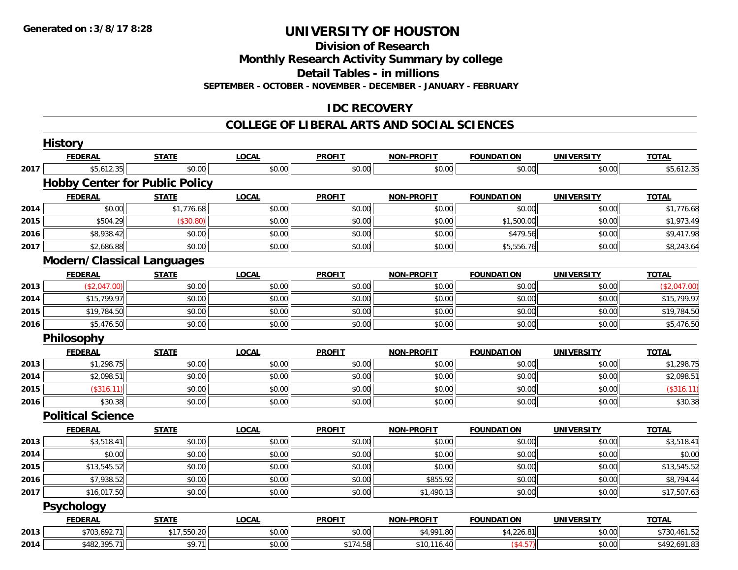**Division of Research**

**Monthly Research Activity Summary by college**

**Detail Tables - in millions**

**SEPTEMBER - OCTOBER - NOVEMBER - DECEMBER - JANUARY - FEBRUARY**

# **IDC RECOVERY**

### **COLLEGE OF LIBERAL ARTS AND SOCIAL SCIENCES**

|      | <b>History</b>                        |              |              |               |                   |                   |                   |              |
|------|---------------------------------------|--------------|--------------|---------------|-------------------|-------------------|-------------------|--------------|
|      | <b>FEDERAL</b>                        | <b>STATE</b> | <b>LOCAL</b> | <b>PROFIT</b> | <b>NON-PROFIT</b> | <b>FOUNDATION</b> | <b>UNIVERSITY</b> | <b>TOTAL</b> |
| 2017 | \$5,612.35                            | \$0.00       | \$0.00       | \$0.00        | \$0.00            | \$0.00            | \$0.00            | \$5,612.35   |
|      | <b>Hobby Center for Public Policy</b> |              |              |               |                   |                   |                   |              |
|      | <b>FEDERAL</b>                        | <b>STATE</b> | <b>LOCAL</b> | <b>PROFIT</b> | <b>NON-PROFIT</b> | <b>FOUNDATION</b> | <b>UNIVERSITY</b> | <b>TOTAL</b> |
| 2014 | \$0.00                                | \$1,776.68   | \$0.00       | \$0.00        | \$0.00            | \$0.00            | \$0.00            | \$1,776.68   |
| 2015 | \$504.29                              | (\$30.80)    | \$0.00       | \$0.00        | \$0.00            | \$1,500.00        | \$0.00            | \$1,973.49   |
| 2016 | \$8,938.42                            | \$0.00       | \$0.00       | \$0.00        | \$0.00            | \$479.56          | \$0.00            | \$9,417.98   |
| 2017 | \$2,686.88                            | \$0.00       | \$0.00       | \$0.00        | \$0.00            | \$5,556.76        | \$0.00            | \$8,243.64   |
|      | <b>Modern/Classical Languages</b>     |              |              |               |                   |                   |                   |              |
|      | <b>FEDERAL</b>                        | <b>STATE</b> | <b>LOCAL</b> | <b>PROFIT</b> | <b>NON-PROFIT</b> | <b>FOUNDATION</b> | <b>UNIVERSITY</b> | <b>TOTAL</b> |
| 2013 | (\$2,047.00)                          | \$0.00       | \$0.00       | \$0.00        | \$0.00            | \$0.00            | \$0.00            | (\$2,047.00) |
| 2014 | \$15,799.97                           | \$0.00       | \$0.00       | \$0.00        | \$0.00            | \$0.00            | \$0.00            | \$15,799.97  |
| 2015 | \$19,784.50                           | \$0.00       | \$0.00       | \$0.00        | \$0.00            | \$0.00            | \$0.00            | \$19,784.50  |
| 2016 | \$5,476.50                            | \$0.00       | \$0.00       | \$0.00        | \$0.00            | \$0.00            | \$0.00            | \$5,476.50   |
|      | Philosophy                            |              |              |               |                   |                   |                   |              |
|      | <b>FEDERAL</b>                        | <b>STATE</b> | <b>LOCAL</b> | <b>PROFIT</b> | <b>NON-PROFIT</b> | <b>FOUNDATION</b> | <b>UNIVERSITY</b> | <b>TOTAL</b> |
| 2013 | \$1,298.75                            | \$0.00       | \$0.00       | \$0.00        | \$0.00            | \$0.00            | \$0.00            | \$1,298.75   |
| 2014 | \$2,098.51                            | \$0.00       | \$0.00       | \$0.00        | \$0.00            | \$0.00            | \$0.00            | \$2,098.51   |
| 2015 | (\$316.11)                            | \$0.00       | \$0.00       | \$0.00        | \$0.00            | \$0.00            | \$0.00            | (\$316.11)   |
| 2016 | \$30.38                               | \$0.00       | \$0.00       | \$0.00        | \$0.00            | \$0.00            | \$0.00            | \$30.38      |
|      | <b>Political Science</b>              |              |              |               |                   |                   |                   |              |
|      | <b>FEDERAL</b>                        | <b>STATE</b> | <b>LOCAL</b> | <b>PROFIT</b> | <b>NON-PROFIT</b> | <b>FOUNDATION</b> | <b>UNIVERSITY</b> | <b>TOTAL</b> |
| 2013 | \$3,518.41                            | \$0.00       | \$0.00       | \$0.00        | \$0.00            | \$0.00            | \$0.00            | \$3,518.41   |
| 2014 | \$0.00                                | \$0.00       | \$0.00       | \$0.00        | \$0.00            | \$0.00            | \$0.00            | \$0.00       |
| 2015 | \$13,545.52                           | \$0.00       | \$0.00       | \$0.00        | \$0.00            | \$0.00            | \$0.00            | \$13,545.52  |
| 2016 | \$7,938.52                            | \$0.00       | \$0.00       | \$0.00        | \$855.92          | \$0.00            | \$0.00            | \$8,794.44   |
| 2017 | \$16,017.50                           | \$0.00       | \$0.00       | \$0.00        | \$1,490.13        | \$0.00            | \$0.00            | \$17,507.63  |
|      | Psychology                            |              |              |               |                   |                   |                   |              |
|      | <b>FEDERAL</b>                        | <b>STATE</b> | <b>LOCAL</b> | <b>PROFIT</b> | <b>NON-PROFIT</b> | <b>FOUNDATION</b> | <b>UNIVERSITY</b> | <b>TOTAL</b> |
|      |                                       |              |              |               |                   |                   |                   |              |
| 2013 | \$703,692.71                          | \$17,550.20  | \$0.00       | \$0.00        | \$4,991.80        | \$4,226.81        | \$0.00            | \$730,461.52 |
| 2014 | \$482,395.71                          | \$9.71       | \$0.00       | \$174.58      | \$10,116.40       | (\$4.57)          | \$0.00            | \$492,691.83 |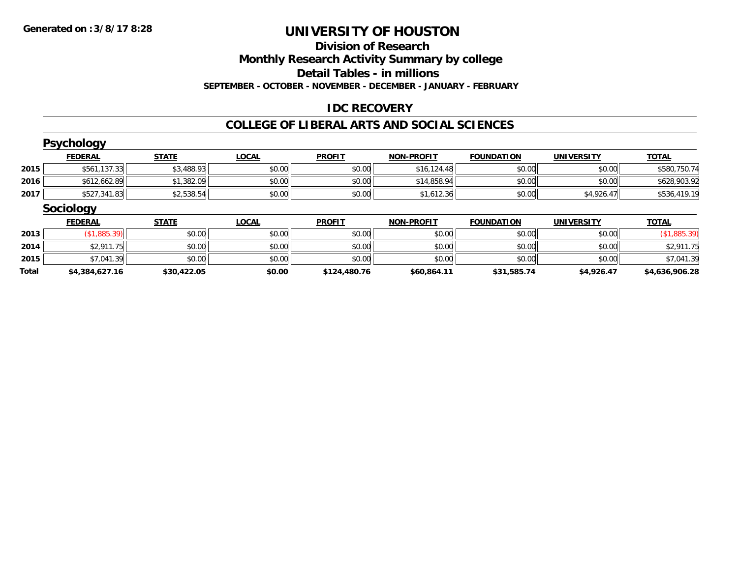# **Division of Research**

**Monthly Research Activity Summary by college**

**Detail Tables - in millions**

**SEPTEMBER - OCTOBER - NOVEMBER - DECEMBER - JANUARY - FEBRUARY**

# **IDC RECOVERY**

### **COLLEGE OF LIBERAL ARTS AND SOCIAL SCIENCES**

|       | <b>Psychology</b> |              |              |               |                   |                   |                   |                |
|-------|-------------------|--------------|--------------|---------------|-------------------|-------------------|-------------------|----------------|
|       | <b>FEDERAL</b>    | <b>STATE</b> | <b>LOCAL</b> | <b>PROFIT</b> | <b>NON-PROFIT</b> | <b>FOUNDATION</b> | <b>UNIVERSITY</b> | <b>TOTAL</b>   |
| 2015  | \$561,137.33      | \$3,488.93   | \$0.00       | \$0.00        | \$16, 124.48      | \$0.00            | \$0.00            | \$580,750.74   |
| 2016  | \$612,662.89      | \$1,382.09   | \$0.00       | \$0.00        | \$14,858.94       | \$0.00            | \$0.00            | \$628,903.92   |
| 2017  | \$527,341.83      | \$2,538.54   | \$0.00       | \$0.00        | \$1,612.36        | \$0.00            | \$4,926.47        | \$536,419.19   |
|       | <b>Sociology</b>  |              |              |               |                   |                   |                   |                |
|       | <b>FEDERAL</b>    | <b>STATE</b> | <b>LOCAL</b> | <b>PROFIT</b> | <b>NON-PROFIT</b> | <b>FOUNDATION</b> | <b>UNIVERSITY</b> | <b>TOTAL</b>   |
| 2013  | (\$1,885.39)      | \$0.00       | \$0.00       | \$0.00        | \$0.00            | \$0.00            | \$0.00            | (\$1,885.39)   |
| 2014  | \$2,911.75        | \$0.00       | \$0.00       | \$0.00        | \$0.00            | \$0.00            | \$0.00            | \$2,911.75     |
| 2015  | \$7,041.39        | \$0.00       | \$0.00       | \$0.00        | \$0.00            | \$0.00            | \$0.00            | \$7,041.39     |
| Total | \$4,384,627.16    | \$30,422.05  | \$0.00       | \$124,480.76  | \$60,864.11       | \$31,585.74       | \$4,926.47        | \$4,636,906.28 |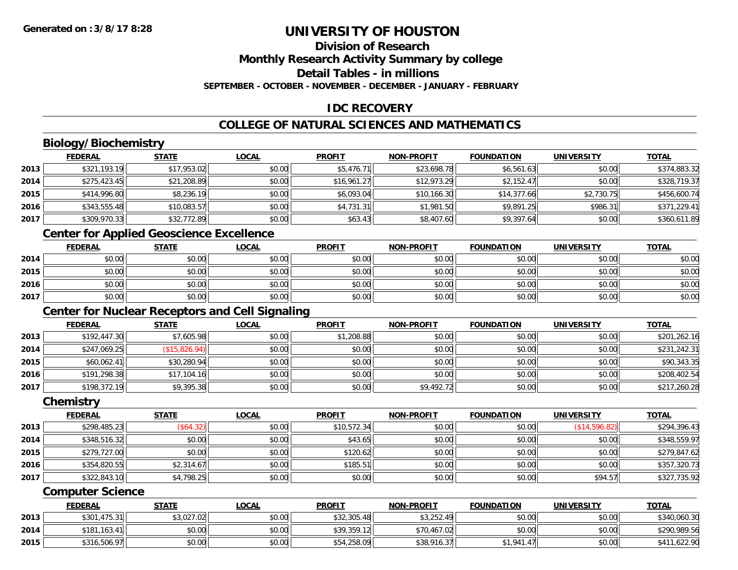# **Division of Research**

**Monthly Research Activity Summary by college**

**Detail Tables - in millions**

**SEPTEMBER - OCTOBER - NOVEMBER - DECEMBER - JANUARY - FEBRUARY**

## **IDC RECOVERY**

# **COLLEGE OF NATURAL SCIENCES AND MATHEMATICS**

# **Biology/Biochemistry**

|      | <b>FEDERAL</b> | <b>STATE</b> | <b>LOCAL</b> | <b>PROFIT</b> | <b>NON-PROFIT</b> | <b>FOUNDATION</b> | <b>UNIVERSITY</b> | <b>TOTAL</b> |
|------|----------------|--------------|--------------|---------------|-------------------|-------------------|-------------------|--------------|
| 2013 | \$321,193.19   | \$17,953.02  | \$0.00       | \$5,476.71    | \$23,698.78       | \$6,561.63        | \$0.00            | \$374,883.32 |
| 2014 | \$275,423.45   | \$21,208.89  | \$0.00       | \$16,961.27   | \$12,973.29       | \$2,152.47        | \$0.00            | \$328,719.37 |
| 2015 | \$414,996.80   | \$8,236.19   | \$0.00       | \$6,093.04    | \$10,166.30       | \$14,377.66       | \$2,730.75        | \$456,600.74 |
| 2016 | \$343,555.48   | \$10,083.57  | \$0.00       | \$4,731.31    | \$1,981.50        | \$9,891.25        | \$986.31          | \$371,229.41 |
| 2017 | \$309,970.33   | \$32,772.89  | \$0.00       | \$63.43       | \$8,407.60        | \$9,397.64        | \$0.00            | \$360,611.89 |

# **Center for Applied Geoscience Excellence**

|      | <b>FEDERAL</b> | <u>STATE</u> | <b>LOCAL</b> | <b>PROFIT</b> | <b>NON-PROFIT</b> | <b>FOUNDATION</b> | <b>UNIVERSITY</b> | <u>TOTAL</u> |
|------|----------------|--------------|--------------|---------------|-------------------|-------------------|-------------------|--------------|
| 2014 | \$0.00         | \$0.00       | \$0.00       | \$0.00        | \$0.00            | \$0.00            | \$0.00            | \$0.00       |
| 2015 | \$0.00         | \$0.00       | \$0.00       | \$0.00        | \$0.00            | \$0.00            | \$0.00            | \$0.00       |
| 2016 | \$0.00         | \$0.00       | \$0.00       | \$0.00        | \$0.00            | \$0.00            | \$0.00            | \$0.00       |
| 2017 | \$0.00         | \$0.00       | \$0.00       | \$0.00        | \$0.00            | \$0.00            | \$0.00            | \$0.00       |

# **Center for Nuclear Receptors and Cell Signaling**

|      | <b>FEDERAL</b> | <u>STATE</u>  | <u>LOCAL</u> | <b>PROFIT</b> | <b>NON-PROFIT</b> | <b>FOUNDATION</b> | <b>UNIVERSITY</b> | <b>TOTAL</b> |
|------|----------------|---------------|--------------|---------------|-------------------|-------------------|-------------------|--------------|
| 2013 | \$192,447.30   | \$7,605.98    | \$0.00       | \$1,208.88    | \$0.00            | \$0.00            | \$0.00            | \$201,262.16 |
| 2014 | \$247,069.25   | (\$15,826.94) | \$0.00       | \$0.00        | \$0.00            | \$0.00            | \$0.00            | \$231,242.31 |
| 2015 | \$60,062.41    | \$30,280.94   | \$0.00       | \$0.00        | \$0.00            | \$0.00            | \$0.00            | \$90,343.35  |
| 2016 | \$191,298.38   | \$17,104.16   | \$0.00       | \$0.00        | \$0.00            | \$0.00            | \$0.00            | \$208,402.54 |
| 2017 | \$198,372.19   | \$9,395.38    | \$0.00       | \$0.00        | \$9,492.72        | \$0.00            | \$0.00            | \$217,260.28 |

### **Chemistry**

|      | <b>FEDERAL</b> | <b>STATE</b> | <b>LOCAL</b> | <b>PROFIT</b> | <b>NON-PROFIT</b> | <b>FOUNDATION</b> | <b>UNIVERSITY</b> | <b>TOTAL</b> |
|------|----------------|--------------|--------------|---------------|-------------------|-------------------|-------------------|--------------|
| 2013 | \$298,485.23   | (\$64.32)    | \$0.00       | \$10,572.34   | \$0.00            | \$0.00            | (\$14,596.82)     | \$294,396.43 |
| 2014 | \$348,516.32   | \$0.00       | \$0.00       | \$43.65       | \$0.00            | \$0.00            | \$0.00            | \$348,559.97 |
| 2015 | \$279,727.00   | \$0.00       | \$0.00       | \$120.62      | \$0.00            | \$0.00            | \$0.00            | \$279,847.62 |
| 2016 | \$354,820.55   | \$2,314.67   | \$0.00       | \$185.51      | \$0.00            | \$0.00            | \$0.00            | \$357,320.73 |
| 2017 | \$322,843.10   | \$4,798.25   | \$0.00       | \$0.00        | \$0.00            | \$0.00            | \$94.57           | \$327,735.92 |

### **Computer Science**

|      | <b>FEDERAL</b> | <b>STATE</b> | <u>LOCAL</u> | <b>PROFIT</b> | <b>NON-PROFIT</b> | <b>FOUNDATION</b> | UNIVERSITY | <b>TOTAL</b> |
|------|----------------|--------------|--------------|---------------|-------------------|-------------------|------------|--------------|
| 2013 | \$301,475.31   | \$3,027.02   | \$0.00       | \$32,305.48   | \$3,252.49        | \$0.00            | \$0.00     | \$340,060.30 |
| 2014 | \$181,163.41   | \$0.00       | \$0.00       | \$39,359.12   | \$70,467.02       | \$0.00            | \$0.00     | \$290,989.56 |
| 2015 | \$316,506.97   | \$0.00       | \$0.00       | \$54,258.09   | \$38,916.37       | \$1.941.47        | \$0.00     | \$411,622.90 |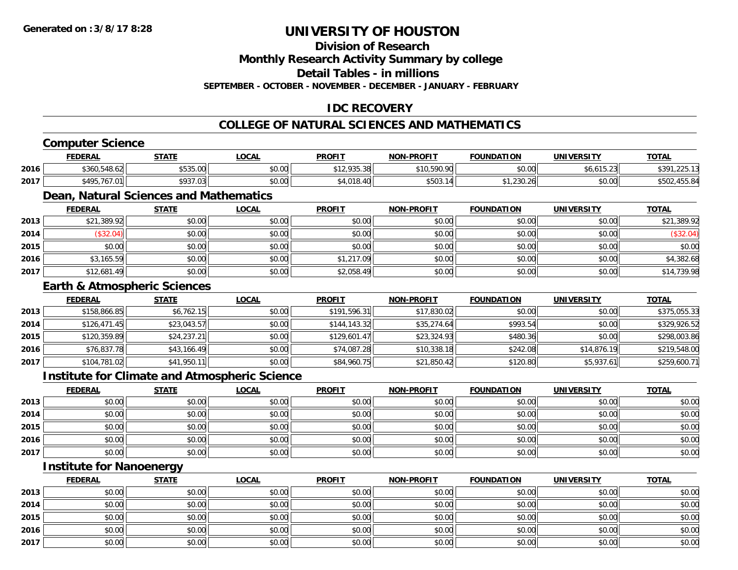### **Division of Research**

**Monthly Research Activity Summary by college**

**Detail Tables - in millions**

**SEPTEMBER - OCTOBER - NOVEMBER - DECEMBER - JANUARY - FEBRUARY**

# **IDC RECOVERY**

### **COLLEGE OF NATURAL SCIENCES AND MATHEMATICS**

|      | <b>Computer Science</b>                 |              |                                                      |               |                   |                   |                   |              |
|------|-----------------------------------------|--------------|------------------------------------------------------|---------------|-------------------|-------------------|-------------------|--------------|
|      | <b>FEDERAL</b>                          | <b>STATE</b> | <b>LOCAL</b>                                         | <b>PROFIT</b> | <b>NON-PROFIT</b> | <b>FOUNDATION</b> | <b>UNIVERSITY</b> | <b>TOTAL</b> |
| 2016 | \$360,548.62                            | \$535.00     | \$0.00                                               | \$12,935.38   | \$10,590.90       | \$0.00            | \$6,615.23        | \$391,225.13 |
| 2017 | \$495,767.01                            | \$937.03     | \$0.00                                               | \$4,018.40    | \$503.14          | \$1,230.26        | \$0.00            | \$502,455.84 |
|      | Dean, Natural Sciences and Mathematics  |              |                                                      |               |                   |                   |                   |              |
|      | <b>FEDERAL</b>                          | <b>STATE</b> | <b>LOCAL</b>                                         | <b>PROFIT</b> | <b>NON-PROFIT</b> | <b>FOUNDATION</b> | <b>UNIVERSITY</b> | <b>TOTAL</b> |
| 2013 | \$21,389.92                             | \$0.00       | \$0.00                                               | \$0.00        | \$0.00            | \$0.00            | \$0.00            | \$21,389.92  |
| 2014 | (\$32.04)                               | \$0.00       | \$0.00                                               | \$0.00        | \$0.00            | \$0.00            | \$0.00            | (\$32.04)    |
| 2015 | \$0.00                                  | \$0.00       | \$0.00                                               | \$0.00        | \$0.00            | \$0.00            | \$0.00            | \$0.00       |
| 2016 | \$3,165.59                              | \$0.00       | \$0.00                                               | \$1,217.09    | \$0.00            | \$0.00            | \$0.00            | \$4,382.68   |
| 2017 | \$12,681.49                             | \$0.00       | \$0.00                                               | \$2,058.49    | \$0.00            | \$0.00            | \$0.00            | \$14,739.98  |
|      | <b>Earth &amp; Atmospheric Sciences</b> |              |                                                      |               |                   |                   |                   |              |
|      | <b>FEDERAL</b>                          | <b>STATE</b> | <b>LOCAL</b>                                         | <b>PROFIT</b> | <b>NON-PROFIT</b> | <b>FOUNDATION</b> | <b>UNIVERSITY</b> | <b>TOTAL</b> |
| 2013 | \$158,866.85                            | \$6,762.15   | \$0.00                                               | \$191,596.31  | \$17,830.02       | \$0.00            | \$0.00            | \$375,055.33 |
| 2014 | \$126,471.45                            | \$23,043.57  | \$0.00                                               | \$144,143.32  | \$35,274.64       | \$993.54          | \$0.00            | \$329,926.52 |
| 2015 | \$120,359.89                            | \$24,237.21  | \$0.00                                               | \$129,601.47  | \$23,324.93       | \$480.36          | \$0.00            | \$298,003.86 |
| 2016 | \$76,837.78                             | \$43,166.49  | \$0.00                                               | \$74,087.28   | \$10,338.18       | \$242.08          | \$14,876.19       | \$219,548.00 |
| 2017 | \$104,781.02                            | \$41,950.11  | \$0.00                                               | \$84,960.75   | \$21,850.42       | \$120.80          | \$5,937.61        | \$259,600.71 |
|      |                                         |              | <b>Institute for Climate and Atmospheric Science</b> |               |                   |                   |                   |              |
|      | <b>FEDERAL</b>                          | <b>STATE</b> | <b>LOCAL</b>                                         | <b>PROFIT</b> | <b>NON-PROFIT</b> | <b>FOUNDATION</b> | <b>UNIVERSITY</b> | <b>TOTAL</b> |
| 2013 | \$0.00                                  | \$0.00       | \$0.00                                               | \$0.00        | \$0.00            | \$0.00            | \$0.00            | \$0.00       |
| 2014 | \$0.00                                  | \$0.00       | \$0.00                                               | \$0.00        | \$0.00            | \$0.00            | \$0.00            | \$0.00       |
| 2015 | \$0.00                                  | \$0.00       | \$0.00                                               | \$0.00        | \$0.00            | \$0.00            | \$0.00            | \$0.00       |
| 2016 | \$0.00                                  | \$0.00       | \$0.00                                               | \$0.00        | \$0.00            | \$0.00            | \$0.00            | \$0.00       |
| 2017 | \$0.00                                  | \$0.00       | \$0.00                                               | \$0.00        | \$0.00            | \$0.00            | \$0.00            | \$0.00       |
|      | <b>Institute for Nanoenergy</b>         |              |                                                      |               |                   |                   |                   |              |

|      | <b>FEDERAL</b> | <b>STATE</b> | <b>LOCAL</b> | <b>PROFIT</b> | <b>NON-PROFIT</b> | <b>FOUNDATION</b> | <b>UNIVERSITY</b> | <b>TOTAL</b> |
|------|----------------|--------------|--------------|---------------|-------------------|-------------------|-------------------|--------------|
| 2013 | \$0.00         | \$0.00       | \$0.00       | \$0.00        | \$0.00            | \$0.00            | \$0.00            | \$0.00       |
| 2014 | \$0.00         | \$0.00       | \$0.00       | \$0.00        | \$0.00            | \$0.00            | \$0.00            | \$0.00       |
| 2015 | \$0.00         | \$0.00       | \$0.00       | \$0.00        | \$0.00            | \$0.00            | \$0.00            | \$0.00       |
| 2016 | \$0.00         | \$0.00       | \$0.00       | \$0.00        | \$0.00            | \$0.00            | \$0.00            | \$0.00       |
| 2017 | \$0.00         | \$0.00       | \$0.00       | \$0.00        | \$0.00            | \$0.00            | \$0.00            | \$0.00       |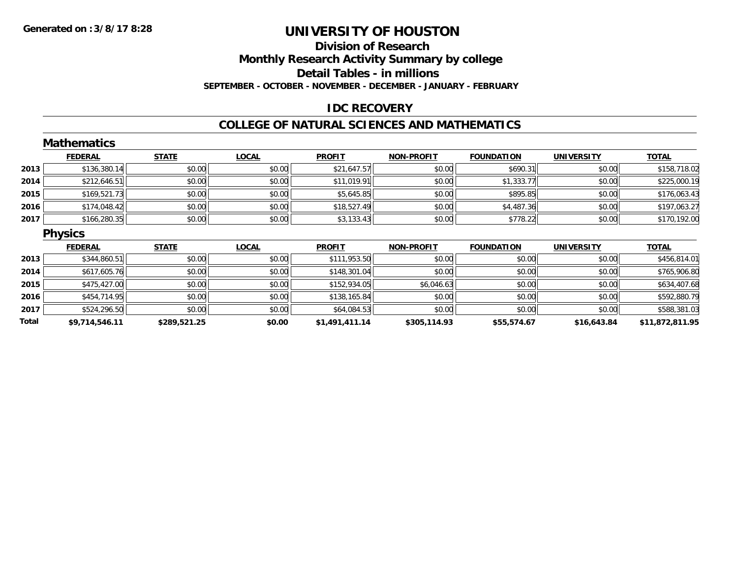### **Division of Research Monthly Research Activity Summary by college Detail Tables - in millions SEPTEMBER - OCTOBER - NOVEMBER - DECEMBER - JANUARY - FEBRUARY**

## **IDC RECOVERY**

### **COLLEGE OF NATURAL SCIENCES AND MATHEMATICS**

|       | <b>Mathematics</b> |              |              |                |                   |                   |                   |                 |
|-------|--------------------|--------------|--------------|----------------|-------------------|-------------------|-------------------|-----------------|
|       | <b>FEDERAL</b>     | <b>STATE</b> | <b>LOCAL</b> | <b>PROFIT</b>  | <b>NON-PROFIT</b> | <b>FOUNDATION</b> | <b>UNIVERSITY</b> | <b>TOTAL</b>    |
| 2013  | \$136,380.14       | \$0.00       | \$0.00       | \$21,647.57    | \$0.00            | \$690.31          | \$0.00            | \$158,718.02    |
| 2014  | \$212,646.51       | \$0.00       | \$0.00       | \$11,019.91    | \$0.00            | \$1,333.77        | \$0.00            | \$225,000.19    |
| 2015  | \$169,521.73       | \$0.00       | \$0.00       | \$5,645.85     | \$0.00            | \$895.85          | \$0.00            | \$176,063.43    |
| 2016  | \$174,048.42       | \$0.00       | \$0.00       | \$18,527.49    | \$0.00            | \$4,487.36        | \$0.00            | \$197,063.27    |
| 2017  | \$166,280.35       | \$0.00       | \$0.00       | \$3,133.43     | \$0.00            | \$778.22          | \$0.00            | \$170,192.00    |
|       | <b>Physics</b>     |              |              |                |                   |                   |                   |                 |
|       | <b>FEDERAL</b>     | <b>STATE</b> | <b>LOCAL</b> | <b>PROFIT</b>  | <b>NON-PROFIT</b> | <b>FOUNDATION</b> | <b>UNIVERSITY</b> | <b>TOTAL</b>    |
| 2013  | \$344,860.51       | \$0.00       | \$0.00       | \$111,953.50   | \$0.00            | \$0.00            | \$0.00            | \$456,814.01    |
| 2014  | \$617,605.76       | \$0.00       | \$0.00       | \$148,301.04   | \$0.00            | \$0.00            | \$0.00            | \$765,906.80    |
| 2015  | \$475,427.00       | \$0.00       | \$0.00       | \$152,934.05   | \$6,046.63        | \$0.00            | \$0.00            | \$634,407.68    |
| 2016  | \$454,714.95       | \$0.00       | \$0.00       | \$138,165.84   | \$0.00            | \$0.00            | \$0.00            | \$592,880.79    |
| 2017  | \$524,296.50       | \$0.00       | \$0.00       | \$64,084.53    | \$0.00            | \$0.00            | \$0.00            | \$588,381.03    |
| Total | \$9,714,546.11     | \$289,521.25 | \$0.00       | \$1,491,411.14 | \$305,114.93      | \$55,574.67       | \$16,643.84       | \$11,872,811.95 |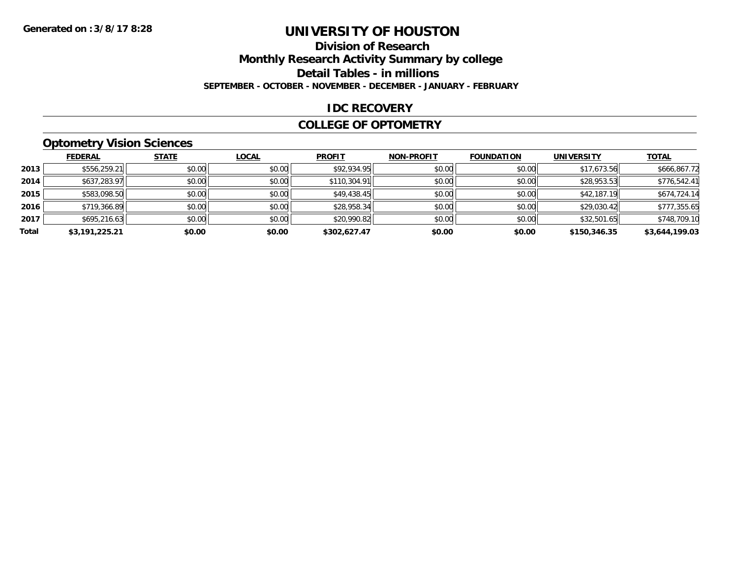# **Division of ResearchMonthly Research Activity Summary by college Detail Tables - in millions SEPTEMBER - OCTOBER - NOVEMBER - DECEMBER - JANUARY - FEBRUARY**

## **IDC RECOVERY**

### **COLLEGE OF OPTOMETRY**

# **Optometry Vision Sciences**

|       | <b>FEDERAL</b> | <b>STATE</b> | <b>LOCAL</b> | <b>PROFIT</b> | <b>NON-PROFIT</b> | <b>FOUNDATION</b> | <b>UNIVERSITY</b> | <b>TOTAL</b>   |
|-------|----------------|--------------|--------------|---------------|-------------------|-------------------|-------------------|----------------|
| 2013  | \$556,259.21   | \$0.00       | \$0.00       | \$92,934.95   | \$0.00            | \$0.00            | \$17,673.56       | \$666,867.72   |
| 2014  | \$637,283.97   | \$0.00       | \$0.00       | \$110,304.91  | \$0.00            | \$0.00            | \$28,953.53       | \$776,542.41   |
| 2015  | \$583,098.50   | \$0.00       | \$0.00       | \$49,438.45   | \$0.00            | \$0.00            | \$42,187.19       | \$674,724.14   |
| 2016  | \$719,366.89   | \$0.00       | \$0.00       | \$28,958.34   | \$0.00            | \$0.00            | \$29,030.42       | \$777,355.65   |
| 2017  | \$695.216.63   | \$0.00       | \$0.00       | \$20,990.82   | \$0.00            | \$0.00            | \$32,501.65       | \$748,709.10   |
| Total | \$3,191,225.21 | \$0.00       | \$0.00       | \$302.627.47  | \$0.00            | \$0.00            | \$150,346.35      | \$3,644,199.03 |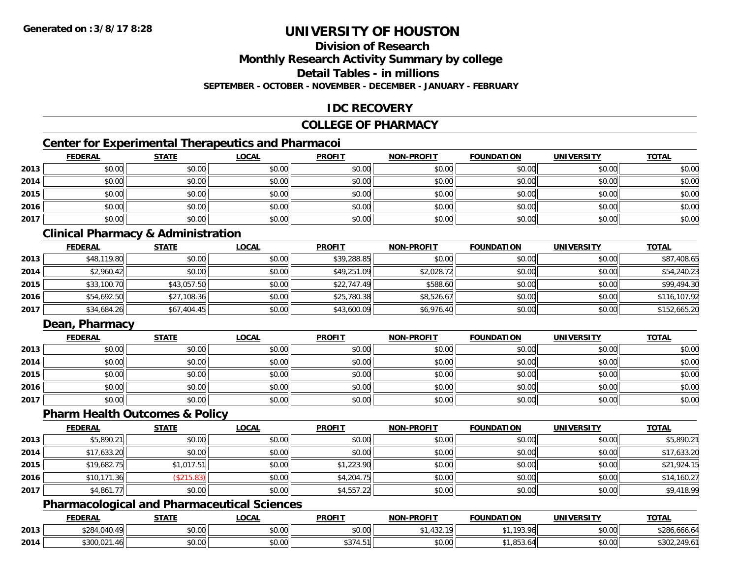# **Division of Research**

**Monthly Research Activity Summary by college**

**Detail Tables - in millions**

**SEPTEMBER - OCTOBER - NOVEMBER - DECEMBER - JANUARY - FEBRUARY**

# **IDC RECOVERY**

## **COLLEGE OF PHARMACY**

# **Center for Experimental Therapeutics and Pharmacoi**

|      | <b>FEDERAL</b> | <b>STATE</b> | <b>LOCAL</b> | <b>PROFIT</b> | <b>NON-PROFIT</b> | <b>FOUNDATION</b> | <b>UNIVERSITY</b> | <b>TOTAL</b> |
|------|----------------|--------------|--------------|---------------|-------------------|-------------------|-------------------|--------------|
| 2013 | \$0.00         | \$0.00       | \$0.00       | \$0.00        | \$0.00            | \$0.00            | \$0.00            | \$0.00       |
| 2014 | \$0.00         | \$0.00       | \$0.00       | \$0.00        | \$0.00            | \$0.00            | \$0.00            | \$0.00       |
| 2015 | \$0.00         | \$0.00       | \$0.00       | \$0.00        | \$0.00            | \$0.00            | \$0.00            | \$0.00       |
| 2016 | \$0.00         | \$0.00       | \$0.00       | \$0.00        | \$0.00            | \$0.00            | \$0.00            | \$0.00       |
| 2017 | \$0.00         | \$0.00       | \$0.00       | \$0.00        | \$0.00            | \$0.00            | \$0.00            | \$0.00       |

# **Clinical Pharmacy & Administration**

|      | <b>FEDERAL</b> | <b>STATE</b> | <b>LOCAL</b> | <b>PROFIT</b> | <b>NON-PROFIT</b> | <b>FOUNDATION</b> | <b>UNIVERSITY</b> | <b>TOTAL</b> |
|------|----------------|--------------|--------------|---------------|-------------------|-------------------|-------------------|--------------|
| 2013 | \$48,119.80    | \$0.00       | \$0.00       | \$39,288.85   | \$0.00            | \$0.00            | \$0.00            | \$87,408.65  |
| 2014 | \$2,960.42     | \$0.00       | \$0.00       | \$49,251.09   | \$2,028.72        | \$0.00            | \$0.00            | \$54,240.23  |
| 2015 | \$33,100.70    | \$43,057.50  | \$0.00       | \$22,747.49   | \$588.60          | \$0.00            | \$0.00            | \$99,494.30  |
| 2016 | \$54,692.50    | \$27,108.36  | \$0.00       | \$25,780.38   | \$8,526.67        | \$0.00            | \$0.00            | \$116,107.92 |
| 2017 | \$34,684.26    | \$67,404.45  | \$0.00       | \$43,600.09   | \$6,976.40        | \$0.00            | \$0.00            | \$152,665.20 |

# **Dean, Pharmacy**

|      | <b>FEDERAL</b> | <u>STATE</u> | <u>LOCAL</u> | <b>PROFIT</b> | <b>NON-PROFIT</b> | <b>FOUNDATION</b> | <b>UNIVERSITY</b> | <b>TOTAL</b> |
|------|----------------|--------------|--------------|---------------|-------------------|-------------------|-------------------|--------------|
| 2013 | \$0.00         | \$0.00       | \$0.00       | \$0.00        | \$0.00            | \$0.00            | \$0.00            | \$0.00       |
| 2014 | \$0.00         | \$0.00       | \$0.00       | \$0.00        | \$0.00            | \$0.00            | \$0.00            | \$0.00       |
| 2015 | \$0.00         | \$0.00       | \$0.00       | \$0.00        | \$0.00            | \$0.00            | \$0.00            | \$0.00       |
| 2016 | \$0.00         | \$0.00       | \$0.00       | \$0.00        | \$0.00            | \$0.00            | \$0.00            | \$0.00       |
| 2017 | \$0.00         | \$0.00       | \$0.00       | \$0.00        | \$0.00            | \$0.00            | \$0.00            | \$0.00       |

### **Pharm Health Outcomes & Policy**

|      | <b>FEDERAL</b> | <b>STATE</b> | <b>LOCAL</b> | <b>PROFIT</b> | <b>NON-PROFIT</b> | <b>FOUNDATION</b> | <b>UNIVERSITY</b> | <b>TOTAL</b> |
|------|----------------|--------------|--------------|---------------|-------------------|-------------------|-------------------|--------------|
| 2013 | \$5,890.21     | \$0.00       | \$0.00       | \$0.00        | \$0.00            | \$0.00            | \$0.00            | \$5,890.21   |
| 2014 | \$17,633.20    | \$0.00       | \$0.00       | \$0.00        | \$0.00            | \$0.00            | \$0.00            | \$17,633.20  |
| 2015 | \$19,682.75    | \$1,017.51   | \$0.00       | \$1,223.90    | \$0.00            | \$0.00            | \$0.00            | \$21,924.15  |
| 2016 | \$10,171.36    | (\$215.83)   | \$0.00       | \$4,204.75    | \$0.00            | \$0.00            | \$0.00            | \$14,160.27  |
| 2017 | \$4,861.77     | \$0.00       | \$0.00       | \$4,557.22    | \$0.00            | \$0.00            | \$0.00            | \$9,418.99   |

## **Pharmacological and Pharmaceutical Sciences**

|      | <b>FEDERAL</b>          | <b>STATE</b>  | _OCAL              | <b>PROFIT</b> | NON-DDOELT           | <b>FOUNDATION</b> | UNIVERSITY | <b>TOTAL</b>      |
|------|-------------------------|---------------|--------------------|---------------|----------------------|-------------------|------------|-------------------|
| 2013 | 0.001                   | 0000<br>vv.vv | $\sim$ 00<br>vu.uu | 0000<br>vu.vu | 1 ດ<br>TJZ.          | 102.04            | \$0.00     | \$286,666.64      |
| 2014 | .021<br>ሰገሰሰ<br>າວບບ.ບ∠ | 0000<br>JU.UU | $\sim$ 00<br>vv.vv | T.J I         | 0.00<br><b>DU.UU</b> | $\cap$<br>ں ں ں   | \$0.00     | ተ ገ ሰ<br>$\cdots$ |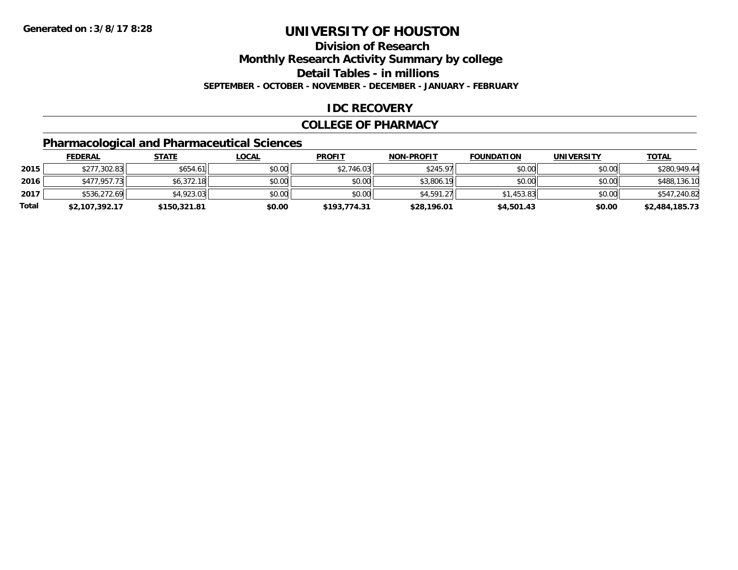**Division of Research**

**Monthly Research Activity Summary by college**

**Detail Tables - in millions**

**SEPTEMBER - OCTOBER - NOVEMBER - DECEMBER - JANUARY - FEBRUARY**

## **IDC RECOVERY**

### **COLLEGE OF PHARMACY**

# **Pharmacological and Pharmaceutical Sciences**

|       | <u>FEDERAL</u> | <u>STATE</u> | <u>LOCAL</u> | <b>PROFIT</b> | <b>NON-PROFIT</b> | <b>FOUNDATION</b> | <b>UNIVERSITY</b> | <b>TOTAL</b>   |
|-------|----------------|--------------|--------------|---------------|-------------------|-------------------|-------------------|----------------|
| 2015  | \$277,302.83   | \$654.61     | \$0.00       | \$2,746.03    | \$245.97          | \$0.00            | \$0.00            | \$280,949.44   |
| 2016  | \$477,957.73   | \$6,372.18   | \$0.00       | \$0.00        | \$3,806.19        | \$0.00            | \$0.00            | \$488,136.10   |
| 2017  | \$536,272.69   | \$4,923.03   | \$0.00       | \$0.00        | \$4,591.27        | \$1.453.83        | \$0.00            | \$547,240.82   |
| Total | \$2,107,392.17 | \$150,321.81 | \$0.00       | \$193,774.31  | \$28,196.01       | \$4,501.43        | \$0.00            | \$2,484,185.73 |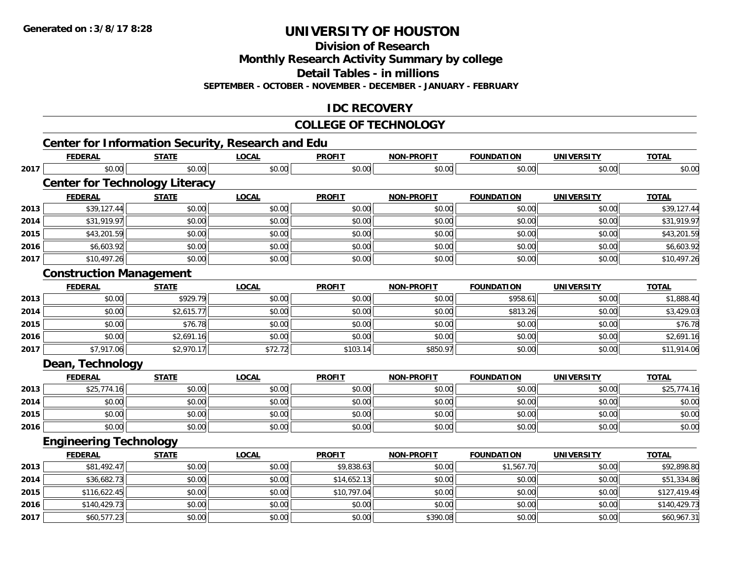**Division of Research**

**Monthly Research Activity Summary by college**

**Detail Tables - in millions**

**SEPTEMBER - OCTOBER - NOVEMBER - DECEMBER - JANUARY - FEBRUARY**

# **IDC RECOVERY**

### **COLLEGE OF TECHNOLOGY**

|      |                                | <b>Center for Information Security, Research and Edu</b> |              |               |                   |                   |                   |              |  |  |
|------|--------------------------------|----------------------------------------------------------|--------------|---------------|-------------------|-------------------|-------------------|--------------|--|--|
|      | <b>FEDERAL</b>                 | <b>STATE</b>                                             | <b>LOCAL</b> | <b>PROFIT</b> | <b>NON-PROFIT</b> | <b>FOUNDATION</b> | <b>UNIVERSITY</b> | <b>TOTAL</b> |  |  |
| 2017 | \$0.00                         | \$0.00                                                   | \$0.00       | \$0.00        | \$0.00            | \$0.00            | \$0.00            | \$0.00       |  |  |
|      |                                | <b>Center for Technology Literacy</b>                    |              |               |                   |                   |                   |              |  |  |
|      | <b>FEDERAL</b>                 | <b>STATE</b>                                             | <b>LOCAL</b> | <b>PROFIT</b> | <b>NON-PROFIT</b> | <b>FOUNDATION</b> | <b>UNIVERSITY</b> | <b>TOTAL</b> |  |  |
| 2013 | \$39,127.44                    | \$0.00                                                   | \$0.00       | \$0.00        | \$0.00            | \$0.00            | \$0.00            | \$39,127.44  |  |  |
| 2014 | \$31,919.97                    | \$0.00                                                   | \$0.00       | \$0.00        | \$0.00            | \$0.00            | \$0.00            | \$31,919.97  |  |  |
| 2015 | \$43,201.59                    | \$0.00                                                   | \$0.00       | \$0.00        | \$0.00            | \$0.00            | \$0.00            | \$43,201.59  |  |  |
| 2016 | \$6,603.92                     | \$0.00                                                   | \$0.00       | \$0.00        | \$0.00            | \$0.00            | \$0.00            | \$6,603.92   |  |  |
| 2017 | \$10,497.26                    | \$0.00                                                   | \$0.00       | \$0.00        | \$0.00            | \$0.00            | \$0.00            | \$10,497.26  |  |  |
|      | <b>Construction Management</b> |                                                          |              |               |                   |                   |                   |              |  |  |
|      | <b>FEDERAL</b>                 | <b>STATE</b>                                             | <b>LOCAL</b> | <b>PROFIT</b> | <b>NON-PROFIT</b> | <b>FOUNDATION</b> | <b>UNIVERSITY</b> | <b>TOTAL</b> |  |  |
| 2013 | \$0.00                         | \$929.79                                                 | \$0.00       | \$0.00        | \$0.00            | \$958.61          | \$0.00            | \$1,888.40   |  |  |
| 2014 | \$0.00                         | \$2,615.77                                               | \$0.00       | \$0.00        | \$0.00            | \$813.26          | \$0.00            | \$3,429.03   |  |  |
| 2015 | \$0.00                         | \$76.78                                                  | \$0.00       | \$0.00        | \$0.00            | \$0.00            | \$0.00            | \$76.78      |  |  |
| 2016 | \$0.00                         | \$2,691.16                                               | \$0.00       | \$0.00        | \$0.00            | \$0.00            | \$0.00            | \$2,691.16   |  |  |
| 2017 | \$7,917.06                     | \$2,970.17                                               | \$72.72      | \$103.14      | \$850.97          | \$0.00            | \$0.00            | \$11,914.06  |  |  |
|      | Dean, Technology               |                                                          |              |               |                   |                   |                   |              |  |  |
|      | <b>FEDERAL</b>                 | <b>STATE</b>                                             | <b>LOCAL</b> | <b>PROFIT</b> | <b>NON-PROFIT</b> | <b>FOUNDATION</b> | <b>UNIVERSITY</b> | <b>TOTAL</b> |  |  |
| 2013 | \$25,774.16                    | \$0.00                                                   | \$0.00       | \$0.00        | \$0.00            | \$0.00            | \$0.00            | \$25,774.16  |  |  |
| 2014 | \$0.00                         | \$0.00                                                   | \$0.00       | \$0.00        | \$0.00            | \$0.00            | \$0.00            | \$0.00       |  |  |
| 2015 | \$0.00                         | \$0.00                                                   | \$0.00       | \$0.00        | \$0.00            | \$0.00            | \$0.00            | \$0.00       |  |  |
| 2016 | \$0.00                         | \$0.00                                                   | \$0.00       | \$0.00        | \$0.00            | \$0.00            | \$0.00            | \$0.00       |  |  |
|      | <b>Engineering Technology</b>  |                                                          |              |               |                   |                   |                   |              |  |  |
|      | <b>FEDERAL</b>                 | <b>STATE</b>                                             | <b>LOCAL</b> | <b>PROFIT</b> | <b>NON-PROFIT</b> | <b>FOUNDATION</b> | <b>UNIVERSITY</b> | <b>TOTAL</b> |  |  |
| 2013 | \$81,492.47                    | \$0.00                                                   | \$0.00       | \$9,838.63    | \$0.00            | \$1,567.70        | \$0.00            | \$92,898.80  |  |  |
| 2014 | \$36,682.73                    | \$0.00                                                   | \$0.00       | \$14,652.13   | \$0.00            | \$0.00            | \$0.00            | \$51,334.86  |  |  |
| 2015 | \$116,622.45                   | \$0.00                                                   | \$0.00       | \$10,797.04   | \$0.00            | \$0.00            | \$0.00            | \$127,419.49 |  |  |
| 2016 | \$140,429.73                   | \$0.00                                                   | \$0.00       | \$0.00        | \$0.00            | \$0.00            | \$0.00            | \$140,429.73 |  |  |
| 2017 | \$60,577.23                    | \$0.00                                                   | \$0.00       | \$0.00        | \$390.08          | \$0.00            | \$0.00            | \$60,967.31  |  |  |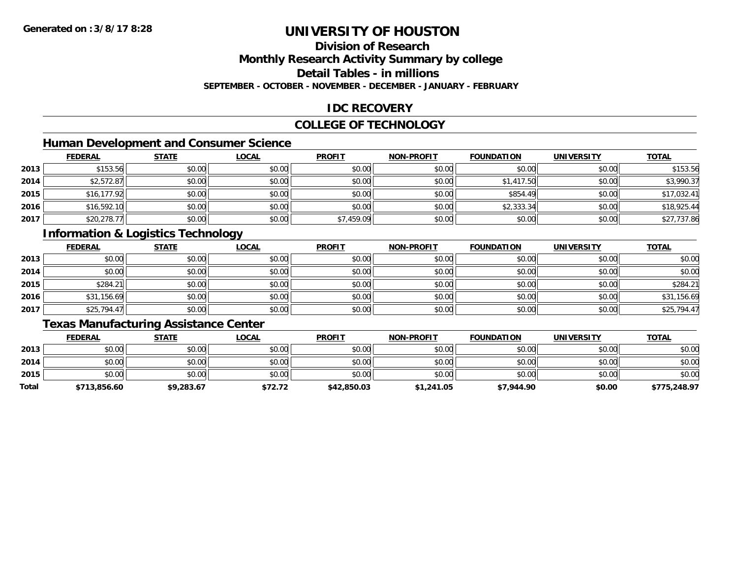# **Division of Research**

**Monthly Research Activity Summary by college**

**Detail Tables - in millions**

**SEPTEMBER - OCTOBER - NOVEMBER - DECEMBER - JANUARY - FEBRUARY**

# **IDC RECOVERY**

## **COLLEGE OF TECHNOLOGY**

# **Human Development and Consumer Science**

|      | <b>FEDERAL</b> | <b>STATE</b> | <b>LOCAL</b> | <b>PROFIT</b> | <b>NON-PROFIT</b> | <b>FOUNDATION</b> | <b>UNIVERSITY</b> | <b>TOTAL</b> |
|------|----------------|--------------|--------------|---------------|-------------------|-------------------|-------------------|--------------|
| 2013 | \$153.56       | \$0.00       | \$0.00       | \$0.00        | \$0.00            | \$0.00            | \$0.00            | \$153.56     |
| 2014 | \$2,572.87     | \$0.00       | \$0.00       | \$0.00        | \$0.00            | \$1,417.50        | \$0.00            | \$3,990.37   |
| 2015 | \$16,177.92    | \$0.00       | \$0.00       | \$0.00        | \$0.00            | \$854.49          | \$0.00            | \$17,032.41  |
| 2016 | \$16,592.10    | \$0.00       | \$0.00       | \$0.00        | \$0.00            | \$2,333.34        | \$0.00            | \$18,925.44  |
| 2017 | \$20,278.77    | \$0.00       | \$0.00       | \$7,459.09    | \$0.00            | \$0.00            | \$0.00            | \$27,737.86  |

# **Information & Logistics Technology**

|      | <b>FEDERAL</b> | <b>STATE</b> | <u>LOCAL</u> | <b>PROFIT</b> | <b>NON-PROFIT</b> | <b>FOUNDATION</b> | <b>UNIVERSITY</b> | <b>TOTAL</b> |
|------|----------------|--------------|--------------|---------------|-------------------|-------------------|-------------------|--------------|
| 2013 | \$0.00         | \$0.00       | \$0.00       | \$0.00        | \$0.00            | \$0.00            | \$0.00            | \$0.00       |
| 2014 | \$0.00         | \$0.00       | \$0.00       | \$0.00        | \$0.00            | \$0.00            | \$0.00            | \$0.00       |
| 2015 | \$284.21       | \$0.00       | \$0.00       | \$0.00        | \$0.00            | \$0.00            | \$0.00            | \$284.21     |
| 2016 | \$31,156.69    | \$0.00       | \$0.00       | \$0.00        | \$0.00            | \$0.00            | \$0.00            | \$31,156.69  |
| 2017 | \$25,794.47    | \$0.00       | \$0.00       | \$0.00        | \$0.00            | \$0.00            | \$0.00            | \$25,794.47  |

# **Texas Manufacturing Assistance Center**

|       | <b>FEDERAL</b> | STATE      | <u>LOCAL</u> | <b>PROFIT</b> | <b>NON-PROFIT</b> | <b>FOUNDATION</b> | <b>UNIVERSITY</b> | <b>TOTAL</b> |
|-------|----------------|------------|--------------|---------------|-------------------|-------------------|-------------------|--------------|
| 2013  | \$0.00         | \$0.00     | \$0.00       | \$0.00        | \$0.00            | \$0.00            | \$0.00            | \$0.00       |
| 2014  | \$0.00         | \$0.00     | \$0.00       | \$0.00        | \$0.00            | \$0.00            | \$0.00            | \$0.00       |
| 2015  | \$0.00         | \$0.00     | \$0.00       | \$0.00        | \$0.00            | \$0.00            | \$0.00            | \$0.00       |
| Total | \$713,856.60   | \$9,283.67 | \$72.72      | \$42,850.03   | \$1,241.05        | \$7,944.90        | \$0.00            | \$775,248.97 |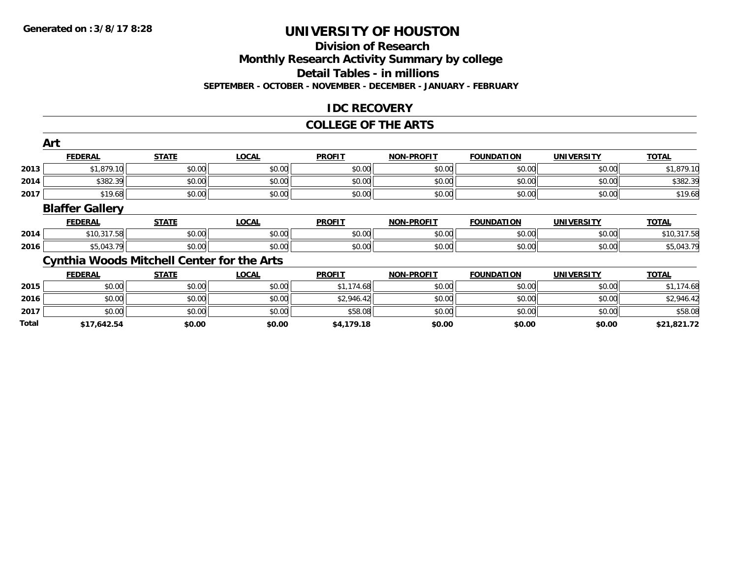**Total**

# **UNIVERSITY OF HOUSTON**

### **Division of Research Monthly Research Activity Summary by college**

### **Detail Tables - in millions**

**SEPTEMBER - OCTOBER - NOVEMBER - DECEMBER - JANUARY - FEBRUARY**

# **IDC RECOVERY**

### **COLLEGE OF THE ARTS**

|      | Art                    |                                                   |              |               |                   |                   |                   |              |
|------|------------------------|---------------------------------------------------|--------------|---------------|-------------------|-------------------|-------------------|--------------|
|      | <b>FEDERAL</b>         | <b>STATE</b>                                      | <b>LOCAL</b> | <b>PROFIT</b> | <b>NON-PROFIT</b> | <b>FOUNDATION</b> | <b>UNIVERSITY</b> | <b>TOTAL</b> |
| 2013 | \$1,879.10             | \$0.00                                            | \$0.00       | \$0.00        | \$0.00            | \$0.00            | \$0.00            | \$1,879.10   |
| 2014 | \$382.39               | \$0.00                                            | \$0.00       | \$0.00        | \$0.00            | \$0.00            | \$0.00            | \$382.39     |
| 2017 | \$19.68                | \$0.00                                            | \$0.00       | \$0.00        | \$0.00            | \$0.00            | \$0.00            | \$19.68      |
|      | <b>Blaffer Gallery</b> |                                                   |              |               |                   |                   |                   |              |
|      | <b>FEDERAL</b>         | <b>STATE</b>                                      | <b>LOCAL</b> | <b>PROFIT</b> | <b>NON-PROFIT</b> | <b>FOUNDATION</b> | <b>UNIVERSITY</b> | <b>TOTAL</b> |
| 2014 | \$10,317.58            | \$0.00                                            | \$0.00       | \$0.00        | \$0.00            | \$0.00            | \$0.00            | \$10,317.58  |
| 2016 | \$5,043.79             | \$0.00                                            | \$0.00       | \$0.00        | \$0.00            | \$0.00            | \$0.00            | \$5,043.79   |
|      |                        | <b>Cynthia Woods Mitchell Center for the Arts</b> |              |               |                   |                   |                   |              |
|      | <b>FEDERAL</b>         | <b>STATE</b>                                      | <b>LOCAL</b> | <b>PROFIT</b> | <b>NON-PROFIT</b> | <b>FOUNDATION</b> | <b>UNIVERSITY</b> | <b>TOTAL</b> |
| 2015 | \$0.00                 | \$0.00                                            | \$0.00       | \$1,174.68    | \$0.00            | \$0.00            | \$0.00            | \$1,174.68   |
| 2016 | \$0.00                 | \$0.00                                            | \$0.00       | \$2,946.42    | \$0.00            | \$0.00            | \$0.00            | \$2,946.42   |
| 2017 | \$0.00                 | \$0.00                                            | \$0.00       | \$58.08       | \$0.00            | \$0.00            | \$0.00            | \$58.08      |

**\$17,642.54 \$0.00 \$0.00 \$4,179.18 \$0.00 \$0.00 \$0.00 \$21,821.72**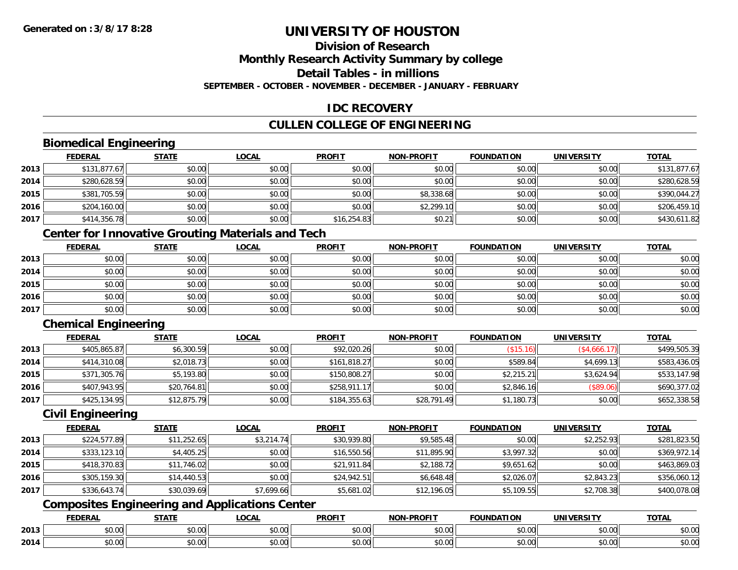# **Division of Research**

**Monthly Research Activity Summary by college**

**Detail Tables - in millions**

**SEPTEMBER - OCTOBER - NOVEMBER - DECEMBER - JANUARY - FEBRUARY**

# **IDC RECOVERY**

# **CULLEN COLLEGE OF ENGINEERING**

# **Biomedical Engineering**

|      | <b>FEDERAL</b> | <b>STATE</b> | <b>LOCAL</b> | <b>PROFIT</b> | NON-PROFIT | <b>FOUNDATION</b> | <b>UNIVERSITY</b> | <b>TOTAL</b> |
|------|----------------|--------------|--------------|---------------|------------|-------------------|-------------------|--------------|
| 2013 | \$131,877.67   | \$0.00       | \$0.00       | \$0.00        | \$0.00     | \$0.00            | \$0.00            | \$131,877.67 |
| 2014 | \$280,628.59   | \$0.00       | \$0.00       | \$0.00        | \$0.00     | \$0.00            | \$0.00            | \$280,628.59 |
| 2015 | \$381,705.59   | \$0.00       | \$0.00       | \$0.00        | \$8,338.68 | \$0.00            | \$0.00            | \$390,044.27 |
| 2016 | \$204,160.00   | \$0.00       | \$0.00       | \$0.00        | \$2,299.10 | \$0.00            | \$0.00            | \$206,459.10 |
| 2017 | \$414,356.78   | \$0.00       | \$0.00       | \$16,254.83   | \$0.21     | \$0.00            | \$0.00            | \$430,611.82 |

# **Center for Innovative Grouting Materials and Tech**

|      | <u>FEDERAL</u> | <b>STATE</b> | <u>LOCAL</u> | <b>PROFIT</b> | <b>NON-PROFIT</b> | <b>FOUNDATION</b> | <b>UNIVERSITY</b> | <b>TOTAL</b> |
|------|----------------|--------------|--------------|---------------|-------------------|-------------------|-------------------|--------------|
| 2013 | \$0.00         | \$0.00       | \$0.00       | \$0.00        | \$0.00            | \$0.00            | \$0.00            | \$0.00       |
| 2014 | \$0.00         | \$0.00       | \$0.00       | \$0.00        | \$0.00            | \$0.00            | \$0.00            | \$0.00       |
| 2015 | \$0.00         | \$0.00       | \$0.00       | \$0.00        | \$0.00            | \$0.00            | \$0.00            | \$0.00       |
| 2016 | \$0.00         | \$0.00       | \$0.00       | \$0.00        | \$0.00            | \$0.00            | \$0.00            | \$0.00       |
| 2017 | \$0.00         | \$0.00       | \$0.00       | \$0.00        | \$0.00            | \$0.00            | \$0.00            | \$0.00       |

# **Chemical Engineering**

|      | <b>FEDERAL</b> | <b>STATE</b> | <u>LOCAL</u> | <b>PROFIT</b> | <b>NON-PROFIT</b> | <b>FOUNDATION</b> | <b>UNIVERSITY</b> | <b>TOTAL</b> |
|------|----------------|--------------|--------------|---------------|-------------------|-------------------|-------------------|--------------|
| 2013 | \$405,865.87   | \$6,300.59   | \$0.00       | \$92,020.26   | \$0.00            | (\$15.16)         | \$4,666.17]       | \$499,505.39 |
| 2014 | \$414,310.08   | \$2,018.73   | \$0.00       | \$161,818.27  | \$0.00            | \$589.84          | \$4,699.13        | \$583,436.05 |
| 2015 | \$371,305.76   | \$5,193.80   | \$0.00       | \$150,808.27  | \$0.00            | \$2,215.21        | \$3,624.94        | \$533,147.98 |
| 2016 | \$407,943.95   | \$20,764.81  | \$0.00       | \$258,911.17  | \$0.00            | \$2,846.16        | (\$89.06)         | \$690,377.02 |
| 2017 | \$425,134.95   | \$12,875.79  | \$0.00       | \$184,355.63  | \$28,791.49       | \$1,180.73        | \$0.00            | \$652,338.58 |

## **Civil Engineering**

|      | <b>FEDERAL</b> | <b>STATE</b> | <u>LOCAL</u> | <b>PROFIT</b> | <b>NON-PROFIT</b> | <b>FOUNDATION</b> | <b>UNIVERSITY</b> | <b>TOTAL</b> |
|------|----------------|--------------|--------------|---------------|-------------------|-------------------|-------------------|--------------|
| 2013 | \$224,577.89   | \$11,252.65  | \$3,214.74   | \$30,939.80   | \$9,585.48        | \$0.00            | \$2,252.93        | \$281,823.50 |
| 2014 | \$333,123.10   | \$4,405.25   | \$0.00       | \$16,550.56   | \$11,895.90       | \$3,997.32        | \$0.00            | \$369,972.14 |
| 2015 | \$418,370.83   | \$11,746.02  | \$0.00       | \$21,911.84   | \$2,188.72        | \$9,651.62        | \$0.00            | \$463,869.03 |
| 2016 | \$305,159.30   | \$14,440.53  | \$0.00       | \$24,942.51   | \$6,648.48        | \$2,026.07        | \$2,843.23        | \$356,060.12 |
| 2017 | \$336,643.74   | \$30,039.69  | \$7,699.66   | \$5,681.02    | \$12,196.05       | \$5,109.55        | \$2,708.38        | \$400,078.08 |

# **Composites Engineering and Applications Center**

|      | <b>DERAL</b>                     | <b>CTATI</b>          | .OCAI                  | <b>PROFIT</b>                               | <b>DDAEIT</b><br><b>NION</b> | .<br>ב נוחו<br>LION | - R.J.         | <b>TOTAL</b>            |
|------|----------------------------------|-----------------------|------------------------|---------------------------------------------|------------------------------|---------------------|----------------|-------------------------|
| 2013 | $\sim$<br>$. \cup . \cup \cup$   | $\overline{ }$<br>ט.ט | $\sim$ 00<br>pu.uu     | $\sim$ 00<br>ູ∞ບ.ບບ                         | 0.00<br>PO.OO                | vv.vv               | 0.001<br>vv.vv | 0000<br>\$U.UU          |
| 2014 | $\sim$ $\sim$<br>$\sim$<br>,u.uu | しいい                   | $\sim$ $\sim$<br>vu.uu | $\sim$ 00<br>$\vee$ . Use the set of $\vee$ | 0.00<br>PO.OO                | JU.UU               | 0.00<br>PO.OO  | 0 <sup>0</sup><br>JU.UU |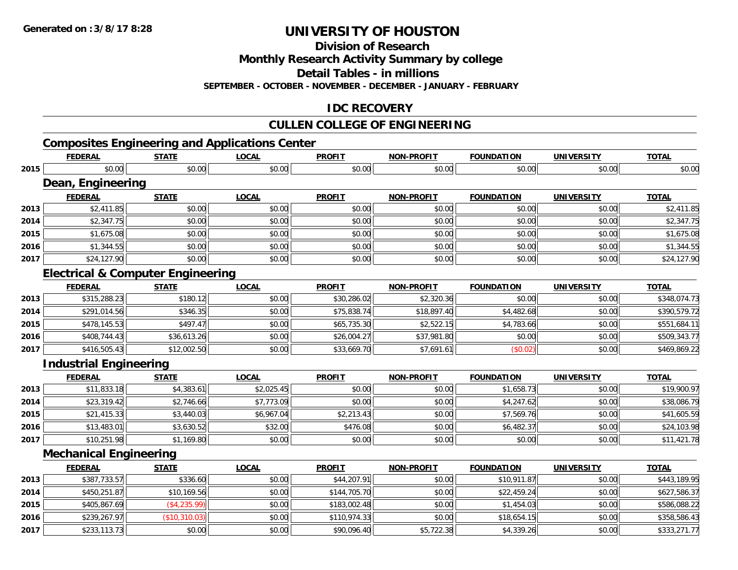**2017**

# **UNIVERSITY OF HOUSTON**

**Division of Research**

**Monthly Research Activity Summary by college**

**Detail Tables - in millions**

**SEPTEMBER - OCTOBER - NOVEMBER - DECEMBER - JANUARY - FEBRUARY**

# **IDC RECOVERY**

# **CULLEN COLLEGE OF ENGINEERING**

# **Composites Engineering and Applications Center**

|      | <b>FEDERAL</b>                               | <b>STATE</b>   | <b>LOCAL</b> | <b>PROFIT</b> | <b>NON-PROFIT</b> | <b>FOUNDATION</b> | <b>UNIVERSITY</b> | <b>TOTAL</b> |
|------|----------------------------------------------|----------------|--------------|---------------|-------------------|-------------------|-------------------|--------------|
| 2015 | \$0.00                                       | \$0.00         | \$0.00       | \$0.00        | \$0.00            | \$0.00            | \$0.00            | \$0.00       |
|      | Dean, Engineering                            |                |              |               |                   |                   |                   |              |
|      | <b>FEDERAL</b>                               | <b>STATE</b>   | <b>LOCAL</b> | <b>PROFIT</b> | <b>NON-PROFIT</b> | <b>FOUNDATION</b> | <b>UNIVERSITY</b> | <b>TOTAL</b> |
| 2013 | \$2,411.85                                   | \$0.00         | \$0.00       | \$0.00        | \$0.00            | \$0.00            | \$0.00            | \$2,411.85   |
| 2014 | \$2,347.75                                   | \$0.00         | \$0.00       | \$0.00        | \$0.00            | \$0.00            | \$0.00            | \$2,347.75   |
| 2015 | \$1,675.08                                   | \$0.00         | \$0.00       | \$0.00        | \$0.00            | \$0.00            | \$0.00            | \$1,675.08   |
| 2016 | \$1,344.55                                   | \$0.00         | \$0.00       | \$0.00        | \$0.00            | \$0.00            | \$0.00            | \$1,344.55   |
| 2017 | \$24,127.90                                  | \$0.00         | \$0.00       | \$0.00        | \$0.00            | \$0.00            | \$0.00            | \$24,127.90  |
|      | <b>Electrical &amp; Computer Engineering</b> |                |              |               |                   |                   |                   |              |
|      | <b>FEDERAL</b>                               | <b>STATE</b>   | <b>LOCAL</b> | <b>PROFIT</b> | <b>NON-PROFIT</b> | <b>FOUNDATION</b> | <b>UNIVERSITY</b> | <b>TOTAL</b> |
| 2013 | \$315,288.23                                 | \$180.12       | \$0.00       | \$30,286.02   | \$2,320.36        | \$0.00            | \$0.00            | \$348,074.73 |
| 2014 | \$291,014.56                                 | \$346.35       | \$0.00       | \$75,838.74   | \$18,897.40       | \$4,482.68        | \$0.00            | \$390,579.72 |
| 2015 | \$478,145.53                                 | \$497.47       | \$0.00       | \$65,735.30   | \$2,522.15        | \$4,783.66        | \$0.00            | \$551,684.11 |
| 2016 | \$408,744.43                                 | \$36,613.26    | \$0.00       | \$26,004.27   | \$37,981.80       | \$0.00            | \$0.00            | \$509,343.77 |
| 2017 | \$416,505.43                                 | \$12,002.50    | \$0.00       | \$33,669.70   | \$7,691.61        | (\$0.02)          | \$0.00            | \$469,869.22 |
|      | <b>Industrial Engineering</b>                |                |              |               |                   |                   |                   |              |
|      | <b>FEDERAL</b>                               | <b>STATE</b>   | <b>LOCAL</b> | <b>PROFIT</b> | <b>NON-PROFIT</b> | <b>FOUNDATION</b> | <b>UNIVERSITY</b> | <b>TOTAL</b> |
| 2013 | \$11,833.18                                  | \$4,383.61     | \$2,025.45   | \$0.00        | \$0.00            | \$1,658.73        | \$0.00            | \$19,900.97  |
| 2014 | \$23,319.42                                  | \$2,746.66     | \$7,773.09   | \$0.00        | \$0.00            | \$4,247.62        | \$0.00            | \$38,086.79  |
| 2015 | \$21,415.33                                  | \$3,440.03     | \$6,967.04   | \$2,213.43    | \$0.00            | \$7,569.76        | \$0.00            | \$41,605.59  |
| 2016 | \$13,483.01                                  | \$3,630.52     | \$32.00      | \$476.08      | \$0.00            | \$6,482.37        | \$0.00            | \$24,103.98  |
| 2017 | \$10,251.98                                  | \$1,169.80     | \$0.00       | \$0.00        | \$0.00            | \$0.00            | \$0.00            | \$11,421.78  |
|      | <b>Mechanical Engineering</b>                |                |              |               |                   |                   |                   |              |
|      | <b>FEDERAL</b>                               | <b>STATE</b>   | <b>LOCAL</b> | <b>PROFIT</b> | <b>NON-PROFIT</b> | <b>FOUNDATION</b> | <b>UNIVERSITY</b> | <b>TOTAL</b> |
| 2013 | \$387,733.57                                 | \$336.60       | \$0.00       | \$44,207.91   | \$0.00            | \$10,911.87       | \$0.00            | \$443,189.95 |
| 2014 | \$450,251.87                                 | \$10,169.56    | \$0.00       | \$144,705.70  | \$0.00            | \$22,459.24       | \$0.00            | \$627,586.37 |
| 2015 | \$405,867.69                                 | ( \$4, 235.99) | \$0.00       | \$183,002.48  | \$0.00            | \$1,454.03        | \$0.00            | \$586,088.22 |
| 2016 | \$239,267.97                                 | (\$10,310.03)  | \$0.00       | \$110,974.33  | \$0.00            | \$18,654.15       | \$0.00            | \$358,586.43 |

\$233,113.73 \$0.00 \$0.00 \$90,096.40 \$5,722.38 \$4,339.26 \$0.00 \$333,271.77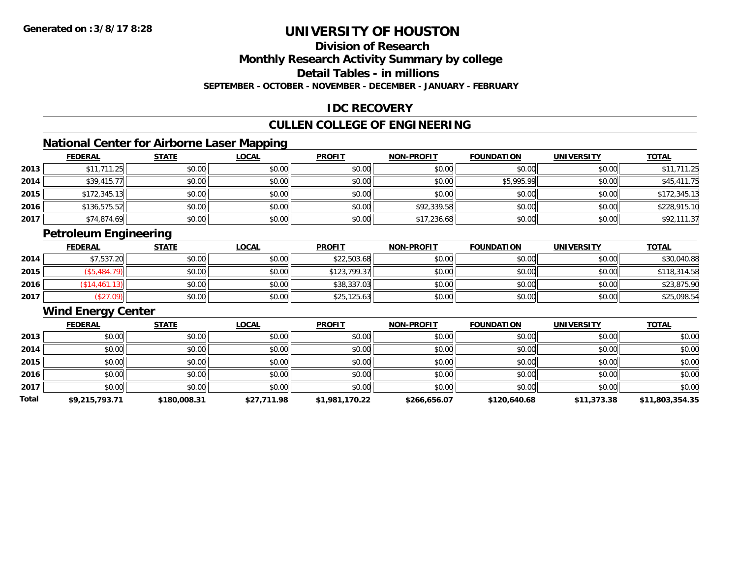# **Division of Research**

**Monthly Research Activity Summary by college**

**Detail Tables - in millions**

**SEPTEMBER - OCTOBER - NOVEMBER - DECEMBER - JANUARY - FEBRUARY**

# **IDC RECOVERY**

# **CULLEN COLLEGE OF ENGINEERING**

# **National Center for Airborne Laser Mapping**

|      | <b>FEDERAL</b> | <b>STATE</b> | <b>LOCAL</b> | <b>PROFIT</b> | <b>NON-PROFIT</b> | <b>FOUNDATION</b> | <b>UNIVERSITY</b> | <b>TOTAL</b> |
|------|----------------|--------------|--------------|---------------|-------------------|-------------------|-------------------|--------------|
| 2013 | \$11,711.25    | \$0.00       | \$0.00       | \$0.00        | \$0.00            | \$0.00            | \$0.00            | \$11,711.25  |
| 2014 | \$39,415.77    | \$0.00       | \$0.00       | \$0.00        | \$0.00            | \$5,995.99        | \$0.00            | \$45,411.75  |
| 2015 | \$172,345.13   | \$0.00       | \$0.00       | \$0.00        | \$0.00            | \$0.00            | \$0.00            | \$172,345.13 |
| 2016 | \$136,575.52   | \$0.00       | \$0.00       | \$0.00        | \$92,339.58       | \$0.00            | \$0.00            | \$228,915.10 |
| 2017 | \$74,874.69    | \$0.00       | \$0.00       | \$0.00        | \$17,236.68       | \$0.00            | \$0.00            | \$92,111.37  |

# **Petroleum Engineering**

|      | <b>FEDERAL</b> | <b>STATE</b> | <u>LOCAL</u> | <b>PROFIT</b> | <b>NON-PROFIT</b> | <b>FOUNDATION</b> | <b>UNIVERSITY</b> | <b>TOTAL</b> |
|------|----------------|--------------|--------------|---------------|-------------------|-------------------|-------------------|--------------|
| 2014 | \$7,537.20     | \$0.00       | \$0.00       | \$22,503.68   | \$0.00            | \$0.00            | \$0.00            | \$30,040.88  |
| 2015 | ,484           | \$0.00       | \$0.00       | \$123,799.37  | \$0.00            | \$0.00            | \$0.00            | \$118,314.58 |
| 2016 | \$14,461       | \$0.00       | \$0.00       | \$38,337.03   | \$0.00            | \$0.00            | \$0.00            | \$23,875.90  |
| 2017 |                | \$0.00       | \$0.00       | \$25,125.63   | \$0.00            | \$0.00            | \$0.00            | \$25,098.54  |

# **Wind Energy Center**

|       | <b>FEDERAL</b> | <b>STATE</b> | <b>LOCAL</b> | <b>PROFIT</b>  | <b>NON-PROFIT</b> | <b>FOUNDATION</b> | <b>UNIVERSITY</b> | <b>TOTAL</b>    |
|-------|----------------|--------------|--------------|----------------|-------------------|-------------------|-------------------|-----------------|
| 2013  | \$0.00         | \$0.00       | \$0.00       | \$0.00         | \$0.00            | \$0.00            | \$0.00            | \$0.00          |
| 2014  | \$0.00         | \$0.00       | \$0.00       | \$0.00         | \$0.00            | \$0.00            | \$0.00            | \$0.00          |
| 2015  | \$0.00         | \$0.00       | \$0.00       | \$0.00         | \$0.00            | \$0.00            | \$0.00            | \$0.00          |
| 2016  | \$0.00         | \$0.00       | \$0.00       | \$0.00         | \$0.00            | \$0.00            | \$0.00            | \$0.00          |
| 2017  | \$0.00         | \$0.00       | \$0.00       | \$0.00         | \$0.00            | \$0.00            | \$0.00            | \$0.00          |
| Total | \$9,215,793.71 | \$180,008.31 | \$27,711.98  | \$1,981,170.22 | \$266,656.07      | \$120,640.68      | \$11,373.38       | \$11,803,354.35 |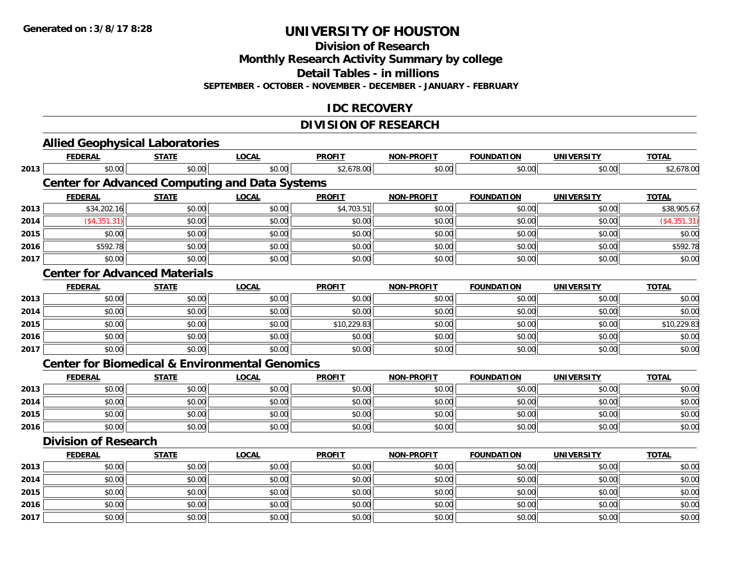**Division of Research**

**Monthly Research Activity Summary by college**

**Detail Tables - in millions**

**SEPTEMBER - OCTOBER - NOVEMBER - DECEMBER - JANUARY - FEBRUARY**

# **IDC RECOVERY**

# **DIVISION OF RESEARCH**

|      | <b>Allied Geophysical Laboratories</b>                    |              |              |               |                   |                   |                   |               |
|------|-----------------------------------------------------------|--------------|--------------|---------------|-------------------|-------------------|-------------------|---------------|
|      | <b>FEDERAL</b>                                            | <b>STATE</b> | <b>LOCAL</b> | <b>PROFIT</b> | <b>NON-PROFIT</b> | <b>FOUNDATION</b> | <b>UNIVERSITY</b> | <b>TOTAL</b>  |
| 2013 | \$0.00                                                    | \$0.00       | \$0.00       | \$2,678.00    | \$0.00            | \$0.00            | \$0.00            | \$2,678.00    |
|      | <b>Center for Advanced Computing and Data Systems</b>     |              |              |               |                   |                   |                   |               |
|      | <b>FEDERAL</b>                                            | <b>STATE</b> | <b>LOCAL</b> | <b>PROFIT</b> | <b>NON-PROFIT</b> | <b>FOUNDATION</b> | <b>UNIVERSITY</b> | <b>TOTAL</b>  |
| 2013 | \$34,202.16                                               | \$0.00       | \$0.00       | \$4,703.51    | \$0.00            | \$0.00            | \$0.00            | \$38,905.67   |
| 2014 | (\$4,351.31)                                              | \$0.00       | \$0.00       | \$0.00        | \$0.00            | \$0.00            | \$0.00            | ( \$4,351.31) |
| 2015 | \$0.00                                                    | \$0.00       | \$0.00       | \$0.00        | \$0.00            | \$0.00            | \$0.00            | \$0.00        |
| 2016 | \$592.78                                                  | \$0.00       | \$0.00       | \$0.00        | \$0.00            | \$0.00            | \$0.00            | \$592.78      |
| 2017 | \$0.00                                                    | \$0.00       | \$0.00       | \$0.00        | \$0.00            | \$0.00            | \$0.00            | \$0.00        |
|      | <b>Center for Advanced Materials</b>                      |              |              |               |                   |                   |                   |               |
|      | <b>FEDERAL</b>                                            | <b>STATE</b> | <b>LOCAL</b> | <b>PROFIT</b> | NON-PROFIT        | <b>FOUNDATION</b> | <b>UNIVERSITY</b> | <b>TOTAL</b>  |
| 2013 | \$0.00                                                    | \$0.00       | \$0.00       | \$0.00        | \$0.00            | \$0.00            | \$0.00            | \$0.00        |
| 2014 | \$0.00                                                    | \$0.00       | \$0.00       | \$0.00        | \$0.00            | \$0.00            | \$0.00            | \$0.00        |
| 2015 | \$0.00                                                    | \$0.00       | \$0.00       | \$10,229.83   | \$0.00            | \$0.00            | \$0.00            | \$10,229.83   |
| 2016 | \$0.00                                                    | \$0.00       | \$0.00       | \$0.00        | \$0.00            | \$0.00            | \$0.00            | \$0.00        |
| 2017 | \$0.00                                                    | \$0.00       | \$0.00       | \$0.00        | \$0.00            | \$0.00            | \$0.00            | \$0.00        |
|      | <b>Center for Biomedical &amp; Environmental Genomics</b> |              |              |               |                   |                   |                   |               |
|      | <b>FEDERAL</b>                                            | <b>STATE</b> | <b>LOCAL</b> | <b>PROFIT</b> | <b>NON-PROFIT</b> | <b>FOUNDATION</b> | <b>UNIVERSITY</b> | <b>TOTAL</b>  |
| 2013 | \$0.00                                                    | \$0.00       | \$0.00       | \$0.00        | \$0.00            | \$0.00            | \$0.00            | \$0.00        |
| 2014 | \$0.00                                                    | \$0.00       | \$0.00       | \$0.00        | \$0.00            | \$0.00            | \$0.00            | \$0.00        |
| 2015 | \$0.00                                                    | \$0.00       | \$0.00       | \$0.00        | \$0.00            | \$0.00            | \$0.00            | \$0.00        |
| 2016 | \$0.00                                                    | \$0.00       | \$0.00       | \$0.00        | \$0.00            | \$0.00            | \$0.00            | \$0.00        |
|      | <b>Division of Research</b>                               |              |              |               |                   |                   |                   |               |
|      | <b>FEDERAL</b>                                            | <b>STATE</b> | <b>LOCAL</b> | <b>PROFIT</b> | <b>NON-PROFIT</b> | <b>FOUNDATION</b> | <b>UNIVERSITY</b> | <b>TOTAL</b>  |
| 2013 | \$0.00                                                    | \$0.00       | \$0.00       | \$0.00        | \$0.00            | \$0.00            | \$0.00            | \$0.00        |
| 2014 | \$0.00                                                    | \$0.00       | \$0.00       | \$0.00        | \$0.00            | \$0.00            | \$0.00            | \$0.00        |
| 2015 | \$0.00                                                    | \$0.00       | \$0.00       | \$0.00        | \$0.00            | \$0.00            | \$0.00            | \$0.00        |
| 2016 | \$0.00                                                    | \$0.00       | \$0.00       | \$0.00        | \$0.00            | \$0.00            | \$0.00            | \$0.00        |
| 2017 | \$0.00                                                    | \$0.00       | \$0.00       | \$0.00        | \$0.00            | \$0.00            | \$0.00            | \$0.00        |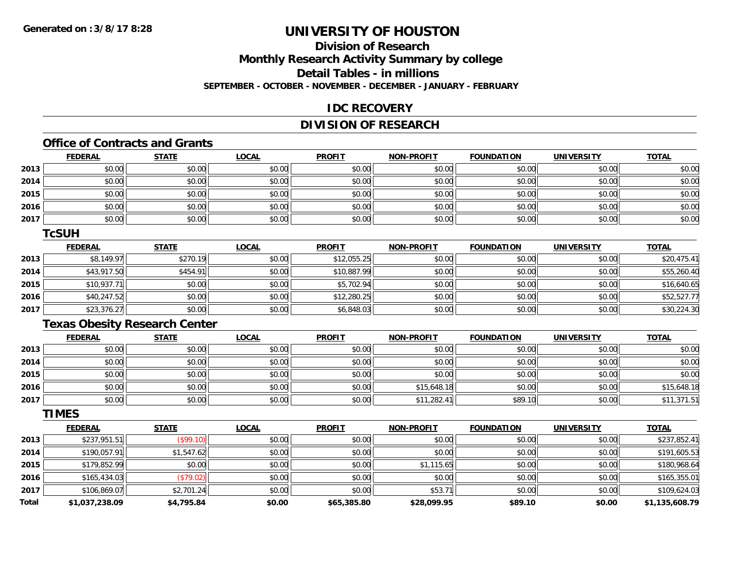# **Division of Research**

**Monthly Research Activity Summary by college**

**Detail Tables - in millions**

**SEPTEMBER - OCTOBER - NOVEMBER - DECEMBER - JANUARY - FEBRUARY**

## **IDC RECOVERY**

# **DIVISION OF RESEARCH**

# **Office of Contracts and Grants**

|      | <b>FEDERAL</b> | <b>STATE</b> | <u>LOCAL</u> | <b>PROFIT</b> | <b>NON-PROFIT</b> | <b>FOUNDATION</b> | <b>UNIVERSITY</b> | <b>TOTAL</b> |
|------|----------------|--------------|--------------|---------------|-------------------|-------------------|-------------------|--------------|
| 2013 | \$0.00         | \$0.00       | \$0.00       | \$0.00        | \$0.00            | \$0.00            | \$0.00            | \$0.00       |
| 2014 | \$0.00         | \$0.00       | \$0.00       | \$0.00        | \$0.00            | \$0.00            | \$0.00            | \$0.00       |
| 2015 | \$0.00         | \$0.00       | \$0.00       | \$0.00        | \$0.00            | \$0.00            | \$0.00            | \$0.00       |
| 2016 | \$0.00         | \$0.00       | \$0.00       | \$0.00        | \$0.00            | \$0.00            | \$0.00            | \$0.00       |
| 2017 | \$0.00         | \$0.00       | \$0.00       | \$0.00        | \$0.00            | \$0.00            | \$0.00            | \$0.00       |

### **TcSUH**

|      | <b>FEDERAL</b> | <u>STATE</u> | <u>LOCAL</u> | <b>PROFIT</b> | <b>NON-PROFIT</b> | <b>FOUNDATION</b> | <b>UNIVERSITY</b> | <b>TOTAL</b> |
|------|----------------|--------------|--------------|---------------|-------------------|-------------------|-------------------|--------------|
| 2013 | \$8,149.97     | \$270.19     | \$0.00       | \$12,055.25   | \$0.00            | \$0.00            | \$0.00            | \$20,475.41  |
| 2014 | \$43,917.50    | \$454.91     | \$0.00       | \$10,887.99   | \$0.00            | \$0.00            | \$0.00            | \$55,260.40  |
| 2015 | \$10,937.71    | \$0.00       | \$0.00       | \$5,702.94    | \$0.00            | \$0.00            | \$0.00            | \$16,640.65  |
| 2016 | \$40,247.52    | \$0.00       | \$0.00       | \$12,280.25   | \$0.00            | \$0.00            | \$0.00            | \$52,527.77  |
| 2017 | \$23,376.27    | \$0.00       | \$0.00       | \$6,848.03    | \$0.00            | \$0.00            | \$0.00            | \$30,224.30  |

# **Texas Obesity Research Center**

|      | <u>FEDERAL</u> | <b>STATE</b> | <u>LOCAL</u> | <b>PROFIT</b> | <b>NON-PROFIT</b> | <b>FOUNDATION</b> | <b>UNIVERSITY</b> | <b>TOTAL</b> |
|------|----------------|--------------|--------------|---------------|-------------------|-------------------|-------------------|--------------|
| 2013 | \$0.00         | \$0.00       | \$0.00       | \$0.00        | \$0.00            | \$0.00            | \$0.00            | \$0.00       |
| 2014 | \$0.00         | \$0.00       | \$0.00       | \$0.00        | \$0.00            | \$0.00            | \$0.00            | \$0.00       |
| 2015 | \$0.00         | \$0.00       | \$0.00       | \$0.00        | \$0.00            | \$0.00            | \$0.00            | \$0.00       |
| 2016 | \$0.00         | \$0.00       | \$0.00       | \$0.00        | \$15,648.18       | \$0.00            | \$0.00            | \$15,648.18  |
| 2017 | \$0.00         | \$0.00       | \$0.00       | \$0.00        | \$11,282.41       | \$89.10           | \$0.00            | \$11,371.51  |

### **TIMES**

|              | <b>FEDERAL</b> | <b>STATE</b> | <u>LOCAL</u> | <b>PROFIT</b> | <b>NON-PROFIT</b> | <b>FOUNDATION</b> | <b>UNIVERSITY</b> | <b>TOTAL</b>   |
|--------------|----------------|--------------|--------------|---------------|-------------------|-------------------|-------------------|----------------|
| 2013         | \$237,951.51   | (\$99.10)    | \$0.00       | \$0.00        | \$0.00            | \$0.00            | \$0.00            | \$237,852.41   |
| 2014         | \$190,057.91   | \$1,547.62   | \$0.00       | \$0.00        | \$0.00            | \$0.00            | \$0.00            | \$191,605.53   |
| 2015         | \$179,852.99   | \$0.00       | \$0.00       | \$0.00        | \$1,115.65        | \$0.00            | \$0.00            | \$180,968.64   |
| 2016         | \$165,434.03   | (\$79.02)    | \$0.00       | \$0.00        | \$0.00            | \$0.00            | \$0.00            | \$165,355.01   |
| 2017         | \$106,869.07   | \$2,701.24   | \$0.00       | \$0.00        | \$53.71           | \$0.00            | \$0.00            | \$109,624.03   |
| <b>Total</b> | \$1,037,238.09 | \$4,795.84   | \$0.00       | \$65,385.80   | \$28,099.95       | \$89.10           | \$0.00            | \$1,135,608.79 |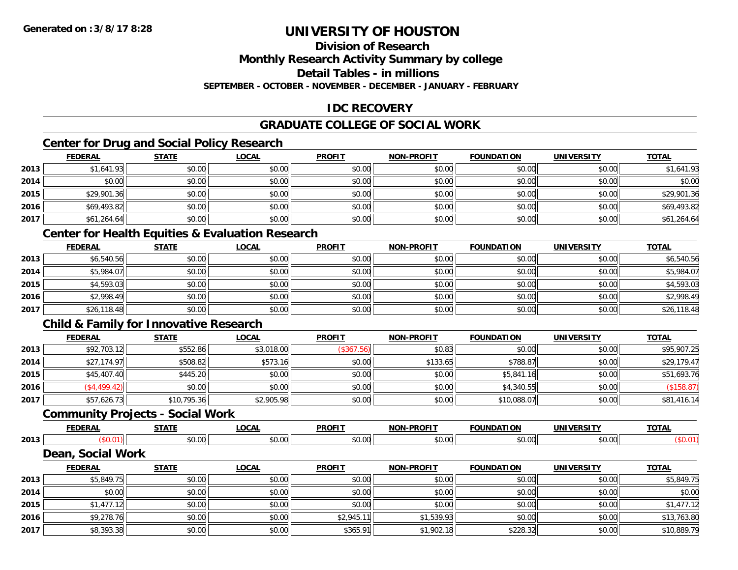# **Division of Research**

**Monthly Research Activity Summary by college**

**Detail Tables - in millions**

**SEPTEMBER - OCTOBER - NOVEMBER - DECEMBER - JANUARY - FEBRUARY**

# **IDC RECOVERY**

# **GRADUATE COLLEGE OF SOCIAL WORK**

# **Center for Drug and Social Policy Research**

|      | <b>FEDERAL</b> | <b>STATE</b> | <b>LOCAL</b> | <b>PROFIT</b> | <b>NON-PROFIT</b> | <b>FOUNDATION</b> | <b>UNIVERSITY</b> | <b>TOTAL</b> |
|------|----------------|--------------|--------------|---------------|-------------------|-------------------|-------------------|--------------|
| 2013 | \$1,641.93     | \$0.00       | \$0.00       | \$0.00        | \$0.00            | \$0.00            | \$0.00            | \$1,641.93   |
| 2014 | \$0.00         | \$0.00       | \$0.00       | \$0.00        | \$0.00            | \$0.00            | \$0.00            | \$0.00       |
| 2015 | \$29,901.36    | \$0.00       | \$0.00       | \$0.00        | \$0.00            | \$0.00            | \$0.00            | \$29,901.36  |
| 2016 | \$69,493.82    | \$0.00       | \$0.00       | \$0.00        | \$0.00            | \$0.00            | \$0.00            | \$69,493.82  |
| 2017 | \$61,264.64    | \$0.00       | \$0.00       | \$0.00        | \$0.00            | \$0.00            | \$0.00            | \$61,264.64  |

# **Center for Health Equities & Evaluation Research**

|      | <u>FEDERAL</u> | <u>STATE</u> | <u>LOCAL</u> | <b>PROFIT</b> | <b>NON-PROFIT</b> | <b>FOUNDATION</b> | <b>UNIVERSITY</b> | <b>TOTAL</b> |
|------|----------------|--------------|--------------|---------------|-------------------|-------------------|-------------------|--------------|
| 2013 | \$6,540.56     | \$0.00       | \$0.00       | \$0.00        | \$0.00            | \$0.00            | \$0.00            | \$6,540.56   |
| 2014 | \$5,984.07     | \$0.00       | \$0.00       | \$0.00        | \$0.00            | \$0.00            | \$0.00            | \$5,984.07   |
| 2015 | \$4,593.03     | \$0.00       | \$0.00       | \$0.00        | \$0.00            | \$0.00            | \$0.00            | \$4,593.03   |
| 2016 | \$2,998.49     | \$0.00       | \$0.00       | \$0.00        | \$0.00            | \$0.00            | \$0.00            | \$2,998.49   |
| 2017 | \$26,118.48    | \$0.00       | \$0.00       | \$0.00        | \$0.00            | \$0.00            | \$0.00            | \$26,118.48  |

# **Child & Family for Innovative Research**

|      | <u>FEDERAL</u> | <u>STATE</u> | <u>LOCAL</u> | <b>PROFIT</b> | <b>NON-PROFIT</b> | <b>FOUNDATION</b> | <b>UNIVERSITY</b> | <b>TOTAL</b> |
|------|----------------|--------------|--------------|---------------|-------------------|-------------------|-------------------|--------------|
| 2013 | \$92,703.12    | \$552.86     | \$3,018.00   | (\$367.56)    | \$0.83            | \$0.00            | \$0.00            | \$95,907.25  |
| 2014 | \$27,174.97    | \$508.82     | \$573.16     | \$0.00        | \$133.65          | \$788.87          | \$0.00            | \$29,179.47  |
| 2015 | \$45,407.40    | \$445.20     | \$0.00       | \$0.00        | \$0.00            | \$5,841.16        | \$0.00            | \$51,693.76  |
| 2016 | \$4,499.42]    | \$0.00       | \$0.00       | \$0.00        | \$0.00            | \$4,340.55        | \$0.00            | (\$158.87)   |
| 2017 | \$57,626.73    | \$10,795.36  | \$2,905.98   | \$0.00        | \$0.00            | \$10,088.07       | \$0.00            | \$81,416.14  |

### **Community Projects - Social Work**

|      | ----                                                                                    | $\sim$ $\sim$ | <b>PROFI</b>  |       | INIF          |       | $T$ $T$ $\Lambda$ |
|------|-----------------------------------------------------------------------------------------|---------------|---------------|-------|---------------|-------|-------------------|
| 2013 | $\begin{array}{c} \hline \text{A} & \text{A} & \text{A} \\ \hline \end{array}$<br>JU.UU | 0.00<br>vv.vv | 0.00<br>וט.טי | 40.00 | 0000<br>JU.UU | JU.UU | vv.c              |
|      |                                                                                         |               |               |       |               |       |                   |

### **Dean, Social Work**

|      | <b>FEDERAL</b> | <b>STATE</b> | <b>LOCAL</b> | <b>PROFIT</b> | <b>NON-PROFIT</b> | <b>FOUNDATION</b> | <b>UNIVERSITY</b> | <b>TOTAL</b> |
|------|----------------|--------------|--------------|---------------|-------------------|-------------------|-------------------|--------------|
| 2013 | \$5,849.75     | \$0.00       | \$0.00       | \$0.00        | \$0.00            | \$0.00            | \$0.00            | \$5,849.75   |
| 2014 | \$0.00         | \$0.00       | \$0.00       | \$0.00        | \$0.00            | \$0.00            | \$0.00            | \$0.00       |
| 2015 | \$1,477.12     | \$0.00       | \$0.00       | \$0.00        | \$0.00            | \$0.00            | \$0.00            | \$1,477.12   |
| 2016 | \$9,278.76     | \$0.00       | \$0.00       | \$2,945.      | \$1,539.93        | \$0.00            | \$0.00            | \$13,763.80  |
| 2017 | \$8,393.38     | \$0.00       | \$0.00       | \$365.91      | \$1,902.18        | \$228.32          | \$0.00            | \$10,889.79  |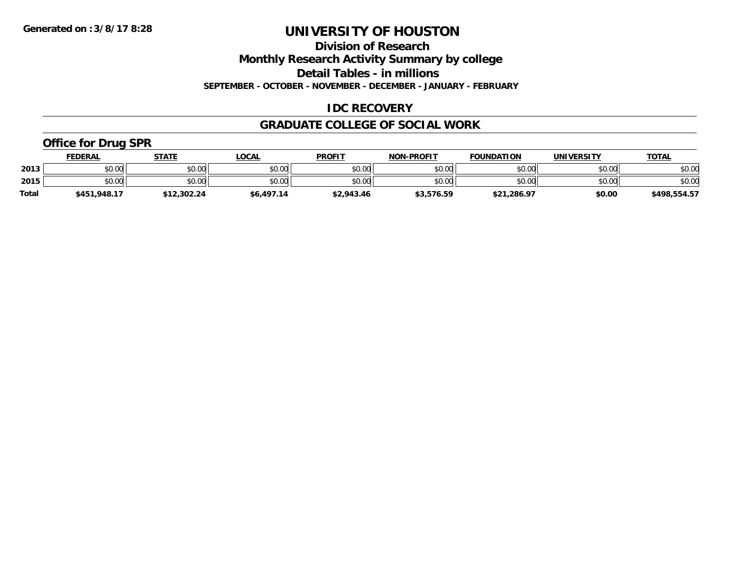**Division of Research**

**Monthly Research Activity Summary by college**

**Detail Tables - in millions**

**SEPTEMBER - OCTOBER - NOVEMBER - DECEMBER - JANUARY - FEBRUARY**

# **IDC RECOVERY**

### **GRADUATE COLLEGE OF SOCIAL WORK**

# **Office for Drug SPR**

|              | <u>FEDERAL</u> | <b>STATE</b> | _OCAL      | <b>PROFIT</b> | <b>NON-PROFIT</b> | <b>FOUNDATION</b> | <b>UNIVERSITY</b> | <b>TOTAL</b> |
|--------------|----------------|--------------|------------|---------------|-------------------|-------------------|-------------------|--------------|
| 2013         | \$0.00         | \$0.00       | \$0.00     | \$0.00        | \$0.00            | \$0.00            | \$0.00            | \$0.00       |
| 2015         | \$0.00         | \$0.00       | \$0.00     | \$0.00        | \$0.00            | \$0.00            | \$0.00            | \$0.00       |
| <b>Total</b> | \$451,948.17   | \$12,302.24  | \$6,497.14 | \$2,943.46    | \$3,576.59        | \$21,286.97       | \$0.00            | \$498,554.57 |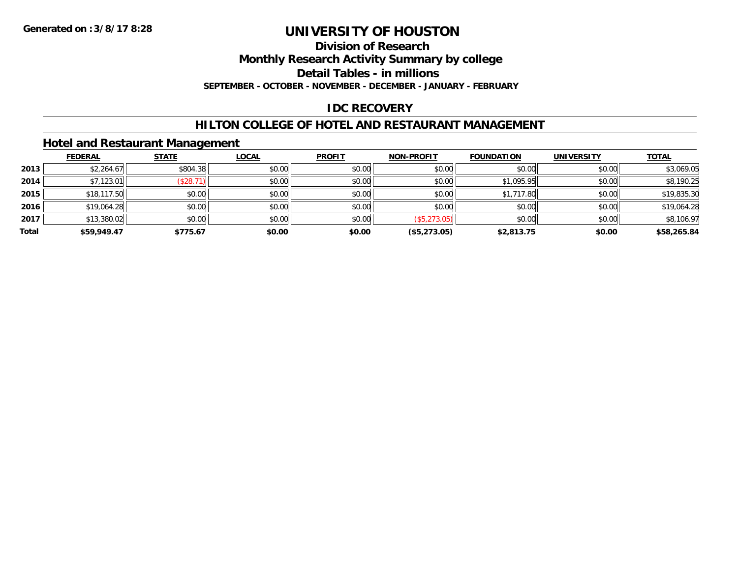#### **Division of Research**

**Monthly Research Activity Summary by college**

**Detail Tables - in millions**

**SEPTEMBER - OCTOBER - NOVEMBER - DECEMBER - JANUARY - FEBRUARY**

## **IDC RECOVERY**

## **HILTON COLLEGE OF HOTEL AND RESTAURANT MANAGEMENT**

## **Hotel and Restaurant Management**

|       | <b>FEDERAL</b> | <b>STATE</b> | <b>LOCAL</b> | <b>PROFIT</b> | <b>NON-PROFIT</b> | <b>FOUNDATION</b> | <b>UNIVERSITY</b> | <b>TOTAL</b> |
|-------|----------------|--------------|--------------|---------------|-------------------|-------------------|-------------------|--------------|
| 2013  | \$2,264.67     | \$804.38     | \$0.00       | \$0.00        | \$0.00            | \$0.00            | \$0.00            | \$3,069.05   |
| 2014  | \$7,123.01     | (\$28.71)    | \$0.00       | \$0.00        | \$0.00            | \$1,095.95        | \$0.00            | \$8,190.25   |
| 2015  | \$18,117.50    | \$0.00       | \$0.00       | \$0.00        | \$0.00            | \$1,717.80        | \$0.00            | \$19,835.30  |
| 2016  | \$19,064.28    | \$0.00       | \$0.00       | \$0.00        | \$0.00            | \$0.00            | \$0.00            | \$19,064.28  |
| 2017  | \$13,380.02    | \$0.00       | \$0.00       | \$0.00        | (\$5,273.05)      | \$0.00            | \$0.00            | \$8,106.97   |
| Total | \$59,949.47    | \$775.67     | \$0.00       | \$0.00        | (\$5,273.05)      | \$2,813.75        | \$0.00            | \$58,265.84  |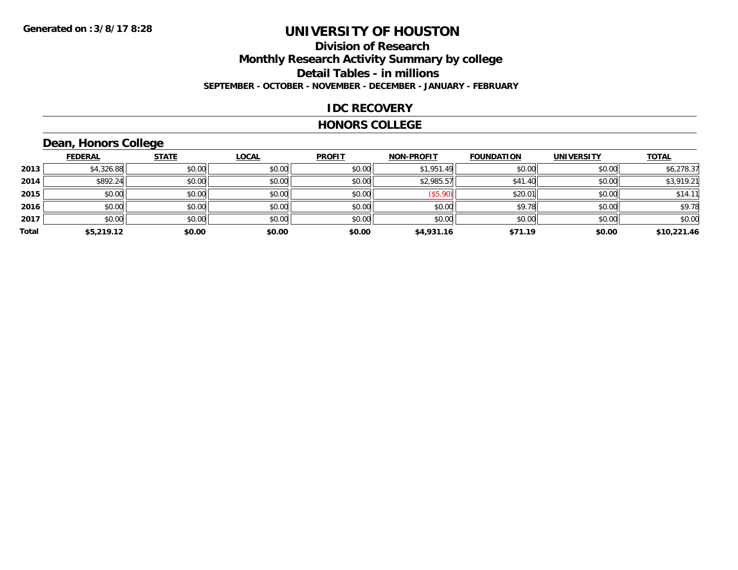## **Division of Research Monthly Research Activity Summary by college Detail Tables - in millions SEPTEMBER - OCTOBER - NOVEMBER - DECEMBER - JANUARY - FEBRUARY**

### **IDC RECOVERY**

### **HONORS COLLEGE**

# **Dean, Honors College**

|       | <b>FEDERAL</b> | <b>STATE</b> | <b>LOCAL</b> | <b>PROFIT</b> | <b>NON-PROFIT</b> | <b>FOUNDATION</b> | <b>UNIVERSITY</b> | <b>TOTAL</b> |
|-------|----------------|--------------|--------------|---------------|-------------------|-------------------|-------------------|--------------|
| 2013  | \$4,326.88     | \$0.00       | \$0.00       | \$0.00        | \$1,951.49        | \$0.00            | \$0.00            | \$6,278.37   |
| 2014  | \$892.24       | \$0.00       | \$0.00       | \$0.00        | \$2,985.57        | \$41.40           | \$0.00            | \$3,919.21   |
| 2015  | \$0.00         | \$0.00       | \$0.00       | \$0.00        | (\$5.90)          | \$20.01           | \$0.00            | \$14.11      |
| 2016  | \$0.00         | \$0.00       | \$0.00       | \$0.00        | \$0.00            | \$9.78            | \$0.00            | \$9.78       |
| 2017  | \$0.00         | \$0.00       | \$0.00       | \$0.00        | \$0.00            | \$0.00            | \$0.00            | \$0.00       |
| Total | \$5,219.12     | \$0.00       | \$0.00       | \$0.00        | \$4,931.16        | \$71.19           | \$0.00            | \$10,221.46  |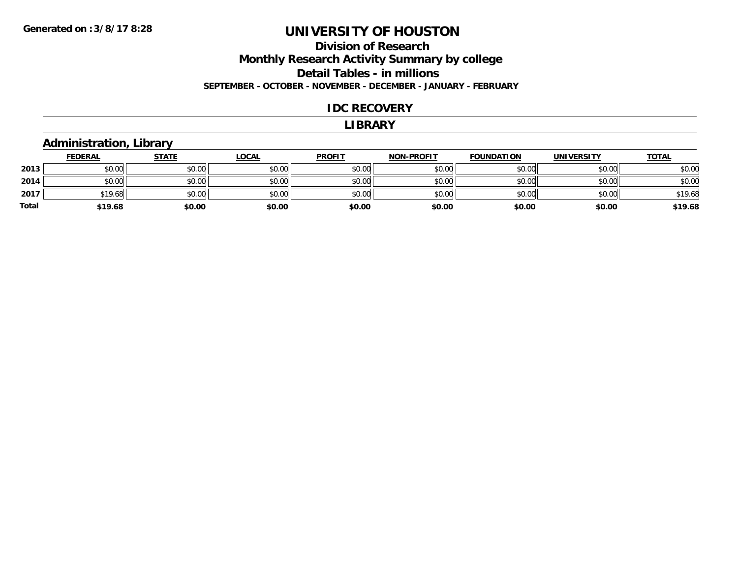## **Division of Research Monthly Research Activity Summary by college Detail Tables - in millions SEPTEMBER - OCTOBER - NOVEMBER - DECEMBER - JANUARY - FEBRUARY**

### **IDC RECOVERY**

### **LIBRARY**

## **Administration, Library**

|       | <b>FEDERAL</b> | <b>STATE</b> | <u>LOCAL</u> | <b>PROFIT</b> | <b>NON-PROFIT</b> | <b>FOUNDATION</b> | <b>UNIVERSITY</b> | <b>TOTAL</b> |
|-------|----------------|--------------|--------------|---------------|-------------------|-------------------|-------------------|--------------|
| 2013  | \$0.00         | \$0.00       | \$0.00       | \$0.00        | \$0.00            | \$0.00            | \$0.00            | \$0.00       |
| 2014  | \$0.00         | \$0.00       | \$0.00       | \$0.00        | \$0.00            | \$0.00            | \$0.00            | \$0.00       |
| 2017  | \$19.68        | \$0.00       | \$0.00       | \$0.00        | \$0.00            | \$0.00            | \$0.00            | \$19.68      |
| Total | \$19.68        | \$0.00       | \$0.00       | \$0.00        | \$0.00            | \$0.00            | \$0.00            | \$19.68      |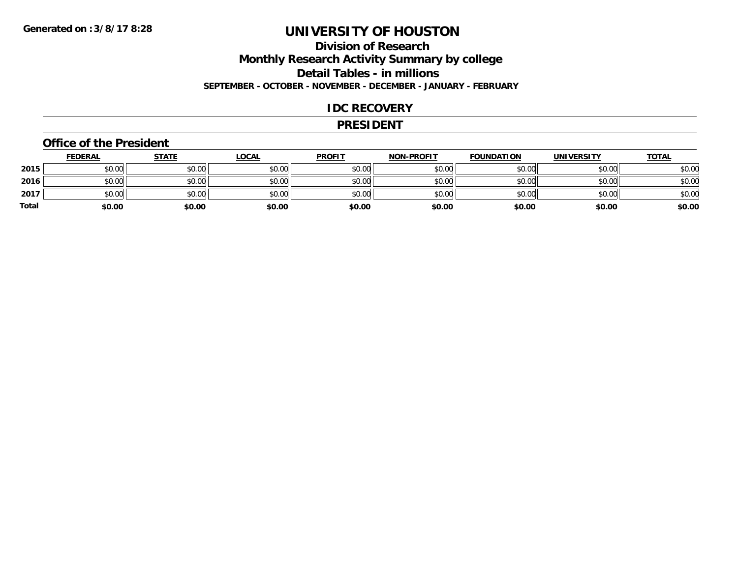# **Division of ResearchMonthly Research Activity Summary by college Detail Tables - in millions SEPTEMBER - OCTOBER - NOVEMBER - DECEMBER - JANUARY - FEBRUARY**

### **IDC RECOVERY**

### **PRESIDENT**

### **Office of the President**

|       | <b>FEDERAL</b> | <u>STATE</u> | <u>LOCAL</u> | <b>PROFIT</b> | <b>NON-PROFIT</b> | <b>FOUNDATION</b> | <b>UNIVERSITY</b> | <u>TOTAL</u> |
|-------|----------------|--------------|--------------|---------------|-------------------|-------------------|-------------------|--------------|
| 2015  | \$0.00         | \$0.00       | \$0.00       | \$0.00        | \$0.00            | \$0.00            | \$0.00            | \$0.00       |
| 2016  | \$0.00         | \$0.00       | \$0.00       | \$0.00        | \$0.00            | \$0.00            | \$0.00            | \$0.00       |
| 2017  | \$0.00         | \$0.00       | \$0.00       | \$0.00        | \$0.00            | \$0.00            | \$0.00            | \$0.00       |
| Total | \$0.00         | \$0.00       | \$0.00       | \$0.00        | \$0.00            | \$0.00            | \$0.00            | \$0.00       |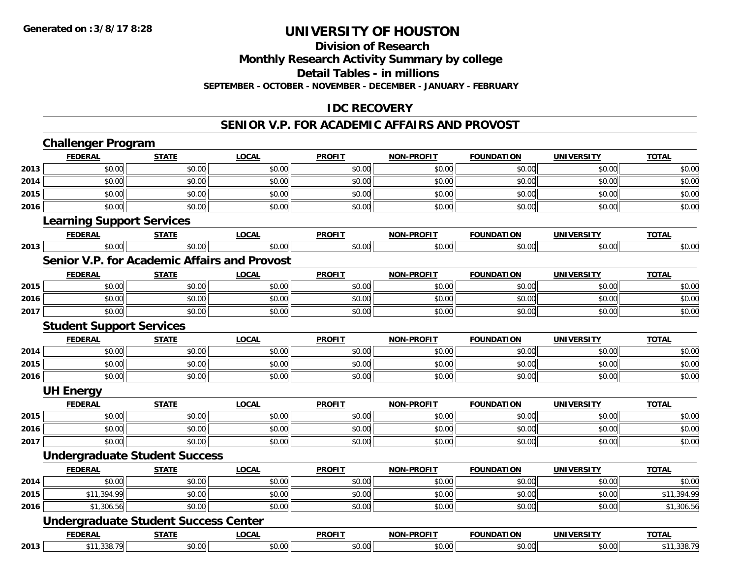# **Division of Research**

**Monthly Research Activity Summary by college**

**Detail Tables - in millions**

**SEPTEMBER - OCTOBER - NOVEMBER - DECEMBER - JANUARY - FEBRUARY**

## **IDC RECOVERY**

### **SENIOR V.P. FOR ACADEMIC AFFAIRS AND PROVOST**

|      | <b>Challenger Program</b>                           |              |              |               |                   |                   |                   |              |
|------|-----------------------------------------------------|--------------|--------------|---------------|-------------------|-------------------|-------------------|--------------|
|      | <b>FEDERAL</b>                                      | <b>STATE</b> | <b>LOCAL</b> | <b>PROFIT</b> | <b>NON-PROFIT</b> | <b>FOUNDATION</b> | <b>UNIVERSITY</b> | <b>TOTAL</b> |
| 2013 | \$0.00                                              | \$0.00       | \$0.00       | \$0.00        | \$0.00            | \$0.00            | \$0.00            | \$0.00       |
| 2014 | \$0.00                                              | \$0.00       | \$0.00       | \$0.00        | \$0.00            | \$0.00            | \$0.00            | \$0.00       |
| 2015 | \$0.00                                              | \$0.00       | \$0.00       | \$0.00        | \$0.00            | \$0.00            | \$0.00            | \$0.00       |
| 2016 | \$0.00                                              | \$0.00       | \$0.00       | \$0.00        | \$0.00            | \$0.00            | \$0.00            | \$0.00       |
|      | <b>Learning Support Services</b>                    |              |              |               |                   |                   |                   |              |
|      | <b>FEDERAL</b>                                      | <b>STATE</b> | <b>LOCAL</b> | <b>PROFIT</b> | <b>NON-PROFIT</b> | <b>FOUNDATION</b> | <b>UNIVERSITY</b> | <b>TOTAL</b> |
| 2013 | \$0.00                                              | \$0.00       | \$0.00       | \$0.00        | \$0.00            | \$0.00            | \$0.00            | \$0.00       |
|      | <b>Senior V.P. for Academic Affairs and Provost</b> |              |              |               |                   |                   |                   |              |
|      | <b>FEDERAL</b>                                      | <b>STATE</b> | <b>LOCAL</b> | <b>PROFIT</b> | <b>NON-PROFIT</b> | <b>FOUNDATION</b> | <b>UNIVERSITY</b> | <b>TOTAL</b> |
| 2015 | \$0.00                                              | \$0.00       | \$0.00       | \$0.00        | \$0.00            | \$0.00            | \$0.00            | \$0.00       |
| 2016 | \$0.00                                              | \$0.00       | \$0.00       | \$0.00        | \$0.00            | \$0.00            | \$0.00            | \$0.00       |
| 2017 | \$0.00                                              | \$0.00       | \$0.00       | \$0.00        | \$0.00            | \$0.00            | \$0.00            | \$0.00       |
|      | <b>Student Support Services</b>                     |              |              |               |                   |                   |                   |              |
|      | <b>FEDERAL</b>                                      | <b>STATE</b> | <b>LOCAL</b> | <b>PROFIT</b> | <b>NON-PROFIT</b> | <b>FOUNDATION</b> | <b>UNIVERSITY</b> | <b>TOTAL</b> |
| 2014 | \$0.00                                              | \$0.00       | \$0.00       | \$0.00        | \$0.00            | \$0.00            | \$0.00            | \$0.00       |
| 2015 | \$0.00                                              | \$0.00       | \$0.00       | \$0.00        | \$0.00            | \$0.00            | \$0.00            | \$0.00       |
| 2016 | \$0.00                                              | \$0.00       | \$0.00       | \$0.00        | \$0.00            | \$0.00            | \$0.00            | \$0.00       |
|      | <b>UH Energy</b>                                    |              |              |               |                   |                   |                   |              |
|      | <b>FEDERAL</b>                                      | <b>STATE</b> | <b>LOCAL</b> | <b>PROFIT</b> | <b>NON-PROFIT</b> | <b>FOUNDATION</b> | <b>UNIVERSITY</b> | <b>TOTAL</b> |
| 2015 | \$0.00                                              | \$0.00       | \$0.00       | \$0.00        | \$0.00            | \$0.00            | \$0.00            | \$0.00       |
| 2016 | \$0.00                                              | \$0.00       | \$0.00       | \$0.00        | \$0.00            | \$0.00            | \$0.00            | \$0.00       |
| 2017 | \$0.00                                              | \$0.00       | \$0.00       | \$0.00        | \$0.00            | \$0.00            | \$0.00            | \$0.00       |
|      | <b>Undergraduate Student Success</b>                |              |              |               |                   |                   |                   |              |
|      | <b>FEDERAL</b>                                      | <b>STATE</b> | <b>LOCAL</b> | <b>PROFIT</b> | <b>NON-PROFIT</b> | <b>FOUNDATION</b> | <b>UNIVERSITY</b> | <b>TOTAL</b> |
| 2014 | \$0.00                                              | \$0.00       | \$0.00       | \$0.00        | \$0.00            | \$0.00            | \$0.00            | \$0.00       |
| 2015 | \$11,394.99                                         | \$0.00       | \$0.00       | \$0.00        | \$0.00            | \$0.00            | \$0.00            | \$11,394.99  |
| 2016 | \$1,306.56                                          | \$0.00       | \$0.00       | \$0.00        | \$0.00            | \$0.00            | \$0.00            | \$1,306.56   |
|      | <b>Undergraduate Student Success Center</b>         |              |              |               |                   |                   |                   |              |
|      | <b>FEDERAL</b>                                      | <b>STATE</b> | <b>LOCAL</b> | <b>PROFIT</b> | <b>NON-PROFIT</b> | <b>FOUNDATION</b> | <b>UNIVERSITY</b> | <b>TOTAL</b> |
| 2013 | \$11,338.79                                         | \$0.00       | \$0.00       | \$0.00        | \$0.00            | \$0.00            | \$0.00            | \$11,338.79  |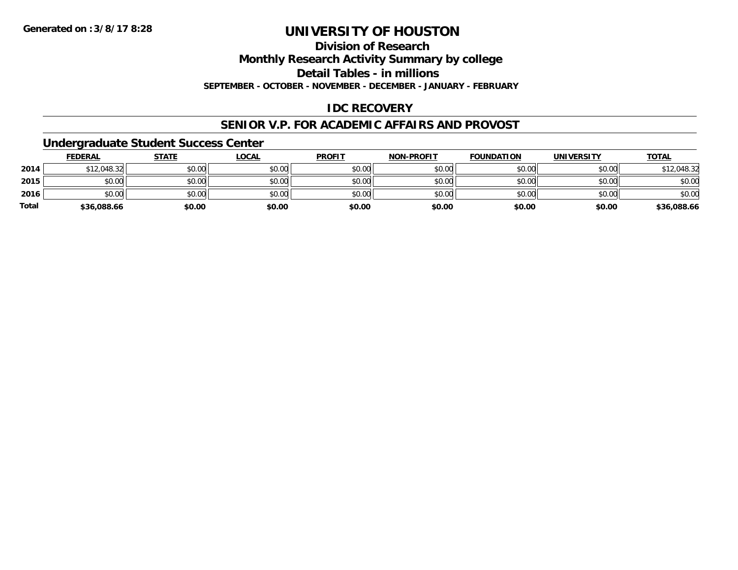**Division of Research**

**Monthly Research Activity Summary by college**

**Detail Tables - in millions**

**SEPTEMBER - OCTOBER - NOVEMBER - DECEMBER - JANUARY - FEBRUARY**

# **IDC RECOVERY**

### **SENIOR V.P. FOR ACADEMIC AFFAIRS AND PROVOST**

## **Undergraduate Student Success Center**

|              | <b>FEDERAL</b> | <b>STATE</b> | <u>LOCAL</u> | <b>PROFIT</b> | <b>NON-PROFIT</b> | <b>FOUNDATION</b> | <b>UNIVERSITY</b> | <b>TOTAL</b> |
|--------------|----------------|--------------|--------------|---------------|-------------------|-------------------|-------------------|--------------|
| 2014         | \$12,048.32    | \$0.00       | \$0.00       | \$0.00        | \$0.00            | \$0.00            | \$0.00            | \$12,048.32  |
| 2015         | \$0.00         | \$0.00       | \$0.00       | \$0.00        | \$0.00            | \$0.00            | \$0.00            | \$0.00       |
| 2016         | \$0.00         | \$0.00       | \$0.00       | \$0.00        | \$0.00            | \$0.00            | \$0.00            | \$0.00       |
| <b>Total</b> | \$36,088.66    | \$0.00       | \$0.00       | \$0.00        | \$0.00            | \$0.00            | \$0.00            | \$36,088.66  |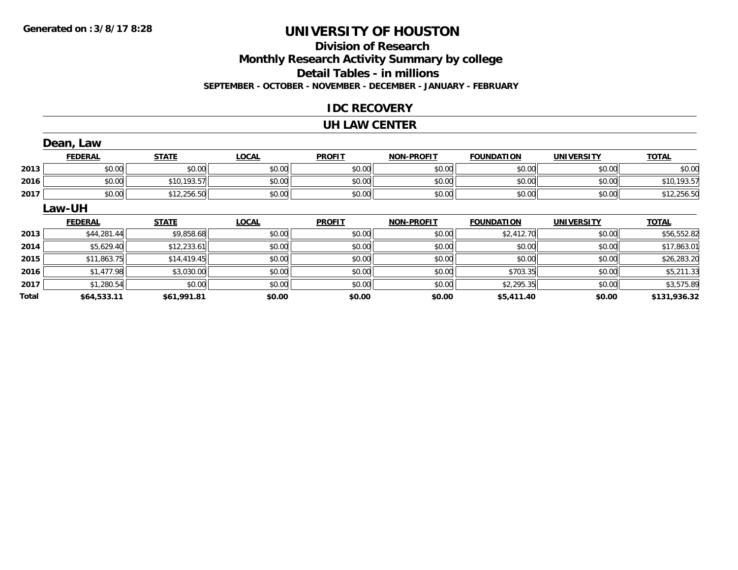# **Division of ResearchMonthly Research Activity Summary by college Detail Tables - in millions SEPTEMBER - OCTOBER - NOVEMBER - DECEMBER - JANUARY - FEBRUARY**

## **IDC RECOVERY**

### **UH LAW CENTER**

|       | Dean, Law      |              |              |               |                   |                   |                   |              |
|-------|----------------|--------------|--------------|---------------|-------------------|-------------------|-------------------|--------------|
|       | <b>FEDERAL</b> | <b>STATE</b> | <b>LOCAL</b> | <b>PROFIT</b> | <b>NON-PROFIT</b> | <b>FOUNDATION</b> | <b>UNIVERSITY</b> | <b>TOTAL</b> |
| 2013  | \$0.00         | \$0.00       | \$0.00       | \$0.00        | \$0.00            | \$0.00            | \$0.00            | \$0.00       |
| 2016  | \$0.00         | \$10,193.57  | \$0.00       | \$0.00        | \$0.00            | \$0.00            | \$0.00            | \$10,193.57  |
| 2017  | \$0.00         | \$12,256.50  | \$0.00       | \$0.00        | \$0.00            | \$0.00            | \$0.00            | \$12,256.50  |
|       | Law-UH         |              |              |               |                   |                   |                   |              |
|       | <b>FEDERAL</b> | <b>STATE</b> | <b>LOCAL</b> | <b>PROFIT</b> | <b>NON-PROFIT</b> | <b>FOUNDATION</b> | <b>UNIVERSITY</b> | <b>TOTAL</b> |
| 2013  | \$44,281.44    | \$9,858.68   | \$0.00       | \$0.00        | \$0.00            | \$2,412.70        | \$0.00            | \$56,552.82  |
| 2014  | \$5,629.40     | \$12,233.61  | \$0.00       | \$0.00        | \$0.00            | \$0.00            | \$0.00            | \$17,863.01  |
| 2015  | \$11,863.75    | \$14,419.45  | \$0.00       | \$0.00        | \$0.00            | \$0.00            | \$0.00            | \$26,283.20  |
| 2016  | \$1,477.98     | \$3,030.00   | \$0.00       | \$0.00        | \$0.00            | \$703.35          | \$0.00            | \$5,211.33   |
| 2017  | \$1,280.54     | \$0.00       | \$0.00       | \$0.00        | \$0.00            | \$2,295.35        | \$0.00            | \$3,575.89   |
| Total | \$64,533.11    | \$61,991.81  | \$0.00       | \$0.00        | \$0.00            | \$5,411.40        | \$0.00            | \$131,936.32 |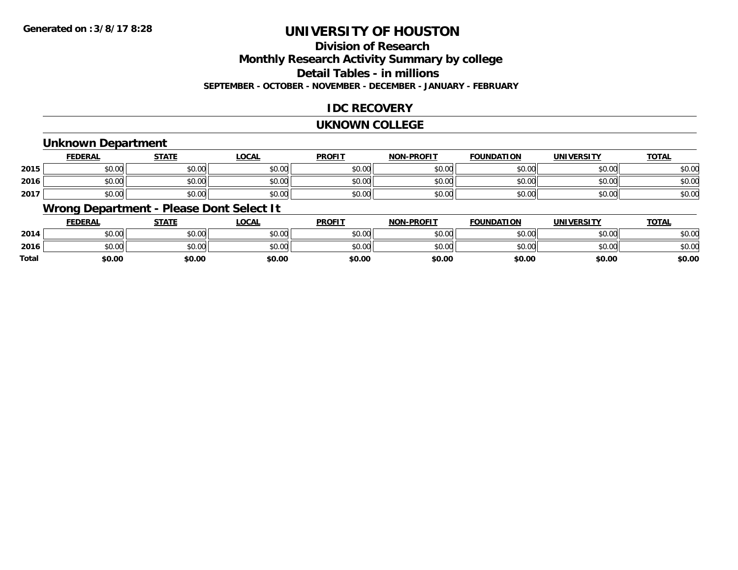# **Division of ResearchMonthly Research Activity Summary by college Detail Tables - in millions SEPTEMBER - OCTOBER - NOVEMBER - DECEMBER - JANUARY - FEBRUARY**

# **IDC RECOVERY**

### **UKNOWN COLLEGE**

## **Unknown Department**

|      | FEDERAL | <b>STATE</b> | <u>LOCAI</u> | <b>PROFIT</b> | <b>NON-PROFIT</b> | <b>FOUNDATION</b> | <b>UNIVERSITY</b> | <b>TOTAL</b> |
|------|---------|--------------|--------------|---------------|-------------------|-------------------|-------------------|--------------|
| 2015 | \$0.00  | \$0.00       | \$0.00       | \$0.00        | ደሰ ሰሰ<br>JU.UU    | \$0.00            | \$0.00            | \$0.00       |
| 2016 | \$0.00  | \$0.00       | \$0.00       | \$0.00        | ku uy<br>ง∪.∪บ    | \$0.00            | \$0.00            | \$0.00       |
| 2017 | \$0.00  | \$0.00       | \$0.00       | \$0.00        | \$0.00            | \$0.00            | \$0.00            | \$0.00       |

# **Wrong Department - Please Dont Select It**

|              | <b>FEDERAL</b> | <b>STATE</b> | <u>LOCAL</u> | <b>PROFIT</b> | <b>NON-PROFIT</b> | <b>FOUNDATION</b> | <b>UNIVERSITY</b> | <u>TOTAL</u> |
|--------------|----------------|--------------|--------------|---------------|-------------------|-------------------|-------------------|--------------|
| 2014         | \$0.00         | \$0.00       | \$0.00       | \$0.00        | \$0.00            | \$0.00            | \$0.00            | \$0.00       |
| 2016         | \$0.00         | \$0.00       | \$0.00       | \$0.00        | \$0.00            | \$0.00            | \$0.00            | \$0.00       |
| <b>Total</b> | \$0.00         | \$0.00       | \$0.00       | \$0.00        | \$0.00            | \$0.00            | \$0.00            | \$0.00       |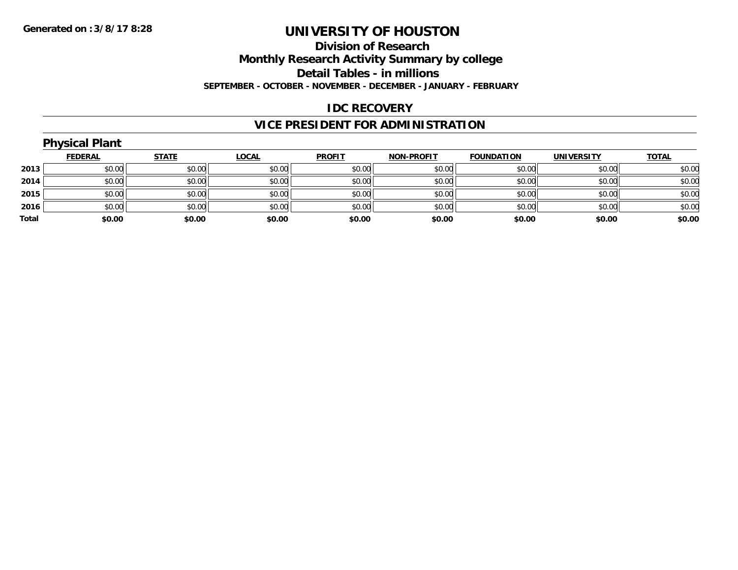### **Division of Research**

**Monthly Research Activity Summary by college**

**Detail Tables - in millions**

**SEPTEMBER - OCTOBER - NOVEMBER - DECEMBER - JANUARY - FEBRUARY**

## **IDC RECOVERY**

# **VICE PRESIDENT FOR ADMINISTRATION**

|       | <b>Physical Plant</b> |              |              |               |                   |                   |                   |              |
|-------|-----------------------|--------------|--------------|---------------|-------------------|-------------------|-------------------|--------------|
|       | <b>FEDERAL</b>        | <b>STATE</b> | <b>LOCAL</b> | <b>PROFIT</b> | <b>NON-PROFIT</b> | <b>FOUNDATION</b> | <b>UNIVERSITY</b> | <b>TOTAL</b> |
| 2013  | \$0.00                | \$0.00       | \$0.00       | \$0.00        | \$0.00            | \$0.00            | \$0.00            | \$0.00       |
| 2014  | \$0.00                | \$0.00       | \$0.00       | \$0.00        | \$0.00            | \$0.00            | \$0.00            | \$0.00       |
| 2015  | \$0.00                | \$0.00       | \$0.00       | \$0.00        | \$0.00            | \$0.00            | \$0.00            | \$0.00       |
| 2016  | \$0.00                | \$0.00       | \$0.00       | \$0.00        | \$0.00            | \$0.00            | \$0.00            | \$0.00       |
| Total | \$0.00                | \$0.00       | \$0.00       | \$0.00        | \$0.00            | \$0.00            | \$0.00            | \$0.00       |
|       |                       |              |              |               |                   |                   |                   |              |

# **Physical Plant**